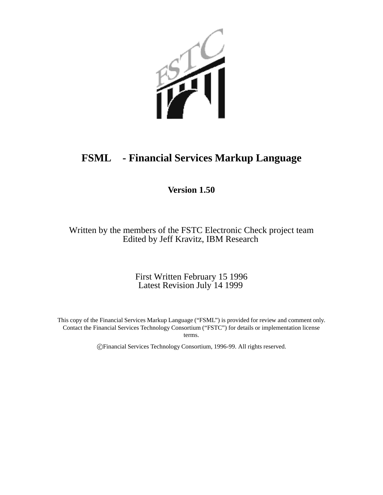

## **FSML - Financial Services Markup Language**

## **Version 1.50**

Written by the members of the FSTC Electronic Check project team Edited by Jeff Kravitz, IBM Research

> First Written February 15 1996 Latest Revision July 14 1999

This copy of the Financial Services Markup Language ("FSML") is provided for review and comment only. Contact the Financial Services Technology Consortium ("FSTC") for details or implementation license terms.

c Financial Services Technology Consortium, 1996-99. All rights reserved.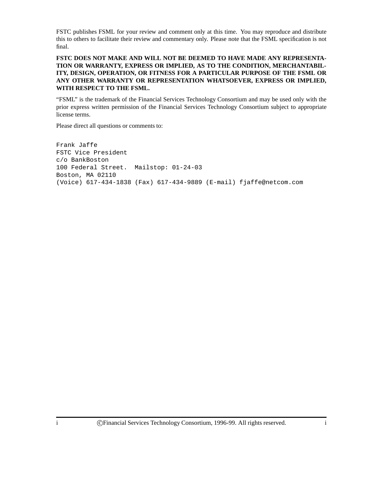FSTC publishes FSML for your review and comment only at this time. You may reproduce and distribute this to others to facilitate their review and commentary only. Please note that the FSML specification is not final.

#### **FSTC DOES NOT MAKE AND WILL NOT BE DEEMED TO HAVE MADE ANY REPRESENTA-TION OR WARRANTY, EXPRESS OR IMPLIED, AS TO THE CONDITION, MERCHANTABIL-ITY, DESIGN, OPERATION, OR FITNESS FOR A PARTICULAR PURPOSE OF THE FSML OR ANY OTHER WARRANTY OR REPRESENTATION WHATSOEVER, EXPRESS OR IMPLIED, WITH RESPECT TO THE FSML.**

"FSML" is the trademark of the Financial Services Technology Consortium and may be used only with the prior express written permission of the Financial Services Technology Consortium subject to appropriate license terms.

Please direct all questions or comments to:

Frank Jaffe FSTC Vice President c/o BankBoston 100 Federal Street. Mailstop: 01-24-03 Boston, MA 02110 (Voice) 617-434-1838 (Fax) 617-434-9889 (E-mail) fjaffe@netcom.com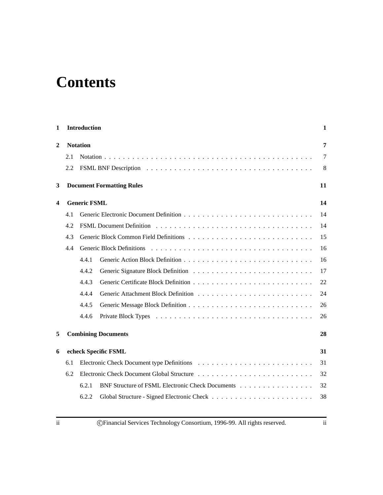# **Contents**

| 1 |     | <b>Introduction</b> |                                                  | 1  |  |
|---|-----|---------------------|--------------------------------------------------|----|--|
| 2 |     | <b>Notation</b>     |                                                  |    |  |
|   | 2.1 |                     |                                                  | 7  |  |
|   | 2.2 |                     |                                                  | 8  |  |
| 3 |     |                     | <b>Document Formatting Rules</b>                 | 11 |  |
| 4 |     | <b>Generic FSML</b> |                                                  | 14 |  |
|   | 4.1 |                     |                                                  | 14 |  |
|   | 4.2 |                     |                                                  | 14 |  |
|   | 4.3 |                     |                                                  | 15 |  |
|   | 4.4 |                     | <b>Generic Block Definitions</b>                 | 16 |  |
|   |     | 4.4.1               |                                                  | 16 |  |
|   |     | 4.4.2               |                                                  | 17 |  |
|   |     | 4.4.3               |                                                  | 22 |  |
|   |     | 4.4.4               |                                                  | 24 |  |
|   |     | 4.4.5               |                                                  | 26 |  |
|   |     | 4.4.6               |                                                  | 26 |  |
| 5 |     |                     | <b>Combining Documents</b>                       | 28 |  |
| 6 |     |                     | echeck Specific FSML                             | 31 |  |
|   | 6.1 |                     |                                                  | 31 |  |
|   | 6.2 |                     |                                                  | 32 |  |
|   |     | 6.2.1               | BNF Structure of FSML Electronic Check Documents | 32 |  |
|   |     | 6.2.2               |                                                  | 38 |  |
|   |     |                     |                                                  |    |  |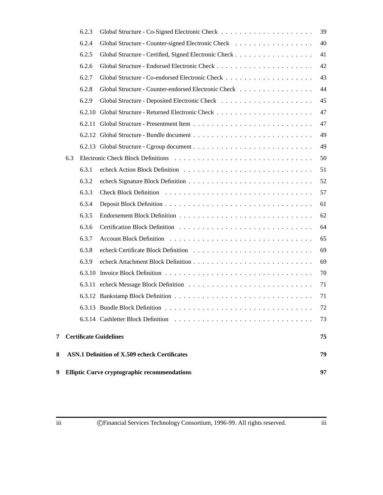| 9 |     |        | <b>Elliptic Curve cryptographic recommendations</b>  | 97 |
|---|-----|--------|------------------------------------------------------|----|
| 8 |     |        | <b>ASN.1 Definition of X.509 echeck Certificates</b> | 79 |
| 7 |     |        | <b>Certificate Guidelines</b>                        | 75 |
|   |     |        |                                                      | 73 |
|   |     |        | 6.3.13 Bundle Block Definition                       | 72 |
|   |     |        |                                                      | 71 |
|   |     |        |                                                      | 71 |
|   |     |        |                                                      | 70 |
|   |     | 6.3.9  |                                                      | 69 |
|   |     | 6.3.8  |                                                      | 69 |
|   |     | 6.3.7  |                                                      | 65 |
|   |     | 6.3.6  |                                                      | 64 |
|   |     | 6.3.5  |                                                      | 62 |
|   |     | 6.3.4  |                                                      | 61 |
|   |     | 6.3.3  |                                                      | 57 |
|   |     | 6.3.2  |                                                      | 52 |
|   |     | 6.3.1  |                                                      | 51 |
|   | 6.3 |        |                                                      | 50 |
|   |     |        |                                                      | 49 |
|   |     |        |                                                      | 49 |
|   |     |        |                                                      | 47 |
|   |     | 6.2.10 |                                                      | 47 |
|   |     | 6.2.9  |                                                      | 45 |
|   |     | 6.2.8  | Global Structure - Counter-endorsed Electronic Check | 44 |
|   |     | 6.2.7  |                                                      | 43 |
|   |     | 6.2.6  |                                                      | 42 |
|   |     | 6.2.5  |                                                      | 41 |
|   |     | 6.2.4  | Global Structure - Counter-signed Electronic Check   | 40 |
|   |     | 6.2.3  |                                                      | 39 |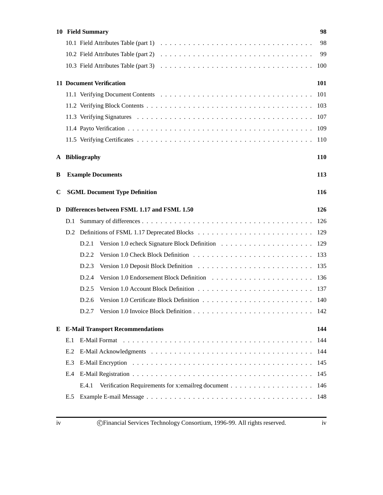|   |     | 10 Field Summary                                               | 98  |
|---|-----|----------------------------------------------------------------|-----|
|   |     |                                                                | 98  |
|   |     |                                                                | -99 |
|   |     |                                                                | 100 |
|   |     | <b>11 Document Verification</b>                                | 101 |
|   |     |                                                                | 101 |
|   |     |                                                                |     |
|   |     |                                                                |     |
|   |     |                                                                |     |
|   |     |                                                                |     |
|   |     | A Bibliography                                                 | 110 |
| B |     | <b>Example Documents</b>                                       | 113 |
| C |     | <b>SGML Document Type Definition</b>                           | 116 |
| D |     | Differences between FSML 1.17 and FSML 1.50                    | 126 |
|   | D.1 |                                                                |     |
|   |     |                                                                |     |
|   |     | D.2.1                                                          |     |
|   |     | D.2.2                                                          |     |
|   |     | D.2.3                                                          |     |
|   |     | D.2.4                                                          |     |
|   |     | D.2.5                                                          |     |
|   |     | D.2.6                                                          |     |
|   |     |                                                                |     |
|   |     | <b>E</b> E-Mail Transport Recommendations                      | 144 |
|   | E.1 |                                                                |     |
|   | E.2 |                                                                |     |
|   | E.3 |                                                                |     |
|   | E.4 |                                                                |     |
|   |     | Verification Requirements for x:emailreg document 146<br>E.4.1 |     |
|   | E.5 |                                                                |     |
|   |     |                                                                |     |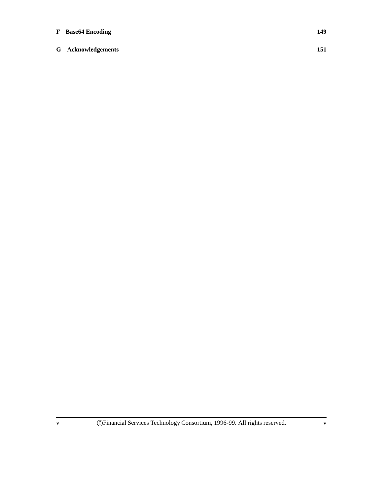### **F Base64 Encoding 149**

**G Acknowledgements 151**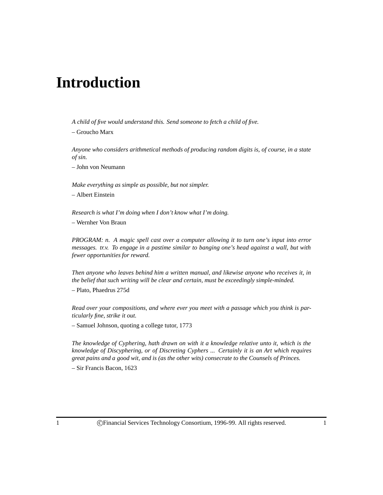## **Introduction**

*A child of five would understand this. Send someone to fetch a child of five.*

– Groucho Marx

*Anyone who considers arithmetical methods of producing random digits is, of course, in a state of sin.*

– John von Neumann

*Make everything as simple as possible, but not simpler.*

– Albert Einstein

*Research is what I'm doing when I don't know what I'm doing.*

– Wernher Von Braun

*PROGRAM: n. A magic spell cast over a computer allowing it to turn one's input into error messages. tr.v. To engage in a pastime similar to banging one's head against a wall, but with fewer opportunities for reward.*

*Then anyone who leaves behind him a written manual, and likewise anyone who receives it, in the belief that such writing will be clear and certain, must be exceedingly simple-minded.*

– Plato, Phaedrus 275d

*Read over your compositions, and where ever you meet with a passage which you think is particularly fine, strike it out.*

– Samuel Johnson, quoting a college tutor, 1773

*The knowledge of Cyphering, hath drawn on with it a knowledge relative unto it, which is the knowledge of Discyphering, or of Discreting Cyphers ... Certainly it is an Art which requires great pains and a good wit, and is (as the other wits) consecrate to the Counsels of Princes.*

– Sir Francis Bacon, 1623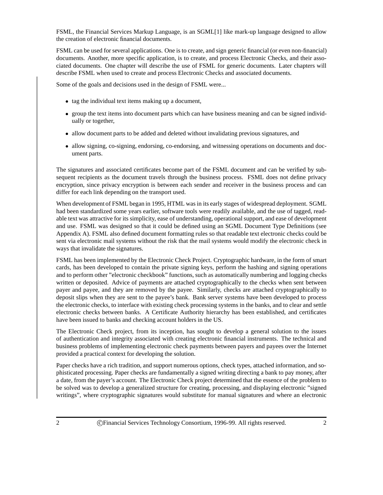FSML, the Financial Services Markup Language, is an SGML[1] like mark-up language designed to allow the creation of electronic financial documents.

FSML can be used for several applications. One is to create, and sign generic financial (or even non-financial) documents. Another, more specific application, is to create, and process Electronic Checks, and their associated documents. One chapter will describe the use of FSML for generic documents. Later chapters will describe FSML when used to create and process Electronic Checks and associated documents.

Some of the goals and decisions used in the design of FSML were...

- tag the individual text items making up a document,
- group the text items into document parts which can have business meaning and can be signed individually or together,
- allow document parts to be added and deleted without invalidating previous signatures, and
- allow signing, co-signing, endorsing, co-endorsing, and witnessing operations on documents and document parts.

The signatures and associated certificates become part of the FSML document and can be verified by subsequent recipients as the document travels through the business process. FSML does not define privacy encryption, since privacy encryption is between each sender and receiver in the business process and can differ for each link depending on the transport used.

When development of FSML began in 1995, HTML was in its early stages of widespread deployment. SGML had been standardized some years earlier, software tools were readily available, and the use of tagged, readable text was attractive for its simplicity, ease of understanding, operational support, and ease of development and use. FSML was designed so that it could be defined using an SGML Document Type Definitions (see Appendix A). FSML also defined document formatting rules so that readable text electronic checks could be sent via electronic mail systems without the risk that the mail systems would modify the electronic check in ways that invalidate the signatures.

FSML has been implemented by the Electronic Check Project. Cryptographic hardware, in the form of smart cards, has been developed to contain the private signing keys, perform the hashing and signing operations and to perform other "electronic checkbook" functions, such as automatically numbering and logging checks written or deposited. Advice of payments are attached cryptographically to the checks when sent between payer and payee, and they are removed by the payee. Similarly, checks are attached cryptographically to deposit slips when they are sent to the payee's bank. Bank server systems have been developed to process the electronic checks, to interface with existing check processing systems in the banks, and to clear and settle electronic checks between banks. A Certificate Authority hierarchy has been established, and certificates have been issued to banks and checking account holders in the US.

The Electronic Check project, from its inception, has sought to develop a general solution to the issues of authentication and integrity associated with creating electronic financial instruments. The technical and business problems of implementing electronic check payments between payers and payees over the Internet provided a practical context for developing the solution.

Paper checks have a rich tradition, and support numerous options, check types, attached information, and sophisticated processing. Paper checks are fundamentally a signed writing directing a bank to pay money, after a date, from the payer's account. The Electronic Check project determined that the essence of the problem to be solved was to develop a generalized structure for creating, processing, and displaying electronic "signed writings", where cryptographic signatures would substitute for manual signatures and where an electronic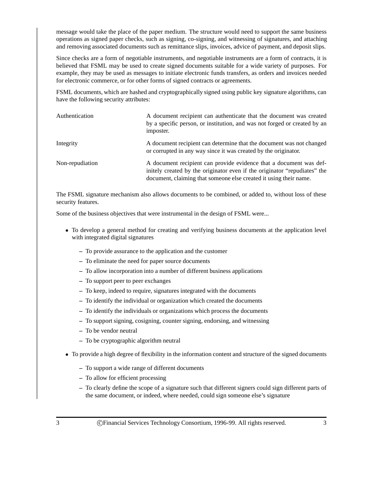message would take the place of the paper medium. The structure would need to support the same business operations as signed paper checks, such as signing, co-signing, and witnessing of signatures, and attaching and removing associated documents such as remittance slips, invoices, advice of payment, and deposit slips.

Since checks are a form of negotiable instruments, and negotiable instruments are a form of contracts, it is believed that FSML may be used to create signed documents suitable for a wide variety of purposes. For example, they may be used as messages to initiate electronic funds transfers, as orders and invoices needed for electronic commerce, or for other forms of signed contracts or agreements.

FSML documents, which are hashed and cryptographically signed using public key signature algorithms, can have the following security attributes:

| Authentication  | A document recipient can authenticate that the document was created<br>by a specific person, or institution, and was not forged or created by an<br>imposter.                                                        |
|-----------------|----------------------------------------------------------------------------------------------------------------------------------------------------------------------------------------------------------------------|
| Integrity       | A document recipient can determine that the document was not changed<br>or corrupted in any way since it was created by the originator.                                                                              |
| Non-repudiation | A document recipient can provide evidence that a document was def-<br>initely created by the originator even if the originator "repudiates" the<br>document, claiming that someone else created it using their name. |

The FSML signature mechanism also allows documents to be combined, or added to, without loss of these security features.

Some of the business objectives that were instrumental in the design of FSML were...

- To develop a general method for creating and verifying business documents at the application level with integrated digital signatures
	- **–** To provide assurance to the application and the customer
	- **–** To eliminate the need for paper source documents
	- **–** To allow incorporation into a number of different business applications
	- **–** To support peer to peer exchanges
	- **–** To keep, indeed to require, signatures integrated with the documents
	- **–** To identify the individual or organization which created the documents
	- **–** To identify the individuals or organizations which process the documents
	- **–** To support signing, cosigning, counter signing, endorsing, and witnessing
	- **–** To be vendor neutral
	- **–** To be cryptographic algorithm neutral
- To provide a high degree of flexibility in the information content and structure of the signed documents
	- **–** To support a wide range of different documents
	- **–** To allow for efficient processing
	- **–** To clearly define the scope of a signature such that different signers could sign different parts of the same document, or indeed, where needed, could sign someone else's signature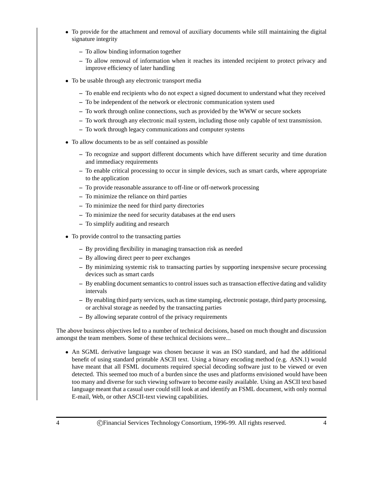- To provide for the attachment and removal of auxiliary documents while still maintaining the digital signature integrity
	- **–** To allow binding information together
	- **–** To allow removal of information when it reaches its intended recipient to protect privacy and improve efficiency of later handling
- To be usable through any electronic transport media
	- **–** To enable end recipients who do not expect a signed document to understand what they received
	- **–** To be independent of the network or electronic communication system used
	- **–** To work through online connections, such as provided by the WWW or secure sockets
	- **–** To work through any electronic mail system, including those only capable of text transmission.
	- **–** To work through legacy communications and computer systems
- To allow documents to be as self contained as possible
	- **–** To recognize and support different documents which have different security and time duration and immediacy requirements
	- **–** To enable critical processing to occur in simple devices, such as smart cards, where appropriate to the application
	- **–** To provide reasonable assurance to off-line or off-network processing
	- **–** To minimize the reliance on third parties
	- **–** To minimize the need for third party directories
	- **–** To minimize the need for security databases at the end users
	- **–** To simplify auditing and research
- To provide control to the transacting parties
	- **–** By providing flexibility in managing transaction risk as needed
	- **–** By allowing direct peer to peer exchanges
	- **–** By minimizing systemic risk to transacting parties by supporting inexpensive secure processing devices such as smart cards
	- **–** By enabling document semantics to control issues such as transaction effective dating and validity intervals
	- **–** By enabling third party services, such as time stamping, electronic postage, third party processing, or archival storage as needed by the transacting parties
	- **–** By allowing separate control of the privacy requirements

The above business objectives led to a number of technical decisions, based on much thought and discussion amongst the team members. Some of these technical decisions were...

 An SGML derivative language was chosen because it was an ISO standard, and had the additional benefit of using standard printable ASCII text. Using a binary encoding method (e.g. ASN.1) would have meant that all FSML documents required special decoding software just to be viewed or even detected. This seemed too much of a burden since the uses and platforms envisioned would have been too many and diverse for such viewing software to become easily available. Using an ASCII text based language meant that a casual user could still look at and identify an FSML document, with only normal E-mail, Web, or other ASCII-text viewing capabilities.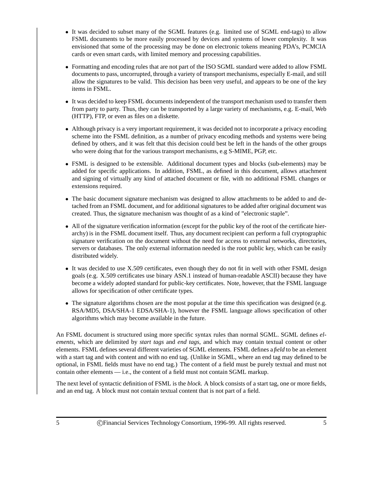- It was decided to subset many of the SGML features (e.g. limited use of SGML end-tags) to allow FSML documents to be more easily processed by devices and systems of lower complexity. It was envisioned that some of the processing may be done on electronic tokens meaning PDA's, PCMCIA cards or even smart cards, with limited memory and processing capabilities.
- Formatting and encoding rules that are not part of the ISO SGML standard were added to allow FSML documents to pass, uncorrupted, through a variety of transport mechanisms, especially E-mail, and still allow the signatures to be valid. This decision has been very useful, and appears to be one of the key items in FSML.
- It was decided to keep FSML documents independent of the transport mechanism used to transfer them from party to party. Thus, they can be transported by a large variety of mechanisms, e.g. E-mail, Web (HTTP), FTP, or even as files on a diskette.
- Although privacy is a very important requirement, it was decided not to incorporate a privacy encoding scheme into the FSML definition, as a number of privacy encoding methods and systems were being defined by others, and it was felt that this decision could best be left in the hands of the other groups who were doing that for the various transport mechanisms, e.g S-MIME, PGP, etc.
- FSML is designed to be extensible. Additional document types and blocks (sub-elements) may be added for specific applications. In addition, FSML, as defined in this document, allows attachment and signing of virtually any kind of attached document or file, with no additional FSML changes or extensions required.
- The basic document signature mechanism was designed to allow attachments to be added to and detached from an FSML document, and for additional signatures to be added after original document was created. Thus, the signature mechanism was thought of as a kind of "electronic staple".
- All of the signature verification information (except for the public key of the root of the certificate hierarchy) is in the FSML document itself. Thus, any document recipient can perform a full cryptographic signature verification on the document without the need for access to external networks, directories, servers or databases. The only external information needed is the root public key, which can be easily distributed widely.
- It was decided to use X.509 certificates, even though they do not fit in well with other FSML design goals (e.g. X.509 certificates use binary ASN.1 instead of human-readable ASCII) because they have become a widely adopted standard for public-key certificates. Note, however, that the FSML language allows for specification of other certificate types.
- The signature algorithms chosen are the most popular at the time this specification was designed (e.g. RSA/MD5, DSA/SHA-1 EDSA/SHA-1), however the FSML language allows specification of other algorithms which may become available in the future.

An FSML document is structured using more specific syntax rules than normal SGML. SGML defines *elements*, which are delimited by *start tags* and *end tags*, and which may contain textual content or other elements. FSML defines several different varieties of SGML elements. FSML defines a *field* to be an element with a start tag and with content and with no end tag. (Unlike in SGML, where an end tag may defined to be optional, in FSML fields must have no end tag.) The content of a field must be purely textual and must not contain other elements — i.e., the content of a field must not contain SGML markup.

The next level of syntactic definition of FSML is the *block*. A block consists of a start tag, one or more fields, and an end tag. A block must not contain textual content that is not part of a field.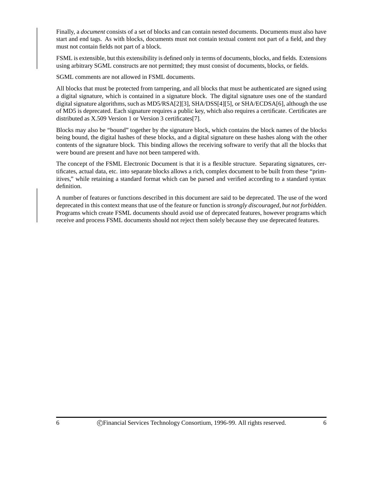Finally, a *document* consists of a set of blocks and can contain nested documents. Documents must also have start and end tags. As with blocks, documents must not contain textual content not part of a field, and they must not contain fields not part of a block.

FSML is extensible, but this extensibility is defined only in terms of documents, blocks, and fields. Extensions using arbitrary SGML constructs are not permitted; they must consist of documents, blocks, or fields.

SGML comments are not allowed in FSML documents.

All blocks that must be protected from tampering, and all blocks that must be authenticated are signed using a digital signature, which is contained in a signature block. The digital signature uses one of the standard digital signature algorithms, such as MD5/RSA[2][3], SHA/DSS[4][5], or SHA/ECDSA[6], although the use of MD5 is deprecated. Each signature requires a public key, which also requires a certificate. Certificates are distributed as X.509 Version 1 or Version 3 certificates[7].

Blocks may also be "bound" together by the signature block, which contains the block names of the blocks being bound, the digital hashes of these blocks, and a digital signature on these hashes along with the other contents of the signature block. This binding allows the receiving software to verify that all the blocks that were bound are present and have not been tampered with.

The concept of the FSML Electronic Document is that it is a flexible structure. Separating signatures, certificates, actual data, etc. into separate blocks allows a rich, complex document to be built from these "primitives," while retaining a standard format which can be parsed and verified according to a standard syntax definition.

A number of features or functions described in this document are said to be deprecated. The use of the word deprecated in this context means that use of the feature or function is *strongly discouraged, but not forbidden*. Programs which create FSML documents should avoid use of deprecated features, however programs which receive and process FSML documents should not reject them solely because they use deprecated features.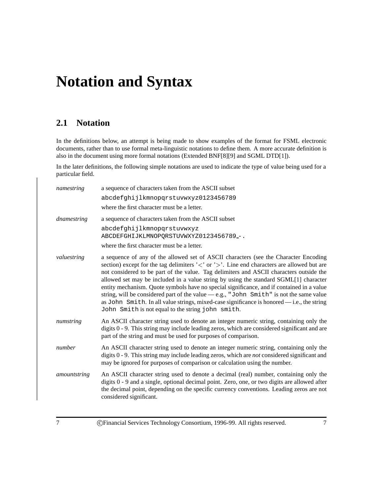## **Notation and Syntax**

## **2.1 Notation**

In the definitions below, an attempt is being made to show examples of the format for FSML electronic documents, rather than to use formal meta-linguistic notations to define them. A more accurate definition is also in the document using more formal notations (Extended BNF[8][9] and SGML DTD[1]).

In the later definitions, the following simple notations are used to indicate the type of value being used for a particular field.

| namestring   | a sequence of characters taken from the ASCII subset                                                                                                                                                                                                                                                                                                                                                                                                                                                                                                                                                                                                                                                                                                       |
|--------------|------------------------------------------------------------------------------------------------------------------------------------------------------------------------------------------------------------------------------------------------------------------------------------------------------------------------------------------------------------------------------------------------------------------------------------------------------------------------------------------------------------------------------------------------------------------------------------------------------------------------------------------------------------------------------------------------------------------------------------------------------------|
|              | abcdefghijlkmnopgrstuvwxyz0123456789                                                                                                                                                                                                                                                                                                                                                                                                                                                                                                                                                                                                                                                                                                                       |
|              | where the first character must be a letter.                                                                                                                                                                                                                                                                                                                                                                                                                                                                                                                                                                                                                                                                                                                |
| dnamestring  | a sequence of characters taken from the ASCII subset                                                                                                                                                                                                                                                                                                                                                                                                                                                                                                                                                                                                                                                                                                       |
|              | abcdefghijlkmnopqrstuvwxyz<br>ABCDEFGHIJKLMNOPQRSTUVWXYZ0123456789 -.                                                                                                                                                                                                                                                                                                                                                                                                                                                                                                                                                                                                                                                                                      |
|              | where the first character must be a letter.                                                                                                                                                                                                                                                                                                                                                                                                                                                                                                                                                                                                                                                                                                                |
| valuestring  | a sequence of any of the allowed set of ASCII characters (see the Character Encoding<br>section) except for the tag delimiters $\langle \cdot \rangle$ or $\langle \cdot \rangle$ . Line end characters are allowed but are<br>not considered to be part of the value. Tag delimiters and ASCII characters outside the<br>allowed set may be included in a value string by using the standard SGML[1] character<br>entity mechanism. Quote symbols have no special significance, and if contained in a value<br>string, will be considered part of the value - e.g., "John Smith" is not the same value<br>as John Smith. In all value strings, mixed-case significance is honored - i.e., the string<br>John Smith is not equal to the string john smith. |
| numstring    | An ASCII character string used to denote an integer numeric string, containing only the<br>digits 0 - 9. This string may include leading zeros, which are considered significant and are<br>part of the string and must be used for purposes of comparison.                                                                                                                                                                                                                                                                                                                                                                                                                                                                                                |
| number       | An ASCII character string used to denote an integer numeric string, containing only the<br>digits 0 - 9. This string may include leading zeros, which are not considered significant and<br>may be ignored for purposes of comparison or calculation using the number.                                                                                                                                                                                                                                                                                                                                                                                                                                                                                     |
| amountstring | An ASCII character string used to denote a decimal (real) number, containing only the<br>digits 0 - 9 and a single, optional decimal point. Zero, one, or two digits are allowed after<br>the decimal point, depending on the specific currency conventions. Leading zeros are not<br>considered significant.                                                                                                                                                                                                                                                                                                                                                                                                                                              |
|              |                                                                                                                                                                                                                                                                                                                                                                                                                                                                                                                                                                                                                                                                                                                                                            |

7 c Financial Services Technology Consortium, 1996-99. All rights reserved. 7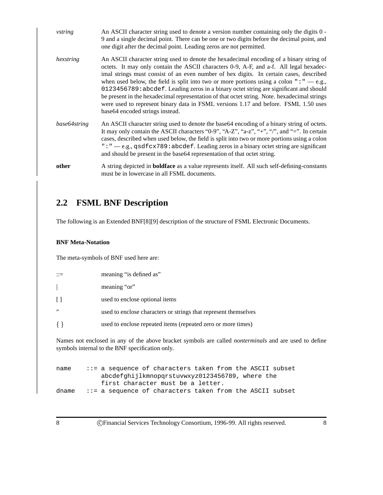| vstring      | An ASCII character string used to denote a version number containing only the digits 0 -<br>9 and a single decimal point. There can be one or two digits before the decimal point, and<br>one digit after the decimal point. Leading zeros are not permitted.                                                                                                                                                                                                                                                                                                                                                                                                                                |
|--------------|----------------------------------------------------------------------------------------------------------------------------------------------------------------------------------------------------------------------------------------------------------------------------------------------------------------------------------------------------------------------------------------------------------------------------------------------------------------------------------------------------------------------------------------------------------------------------------------------------------------------------------------------------------------------------------------------|
| hexstring    | An ASCII character string used to denote the hexadecimal encoding of a binary string of<br>octets. It may only contain the ASCII characters 0-9, A-F, and a-f. All legal hexadec-<br>imal strings must consist of an even number of hex digits. In certain cases, described<br>when used below, the field is split into two or more portions using a colon " $: " -e.g.,$<br>0123456789: abcdef. Leading zeros in a binary octet string are significant and should<br>be present in the hexadecimal representation of that octet string. Note, hexadecimal strings<br>were used to represent binary data in FSML versions 1.17 and before. FSML 1.50 uses<br>base64 encoded strings instead. |
| base64string | An ASCII character string used to denote the base 64 encoding of a binary string of octets.<br>It may only contain the ASCII characters "0-9", "A-Z", "a-z", "+", "/", and "=". In certain<br>cases, described when used below, the field is split into two or more portions using a colon<br>": " — e.g., qsdf $cx789$ : abcdef. Leading zeros in a binary octet string are significant<br>and should be present in the base64 representation of that octet string.                                                                                                                                                                                                                         |
| other        | A string depicted in <b>boldface</b> as a value represents itself. All such self-defining-constants<br>must be in lowercase in all FSML documents.                                                                                                                                                                                                                                                                                                                                                                                                                                                                                                                                           |

## **2.2 FSML BNF Description**

The following is an Extended BNF[8][9] description of the structure of FSML Electronic Documents.

#### **BNF Meta-Notation**

The meta-symbols of BNF used here are:

|                                                                                                              | meaning "is defined as"                                         |  |
|--------------------------------------------------------------------------------------------------------------|-----------------------------------------------------------------|--|
|                                                                                                              | meaning "or"                                                    |  |
|                                                                                                              | used to enclose optional items                                  |  |
| , , ,                                                                                                        | used to enclose characters or strings that represent themselves |  |
|                                                                                                              | used to enclose repeated items (repeated zero or more times)    |  |
| Names not enclosed in any of the above bracket symbols are called <i>nonterminals</i> and are used to define |                                                                 |  |

symbols internal to the BNF specification only.

```
name ::= a sequence of characters taken from the ASCII subset
           abcdefghijlkmnopqrstuvwxyz0123456789, where the
           first character must be a letter.
dname ::= a sequence of characters taken from the ASCII subset
```
8 **C**Financial Services Technology Consortium, 1996-99. All rights reserved. 8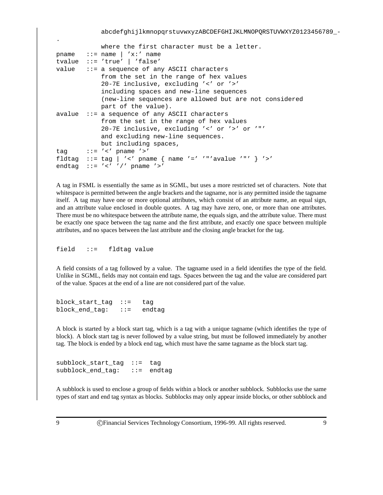#### abcdefghijlkmnopqrstuvwxyzABCDEFGHIJKLMNOPQRSTUVWXYZ0123456789 -

```
where the first character must be a letter.
pname \cdots = name \vert 'x:' name
tvalue ::= 'true' | 'false'
value ::= a sequence of any ASCII characters
            from the set in the range of hex values
            20-7E inclusive, excluding '<' or '>'
            including spaces and new-line sequences
            (new-line sequences are allowed but are not considered
            part of the value).
avalue ::= a sequence of any ASCII characters
            from the set in the range of hex values
            20-7E inclusive, excluding '<' or '>' or '"'
            and excluding new-line sequences.
            but including spaces,
tag ::= ' <' pname '>'fldtag ::= tag | '<' pname { name '=' '"'avalue '"' } '>'
endtag := ' \lt' ' ' / ' pname '>'
```
A tag in FSML is essentially the same as in SGML, but uses a more restricted set of characters. Note that whitespace is permitted between the angle brackets and the tagname, nor is any permitted inside the tagname itself. A tag may have one or more optional attributes, which consist of an attribute name, an equal sign, and an attribute value enclosed in double quotes. A tag may have zero, one, or more than one attributes. There must be no whitespace between the attribute name, the equals sign, and the attribute value. There must be exactly one space between the tag name and the first attribute, and exactly one space between multiple attributes, and no spaces between the last attribute and the closing angle bracket for the tag.

field ::= fldtag value

A field consists of a tag followed by a value. The tagname used in a field identifies the type of the field. Unlike in SGML, fields may not contain end tags. Spaces between the tag and the value are considered part of the value. Spaces at the end of a line are not considered part of the value.

block\_start\_tag ::= tag block\_end\_tag: ::= endtag

A block is started by a block start tag, which is a tag with a unique tagname (which identifies the type of block). A block start tag is never followed by a value string, but must be followed immediately by another tag. The block is ended by a block end tag, which must have the same tagname as the block start tag.

subblock start tag ::= tag subblock\_end\_tag: ::= endtag

A subblock is used to enclose a group of fields within a block or another subblock. Subblocks use the same types of start and end tag syntax as blocks. Subblocks may only appear inside blocks, or other subblock and

.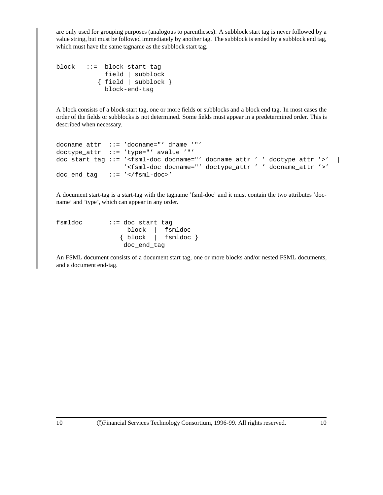are only used for grouping purposes (analogous to parentheses). A subblock start tag is never followed by a value string, but must be followed immediately by another tag. The subblock is ended by a subblock end tag, which must have the same tagname as the subblock start tag.

```
block ::= block-start-tag
            field | subblock
           { field | subblock }
            block-end-tag
```
A block consists of a block start tag, one or more fields or subblocks and a block end tag. In most cases the order of the fields or subblocks is not determined. Some fields must appear in a predetermined order. This is described when necessary.

```
docname_attr ::= 'docname="' dname '"'
doctype_attr ::= 'type="' avalue '"'
doc_start_tag ::= '<fsml-doc docname="' docname_attr ' ' doctype_attr '>' |
                  '<fsml-doc docname="' doctype_attr ' ' docname_attr '>'
doc_end_tag ::= '</fsml-doc>'
```
A document start-tag is a start-tag with the tagname 'fsml-doc' and it must contain the two attributes 'docname' and 'type', which can appear in any order.

```
fsmldoc ::= doc_start_tag
                block | fsmldoc
               { block | fsmldoc }
               doc_end_tag
```
An FSML document consists of a document start tag, one or more blocks and/or nested FSML documents, and a document end-tag.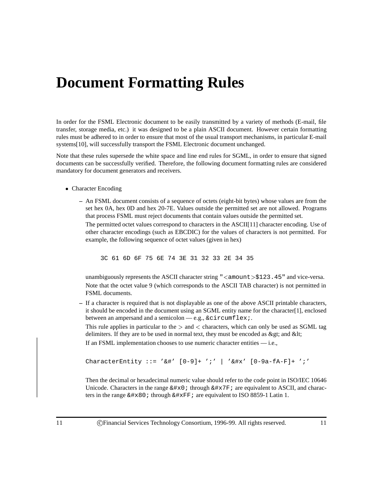## **Document Formatting Rules**

In order for the FSML Electronic document to be easily transmitted by a variety of methods (E-mail, file transfer, storage media, etc.) it was designed to be a plain ASCII document. However certain formatting rules must be adhered to in order to ensure that most of the usual transport mechanisms, in particular E-mail systems[10], will successfully transport the FSML Electronic document unchanged.

Note that these rules supersede the white space and line end rules for SGML, in order to ensure that signed documents can be successfully verified. Therefore, the following document formatting rules are considered mandatory for document generators and receivers.

- Character Encoding
	- **–** An FSML document consists of a sequence of octets (eight-bit bytes) whose values are from the set hex 0A, hex 0D and hex 20-7E. Values outside the permitted set are not allowed. Programs that process FSML must reject documents that contain values outside the permitted set.

The permitted octet values correspond to characters in the ASCII[11] character encoding. Use of other character encodings (such as EBCDIC) for the values of characters is not permitted. For example, the following sequence of octet values (given in hex)

3C 61 6D 6F 75 6E 74 3E 31 32 33 2E 34 35

unambiguously represents the ASCII character string  $\degree$  <amount >\$123.45 $\degree$  and vice-versa. Note that the octet value 9 (which corresponds to the ASCII TAB character) is not permitted in FSML documents.

**–** If a character is required that is not displayable as one of the above ASCII printable characters, it should be encoded in the document using an SGML entity name for the character[1], enclosed between an ampersand and a semicolon — e.g., &circumflex;.

This rule applies in particular to the  $>$  and  $<$  characters, which can only be used as SGML tag delimiters. If they are to be used in normal text, they must be encoded as  $\>$ gt; and  $\<$ lt;

If an FSML implementation chooses to use numeric character entities — i.e.,

CharacterEntity ::= '&#'  $[0-9]+ ';'$  | '&#x'  $[0-9a-fA-F]+ ';'$ 

Then the decimal or hexadecimal numeric value should refer to the code point in ISO/IEC 10646 Unicode. Characters in the range  $&\#x0$  i through  $&\#x7F$  i are equivalent to ASCII, and characters in the range  $\&\#x80$ : through  $\&\#xFF$ : are equivalent to ISO 8859-1 Latin 1.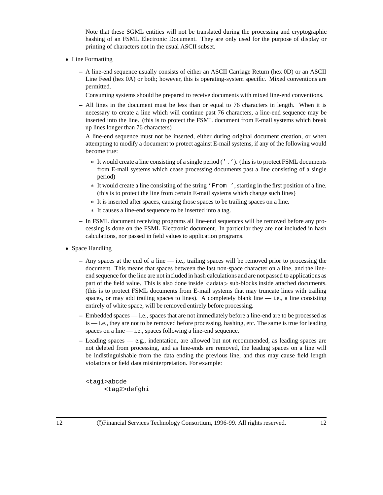Note that these SGML entities will not be translated during the processing and cryptographic hashing of an FSML Electronic Document. They are only used for the purpose of display or printing of characters not in the usual ASCII subset.

- Line Formatting
	- **–** A line-end sequence usually consists of either an ASCII Carriage Return (hex 0D) or an ASCII Line Feed (hex 0A) or both; however, this is operating-system specific. Mixed conventions are permitted.

Consuming systems should be prepared to receive documents with mixed line-end conventions.

**–** All lines in the document must be less than or equal to 76 characters in length. When it is necessary to create a line which will continue past 76 characters, a line-end sequence may be inserted into the line. (this is to protect the FSML document from E-mail systems which break up lines longer than 76 characters)

A line-end sequence must not be inserted, either during original document creation, or when attempting to modify a document to protect against E-mail systems, if any of the following would become true:

- It would create a line consisting of a single period ('.'). (this is to protect FSML documents from E-mail systems which cease processing documents past a line consisting of a single period)
- It would create a line consisting of the string 'From ', starting in the first position of a line. (this is to protect the line from certain E-mail systems which change such lines)
- It is inserted after spaces, causing those spaces to be trailing spaces on a line.
- It causes a line-end sequence to be inserted into a tag.
- **–** In FSML document receiving programs all line-end sequences will be removed before any processing is done on the FSML Electronic document. In particular they are not included in hash calculations, nor passed in field values to application programs.
- Space Handling
	- **–** Any spaces at the end of a line i.e., trailing spaces will be removed prior to processing the document. This means that spaces between the last non-space character on a line, and the lineend sequence for the line are not included in hash calculations and are not passed to applications as part of the field value. This is also done inside  $\langle$ adata $\rangle$  sub-blocks inside attached documents. (this is to protect FSML documents from E-mail systems that may truncate lines with trailing spaces, or may add trailing spaces to lines). A completely blank line  $-$  i.e., a line consisting entirely of white space, will be removed entirely before processing.
	- **–** Embedded spaces i.e., spaces that are not immediately before a line-end are to be processed as is — i.e., they are not to be removed before processing, hashing, etc. The same is true for leading spaces on a line — i.e., spaces following a line-end sequence.
	- **–** Leading spaces e.g., indentation, are allowed but not recommended, as leading spaces are not deleted from processing, and as line-ends are removed, the leading spaces on a line will be indistinguishable from the data ending the previous line, and thus may cause field length violations or field data misinterpretation. For example:

```
<tag1>abcde
     <tag2>defghi
```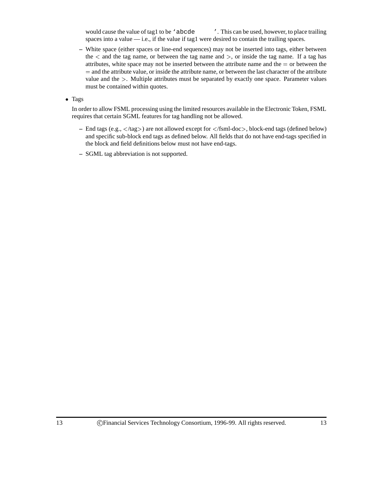would cause the value of tag1 to be 'abcde '. This can be used, however, to place trailing spaces into a value  $\frac{d}{dx}$  i.e., if the value if tag1 were desired to contain the trailing spaces.

**–** White space (either spaces or line-end sequences) may not be inserted into tags, either between the  $\lt$  and the tag name, or between the tag name and  $\gt$ , or inside the tag name. If a tag has attributes, white space may not be inserted between the attribute name and the  $=$  or between the <sup>=</sup> and the attribute value, or inside the attribute name, or between the last character of the attribute value and the <sup>&</sup>gt;. Multiple attributes must be separated by exactly one space. Parameter values must be contained within quotes.

• Tags

In order to allow FSML processing using the limited resources available in the Electronic Token, FSML requires that certain SGML features for tag handling not be allowed.

- **–** End tags (e.g., <sup>&</sup>lt;/tag>) are not allowed except for <sup>&</sup>lt;/fsml-doc>, block-end tags (defined below) and specific sub-block end tags as defined below. All fields that do not have end-tags specified in the block and field definitions below must not have end-tags.
- **–** SGML tag abbreviation is not supported.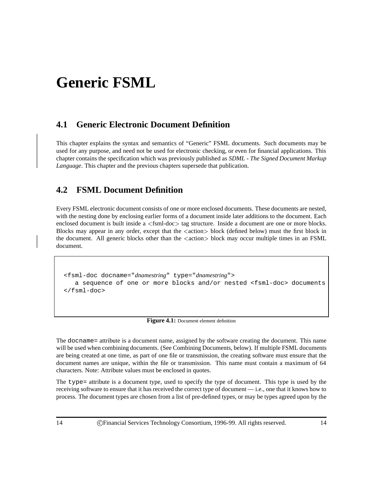## **Generic FSML**

## **4.1 Generic Electronic Document Definition**

This chapter explains the syntax and semantics of "Generic" FSML documents. Such documents may be used for any purpose, and need not be used for electronic checking, or even for financial applications. This chapter contains the specification which was previously published as *SDML - The Signed Document Markup Language*. This chapter and the previous chapters supersede that publication.

## **4.2 FSML Document Definition**

Every FSML electronic document consists of one or more enclosed documents. These documents are nested, with the nesting done by enclosing earlier forms of a document inside later additions to the document. Each enclosed document is built inside a  $\le$  fsml-doc  $>$  tag structure. Inside a document are one or more blocks. Blocks may appear in any order, except that the <sup>&</sup>lt;action<sup>&</sup>gt; block (defined below) must the first block in the document. All generic blocks other than the  $\langle \text{action} \rangle$  block may occur multiple times in an FSML document.

```
<fsml-doc docname="dnamestring" type="dnamestring">
   a sequence of one or more blocks and/or nested <fsml-doc> documents
</fsml-doc>
```

| Figure 4.1: Document element definition |  |  |  |
|-----------------------------------------|--|--|--|
|-----------------------------------------|--|--|--|

The docname= attribute is a document name, assigned by the software creating the document. This name will be used when combining documents. (See Combining Documents, below). If multiple FSML documents are being created at one time, as part of one file or transmission, the creating software must ensure that the document names are unique, within the file or transmission. This name must contain a maximum of 64 characters. Note: Attribute values must be enclosed in quotes.

The type= attribute is a document type, used to specify the type of document. This type is used by the receiving software to ensure that it has received the correct type of document — i.e., one that it knows how to process. The document types are chosen from a list of pre-defined types, or may be types agreed upon by the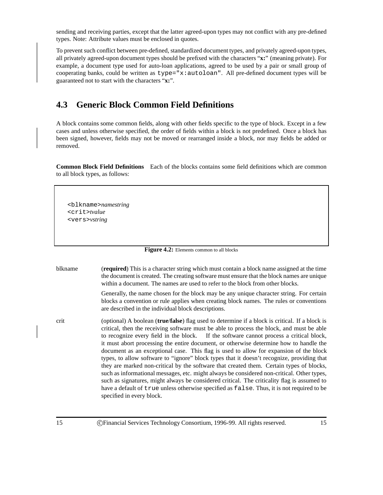sending and receiving parties, except that the latter agreed-upon types may not conflict with any pre-defined types. Note: Attribute values must be enclosed in quotes.

To prevent such conflict between pre-defined, standardized document types, and privately agreed-upon types, all privately agreed-upon document types should be prefixed with the characters "**x:**" (meaning private). For example, a document type used for auto-loan applications, agreed to be used by a pair or small group of cooperating banks, could be written as type="x:autoloan". All pre-defined document types will be guaranteed not to start with the characters "**x:**".

### **4.3 Generic Block Common Field Definitions**

A block contains some common fields, along with other fields specific to the type of block. Except in a few cases and unless otherwise specified, the order of fields within a block is not predefined. Once a block has been signed, however, fields may not be moved or rearranged inside a block, nor may fields be added or removed.

**Common Block Field Definitions** Each of the blocks contains some field definitions which are common to all block types, as follows:

<blkname>*namestring* <crit>*tvalue* <vers>*vstring*

Figure 4.2: Elements common to all blocks

blkname (**required**) This is a character string which must contain a block name assigned at the time the document is created. The creating software must ensure that the block names are unique within a document. The names are used to refer to the block from other blocks.

> Generally, the name chosen for the block may be any unique character string. For certain blocks a convention or rule applies when creating block names. The rules or conventions are described in the individual block descriptions.

crit (optional) A boolean (**true**/**false**) flag used to determine if a block is critical. If a block is critical, then the receiving software must be able to process the block, and must be able to recognize every field in the block. If the software cannot process a critical block, it must abort processing the entire document, or otherwise determine how to handle the document as an exceptional case. This flag is used to allow for expansion of the block types, to allow software to "ignore" block types that it doesn't recognize, providing that they are marked non-critical by the software that created them. Certain types of blocks, such as informational messages, etc. might always be considered non-critical. Other types, such as signatures, might always be considered critical. The criticality flag is assumed to have a default of true unless otherwise specified as false. Thus, it is not required to be specified in every block.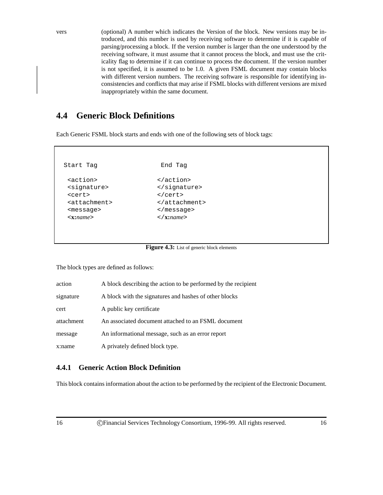vers (optional) A number which indicates the Version of the block. New versions may be introduced, and this number is used by receiving software to determine if it is capable of parsing/processing a block. If the version number is larger than the one understood by the receiving software, it must assume that it cannot process the block, and must use the criticality flag to determine if it can continue to process the document. If the version number is not specified, it is assumed to be 1.0. A given FSML document may contain blocks with different version numbers. The receiving software is responsible for identifying inconsistencies and conflicts that may arise if FSML blocks with different versions are mixed inappropriately within the same document.

## **4.4 Generic Block Definitions**

Each Generic FSML block starts and ends with one of the following sets of block tags:

Start Tag Book End Tag <action> </action> <signature>
</br/>
</br/>
</br/>
</br/>
</br/>
</br/>
</br/>
</br/>
</br/>
</br/>
</br/>
</br/>
</br/>
</br/>
</br/>
</br/>
</br/>
</br/>
</br/>
</br/>
</br/>
</br/>
</br/>
</br/>
</br/>
</br/>
</br/>
</br/>
</br/>
</br/> <cert> </cert> <attachment> </attachment> <message> </message> <**x:***name*> </**x:***name*>

Figure 4.3: List of generic block elements

The block types are defined as follows:

| action     | A block describing the action to be performed by the recipient |
|------------|----------------------------------------------------------------|
| signature  | A block with the signatures and hashes of other blocks         |
| cert       | A public key certificate                                       |
| attachment | An associated document attached to an FSML document            |
| message    | An informational message, such as an error report              |
| x:name     | A privately defined block type.                                |

#### **4.4.1 Generic Action Block Definition**

This block contains information about the action to be performed by the recipient of the Electronic Document.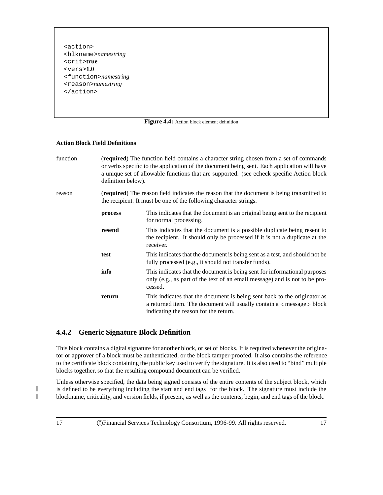<action> <blkname>*namestring* <crit>**true** <vers>**1.0** <function>*namestring* <reason>*namestring* </action>

#### **Figure 4.4:** Action block element definition

#### **Action Block Field Definitions**

| function | <b>(required)</b> The function field contains a character string chosen from a set of commands |
|----------|------------------------------------------------------------------------------------------------|
|          | or verbs specific to the application of the document being sent. Each application will have    |
|          | a unique set of allowable functions that are supported. (see echeck specific Action block      |
|          | definition below).                                                                             |
|          |                                                                                                |

reason (**required**) The reason field indicates the reason that the document is being transmitted to the recipient. It must be one of the following character strings.

| process | This indicates that the document is an original being sent to the recipient<br>for normal processing.                                                                                                       |
|---------|-------------------------------------------------------------------------------------------------------------------------------------------------------------------------------------------------------------|
| resend  | This indicates that the document is a possible duplicate being resent to<br>the recipient. It should only be processed if it is not a duplicate at the<br>receiver.                                         |
| test    | This indicates that the document is being sent as a test, and should not be<br>fully processed (e.g., it should not transfer funds).                                                                        |
| info    | This indicates that the document is being sent for informational purposes<br>only (e.g., as part of the text of an email message) and is not to be pro-<br>cessed.                                          |
| return  | This indicates that the document is being sent back to the originator as<br>a returned item. The document will usually contain a $\langle$ message $\rangle$ block<br>indicating the reason for the return. |

#### **4.4.2 Generic Signature Block Definition**

This block contains a digital signature for another block, or set of blocks. It is required whenever the originator or approver of a block must be authenticated, or the block tamper-proofed. It also contains the reference to the certificate block containing the public key used to verify the signature. It is also used to "bind" multiple blocks together, so that the resulting compound document can be verified.

Unless otherwise specified, the data being signed consists of the entire contents of the subject block, which is defined to be everything including the start and end tags for the block. The signature must include the blockname, criticality, and version fields, if present, as well as the contents, begin, and end tags of the block.

I I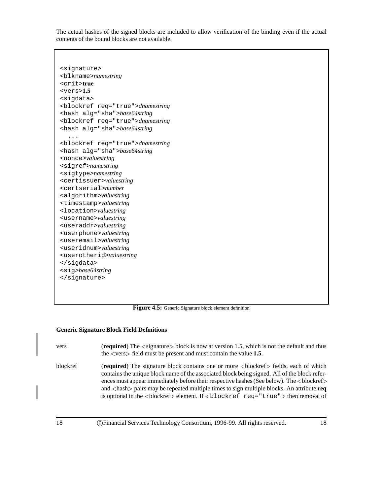The actual hashes of the signed blocks are included to allow verification of the binding even if the actual contents of the bound blocks are not available.

```
<signature>
<blkname>namestring
<crit>true
<vers>1.5
<sigdata>
<blockref req="true">dnamestring
<hash alg="sha">base64string
<blockref req="true">dnamestring
<hash alg="sha">base64string
  ...
<blockref req="true">dnamestring
<hash alg="sha">base64string
<nonce>valuestring
<sigref>namestring
<sigtype>namestring
<certissuer>valuestring
<certserial>number
<algorithm>valuestring
<timestamp>valuestring
<location>valuestring
<username>valuestring
<useraddr>valuestring
<userphone>valuestring
<useremail>valuestring
<useridnum>valuestring
<userotherid>valuestring
</sigdata>
<sig>base64string
</signature>
```
Figure 4.5: Generic Signature block element definition

#### **Generic Signature Block Field Definitions**

| vers     | (required) The $\le$ signature $>$ block is now at version 1.5, which is not the default and thus<br>the $\langle \text{vers} \rangle$ field must be present and must contain the value 1.5.                                                                                |
|----------|-----------------------------------------------------------------------------------------------------------------------------------------------------------------------------------------------------------------------------------------------------------------------------|
| blockref | (required) The signature block contains one or more<br>blockref> fields, each of which<br>contains the unique block name of the associated block being signed. All of the block refer-<br>ences must appear immediately before their respective hashes (See below). The<br> |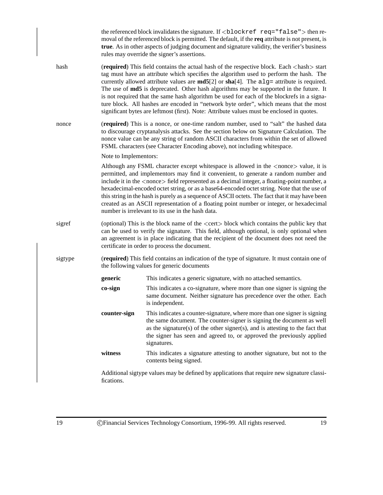|         |                                                                                                                                                                                                                                                                                                                                                                                                                                                                                                                                                                                                                                                                                                                       | the referenced block invalidates the signature. If $\textless$ blockref req="false" > then re-<br>moval of the referenced block is permitted. The default, if the req attribute is not present, is<br>true. As in other aspects of judging document and signature validity, the verifier's business<br>rules may override the signer's assertions.                                                                                                                                                                                                                                                                                                   |  |
|---------|-----------------------------------------------------------------------------------------------------------------------------------------------------------------------------------------------------------------------------------------------------------------------------------------------------------------------------------------------------------------------------------------------------------------------------------------------------------------------------------------------------------------------------------------------------------------------------------------------------------------------------------------------------------------------------------------------------------------------|------------------------------------------------------------------------------------------------------------------------------------------------------------------------------------------------------------------------------------------------------------------------------------------------------------------------------------------------------------------------------------------------------------------------------------------------------------------------------------------------------------------------------------------------------------------------------------------------------------------------------------------------------|--|
| hash    | (required) This field contains the actual hash of the respective block. Each <hash> start<br/>tag must have an attribute which specifies the algorithm used to perform the hash. The<br/>currently allowed attribute values are <math>md5[2]</math> or <math>sha[4]</math>. The <math>a \lg a</math> attribute is required.<br/>The use of md5 is deprecated. Other hash algorithms may be supported in the future. It<br/>is not required that the same hash algorithm be used for each of the blockrefs in a signa-<br/>ture block. All hashes are encoded in "network byte order", which means that the most<br/>significant bytes are leftmost (first). Note: Attribute values must be enclosed in quotes.</hash> |                                                                                                                                                                                                                                                                                                                                                                                                                                                                                                                                                                                                                                                      |  |
| nonce   |                                                                                                                                                                                                                                                                                                                                                                                                                                                                                                                                                                                                                                                                                                                       | (required) This is a nonce, or one-time random number, used to "salt" the hashed data<br>to discourage cryptanalysis attacks. See the section below on Signature Calculation. The<br>nonce value can be any string of random ASCII characters from within the set of allowed<br>FSML characters (see Character Encoding above), not including whitespace.                                                                                                                                                                                                                                                                                            |  |
|         | Note to Implementors:                                                                                                                                                                                                                                                                                                                                                                                                                                                                                                                                                                                                                                                                                                 |                                                                                                                                                                                                                                                                                                                                                                                                                                                                                                                                                                                                                                                      |  |
|         |                                                                                                                                                                                                                                                                                                                                                                                                                                                                                                                                                                                                                                                                                                                       | Although any FSML character except whitespace is allowed in the <nonce> value, it is<br/>permitted, and implementors may find it convenient, to generate a random number and<br/>include it in the <nonce> field represented as a decimal integer, a floating-point number, a<br/>hexadecimal-encoded octet string, or as a base64-encoded octet string. Note that the use of<br/>this string in the hash is purely as a sequence of ASCII octets. The fact that it may have been<br/>created as an ASCII representation of a floating point number or integer, or hexadecimal<br/>number is irrelevant to its use in the hash data.</nonce></nonce> |  |
| sigref  | (optional) This is the block name of the <cert> block which contains the public key that<br/>can be used to verify the signature. This field, although optional, is only optional when<br/>an agreement is in place indicating that the recipient of the document does not need the<br/>certificate in order to process the document.</cert>                                                                                                                                                                                                                                                                                                                                                                          |                                                                                                                                                                                                                                                                                                                                                                                                                                                                                                                                                                                                                                                      |  |
| sigtype | (required) This field contains an indication of the type of signature. It must contain one of<br>the following values for generic documents                                                                                                                                                                                                                                                                                                                                                                                                                                                                                                                                                                           |                                                                                                                                                                                                                                                                                                                                                                                                                                                                                                                                                                                                                                                      |  |
|         | generic                                                                                                                                                                                                                                                                                                                                                                                                                                                                                                                                                                                                                                                                                                               | This indicates a generic signature, with no attached semantics.                                                                                                                                                                                                                                                                                                                                                                                                                                                                                                                                                                                      |  |
|         | co-sign                                                                                                                                                                                                                                                                                                                                                                                                                                                                                                                                                                                                                                                                                                               | This indicates a co-signature, where more than one signer is signing the<br>same document. Neither signature has precedence over the other. Each<br>is independent.                                                                                                                                                                                                                                                                                                                                                                                                                                                                                  |  |
|         | counter-sign                                                                                                                                                                                                                                                                                                                                                                                                                                                                                                                                                                                                                                                                                                          | This indicates a counter-signature, where more than one signer is signing<br>the same document. The counter-signer is signing the document as well<br>as the signature(s) of the other signer(s), and is attesting to the fact that<br>the signer has seen and agreed to, or approved the previously applied<br>signatures.                                                                                                                                                                                                                                                                                                                          |  |
|         | witness                                                                                                                                                                                                                                                                                                                                                                                                                                                                                                                                                                                                                                                                                                               | This indicates a signature attesting to another signature, but not to the<br>contents being signed.                                                                                                                                                                                                                                                                                                                                                                                                                                                                                                                                                  |  |
|         | fications.                                                                                                                                                                                                                                                                                                                                                                                                                                                                                                                                                                                                                                                                                                            | Additional sigtype values may be defined by applications that require new signature classi-                                                                                                                                                                                                                                                                                                                                                                                                                                                                                                                                                          |  |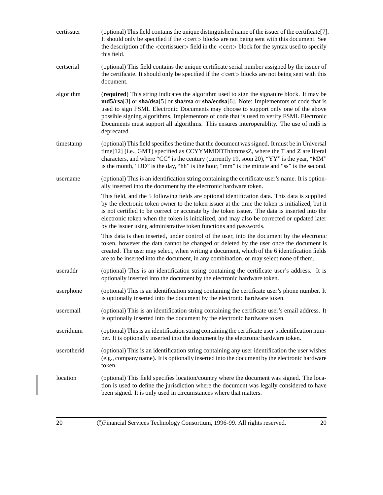| certissuer  | (optional) This field contains the unique distinguished name of the issuer of the certificate[7].<br>It should only be specified if the <cert>blocks are not being sent with this document. See<br/>the description of the <certissuer> field in the <cert> block for the syntax used to specify<br/>this field.</cert></certissuer></cert>                                                                                                                                      |  |  |
|-------------|----------------------------------------------------------------------------------------------------------------------------------------------------------------------------------------------------------------------------------------------------------------------------------------------------------------------------------------------------------------------------------------------------------------------------------------------------------------------------------|--|--|
| certserial  | (optional) This field contains the unique certificate serial number assigned by the issuer of<br>the certificate. It should only be specified if the <cert>blocks are not being sent with this<br/>document.</cert>                                                                                                                                                                                                                                                              |  |  |
| algorithm   | (required) This string indicates the algorithm used to sign the signature block. It may be<br>md5/rsa[3] or sha/dsa[5] or sha/rsa or sha/ecdsa[6]. Note: Implementors of code that is<br>used to sign FSML Electronic Documents may choose to support only one of the above<br>possible signing algorithms. Implementors of code that is used to verify FSML Electronic<br>Documents must support all algorithms. This ensures interoperablity. The use of md5 is<br>deprecated. |  |  |
| timestamp   | (optional) This field specifies the time that the document was signed. It must be in Universal<br>time[12] (i.e., GMT) specified as CCYYMMDDThhmmssZ, where the T and Z are literal<br>characters, and where "CC" is the century (currently 19, soon 20), "YY" is the year, "MM"<br>is the month, "DD" is the day, "hh" is the hour, "mm" is the minute and "ss" is the second.                                                                                                  |  |  |
| username    | (optional) This is an identification string containing the certificate user's name. It is option-<br>ally inserted into the document by the electronic hardware token.                                                                                                                                                                                                                                                                                                           |  |  |
|             | This field, and the 5 following fields are optional identification data. This data is supplied<br>by the electronic token owner to the token issuer at the time the token is initialized, but it<br>is not certified to be correct or accurate by the token issuer. The data is inserted into the<br>electronic token when the token is initialized, and may also be corrected or updated later<br>by the issuer using administrative token functions and passwords.             |  |  |
|             | This data is then inserted, under control of the user, into the document by the electronic<br>token, however the data cannot be changed or deleted by the user once the document is<br>created. The user may select, when writing a document, which of the 6 identification fields<br>are to be inserted into the document, in any combination, or may select none of them.                                                                                                      |  |  |
| useraddr    | (optional) This is an identification string containing the certificate user's address. It is<br>optionally inserted into the document by the electronic hardware token.                                                                                                                                                                                                                                                                                                          |  |  |
| userphone   | (optional) This is an identification string containing the certificate user's phone number. It<br>is optionally inserted into the document by the electronic hardware token.                                                                                                                                                                                                                                                                                                     |  |  |
| useremail   | (optional) This is an identification string containing the certificate user's email address. It<br>is optionally inserted into the document by the electronic hardware token.                                                                                                                                                                                                                                                                                                    |  |  |
| useridnum   | (optional) This is an identification string containing the certificate user's identification num-<br>ber. It is optionally inserted into the document by the electronic hardware token.                                                                                                                                                                                                                                                                                          |  |  |
| userotherid | (optional) This is an identification string containing any user identification the user wishes<br>(e.g., company name). It is optionally inserted into the document by the electronic hardware<br>token.                                                                                                                                                                                                                                                                         |  |  |
| location    | (optional) This field specifies location/country where the document was signed. The loca-<br>tion is used to define the jurisdiction where the document was legally considered to have<br>been signed. It is only used in circumstances where that matters.                                                                                                                                                                                                                      |  |  |

20 CFinancial Services Technology Consortium, 1996-99. All rights reserved. 20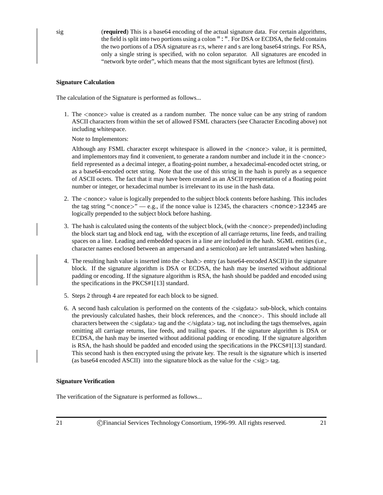sig (**required**) This is a base64 encoding of the actual signature data. For certain algorithms, the field is split into two portions using a colon  $\cdot \cdot \cdot$ . For DSA or ECDSA, the field contains the two portions of a DSA signature as r:s, where r and s are long base64 strings. For RSA, only a single string is specified, with no colon separator. All signatures are encoded in "network byte order", which means that the most significant bytes are leftmost (first).

#### **Signature Calculation**

The calculation of the Signature is performed as follows...

1. The <sup>&</sup>lt;nonce<sup>&</sup>gt; value is created as a random number. The nonce value can be any string of random ASCII characters from within the set of allowed FSML characters (see Character Encoding above) not including whitespace.

Note to Implementors:

Although any FSML character except whitespace is allowed in the <sup>&</sup>lt;nonce<sup>&</sup>gt; value, it is permitted, and implementors may find it convenient, to generate a random number and include it in the  $\langle$  nonce $\rangle$ field represented as a decimal integer, a floating-point number, a hexadecimal-encoded octet string, or as a base64-encoded octet string. Note that the use of this string in the hash is purely as a sequence of ASCII octets. The fact that it may have been created as an ASCII representation of a floating point number or integer, or hexadecimal number is irrelevant to its use in the hash data.

- 2. The <sup>&</sup>lt;nonce<sup>&</sup>gt; value is logically prepended to the subject block contents before hashing. This includes the tag string " $\langle$  nonce $\rangle$ " — e.g., if the nonce value is 12345, the characters  $\langle$  nonce $\rangle$ 12345 are logically prepended to the subject block before hashing.
- 3. The hash is calculated using the contents of the subject block, (with the <sup>&</sup>lt;nonce<sup>&</sup>gt; prepended) including the block start tag and block end tag, with the exception of all carriage returns, line feeds, and trailing spaces on a line. Leading and embedded spaces in a line are included in the hash. SGML entities (i.e., character names enclosed between an ampersand and a semicolon) are left untranslated when hashing.
- 4. The resulting hash value is inserted into the  $\langle$  hash $\rangle$  entry (as base64-encoded ASCII) in the signature block. If the signature algorithm is DSA or ECDSA, the hash may be inserted without additional padding or encoding. If the signature algorithm is RSA, the hash should be padded and encoded using the specifications in the PKCS#1[13] standard.
- 5. Steps 2 through 4 are repeated for each block to be signed.
- 6. A second hash calculation is performed on the contents of the <sup>&</sup>lt;sigdata<sup>&</sup>gt; sub-block, which contains the previously calculated hashes, their block references, and the <sup>&</sup>lt;nonce>. This should include all characters between the <sup>&</sup>lt;sigdata<sup>&</sup>gt; tag and the <sup>&</sup>lt;/sigdata<sup>&</sup>gt; tag, not including the tags themselves, again omitting all carriage returns, line feeds, and trailing spaces. If the signature algorithm is DSA or ECDSA, the hash may be inserted without additional padding or encoding. If the signature algorithm is RSA, the hash should be padded and encoded using the specifications in the PKCS#1[13] standard. This second hash is then encrypted using the private key. The result is the signature which is inserted (as base64 encoded ASCII) into the signature block as the value for the  $\langle sig \rangle$  tag.

#### **Signature Verification**

The verification of the Signature is performed as follows...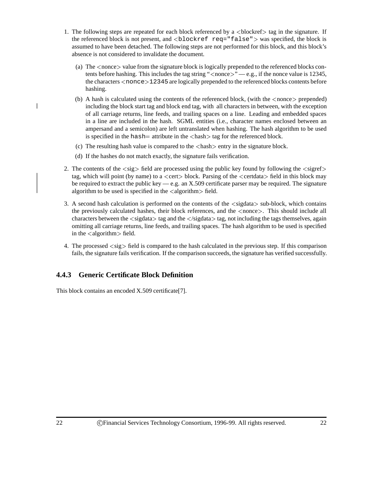- 1. The following steps are repeated for each block referenced by a  $\lt$ blockref $\gt$  tag in the signature. If the referenced block is not present, and  $\langle$ blockref req="false" $>$  was specified, the block is assumed to have been detached. The following steps are not performed for this block, and this block's absence is not considered to invalidate the document.
	- (a) The <sup>&</sup>lt;nonce<sup>&</sup>gt; value from the signature block is logically prepended to the referenced blocks contents before hashing. This includes the tag string " $\langle$  nonce $\rangle$ " — e.g., if the nonce value is 12345, the characters  $\langle$  nonce $\rangle$ 12345 are logically prepended to the referenced blocks contents before hashing.
	- (b) A hash is calculated using the contents of the referenced block, (with the  $\langle$ nonce $\rangle$  prepended) including the block start tag and block end tag, with all characters in between, with the exception of all carriage returns, line feeds, and trailing spaces on a line. Leading and embedded spaces in a line are included in the hash. SGML entities (i.e., character names enclosed between an ampersand and a semicolon) are left untranslated when hashing. The hash algorithm to be used is specified in the hash  $=$  attribute in the  $\langle$  hash $\rangle$  tag for the referenced block.
	- (c) The resulting hash value is compared to the  $\langle \text{hash} \rangle$  entry in the signature block.
	- (d) If the hashes do not match exactly, the signature fails verification.
- 2. The contents of the  $\langle sig \rangle$  field are processed using the public key found by following the  $\langle sigref \rangle$ tag, which will point (by name) to a  $\langle$  cert $\rangle$  block. Parsing of the  $\langle$  certdata $\rangle$  field in this block may be required to extract the public key — e.g. an X.509 certificate parser may be required. The signature algorithm to be used is specified in the  $\langle$  algorithm $\rangle$  field.
- 3. A second hash calculation is performed on the contents of the <sup>&</sup>lt;sigdata<sup>&</sup>gt; sub-block, which contains the previously calculated hashes, their block references, and the <sup>&</sup>lt;nonce>. This should include all characters between the  $\langle$ sigdata $\rangle$  tag and the  $\langle$ /sigdata $\rangle$  tag, not including the tags themselves, again omitting all carriage returns, line feeds, and trailing spaces. The hash algorithm to be used is specified in the  $\langle$  algorithm $>\text{field}$ .
- 4. The processed  $\langle sig \rangle$  field is compared to the hash calculated in the previous step. If this comparison fails, the signature fails verification. If the comparison succeeds, the signature has verified successfully.

### **4.4.3 Generic Certificate Block Definition**

This block contains an encoded X.509 certificate[7].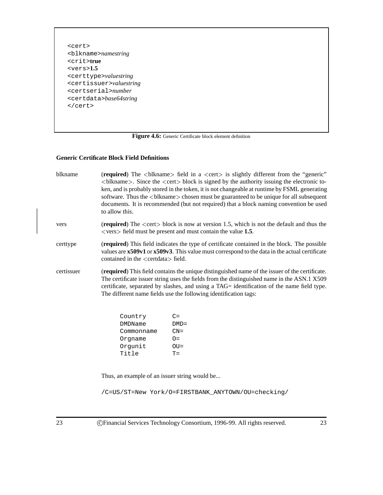<cert> <blkname>*namestring* <crit>**true** <vers>**1.5** <certtype>*valuestring* <certissuer>*valuestring* <certserial>*number* <certdata>*base64string* </cert>

Figure 4.6: Generic Certificate block element definition

#### **Generic Certificate Block Field Definitions**

| blkname    | (required) The<br>blkname> field in a <cert> is slightly different from the "generic"<br/><math>&lt;</math>blkname<math>&gt;</math>. Since the <math>&lt;</math>cert<math>&gt;</math> block is signed by the authority issuing the electronic to-<br/>ken, and is probably stored in the token, it is not changeable at runtime by FSML generating<br/>software. Thus the <br/>blkname&gt; chosen must be guaranteed to be unique for all subsequent<br/>documents. It is recommended (but not required) that a block naming convention be used<br/>to allow this.</cert> |         |  |  |  |
|------------|---------------------------------------------------------------------------------------------------------------------------------------------------------------------------------------------------------------------------------------------------------------------------------------------------------------------------------------------------------------------------------------------------------------------------------------------------------------------------------------------------------------------------------------------------------------------------|---------|--|--|--|
| vers       | (required) The <cert> block is now at version 1.5, which is not the default and thus the<br/><math>\langle</math> vers <math>&gt;</math> field must be present and must contain the value 1.5.</cert>                                                                                                                                                                                                                                                                                                                                                                     |         |  |  |  |
| certtype   | (required) This field indicates the type of certificate contained in the block. The possible<br>values are x509v1 or x509v3. This value must correspond to the data in the actual certificate<br>contained in the <certdata> field.</certdata>                                                                                                                                                                                                                                                                                                                            |         |  |  |  |
| certissuer | (required) This field contains the unique distinguished name of the issuer of the certificate.<br>The certificate issuer string uses the fields from the distinguished name in the ASN.1 X509<br>certificate, separated by slashes, and using a TAG= identification of the name field type.<br>The different name fields use the following identification tags:                                                                                                                                                                                                           |         |  |  |  |
|            | Country                                                                                                                                                                                                                                                                                                                                                                                                                                                                                                                                                                   | $C =$   |  |  |  |
|            | <b>DMDName</b>                                                                                                                                                                                                                                                                                                                                                                                                                                                                                                                                                            | $DMD =$ |  |  |  |
|            | Commonname                                                                                                                                                                                                                                                                                                                                                                                                                                                                                                                                                                | $CN =$  |  |  |  |
|            | Orgname                                                                                                                                                                                                                                                                                                                                                                                                                                                                                                                                                                   | $O=$    |  |  |  |
|            | Orgunit                                                                                                                                                                                                                                                                                                                                                                                                                                                                                                                                                                   | $OU =$  |  |  |  |
|            | Title                                                                                                                                                                                                                                                                                                                                                                                                                                                                                                                                                                     | $T =$   |  |  |  |
|            | Thus, an example of an issuer string would be                                                                                                                                                                                                                                                                                                                                                                                                                                                                                                                             |         |  |  |  |
|            | /C=US/ST=New York/O=FIRSTBANK ANYTOWN/OU=checking/                                                                                                                                                                                                                                                                                                                                                                                                                                                                                                                        |         |  |  |  |
|            |                                                                                                                                                                                                                                                                                                                                                                                                                                                                                                                                                                           |         |  |  |  |

23 CFinancial Services Technology Consortium, 1996-99. All rights reserved. 23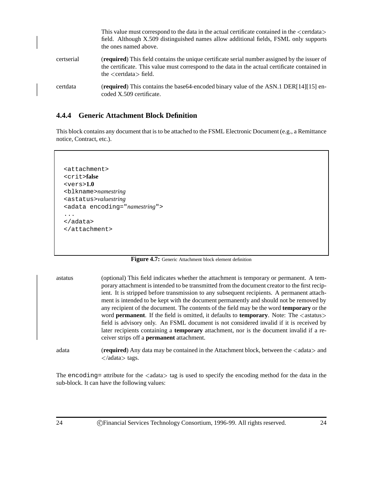|            | This value must correspond to the data in the actual certificate contained in the <certdata><br/>field. Although X.509 distinguished names allow additional fields, FSML only supports<br/>the ones named above.</certdata>      |
|------------|----------------------------------------------------------------------------------------------------------------------------------------------------------------------------------------------------------------------------------|
| certserial | (required) This field contains the unique certificate serial number assigned by the issuer of<br>the certificate. This value must correspond to the data in the actual certificate contained in<br>the $\le$ certdata $>$ field. |
| certdata   | (required) This contains the base 64-encoded binary value of the ASN.1 DER $[14][15]$ en-<br>coded X.509 certificate.                                                                                                            |

#### **4.4.4 Generic Attachment Block Definition**

This block contains any document that is to be attached to the FSML Electronic Document (e.g., a Remittance notice, Contract, etc.).

```
<attachment>
<crit>false
<vers>1.0
<blkname>namestring
<astatus>valuestring
<adata encoding="namestring">
...
</adata>
</attachment>
```
Figure 4.7: Generic Attachment block element definition

astatus (optional) This field indicates whether the attachment is temporary or permanent. A temporary attachment is intended to be transmitted from the document creator to the first recipient. It is stripped before transmission to any subsequent recipients. A permanent attachment is intended to be kept with the document permanently and should not be removed by any recipient of the document. The contents of the field may be the word **temporary** or the word **permanent**. If the field is omitted, it defaults to **temporary**. Note: The  $\langle$  astatus $\rangle$ field is advisory only. An FSML document is not considered invalid if it is received by later recipients containing a **temporary** attachment, nor is the document invalid if a receiver strips off a **permanent** attachment.

adata **(***required*) Any data may be contained in the Attachment block, between the  $\lt$  adata  $\gt$  and <sup>&</sup>lt;/adata<sup>&</sup>gt; tags.

The encoding= attribute for the  $\langle$ adata $\rangle$  tag is used to specify the encoding method for the data in the sub-block. It can have the following values: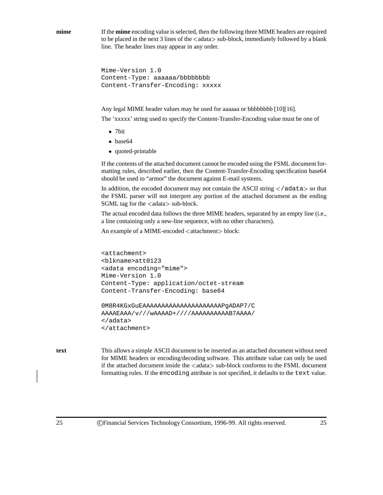**mime** If the **mime** encoding value is selected, then the following three MIME headers are required to be placed in the next 3 lines of the  $\langle$  adata $\rangle$  sub-block, immediately followed by a blank line. The header lines may appear in any order.

```
Mime-Version 1.0
Content-Type: aaaaaa/bbbbbbbb
Content-Transfer-Encoding: xxxxx
```
Any legal MIME header values may be used for aaaaaa or bbbbbbbb [10][16].

The 'xxxxx' string used to specify the Content-Transfer-Encoding value must be one of

- 7bit
- base64
- quoted-printable

If the contents of the attached document cannot be encoded using the FSML document formatting rules, described earlier, then the Content-Transfer-Encoding specification base64 should be used to "armor" the document against E-mail systems.

In addition, the encoded document may not contain the ASCII string  $\lt$ /adata> so that the FSML parser will not interpret any portion of the attached document as the ending SGML tag for the  $\langle \text{adata} \rangle$  sub-block.

The actual encoded data follows the three MIME headers, separated by an empty line (i.e., a line containing only a new-line sequence, with no other characters).

An example of a MIME-encoded <attachment> block:

```
<attachment>
<blkname>att0123
<adata encoding="mime">
Mime-Version 1.0
Content-Type: application/octet-stream
Content-Transfer-Encoding: base64
```

```
0M8R4KGxGuEAAAAAAAAAAAAAAAAAAAAAPgADAP7/C
AAAAEAAA/v///wAAAAD+////AAAAAAAAAAB7AAAA/
</adata>
</attachment>
```
**text** This allows a simple ASCII document to be inserted as an attached document without need for MIME headers or encoding/decoding software. This attribute value can only be used if the attached document inside the <adata> sub-block conforms to the FSML document formatting rules. If the encoding attribute is not specified, it defaults to the text value.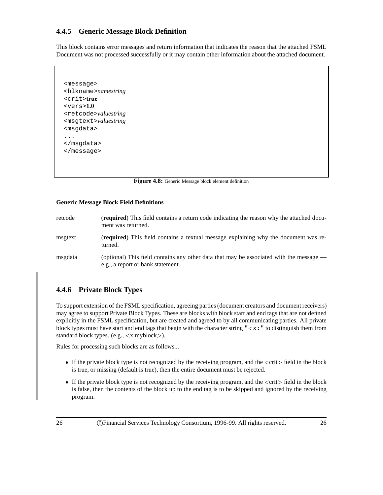### **4.4.5 Generic Message Block Definition**

This block contains error messages and return information that indicates the reason that the attached FSML Document was not processed successfully or it may contain other information about the attached document.

```
<message>
<blkname>namestring
<crit>true
<vers>1.0
<retcode>valuestring
<msgtext>valuestring
<msgdata>
...
</msgdata>
</message>
```
**Figure 4.8:** Generic Message block element definition

#### **Generic Message Block Field Definitions**

| retcode | ( <b>required</b> ) This field contains a return code indicating the reason why the attached docu-<br>ment was returned.     |
|---------|------------------------------------------------------------------------------------------------------------------------------|
| msgtext | (required) This field contains a textual message explaining why the document was re-<br>turned.                              |
| msgdata | (optional) This field contains any other data that may be associated with the message —<br>e.g., a report or bank statement. |

### **4.4.6 Private Block Types**

To support extension of the FSML specification, agreeing parties (document creators and document receivers) may agree to support Private Block Types. These are blocks with block start and end tags that are not defined explicitly in the FSML specification, but are created and agreed to by all communicating parties. All private block types must have start and end tags that begin with the character string " $\langle x : "$ " to distinguish them from standard block types. (e.g., <sup>&</sup>lt;x:myblock>).

Rules for processing such blocks are as follows...

- If the private block type is not recognized by the receiving program, and the  $\leq$ crit $>$  field in the block is true, or missing (default is true), then the entire document must be rejected.
- If the private block type is not recognized by the receiving program, and the  $\leq$ crit $>$  field in the block is false, then the contents of the block up to the end tag is to be skipped and ignored by the receiving program.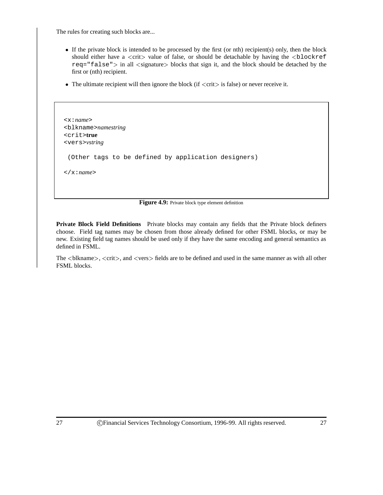The rules for creating such blocks are...

- If the private block is intended to be processed by the first (or nth) recipient(s) only, then the block should either have a  $\langle$ crit $\rangle$  value of false, or should be detachable by having the  $\langle$ blockref  $req = "false" > in all *signature* blocks that sign it, and the block should be detached by the$ first or (nth) recipient.
- The ultimate recipient will then ignore the block (if  $\langle\,\text{crit}\rangle$  is false) or never receive it.

```
<x:name>
<blkname>namestring
<crit>true
<vers>vstring
 (Other tags to be defined by application designers)
</x:name>
```
#### Figure 4.9: Private block type element definition

**Private Block Field Definitions** Private blocks may contain any fields that the Private block definers choose. Field tag names may be chosen from those already defined for other FSML blocks, or may be new. Existing field tag names should be used only if they have the same encoding and general semantics as defined in FSML.

The <sup>&</sup>lt;blkname>, <sup>&</sup>lt;crit>, and <sup>&</sup>lt;vers<sup>&</sup>gt; fields are to be defined and used in the same manner as with all other FSML blocks.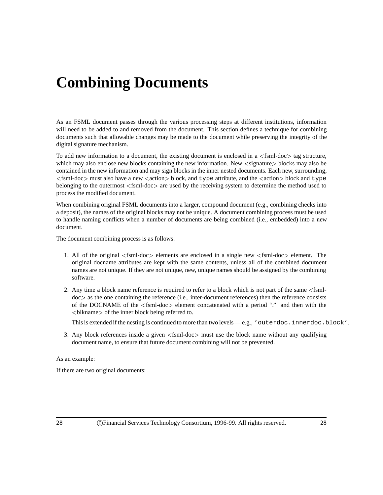# **Combining Documents**

As an FSML document passes through the various processing steps at different institutions, information will need to be added to and removed from the document. This section defines a technique for combining documents such that allowable changes may be made to the document while preserving the integrity of the digital signature mechanism.

To add new information to a document, the existing document is enclosed in a  $\leq$ fsml-doc $>$  tag structure, which may also enclose new blocks containing the new information. New <signature> blocks may also be contained in the new information and may sign blocks in the inner nested documents. Each new, surrounding,  $\le$ fsml-doc> must also have a new  $\le$  action> block, and type attribute, and the  $\le$  action> block and type belonging to the outermost <sup>&</sup>lt;fsml-doc<sup>&</sup>gt; are used by the receiving system to determine the method used to process the modified document.

When combining original FSML documents into a larger, compound document (e.g., combining checks into a deposit), the names of the original blocks may not be unique. A document combining process must be used to handle naming conflicts when a number of documents are being combined (i.e., embedded) into a new document.

The document combining process is as follows:

- 1. All of the original <sup>&</sup>lt;fsml-doc<sup>&</sup>gt; elements are enclosed in a single new <sup>&</sup>lt;fsml-doc<sup>&</sup>gt; element. The original docname attributes are kept with the same contents, unless all of the combined document names are not unique. If they are not unique, new, unique names should be assigned by the combining software.
- 2. Any time a block name reference is required to refer to a block which is not part of the same <sup>&</sup>lt;fsmldoc<sup>&</sup>gt; as the one containing the reference (i.e., inter-document references) then the reference consists of the DOCNAME of the <sup>&</sup>lt;fsml-doc<sup>&</sup>gt; element concatenated with a period "." and then with the <sup>&</sup>lt;blkname<sup>&</sup>gt; of the inner block being referred to.

This is extended if the nesting is continued to more than two levels — e.g., 'outerdoc.innerdoc.block'.

3. Any block references inside a given  $\langle$ fsml-doc $\rangle$  must use the block name without any qualifying document name, to ensure that future document combining will not be prevented.

#### As an example:

If there are two original documents: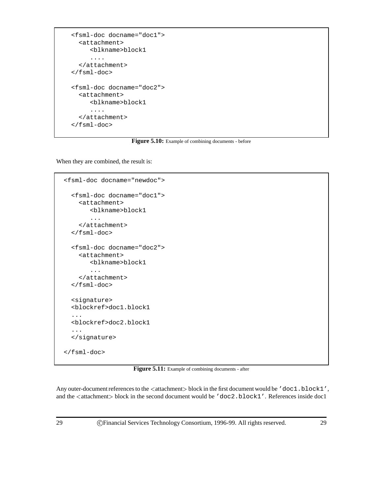```
<fsml-doc docname="doc1">
  <attachment>
     <blkname>block1
     ....
  </attachment>
</fsml-doc>
<fsml-doc docname="doc2">
  <attachment>
     <blkname>block1
     ....
  </attachment>
</fsml-doc>
```
Figure 5.10: Example of combining documents - before

When they are combined, the result is:

```
<fsml-doc docname="newdoc">
 <fsml-doc docname="doc1">
    <attachment>
       <blkname>block1
       ...
    </attachment>
 </fsml-doc>
 <fsml-doc docname="doc2">
    <attachment>
       <blkname>block1
       ...
    </attachment>
 </fsml-doc>
 <signature>
 <blockref>doc1.block1
  ...
 <blockref>doc2.block1
  ...
 </signature>
</fsml-doc>
```
Figure 5.11: Example of combining documents - after

Any outer-document references to the <attachment> block in the first document would be 'doc1.block1', and the <attachment> block in the second document would be 'doc2.block1'. References inside doc1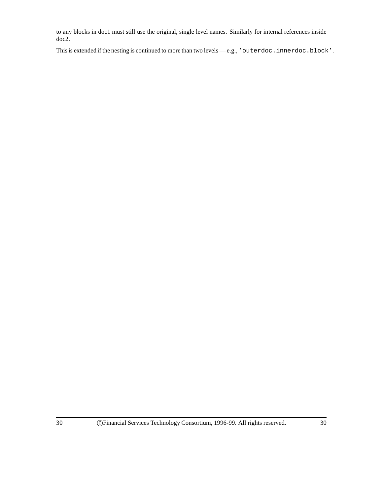to any blocks in doc1 must still use the original, single level names. Similarly for internal references inside doc2.

This is extended if the nesting is continued to more than two levels — e.g., 'outerdoc.innerdoc.block'.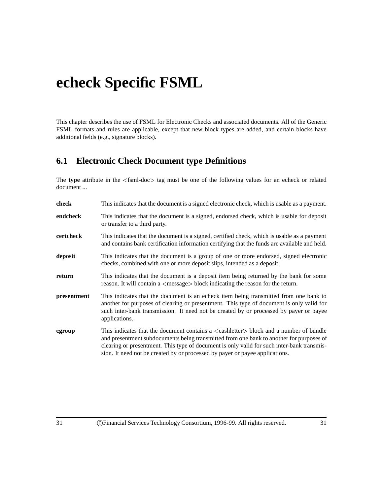# **echeck Specific FSML**

This chapter describes the use of FSML for Electronic Checks and associated documents. All of the Generic FSML formats and rules are applicable, except that new block types are added, and certain blocks have additional fields (e.g., signature blocks).

## **6.1 Electronic Check Document type Definitions**

The type attribute in the <fsml-doc> tag must be one of the following values for an echeck or related document ...

| check       | This indicates that the document is a signed electronic check, which is usable as a payment.                                                                                                                                                                                                                                                                                     |
|-------------|----------------------------------------------------------------------------------------------------------------------------------------------------------------------------------------------------------------------------------------------------------------------------------------------------------------------------------------------------------------------------------|
| endcheck    | This indicates that the document is a signed, endorsed check, which is usable for deposit<br>or transfer to a third party.                                                                                                                                                                                                                                                       |
| certcheck   | This indicates that the document is a signed, certified check, which is usable as a payment<br>and contains bank certification information certifying that the funds are available and held.                                                                                                                                                                                     |
| deposit     | This indicates that the document is a group of one or more endorsed, signed electronic<br>checks, combined with one or more deposit slips, intended as a deposit.                                                                                                                                                                                                                |
| return      | This indicates that the document is a deposit item being returned by the bank for some<br>reason. It will contain a $\langle$ message $\rangle$ block indicating the reason for the return.                                                                                                                                                                                      |
| presentment | This indicates that the document is an echeck item being transmitted from one bank to<br>another for purposes of clearing or presentment. This type of document is only valid for<br>such inter-bank transmission. It need not be created by or processed by payer or payee<br>applications.                                                                                     |
| cgroup      | This indicates that the document contains a $\langle$ cashletter $\rangle$ block and a number of bundle<br>and presentment subdocuments being transmitted from one bank to another for purposes of<br>clearing or presentment. This type of document is only valid for such inter-bank transmis-<br>sion. It need not be created by or processed by payer or payee applications. |
|             |                                                                                                                                                                                                                                                                                                                                                                                  |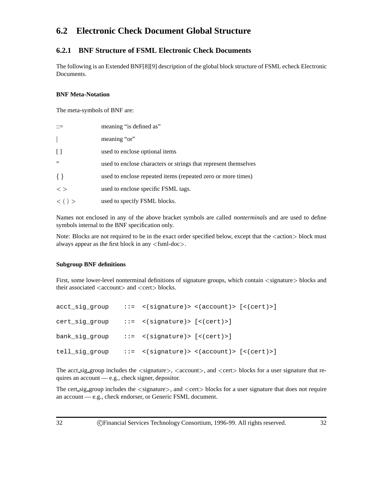# **6.2 Electronic Check Document Global Structure**

## **6.2.1 BNF Structure of FSML Electronic Check Documents**

The following is an Extended BNF[8][9] description of the global block structure of FSML echeck Electronic Documents.

#### **BNF Meta-Notation**

The meta-symbols of BNF are:

|               | meaning "is defined as"                                         |
|---------------|-----------------------------------------------------------------|
|               | meaning "or"                                                    |
| $\Box$        | used to enclose optional items                                  |
| , ,           | used to enclose characters or strings that represent themselves |
| $\{ \}$       | used to enclose repeated items (repeated zero or more times)    |
| $\langle$ $>$ | used to enclose specific FSML tags.                             |
| $\lt$ ( ) $>$ | used to specify FSML blocks.                                    |

Names not enclosed in any of the above bracket symbols are called *nonterminals* and are used to define symbols internal to the BNF specification only.

Note: Blocks are not required to be in the exact order specified below, except that the  $\leq$  action  $\geq$  block must always appear as the first block in any <sup>&</sup>lt;fsml-doc>.

#### **Subgroup BNF definitions**

First, some lower-level nonterminal definitions of signature groups, which contain  $\langle$  signature $\rangle$  blocks and their associated <account> and <cert>blocks.

| acct_sig_group | $::=$ <(signature)> <(account)> [<(cert)>] |
|----------------|--------------------------------------------|
| cert_sig_group | $::=$ <(signature)> [<(cert)>]             |
| bank_sig_group | $::=$ <(signature)> [<(cert)>]             |
| tell_sig_group | $::=$ <(signature)> <(account)> [<(cert)>] |

The acct sig group includes the  $\langle$ signature $\rangle$ ,  $\langle$ account $\rangle$ , and  $\langle$ cert $\rangle$  blocks for a user signature that requires an account — e.g., check signer, depositor.

The cert\_sig\_group includes the  $\langle$ signature $\rangle$ , and  $\langle$ cert $\rangle$  blocks for a user signature that does not require an account — e.g., check endorser, or Generic FSML document.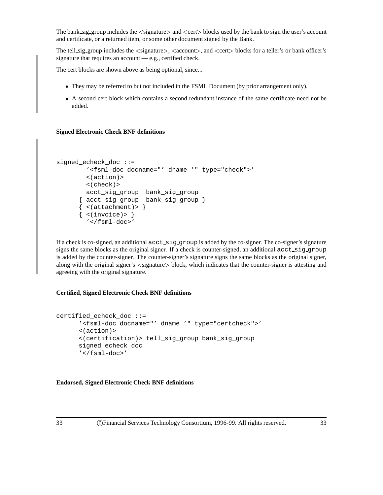The bank sig group includes the  $\le$  signature $>$  and  $\le$  cert $>$  blocks used by the bank to sign the user's account and certificate, or a returned item, or some other document signed by the Bank.

The tell sig group includes the  $\le$  signature $>$ ,  $\le$  account $>$ , and  $\le$  cert $>$  blocks for a teller's or bank officer's signature that requires an account — e.g., certified check.

The cert blocks are shown above as being optional, since...

- They may be referred to but not included in the FSML Document (by prior arrangement only).
- A second cert block which contains a second redundant instance of the same certificate need not be added.

#### **Signed Electronic Check BNF definitions**

```
signed_echeck_doc ::=
        '<fsml-doc docname="' dname '" type="check">'
        <(action)>
        <(check)>
        acct_sig_group bank_sig_group
      { acct_sig_group bank_sig_group }
      \{ <(attachment)> \}\{ <(invoice)> \}'</fsml-doc>'
```
If a check is co-signed, an additional  $\text{acc\_sig\_group}$  is added by the co-signer. The co-signer's signature signs the same blocks as the original signer. If a check is counter-signed, an additional acct sig group is added by the counter-signer. The counter-signer's signature signs the same blocks as the original signer, along with the original signer's <signature> block, which indicates that the counter-signer is attesting and agreeing with the original signature.

#### **Certified, Signed Electronic Check BNF definitions**

```
certified_echeck_doc ::=
      '<fsml-doc docname="' dname '" type="certcheck">'
      <(action)>
      <(certification)> tell_sig_group bank_sig_group
      signed_echeck_doc
      '</fsml-doc>'
```
**Endorsed, Signed Electronic Check BNF definitions**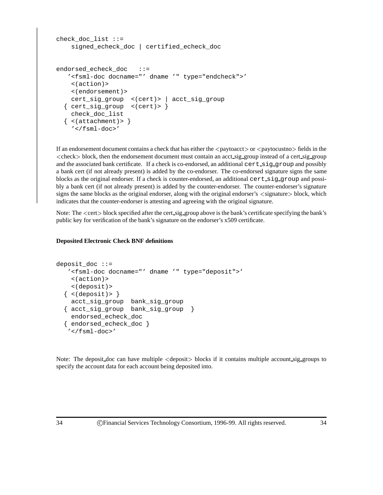```
check doc list ::=signed_echeck_doc | certified_echeck_doc
endorsed_echeck_doc ::=
  '<fsml-doc docname="' dname '" type="endcheck">'
   <(action)>
   <(endorsement)>
   cert_sig_group <(cert)> | acct_sig_group
  { cert_sig_group <(cert)> }
   check_doc_list
  \{ <(attachment)> \}'</fsml-doc>'
```
If an endorsement document contains a check that has either the  $\langle$  paytoacct $\rangle$  or  $\langle$  paytocustno $\rangle$  fields in the  $\langle$ check $\rangle$  block, then the endorsement document must contain an acct sig group instead of a cert sig group and the associated bank certificate. If a check is co-endorsed, an additional cert\_sig\_group and possibly a bank cert (if not already present) is added by the co-endorser. The co-endorsed signature signs the same blocks as the original endorser. If a check is counter-endorsed, an additional cert sig group and possibly a bank cert (if not already present) is added by the counter-endorser. The counter-endorser's signature signs the same blocks as the original endorser, along with the original endorser's  $\langle$ signature $\rangle$  block, which indicates that the counter-endorser is attesting and agreeing with the original signature.

Note: The  $\le$  cert  $>$  block specified after the cert sig group above is the bank's certificate specifying the bank's public key for verification of the bank's signature on the endorser's x509 certificate.

#### **Deposited Electronic Check BNF definitions**

```
deposit_doc ::=
   '<fsml-doc docname="' dname '" type="deposit">'
    <(action)>
    <(deposit)>
  \{<(deposit)&gt;{}\}acct_sig_group bank_sig_group
  { acct_sig_group bank_sig_group }
    endorsed_echeck_doc
  { endorsed_echeck_doc }
   '</fsml-doc>'
```
Note: The deposit doc can have multiple <sup>&</sup>lt;deposit<sup>&</sup>gt; blocks if it contains multiple account sig groups to specify the account data for each account being deposited into.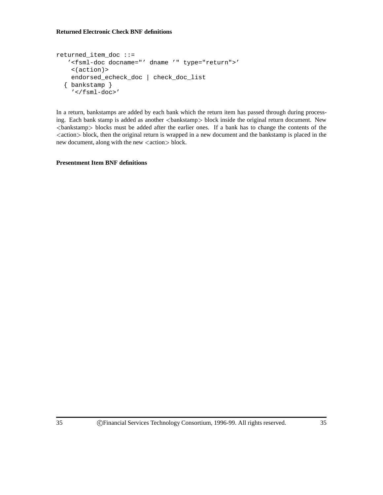#### **Returned Electronic Check BNF definitions**

```
returned_item_doc ::=
   '<fsml-doc docname="' dname '" type="return">'
    <(action)>
   endorsed_echeck_doc | check_doc_list
  { bankstamp }
    '</fsml-doc>'
```
In a return, bankstamps are added by each bank which the return item has passed through during processing. Each bank stamp is added as another <br/>bankstamp> block inside the original return document. New <sup>&</sup>lt;bankstamp<sup>&</sup>gt; blocks must be added after the earlier ones. If a bank has to change the contents of the <action> block, then the original return is wrapped in a new document and the bankstamp is placed in the new document, along with the new  $\langle \text{action} \rangle$  block.

**Presentment Item BNF definitions**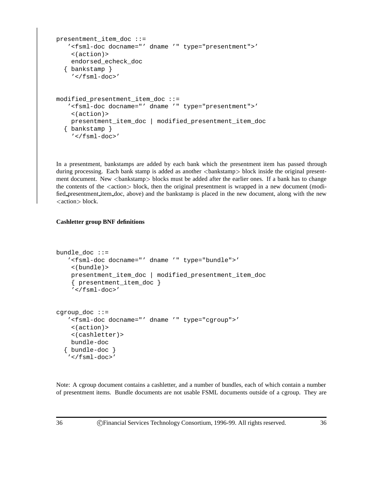```
presentment item doc ::=
   '<fsml-doc docname="' dname '" type="presentment">'
    <(action)>
    endorsed_echeck_doc
  { bankstamp }
    '</fsml-doc>'
modified_presentment_item_doc ::=
   '<fsml-doc docname="' dname '" type="presentment">'
    <(action)>
    presentment_item_doc | modified_presentment_item_doc
  { bankstamp }
    '</fsml-doc>'
```
In a presentment, bankstamps are added by each bank which the presentment item has passed through during processing. Each bank stamp is added as another <br/>bankstamp> block inside the original presentment document. New <br/>bankstamp> blocks must be added after the earlier ones. If a bank has to change the contents of the  $\langle \text{action} \rangle$  block, then the original presentment is wrapped in a new document (modified presentment item doc, above) and the bankstamp is placed in the new document, along with the new <action> block.

#### **Cashletter group BNF definitions**

```
bundle doc ::='<fsml-doc docname="' dname '" type="bundle">'
    <(bundle)>
    presentment_item_doc | modified_presentment_item_doc
    { presentment_item_doc }
    '</fsml-doc>'
cgroup_doc ::=
   '<fsml-doc docname="' dname '" type="cgroup">'
    <(action)>
    <(cashletter)>
   bundle-doc
  { bundle-doc }
   '</fsml-doc>'
```
Note: A cgroup document contains a cashletter, and a number of bundles, each of which contain a number of presentment items. Bundle documents are not usable FSML documents outside of a cgroup. They are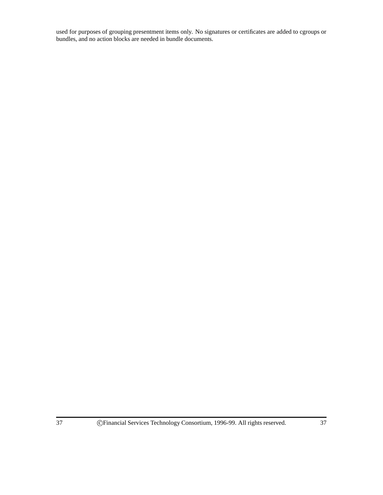used for purposes of grouping presentment items only. No signatures or certificates are added to cgroups or bundles, and no action blocks are needed in bundle documents.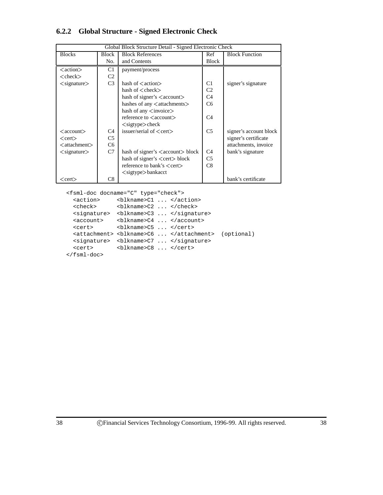## **6.2.2 Global Structure - Signed Electronic Check**

| Global Block Structure Detail - Signed Electronic Check |                |                                              |                |                        |
|---------------------------------------------------------|----------------|----------------------------------------------|----------------|------------------------|
| <b>Blocks</b>                                           | Block          | <b>Block References</b>                      | Ref            | <b>Block Function</b>  |
|                                                         | No.            | and Contents                                 | <b>Block</b>   |                        |
| <action></action>                                       | C <sub>1</sub> | payment/process                              |                |                        |
| $<$ check $>$                                           | C <sub>2</sub> |                                              |                |                        |
| $\langle$ signature $\rangle$                           | C <sub>3</sub> | hash of $\leq$ action $>$                    | C1             | signer's signature     |
|                                                         |                | hash of $\langle$ check $\rangle$            | C <sub>2</sub> |                        |
|                                                         |                | hash of signer's $\langle$ account $\rangle$ | C <sub>4</sub> |                        |
|                                                         |                | hashes of any <attachments></attachments>    | C <sub>6</sub> |                        |
|                                                         |                | hash of any $\langle$ invoice $\rangle$      |                |                        |
|                                                         |                | reference to <account></account>             | C <sub>4</sub> |                        |
|                                                         |                | $\langle$ sigtype $>\rangle$ check           |                |                        |
| $<$ account $>$                                         | C4             | issuer/serial of $\langle$ cert $\rangle$    | C <sub>5</sub> | signer's account block |
| $<$ cert $>$                                            | C <sub>5</sub> |                                              |                | signer's certificate   |
| $<$ attachment $>$                                      | C6             |                                              |                | attachments, invoice   |
| $\langle$ signature $\rangle$                           | C7             | hash of signer's <account> block</account>   | C <sub>4</sub> | bank's signature       |
|                                                         |                | hash of signer's <cert>block</cert>          | C <sub>5</sub> |                        |
|                                                         |                | reference to bank's <cert></cert>            | C8             |                        |
|                                                         |                | $\langle$ sigtype $>$ bankacct               |                |                        |
| $<$ cert $>$                                            | C8             |                                              |                | bank's certificate     |

```
<fsml-doc docname="C" type="check">
```

```
<action> <blkname>C1 ... </action>
  <check> <blkname>C2 ... </check>
  <signature> <blkname>C3 ... </signature>
  <account> <br/> <br/> <br/>>blkname>C4 ... </account>
  <cert> <blkname>C5 ... </cert>
  <attachment> <blkname>C6 ... </attachment> (optional)
  <signature> <br/> <br/> <br/> <br/> <br/> <br/> <br/> <br/> </signature></>>>
  <cert> <br/> <br/> <br/> <br/> <br/> <br/><br/><br/></cert> </cert>
</fsml-doc>
```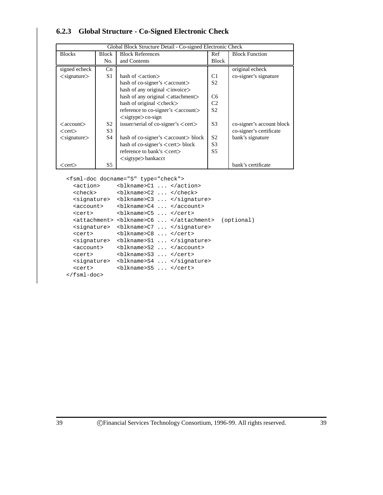## **6.2.3 Global Structure - Co-Signed Electronic Check**

| Global Block Structure Detail - Co-signed Electronic Check |                |                                                       |                |                           |
|------------------------------------------------------------|----------------|-------------------------------------------------------|----------------|---------------------------|
| <b>Blocks</b>                                              | Block          | <b>Block References</b>                               | Ref            | <b>Block Function</b>     |
|                                                            | No.            | and Contents                                          | <b>Block</b>   |                           |
| signed echeck                                              | Cn             |                                                       |                | original echeck           |
| $\langle$ signature $\rangle$                              | S <sub>1</sub> | hash of $\langle$ action $\rangle$                    | C1             | co-signer's signature     |
|                                                            |                | hash of co-signer's $\langle$ account $\rangle$       | S <sub>2</sub> |                           |
|                                                            |                | hash of any original $\langle$ invoice $\rangle$      |                |                           |
|                                                            |                | hash of any original <attachment></attachment>        | C6             |                           |
|                                                            |                | hash of original <check></check>                      | C <sub>2</sub> |                           |
|                                                            |                | reference to co-signer's <account></account>          | S <sub>2</sub> |                           |
|                                                            |                | $\langle$ sigtype $>\rangle$ co-sign                  |                |                           |
| $\langle$ account $\rangle$                                | S <sub>2</sub> | issuer/serial of co-signer's <cert></cert>            | S <sub>3</sub> | co-signer's account block |
| $<$ cert $>$                                               | S <sub>3</sub> |                                                       |                | co-signer's certificate   |
| $\langle$ signature $\rangle$                              | S4             | hash of co-signer's $\langle$ account $\rangle$ block | S <sub>2</sub> | bank's signature          |
|                                                            |                | hash of co-signer's $\langle$ cert $\rangle$ block    | S <sub>3</sub> |                           |
|                                                            |                | reference to bank's $\langle$ cert $\rangle$          | S <sub>5</sub> |                           |
|                                                            |                | $\langle$ sigtype $>$ bankacct                        |                |                           |
| $<$ cert $>$                                               | S5             |                                                       |                | bank's certificate        |

```
<fsml-doc docname="S" type="check">
```

```
<action> <br/> <br/> <br/> <br/> <br/><br/><br/></action> </action>
  <check> <blkname>C2 ... </check>
  <signature> <blkname>C3 ... </signature>
  <account> <br/> <br/> <br/> <br/> <br/><br/><br/><br/></account>
  <cert> <br/> <br/> <br/> <br/> <br/> <br/> <br/><br/></cert> </cert>
  <attachment> <blkname>C6 ... </attachment> (optional)
   <signature> <blkname>C7 ... </signature>
   <cert> <br/> <br/> <br/> <br/> <br/><br/><br/></cert></>></
   <signature> <br/> <br/> <br/> <br/> <br/> <br/> <br/></>
<br/>signature></>>>
   <account> <br/> <br/> <br/> <br/> <br/><br/><br/><br/></account>
   <cert> <br/> <br/> <br/> <br/> <br/><br/><br/></cert></>></
  <signature> <blkname>S4 ... </signature>
  <cert> <blkname>S5 ... </cert>
</fsml-doc>
```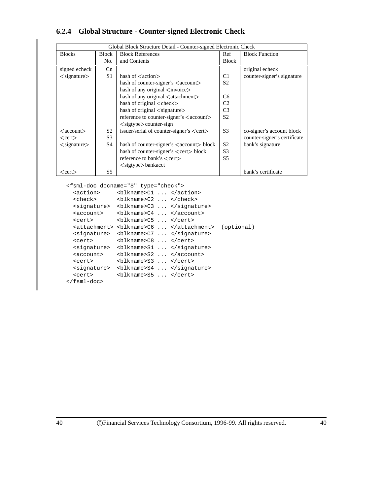## **6.2.4 Global Structure - Counter-signed Electronic Check**

| Global Block Structure Detail - Counter-signed Electronic Check |                |                                                          |                |                              |  |
|-----------------------------------------------------------------|----------------|----------------------------------------------------------|----------------|------------------------------|--|
| <b>Blocks</b>                                                   | <b>Block</b>   | <b>Block References</b>                                  | Ref            | <b>Block Function</b>        |  |
|                                                                 | No.            | and Contents                                             | Block          |                              |  |
| signed echeck                                                   | Cn             |                                                          |                | original echeck              |  |
| $\langle$ signature $\rangle$                                   | S1             | hash of $\langle$ action $\rangle$                       | C <sub>1</sub> | counter-signer's signature   |  |
|                                                                 |                | hash of counter-signer's <account></account>             | S <sub>2</sub> |                              |  |
|                                                                 |                | hash of any original $\langle$ invoice $\rangle$         |                |                              |  |
|                                                                 |                | hash of any original $\lt$ attachment $>$                | C <sub>6</sub> |                              |  |
|                                                                 |                | hash of original <check></check>                         | C <sub>2</sub> |                              |  |
|                                                                 |                | hash of original $\langle$ signature $\rangle$           | C <sub>3</sub> |                              |  |
|                                                                 |                | reference to counter-signer's <account></account>        | S <sub>2</sub> |                              |  |
|                                                                 |                | $\langle$ sigtype $\rangle$ counter-sign                 |                |                              |  |
| $\langle$ account $\rangle$                                     | S <sub>2</sub> | issuer/serial of counter-signer's $\langle cert \rangle$ | S <sub>3</sub> | co-signer's account block    |  |
| $<$ cert $>$                                                    | S <sub>3</sub> |                                                          |                | counter-signer's certificate |  |
| $\langle$ signature $\rangle$                                   | S4             | hash of counter-signer's <account> block</account>       | S <sub>2</sub> | bank's signature             |  |
|                                                                 |                | hash of counter-signer's <cert>block</cert>              | S <sub>3</sub> |                              |  |
|                                                                 |                | reference to bank's $\langle$ cert $\rangle$             | S <sub>5</sub> |                              |  |
|                                                                 |                | $\langle$ sigtype $>$ bankacct                           |                |                              |  |
| $<$ cert $>$                                                    | S5             |                                                          |                | bank's certificate           |  |

```
<fsml-doc docname="S" type="check">
  <action> <br/> <br/> <br/> <br/> <br/><br/><br/></action> </action>
  <check> <blkname>C2 ... </check>
  <signature> <blkname>C3 ... </signature>
  <account> <br/> <br/> <br/> <br/> <br/> <br/><br/><br/></account> </account>
  <cert> <br/> <br/> <br/> <br/> <br/> <br/> <br/><br/></cert> </cert>
  <attachment> <blkname>C6 ... </attachment> (optional)
   <signature> <blkname>C7 ... </signature>
   <cert> <br/> <br/> <br/> <br/> <br/><br/><br/></cert></>></
   <signature> <br/> <br/> <br/> <br/> <br/> <br/> <br/></>
<br/>signature></>>>
```
<account> <br/> <br/> <br/> <br/> <br/><br/><br/><br/></account>

```
<cert> <br/> <br/> <br/> <br/> <br/><br/><br/></cert></>></
  <signature> <blkname>S4 ... </signature>
  <cert> <blkname>S5 ... </cert>
</fsml-doc>
```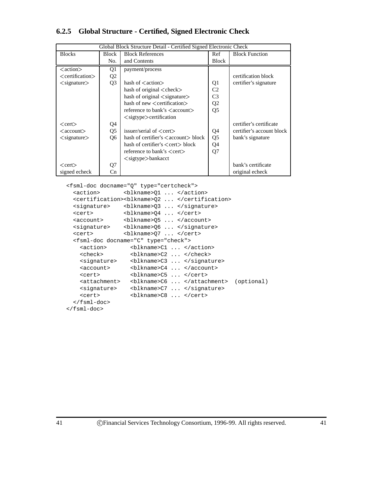## **6.2.5 Global Structure - Certified, Signed Electronic Check**

| Global Block Structure Detail - Certified Signed Electronic Check |                |                                                       |                |                           |
|-------------------------------------------------------------------|----------------|-------------------------------------------------------|----------------|---------------------------|
| <b>Blocks</b>                                                     | Block          | <b>Block References</b>                               | Ref            | <b>Block Function</b>     |
|                                                                   | No.            | and Contents                                          | Block          |                           |
| $<$ action $>$                                                    | Q1             | payment/process                                       |                |                           |
| <certification></certification>                                   | Q <sub>2</sub> |                                                       |                | certification block       |
| $\langle$ signature $\rangle$                                     | Q <sub>3</sub> | hash of $\langle$ action $\rangle$                    | Q1             | certifier's signature     |
|                                                                   |                | hash of original <check></check>                      | C <sub>2</sub> |                           |
|                                                                   |                | hash of original $\langle$ signature $\rangle$        | C <sub>3</sub> |                           |
|                                                                   |                | hash of new <certification></certification>           | Q <sub>2</sub> |                           |
|                                                                   |                | reference to bank's $\langle$ account $\rangle$       | Q <sub>5</sub> |                           |
|                                                                   |                | $\langle$ sigtype $\rangle$ certification             |                |                           |
| $<$ cert $>$                                                      | Q4             |                                                       |                | certifier's certificate   |
| $\langle$ account $\rangle$                                       | Q <sub>5</sub> | issuer/serial of $\langle$ cert $\rangle$             | Q4             | certifier's account block |
| $\langle$ signature $\rangle$                                     | Q <sub>6</sub> | hash of certifier's $\langle$ account $\rangle$ block | Q <sub>5</sub> | bank's signature          |
|                                                                   |                | hash of certifier's $\langle$ cert $\rangle$ block    | Q4             |                           |
|                                                                   |                | reference to bank's $\langle$ cert $\rangle$          | Q <sub>7</sub> |                           |
|                                                                   |                | $\langle$ sigtype $>$ bankacct                        |                |                           |
| $<$ cert $>$                                                      | Q7             |                                                       |                | bank's certificate        |
| signed echeck                                                     | Cn             |                                                       |                | original echeck           |

```
<fsml-doc docname="Q" type="certcheck">
  <action> <br/> <br/> <br/> <br/> <br/><br/></action> </action>
  <certification><blkname>Q2 ... </certification>
  <signature> <blkname>Q3 ... </signature>
  <cert> <blkname>Q4 ... </cert>
  <account> <blkname>Q5 ... </account>
  <signature> <blkname>Q6 ... </signature>
  <cert> <blkname>Q7 ... </cert>
  <fsml-doc docname="C" type="check">
    <action>
chlkname>C1 ... </action>
chock>
chlkname>C2 (chock>
    <check> <blkname>C2 ... </check>
    <signature> <br/> <br/> <br/> <br/> <br/> <br/> <br/> <br/> <br/> </signature></>>>
    <account> <blkname>C4 ... </account>
    <cert> <blkname>C5 ... </cert>
    <attachment> <blkname>C6 ... </attachment> (optional)
    <signature> <br/> <br/> <br/> <br/> <br/> <br/> <br/> <br/> </signature></>>>
    <cert> <br/> <br/> <br/> <br/> <br/> <br/><br/><br/></cert> </cert>
  </fsml-doc>
```
</fsml-doc>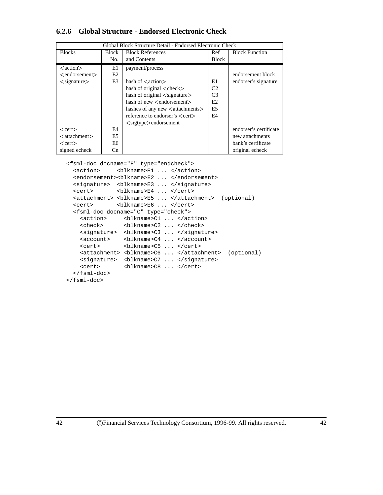## **6.2.6 Global Structure - Endorsed Electronic Check**

| Global Block Structure Detail - Endorsed Electronic Check |                |                                                  |                |                        |
|-----------------------------------------------------------|----------------|--------------------------------------------------|----------------|------------------------|
| <b>Blocks</b>                                             | Block          | <b>Block References</b>                          | Ref            | <b>Block Function</b>  |
|                                                           | No.            | and Contents                                     | <b>Block</b>   |                        |
| <action></action>                                         | E1             | payment/process                                  |                |                        |
| $\leq$ endorsement $>$                                    | E <sub>2</sub> |                                                  |                | endorsement block      |
| $\langle$ signature $\rangle$                             | E3             | hash of $\langle$ action $\rangle$               | E1             | endorser's signature   |
|                                                           |                | hash of original $\langle$ check $\rangle$       | C <sub>2</sub> |                        |
|                                                           |                | hash of original $\langle$ signature $\rangle$   | C <sub>3</sub> |                        |
|                                                           |                | hash of new $\leq$ endorsement $>$               | E2             |                        |
|                                                           |                | hashes of any new $\lt$ attachments $>$          | E <sub>5</sub> |                        |
|                                                           |                | reference to endorser's $\langle$ cert $\rangle$ | E <sub>4</sub> |                        |
|                                                           |                | $\langle$ sigtype $\rangle$ endorsement          |                |                        |
| $<$ cert $>$                                              | E4             |                                                  |                | endorser's certificate |
| $<$ attachment $>$                                        | E5             |                                                  |                | new attachments        |
| $<$ cert $>$                                              | E6             |                                                  |                | bank's certificate     |
| signed echeck                                             | Cn.            |                                                  |                | original echeck        |

<fsml-doc docname="E" type="endcheck">

```
<action> <br/> <br/> <br/> <br/> <br/><br/><br/></action> </action>
  <endorsement><blkname>E2 ... </endorsement>
  <signature> <blkname>E3 ... </signature>
  <cert> <blkname>E4 ... </cert>
  <attachment> <blkname>E5 ... </attachment> (optional)
  <cert> <blkname>E6 ... </cert>
  <fsml-doc docname="C" type="check">
    <action> <blkname>C1 ... </action>
    <check> <blkname>C2 ... </check>
    <signature> <blkname>C3 ... </signature>
    <account> <br/> <br/> <br/> <br/> <br/><br/><br/><br/></account>
    <cert> <blkname>C5 ... </cert>
    <attachment> <blkname>C6 ... </attachment> (optional)
    <signature> <blkname>C7 ... </signature>
    <cert> <br/> <br/> <br/> <br/> <br/> <br/><br/><br/></cert> </cert>
  </fsml-doc>
</fsml-doc>
```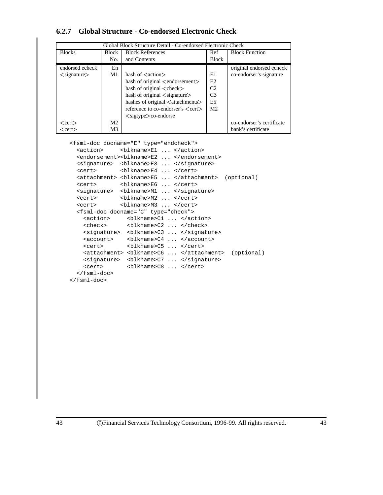| 6.2.7 Global Structure - Co-endorsed Electronic Check |  |
|-------------------------------------------------------|--|
|-------------------------------------------------------|--|

| Global Block Structure Detail - Co-endorsed Electronic Check |                |                                                         |                |                           |  |
|--------------------------------------------------------------|----------------|---------------------------------------------------------|----------------|---------------------------|--|
| <b>Blocks</b>                                                | Block          | <b>Block References</b>                                 | Ref            | <b>Block Function</b>     |  |
|                                                              | No.            | and Contents                                            | <b>Block</b>   |                           |  |
| endorsed echeck                                              | En             |                                                         |                | original endorsed echeck  |  |
| $\langle$ signature $\rangle$                                | M1             | hash of $\langle$ action $\rangle$                      | E1             | co-endorser's signature   |  |
|                                                              |                | hash of original <endorsement></endorsement>            | E2             |                           |  |
|                                                              |                | hash of original $\langle$ check $\rangle$              | C <sub>2</sub> |                           |  |
|                                                              |                | hash of original $\langle$ signature $\rangle$          | C <sub>3</sub> |                           |  |
|                                                              |                | hashes of original <attachments></attachments>          | E <sub>5</sub> |                           |  |
|                                                              |                | reference to co-endorser's $\langle$ cert $\rangle$     | M <sub>2</sub> |                           |  |
|                                                              |                | $\langle$ sigtype $\rangle$ co-endorse                  |                |                           |  |
| $<$ cert $>$                                                 | M <sub>2</sub> |                                                         |                | co-endorser's certificate |  |
| $<$ cert $>$                                                 | M3             |                                                         |                | bank's certificate        |  |
|                                                              |                | <feml-doc docname-"f"="" tyne-"endcheck"=""></feml-doc> |                |                           |  |

<fsml-doc docname="E" type="endcheck">

| <action></action>   | $blkname>E1  */action>$                                      |
|---------------------|--------------------------------------------------------------|
|                     | <endorsement><blkname>E2  </blkname></endorsement>           |
|                     | <signature> <blkname>E3  </blkname></signature>              |
|                     | <cert> <blkname>E4  </blkname></cert>                        |
|                     | <attachment> <br/>blkname&gt;E5  </attachment> (optional)    |
|                     | <cert> <blkname>E6  </blkname></cert>                        |
|                     | <signature> <blkname>M1  </blkname></signature>              |
|                     | <cert> <blkname>M2  </blkname></cert>                        |
|                     | <cert> <blkname>M3  </blkname></cert>                        |
|                     | <fsml-doc docname="C" type="check"></fsml-doc>               |
| <action></action>   | <blkname>C1  </blkname>                                      |
|                     | <check> <blkname>C2  </blkname></check>                      |
|                     | <signature> <blkname>C3  </blkname></signature>              |
|                     | <account> <blkname>C4  </blkname></account>                  |
| <cert></cert>       | $blkname . > center$                                         |
|                     | <attachment> <blkname>C6  </blkname></attachment> (optional) |
|                     | <signature> <blkname>C7  </blkname></signature>              |
| <cert></cert>       | <blkname>C8  </blkname>                                      |
| $\langle$ fsml-doc> |                                                              |
|                     |                                                              |

</fsml-doc>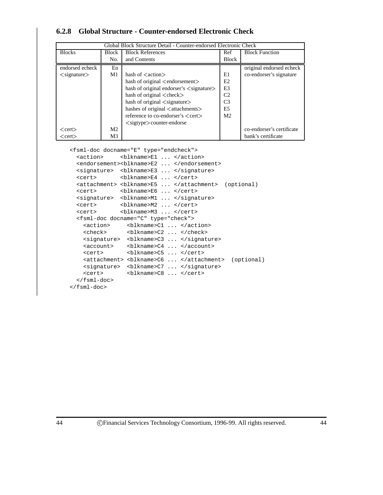| Global Block Structure Detail - Counter-endorsed Electronic Check |                |                                                           |                |                           |  |
|-------------------------------------------------------------------|----------------|-----------------------------------------------------------|----------------|---------------------------|--|
| <b>Blocks</b>                                                     | <b>Block</b>   | <b>Block References</b>                                   | Ref            | <b>Block Function</b>     |  |
|                                                                   | No.            | and Contents                                              | <b>Block</b>   |                           |  |
| endorsed echeck                                                   | En             |                                                           |                | original endorsed echeck  |  |
| $\langle$ signature $\rangle$                                     | M1             | hash of $\langle$ action $\rangle$                        | E1             | co-endorser's signature   |  |
|                                                                   |                | hash of original <endorsement></endorsement>              | E <sub>2</sub> |                           |  |
|                                                                   |                | hash of original endorser's $\langle$ signature $\rangle$ | E <sub>3</sub> |                           |  |
|                                                                   |                | hash of original <check></check>                          | C <sub>2</sub> |                           |  |
|                                                                   |                | hash of original $\langle$ signature $\rangle$            | C <sub>3</sub> |                           |  |
|                                                                   |                | hashes of original <attachments></attachments>            | E5             |                           |  |
|                                                                   |                | reference to co-endorser's $\langle$ cert $\rangle$       | M <sub>2</sub> |                           |  |
|                                                                   |                | $\langle$ sigtype $\rangle$ counter-endorse               |                |                           |  |
| $<$ cert $>$                                                      | M <sub>2</sub> |                                                           |                | co-endorser's certificate |  |
| <cert></cert>                                                     | M <sub>3</sub> |                                                           |                | bank's certificate        |  |

## **6.2.8 Global Structure - Counter-endorsed Electronic Check**

<fsml-doc docname="E" type="endcheck">

| <action></action>   | $blkname>E1 4$                                               |
|---------------------|--------------------------------------------------------------|
|                     | <endorsement><blkname>E2  </blkname></endorsement>           |
|                     | <signature> <blkname>E3  </blkname></signature>              |
|                     | <cert> <blkname>E4  </blkname></cert>                        |
|                     | <attachment> <blkname>E5  </blkname></attachment> (optional) |
|                     | <cert> <blkname>E6</blkname></cert>                          |
|                     | <signature> <blkname>M1  </blkname></signature>              |
|                     | <cert> <blkname>M2  </blkname></cert>                        |
|                     | <cert> <blkname>M3  </blkname></cert>                        |
|                     | <fsml-doc docname="C" type="check"></fsml-doc>               |
| <action></action>   | <blkname>C1  </blkname>                                      |
|                     |                                                              |
|                     | <signature> <blkname>C3  </blkname></signature>              |
|                     | <account> <blkname>C4  </blkname></account>                  |
| <cert></cert>       | $blkname .$                                                  |
|                     | <attachment> <blkname>C6  </blkname></attachment> (optional) |
|                     | <signature> <blkname>C7  </blkname></signature>              |
| <cert></cert>       | $blkname .$                                                  |
| $\langle$ fsml-doc> |                                                              |
| $\langle$ fsml-doc> |                                                              |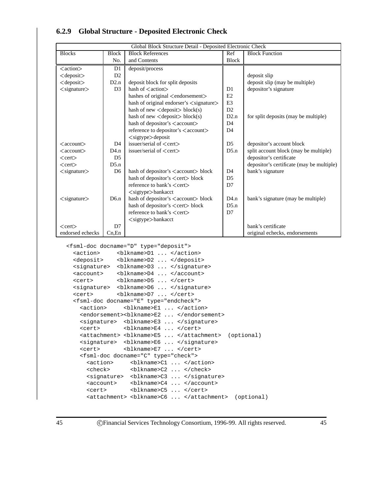|                               |                | Global Block Structure Detail - Deposited Electronic Check |                |                                           |
|-------------------------------|----------------|------------------------------------------------------------|----------------|-------------------------------------------|
| <b>Blocks</b>                 | <b>Block</b>   | <b>Block References</b>                                    | Ref            | <b>Block Function</b>                     |
|                               | No.            | and Contents                                               | <b>Block</b>   |                                           |
| $\langle action \rangle$      | D <sub>1</sub> | deposit/process                                            |                |                                           |
| $<$ deposit $>$               | D2             |                                                            |                | deposit slip                              |
| $<$ deposit $>$               | D2.n           | deposit block for split deposits                           |                | deposit slip (may be multiple)            |
| $<$ signature $>$             | D <sub>3</sub> | hash of $\langle$ action $\rangle$                         | D1             | depositor's signature                     |
|                               |                | hashes of original <endorsement></endorsement>             | E2             |                                           |
|                               |                | hash of original endorser's <signature></signature>        | E <sub>3</sub> |                                           |
|                               |                | hash of new $\langle$ deposit $\rangle$ block(s)           | D2             |                                           |
|                               |                | hash of new $\langle$ deposit $\rangle$ block(s)           | D2.n           | for split deposits (may be multiple)      |
|                               |                | hash of depositor's <account></account>                    | D <sub>4</sub> |                                           |
|                               |                | reference to depositor's <account></account>               | D <sub>4</sub> |                                           |
|                               |                | <sigtype>deposit</sigtype>                                 |                |                                           |
| $\langle$ account $\rangle$   | D <sub>4</sub> | issuer/serial of <cert></cert>                             | D <sub>5</sub> | depositor's account block                 |
| $\langle$ account $\rangle$   | D4.n           | issuer/serial of $\langle$ cert $\rangle$                  | D5.n           | split account block (may be multiple)     |
| $<$ cert $>$                  | D <sub>5</sub> |                                                            |                | depositor's certificate                   |
| $<$ cert $>$                  | D5.n           |                                                            |                | depositor's certificate (may be multiple) |
| $\langle$ signature $\rangle$ | D <sub>6</sub> | hash of depositor's <account> block</account>              | D <sub>4</sub> | bank's signature                          |
|                               |                | hash of depositor's <cert>block</cert>                     | D <sub>5</sub> |                                           |
|                               |                | reference to bank's <cert></cert>                          | D7             |                                           |
|                               |                | $<$ sigtype $>$ bankacct                                   |                |                                           |
| $\langle$ signature $\rangle$ | D6.n           | hash of depositor's <account> block</account>              | D4.n           | bank's signature (may be multiple)        |
|                               |                | hash of depositor's <cert>block</cert>                     | D5.n           |                                           |
|                               |                | reference to bank's <cert></cert>                          | D7             |                                           |
|                               |                | $\langle$ sigtype $>$ bankacct                             |                |                                           |
| $<$ cert $>$                  | D <sub>7</sub> |                                                            |                | bank's certificate                        |
| endorsed echecks              | $Cn$ . En      |                                                            |                | original echecks, endorsements            |

## **6.2.9 Global Structure - Deposited Electronic Check**

<fsml-doc docname="D" type="deposit">

```
<action> <br/> <br/> <br/> <br/> <br/><br/></action> </action>
<deposit> <blkname>D2 ... </deposit>
<signature> <blkname>D3 ... </signature>
<account> <blkname>D4 ... </account>
<cert> <blkname>D5 ... </cert>
<signature> <blkname>D6 ... </signature>
<cert> <blkname>D7 ... </cert>
<fsml-doc docname="E" type="endcheck">
  <action> <br/> <br/> <br/>>blkname>E1 ... </action>
  <endorsement><blkname>E2 ... </endorsement>
  <signature> <blkname>E3 ... </signature>
  <cert> <br/> <br/> <br/> <br/> <br/> <br/><br/><br/></cert> </cert>
  <attachment> <blkname>E5 ... </attachment> (optional)
  <signature> <blkname>E6 ... </signature>
  <cert> <blkname>E7 ... </cert>
  <fsml-doc docname="C" type="check">
    <action> <blkname>C1 ... </action>
    <check> <blkname>C2 ... </check>
    <signature> <br/> <br/> <br/> <br/> <br/> <br/> <br/> </signature>
    <account> <blkname>C4 ... </account>
    <cert> <blkname>C5 ... </cert>
    <attachment> <blkname>C6 ... </attachment> (optional)
```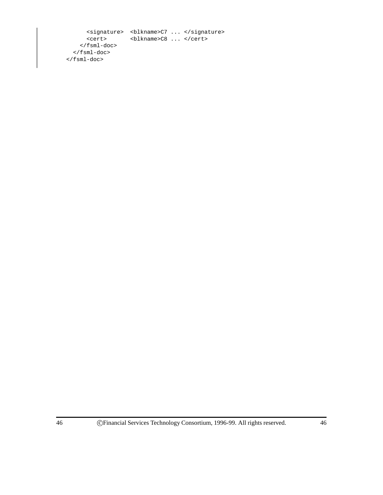```
<signature> <blkname>C7 ... </signature>
     <cert> <blkname>C8 ... </cert>
    </fsml-doc>
  </fsml-doc>
\langle fsml-doc>
```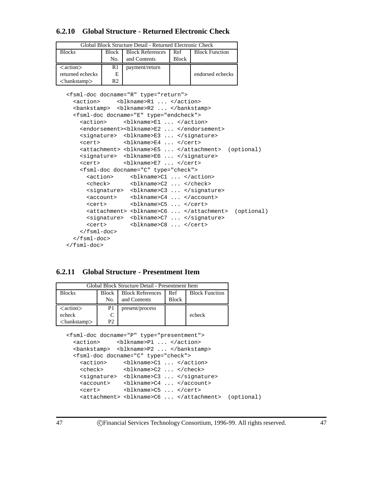#### **6.2.10 Global Structure - Returned Electronic Check**

| Global Block Structure Detail - Returned Electronic Check |              |                         |              |                       |
|-----------------------------------------------------------|--------------|-------------------------|--------------|-----------------------|
| <b>Blocks</b>                                             | <b>Block</b> | <b>Block References</b> | Ref          | <b>Block Function</b> |
|                                                           | No.          | and Contents            | <b>Block</b> |                       |
| $\langle action \rangle$                                  | R1           | payment/return          |              |                       |
|                                                           |              |                         |              |                       |
| returned echecks                                          | Е            |                         |              | endorsed echecks      |

```
<fsml-doc docname="R" type="return">
  <action> <br/> <br/> <br/>>blkname>R1 ... </action>
  <bankstamp> <blkname>R2 ... </bankstamp>
  <fsml-doc docname="E" type="endcheck">
    <action> <blkname>E1 ... </action>
    <endorsement><blkname>E2 ... </endorsement>
   <signature> <blkname>E3 ... </signature>
   <cert> <br/> <br/> <br/> <br/> <br/> <br/><br/><br/></cert> </cert>
   <attachment> <blkname>E5 ... </attachment> (optional)
   <signature> <blkname>E6 ... </signature>
   <cert> <blkname>E7 ... </cert>
    <fsml-doc docname="C" type="check">
     <action> <blkname>C1 ... </action>
      <check> <blkname>C2 ... </check>
      <signature> <br/> <br/> <br/> <br/> <br/> <br/><br/></signature>
      <account> <blkname>C4 ... </account>
      <cert> <blkname>C5 ... </cert>
      <attachment> <blkname>C6 ... </attachment> (optional)
      <signature> <blkname>C7 ... </signature>
      <cert> <blkname>C8 ... </cert>
    </fsml-doc>
  </fsml-doc>
</fsml-doc>
```
### **6.2.11 Global Structure - Presentment Item**

|                          |                | Global Block Structure Detail - Presentment Item                                                                                                                                                          |              |                       |
|--------------------------|----------------|-----------------------------------------------------------------------------------------------------------------------------------------------------------------------------------------------------------|--------------|-----------------------|
| <b>Blocks</b>            | Block          | <b>Block References</b>                                                                                                                                                                                   | Ref          | <b>Block Function</b> |
|                          | No.            | and Contents                                                                                                                                                                                              | <b>Block</b> |                       |
| $\langle action \rangle$ | P1             | present/process                                                                                                                                                                                           |              |                       |
| echeck                   | C              |                                                                                                                                                                                                           |              | echeck                |
| $<$ bankstamp $>$        | P <sub>2</sub> |                                                                                                                                                                                                           |              |                       |
|                          |                | <fsml-doc docname="P" type="presentment"><br/><action> <blkname>P1  </blkname></action><br/><bankstamp> <blkname>P2  </blkname></bankstamp><br/><fsml-doc docname="C" type="check"></fsml-doc></fsml-doc> |              |                       |
|                          |                |                                                                                                                                                                                                           |              |                       |
| <action></action>        |                | <blkname>C1  </blkname>                                                                                                                                                                                   |              |                       |
| <check></check>          |                | $blkname 2 \ldots chock$                                                                                                                                                                                  |              |                       |
|                          |                | <signature> <blkname>C3  </blkname></signature>                                                                                                                                                           |              |                       |
| <account></account>      |                | <blkname>C4  </blkname>                                                                                                                                                                                   |              |                       |

<account> <br/> <br/> <br/> <br/> <br/><br/><br/><br/></account> <cert> <blkname>C5 ... </cert> <attachment> <blkname>C6 ... </attachment> (optional)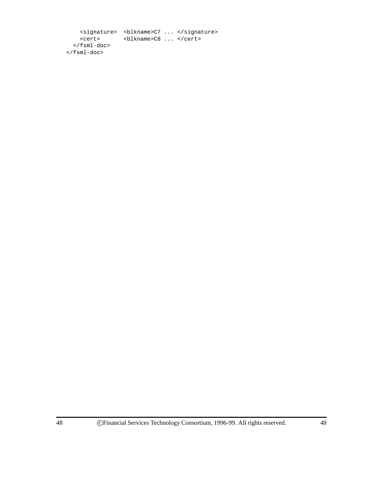<signature> <blkname>C7 ... </signature> <cert> <blkname>C8 ... </cert> </fsml-doc> </fsml-doc>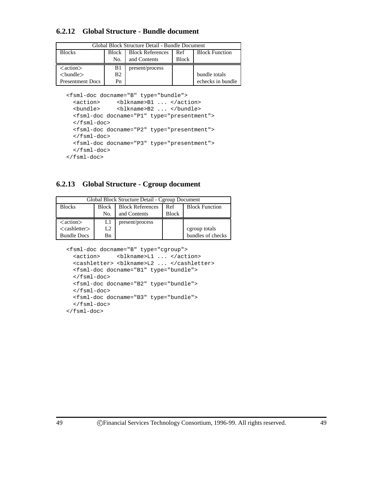## **6.2.12 Global Structure - Bundle document**

| Global Block Structure Detail - Bundle Document |       |                         |              |                       |
|-------------------------------------------------|-------|-------------------------|--------------|-----------------------|
| <b>Blocks</b>                                   | Block | <b>Block References</b> | Ref          | <b>Block Function</b> |
|                                                 | No.   | and Contents            | <b>Block</b> |                       |
|                                                 |       |                         |              |                       |
| $\langle action \rangle$                        | B1    | present/process         |              |                       |
| $<$ bundle $>$                                  | B2    |                         |              | bundle totals         |

<fsml-doc docname="B" type="bundle">

```
<action> <blkname>B1 ... </action>
 <bundle> <blkname>B2 ... </bundle>
 <fsml-doc docname="P1" type="presentment">
 \langlefsml-doc\rangle<fsml-doc docname="P2" type="presentment">
 </fsml-doc>
 <fsml-doc docname="P3" type="presentment">
 </fsml-doc>
</fsml-doc>
```
## **6.2.13 Global Structure - Cgroup document**

| Global Block Structure Detail - Cgroup Document |                |                         |              |                       |
|-------------------------------------------------|----------------|-------------------------|--------------|-----------------------|
| <b>Blocks</b>                                   | <b>Block</b>   | <b>Block References</b> | Ref          | <b>Block Function</b> |
|                                                 | No.            | and Contents            | <b>Block</b> |                       |
|                                                 |                |                         |              |                       |
| $\langle action \rangle$                        | L1             | present/process         |              |                       |
| $<$ cashletter $>$                              | L <sub>2</sub> |                         |              | cgroup totals         |

<fsml-doc docname="B" type="cgroup">

```
<action> <blkname>L1 ... </action>
 <cashletter> <blkname>L2 ... </cashletter>
 <fsml-doc docname="B1" type="bundle">
 </fsml-doc>
 <fsml-doc docname="B2" type="bundle">
 </fsml-doc>
 <fsml-doc docname="B3" type="bundle">
 </fsml-doc>
</fsml-doc>
```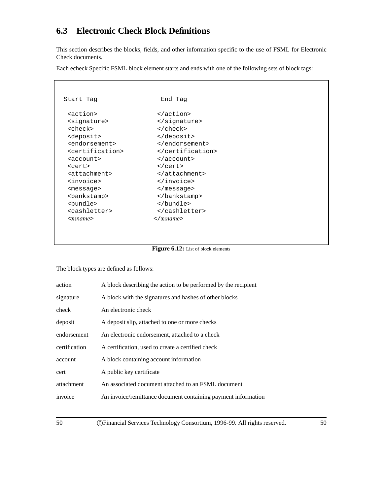# **6.3 Electronic Check Block Definitions**

This section describes the blocks, fields, and other information specific to the use of FSML for Electronic Check documents.

Each echeck Specific FSML block element starts and ends with one of the following sets of block tags:

| Start Tag                       | End Tag           |
|---------------------------------|-------------------|
| <action></action>               |                   |
| <signature></signature>         |                   |
| <check></check>                 |                   |
| <deposit></deposit>             |                   |
| <endorsement></endorsement>     |                   |
| <certification></certification> |                   |
| <account></account>             |                   |
| <cert></cert>                   |                   |
| <attachment></attachment>       |                   |
| sinvoice>                       |                   |
| <message></message>             |                   |
| <bankstamp></bankstamp>         |                   |
| <bundle></bundle>               |                   |
| <cashletter></cashletter>       |                   |
| $\langle x:name\rangle$         | $\langle$ X:name> |
|                                 |                   |

**Figure 6.12:** List of block elements

The block types are defined as follows:

| action        | A block describing the action to be performed by the recipient |
|---------------|----------------------------------------------------------------|
| signature     | A block with the signatures and hashes of other blocks         |
| check         | An electronic check                                            |
| deposit       | A deposit slip, attached to one or more checks                 |
| endorsement   | An electronic endorsement, attached to a check                 |
| certification | A certification, used to create a certified check              |
| account       | A block containing account information                         |
| cert          | A public key certificate                                       |
| attachment    | An associated document attached to an FSML document            |
| invoice       | An invoice/remittance document containing payment information  |
|               |                                                                |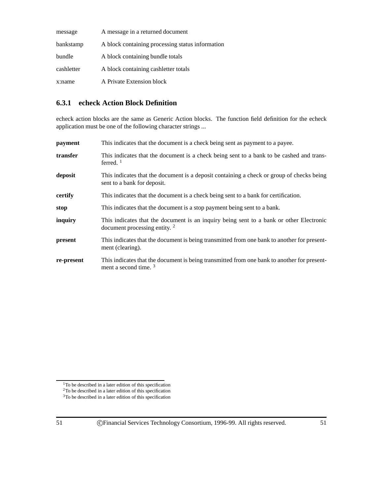| message    | A message in a returned document                 |
|------------|--------------------------------------------------|
| bankstamp  | A block containing processing status information |
| bundle     | A block containing bundle totals                 |
| cashletter | A block containing cashletter totals             |
| x:name     | A Private Extension block                        |

## **6.3.1 echeck Action Block Definition**

echeck action blocks are the same as Generic Action blocks. The function field definition for the echeck application must be one of the following character strings ...

| payment    | This indicates that the document is a check being sent as payment to a payee.                                                   |
|------------|---------------------------------------------------------------------------------------------------------------------------------|
| transfer   | This indicates that the document is a check being sent to a bank to be cashed and trans-<br>ferred. $1$                         |
| deposit    | This indicates that the document is a deposit containing a check or group of checks being<br>sent to a bank for deposit.        |
| certify    | This indicates that the document is a check being sent to a bank for certification.                                             |
| stop       | This indicates that the document is a stop payment being sent to a bank.                                                        |
| inquiry    | This indicates that the document is an inquiry being sent to a bank or other Electronic<br>document processing entity. $2$      |
| present    | This indicates that the document is being transmitted from one bank to another for present-<br>ment (clearing).                 |
| re-present | This indicates that the document is being transmitted from one bank to another for present-<br>ment a second time. <sup>3</sup> |

<sup>1</sup>To be described in a later edition of this specification <sup>2</sup>To be described in a later edition of this specification <sup>3</sup>To be described in a later edition of this specification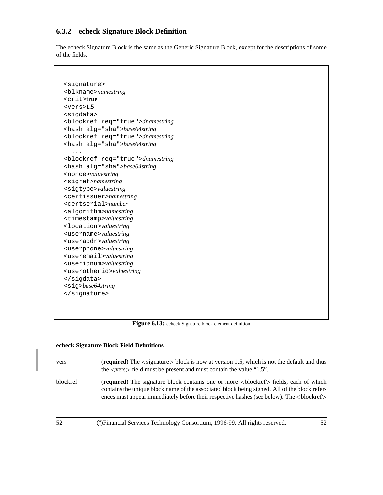## **6.3.2 echeck Signature Block Definition**

The echeck Signature Block is the same as the Generic Signature Block, except for the descriptions of some of the fields.

```
<signature>
<blkname>namestring
<crit>true
<vers>1.5
<sigdata>
<blockref req="true">dnamestring
<hash alg="sha">base64string
<blockref req="true">dnamestring
<hash alg="sha">base64string
  ...
<blockref req="true">dnamestring
<hash alg="sha">base64string
<nonce>valuestring
<sigref>namestring
<sigtype>valuestring
<certissuer>namestring
<certserial>number
<algorithm>namestring
<timestamp>valuestring
<location>valuestring
<username>valuestring
<useraddr>valuestring
<userphone>valuestring
<useremail>valuestring
<useridnum>valuestring
<userotherid>valuestring
</sigdata>
<sig>base64string
</signature>
```
Figure 6.13: echeck Signature block element definition

#### **echeck Signature Block Field Definitions**

vers (**required**) The <sup>&</sup>lt;signature<sup>&</sup>gt; block is now at version 1.5, which is not the default and thus the <sup>&</sup>lt;vers<sup>&</sup>gt; field must be present and must contain the value "1.5". blockref (**required**) The signature block contains one or more <sup>&</sup>lt;blockref<sup>&</sup>gt; fields, each of which contains the unique block name of the associated block being signed. All of the block refer-

ences must appear immediately before their respective hashes (see below). The <br/>blockref>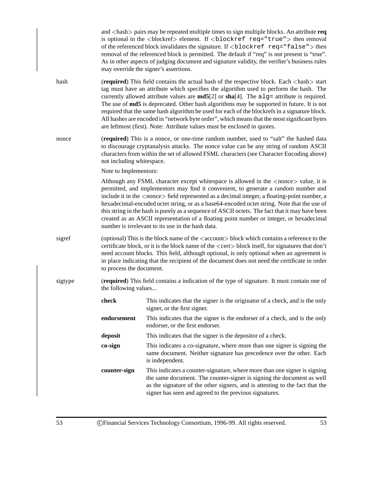and <sup>&</sup>lt;hash<sup>&</sup>gt; pairs may be repeated multiple times to sign multiple blocks. An attribute **req** is optional in the <sup>&</sup>lt;blockref<sup>&</sup>gt; element. If <sup>&</sup>lt;blockref req="true"<sup>&</sup>gt; then removal of the referenced block invalidates the signature. If  $\langle$ blockref req="false" $>$  then removal of the referenced block is permitted. The default if "req" is not present is "true". As in other aspects of judging document and signature validity, the verifier's business rules may override the signer's assertions. hash **(required)** This field contains the actual hash of the respective block. Each <hash> start tag must have an attribute which specifies the algorithm used to perform the hash. The currently allowed attribute values are **md5**[2] or **sha**[4]. The alg= attribute is required. The use of **md5** is deprecated. Other hash algorithms may be supported in future. It is not required that the same hash algorithm be used for each of the blockrefs in a signature block. All hashes are encoded in "network byte order", which means that the most significant bytes are leftmost (first). Note: Attribute values must be enclosed in quotes. nonce (**required**) This is a nonce, or one-time random number, used to "salt" the hashed data to discourage cryptanalysis attacks. The nonce value can be any string of random ASCII characters from within the set of allowed FSML characters (see Character Encoding above) not including whitespace. Note to Implementors: Although any FSML character except whitespace is allowed in the <sup>&</sup>lt;nonce<sup>&</sup>gt; value, it is permitted, and implementors may find it convenient, to generate a random number and include it in the  $\langle$  nonce $\rangle$  field represented as a decimal integer, a floating-point number, a hexadecimal-encoded octet string, or as a base64-encoded octet string. Note that the use of this string in the hash is purely as a sequence of ASCII octets. The fact that it may have been created as an ASCII representation of a floating point number or integer, or hexadecimal number is irrelevant to its use in the hash data. sigref (optional) This is the block name of the  $\langle$  account $\rangle$  block which contains a reference to the certificate block, or it is the block name of the <sup>&</sup>lt;cert<sup>&</sup>gt; block itself, for signatures that don't need account blocks. This field, although optional, is only optional when an agreement is in place indicating that the recipient of the document does not need the certificate in order to process the document. sigtype (**required**) This field contains a indication of the type of signature. It must contain one of the following values... **check** This indicates that the signer is the originator of a check, and is the only signer, or the first signer. **endorsement** This indicates that the signer is the endorser of a check, and is the only endorser, or the first endorser. **deposit** This indicates that the signer is the depositor of a check. **co-sign** This indicates a co-signature, where more than one signer is signing the same document. Neither signature has precedence over the other. Each is independent. **counter-sign** This indicates a counter-signature, where more than one signer is signing the same document. The counter-signer is signing the document as well as the signature of the other signers, and is attesting to the fact that the signer has seen and agreed to the previous signatures.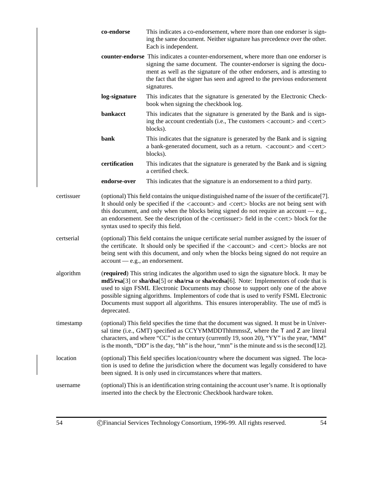|            | co-endorse                                                                                                                                                                                                                                                                                                                                                                                                                                                                   | This indicates a co-endorsement, where more than one endorser is sign-<br>ing the same document. Neither signature has precedence over the other.<br>Each is independent.                                                                                                                                                                                                                                                                                         |  |
|------------|------------------------------------------------------------------------------------------------------------------------------------------------------------------------------------------------------------------------------------------------------------------------------------------------------------------------------------------------------------------------------------------------------------------------------------------------------------------------------|-------------------------------------------------------------------------------------------------------------------------------------------------------------------------------------------------------------------------------------------------------------------------------------------------------------------------------------------------------------------------------------------------------------------------------------------------------------------|--|
|            |                                                                                                                                                                                                                                                                                                                                                                                                                                                                              | counter-endorse This indicates a counter-endorsement, where more than one endorser is<br>signing the same document. The counter-endorser is signing the docu-<br>ment as well as the signature of the other endorsers, and is attesting to<br>the fact that the signer has seen and agreed to the previous endorsement<br>signatures.                                                                                                                             |  |
|            | log-signature                                                                                                                                                                                                                                                                                                                                                                                                                                                                | This indicates that the signature is generated by the Electronic Check-<br>book when signing the checkbook log.                                                                                                                                                                                                                                                                                                                                                   |  |
|            | bankacct                                                                                                                                                                                                                                                                                                                                                                                                                                                                     | This indicates that the signature is generated by the Bank and is sign-<br>ing the account credentials (i.e., The customers <account> and <cert><br/>blocks).</cert></account>                                                                                                                                                                                                                                                                                    |  |
|            | bank                                                                                                                                                                                                                                                                                                                                                                                                                                                                         | This indicates that the signature is generated by the Bank and is signing<br>a bank-generated document, such as a return. <account> and <cert><br/>blocks).</cert></account>                                                                                                                                                                                                                                                                                      |  |
|            | certification                                                                                                                                                                                                                                                                                                                                                                                                                                                                | This indicates that the signature is generated by the Bank and is signing<br>a certified check.                                                                                                                                                                                                                                                                                                                                                                   |  |
|            | endorse-over                                                                                                                                                                                                                                                                                                                                                                                                                                                                 | This indicates that the signature is an endorsement to a third party.                                                                                                                                                                                                                                                                                                                                                                                             |  |
| certissuer | (optional) This field contains the unique distinguished name of the issuer of the certificate[7].<br>It should only be specified if the <account> and <cert> blocks are not being sent with<br/>this document, and only when the blocks being signed do not require an account <math>-e.g.,</math><br/>an endorsement. See the description of the <certissuer> field in the <cert> block for the<br/>syntax used to specify this field.</cert></certissuer></cert></account> |                                                                                                                                                                                                                                                                                                                                                                                                                                                                   |  |
| certserial |                                                                                                                                                                                                                                                                                                                                                                                                                                                                              | (optional) This field contains the unique certificate serial number assigned by the issuer of<br>the certificate. It should only be specified if the <account> and <cert> blocks are not<br/>being sent with this document, and only when the blocks being signed do not require an<br/>account — e.g., an endorsement.</cert></account>                                                                                                                          |  |
| algorithm  | deprecated.                                                                                                                                                                                                                                                                                                                                                                                                                                                                  | (required) This string indicates the algorithm used to sign the signature block. It may be<br>md5/rsa[3] or sha/dsa[5] or sha/rsa or sha/ecdsa[6]. Note: Implementors of code that is<br>used to sign FSML Electronic Documents may choose to support only one of the above<br>possible signing algorithms. Implementors of code that is used to verify FSML Electronic<br>Documents must support all algorithms. This ensures interoperablity. The use of md5 is |  |
| timestamp  |                                                                                                                                                                                                                                                                                                                                                                                                                                                                              | (optional) This field specifies the time that the document was signed. It must be in Univer-<br>sal time (i.e., GMT) specified as CCYYMMDDThhmmssZ, where the T and Z are literal<br>characters, and where "CC" is the century (currently 19, soon 20), "YY" is the year, "MM"<br>is the month, "DD" is the day, "hh" is the hour, "mm" is the minute and ss is the second[12].                                                                                   |  |
| location   |                                                                                                                                                                                                                                                                                                                                                                                                                                                                              | (optional) This field specifies location/country where the document was signed. The loca-<br>tion is used to define the jurisdiction where the document was legally considered to have<br>been signed. It is only used in circumstances where that matters.                                                                                                                                                                                                       |  |
| username   |                                                                                                                                                                                                                                                                                                                                                                                                                                                                              | (optional) This is an identification string containing the account user's name. It is optionally<br>inserted into the check by the Electronic Checkbook hardware token.                                                                                                                                                                                                                                                                                           |  |
|            |                                                                                                                                                                                                                                                                                                                                                                                                                                                                              |                                                                                                                                                                                                                                                                                                                                                                                                                                                                   |  |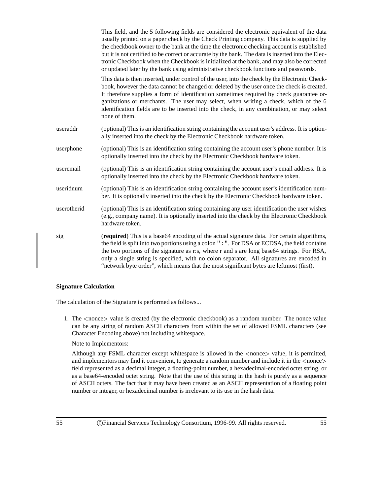|             | This field, and the 5 following fields are considered the electronic equivalent of the data<br>usually printed on a paper check by the Check Printing company. This data is supplied by<br>the checkbook owner to the bank at the time the electronic checking account is established<br>but it is not certified to be correct or accurate by the bank. The data is inserted into the Elec-<br>tronic Checkbook when the Checkbook is initialized at the bank, and may also be corrected<br>or updated later by the bank using administrative checkbook functions and passwords. |
|-------------|----------------------------------------------------------------------------------------------------------------------------------------------------------------------------------------------------------------------------------------------------------------------------------------------------------------------------------------------------------------------------------------------------------------------------------------------------------------------------------------------------------------------------------------------------------------------------------|
|             | This data is then inserted, under control of the user, into the check by the Electronic Check-<br>book, however the data cannot be changed or deleted by the user once the check is created.<br>It therefore supplies a form of identification sometimes required by check guarantee or-<br>ganizations or merchants. The user may select, when writing a check, which of the 6<br>identification fields are to be inserted into the check, in any combination, or may select<br>none of them.                                                                                   |
| useraddr    | (optional) This is an identification string containing the account user's address. It is option-<br>ally inserted into the check by the Electronic Checkbook hardware token.                                                                                                                                                                                                                                                                                                                                                                                                     |
| userphone   | (optional) This is an identification string containing the account user's phone number. It is<br>optionally inserted into the check by the Electronic Checkbook hardware token.                                                                                                                                                                                                                                                                                                                                                                                                  |
| useremail   | (optional) This is an identification string containing the account user's email address. It is<br>optionally inserted into the check by the Electronic Checkbook hardware token.                                                                                                                                                                                                                                                                                                                                                                                                 |
| useridnum   | (optional) This is an identification string containing the account user's identification num-<br>ber. It is optionally inserted into the check by the Electronic Checkbook hardware token.                                                                                                                                                                                                                                                                                                                                                                                       |
| userotherid | (optional) This is an identification string containing any user identification the user wishes<br>(e.g., company name). It is optionally inserted into the check by the Electronic Checkbook<br>hardware token.                                                                                                                                                                                                                                                                                                                                                                  |
| sig         | (required) This is a base64 encoding of the actual signature data. For certain algorithms,<br>the field is split into two portions using a colon ": ". For DSA or ECDSA, the field contains<br>the two portions of the signature as r:s, where r and s are long base64 strings. For RSA,<br>only a single string is specified, with no colon separator. All signatures are encoded in<br>"network byte order", which means that the most significant bytes are leftmost (first).                                                                                                 |

#### **Signature Calculation**

The calculation of the Signature is performed as follows...

1. The <sup>&</sup>lt;nonce<sup>&</sup>gt; value is created (by the electronic checkbook) as a random number. The nonce value can be any string of random ASCII characters from within the set of allowed FSML characters (see Character Encoding above) not including whitespace.

Note to Implementors:

Although any FSML character except whitespace is allowed in the <sup>&</sup>lt;nonce<sup>&</sup>gt; value, it is permitted, and implementors may find it convenient, to generate a random number and include it in the  $\langle$  nonce $\rangle$ field represented as a decimal integer, a floating-point number, a hexadecimal-encoded octet string, or as a base64-encoded octet string. Note that the use of this string in the hash is purely as a sequence of ASCII octets. The fact that it may have been created as an ASCII representation of a floating point number or integer, or hexadecimal number is irrelevant to its use in the hash data.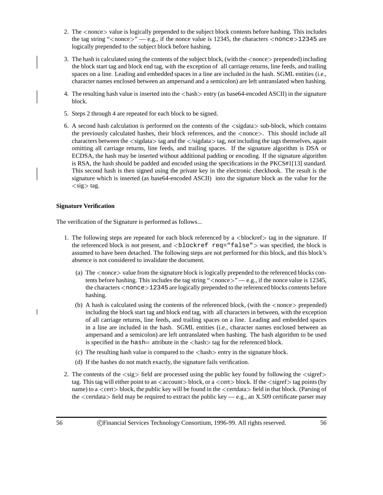- 2. The <sup>&</sup>lt;nonce<sup>&</sup>gt; value is logically prepended to the subject block contents before hashing. This includes the tag string " $\langle$  nonce $\rangle$ " — e.g., if the nonce value is 12345, the characters  $\langle$  nonce $\rangle$ 12345 are logically prepended to the subject block before hashing.
- 3. The hash is calculated using the contents of the subject block, (with the  $\leq$  nonce $\geq$  prepended) including the block start tag and block end tag, with the exception of all carriage returns, line feeds, and trailing spaces on a line. Leading and embedded spaces in a line are included in the hash. SGML entities (i.e., character names enclosed between an ampersand and a semicolon) are left untranslated when hashing.
- 4. The resulting hash value is inserted into the  $\langle$ hash $\rangle$  entry (as base64-encoded ASCII) in the signature block.
- 5. Steps 2 through 4 are repeated for each block to be signed.
- 6. A second hash calculation is performed on the contents of the <sup>&</sup>lt;sigdata<sup>&</sup>gt; sub-block, which contains the previously calculated hashes, their block references, and the <sup>&</sup>lt;nonce>. This should include all characters between the  $\langle$ sigdata $\rangle$  tag and the  $\langle$ /sigdata $\rangle$  tag, not including the tags themselves, again omitting all carriage returns, line feeds, and trailing spaces. If the signature algorithm is DSA or ECDSA, the hash may be inserted without additional padding or encoding. If the signature algorithm is RSA, the hash should be padded and encoded using the specifications in the PKCS#1[13] standard. This second hash is then signed using the private key in the electronic checkbook. The result is the signature which is inserted (as base64-encoded ASCII) into the signature block as the value for the  $<$ sig $>$  tag.

#### **Signature Verification**

The verification of the Signature is performed as follows...

- 1. The following steps are repeated for each block referenced by a  $\lt$ blockref $\gt$  tag in the signature. If the referenced block is not present, and  $\langle$ blockref req="false" $>$  was specified, the block is assumed to have been detached. The following steps are not performed for this block, and this block's absence is not considered to invalidate the document.
	- (a) The <sup>&</sup>lt;nonce<sup>&</sup>gt; value from the signature block is logically prepended to the referenced blocks contents before hashing. This includes the tag string " $\langle$ nonce $\rangle$ " — e.g., if the nonce value is 12345, the characters <nonce>12345 are logically prepended to the referenced blocks contents before hashing.
	- (b) A hash is calculated using the contents of the referenced block, (with the  $\langle$  nonce $\rangle$  prepended) including the block start tag and block end tag, with all characters in between, with the exception of all carriage returns, line feeds, and trailing spaces on a line. Leading and embedded spaces in a line are included in the hash. SGML entities (i.e., character names enclosed between an ampersand and a semicolon) are left untranslated when hashing. The hash algorithm to be used is specified in the hash  $=$  attribute in the  $\langle$  hash $\rangle$  tag for the referenced block.
	- (c) The resulting hash value is compared to the  $\langle \text{hash} \rangle$  entry in the signature block.
	- (d) If the hashes do not match exactly, the signature fails verification.
- 2. The contents of the  $\langle sig \rangle$  field are processed using the public key found by following the  $\langle sigref \rangle$ tag. This tag will either point to an  $\langle$  account $\rangle$  block, or a  $\langle$  cert $\rangle$  block. If the  $\langle$  sigref $\rangle$  tag points (by name) to a <sup>&</sup>lt;cert<sup>&</sup>gt; block, the public key will be found in the <sup>&</sup>lt;certdata<sup>&</sup>gt; field in that block. (Parsing of the  $\le$ certdata $>$  field may be required to extract the public key — e.g., an X.509 certificate parser may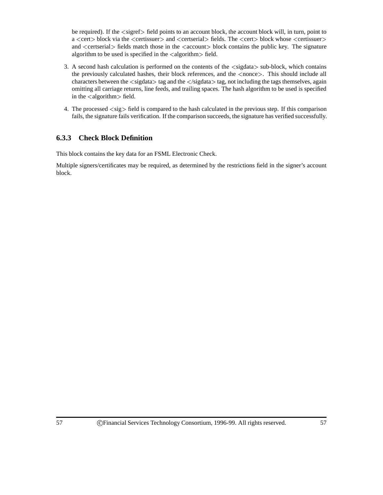be required). If the  $\langle$ sigref $\rangle$  field points to an account block, the account block will, in turn, point to a <sup>&</sup>lt;cert<sup>&</sup>gt; block via the <sup>&</sup>lt;certissuer<sup>&</sup>gt; and <sup>&</sup>lt;certserial<sup>&</sup>gt; fields. The <sup>&</sup>lt;cert<sup>&</sup>gt; block whose <sup>&</sup>lt;certissuer<sup>&</sup>gt; and <certserial> fields match those in the <account> block contains the public key. The signature algorithm to be used is specified in the  $\langle$ algorithm $\rangle$  field.

- 3. A second hash calculation is performed on the contents of the <sup>&</sup>lt;sigdata<sup>&</sup>gt; sub-block, which contains the previously calculated hashes, their block references, and the  $\langle$  nonce $\rangle$ . This should include all characters between the  $\langle$ sigdata $\rangle$  tag and the  $\langle$ /sigdata $\rangle$  tag, not including the tags themselves, again omitting all carriage returns, line feeds, and trailing spaces. The hash algorithm to be used is specified in the  $\langle$  algorithm $>\text{field}$ .
- 4. The processed <sup>&</sup>lt;sig<sup>&</sup>gt; field is compared to the hash calculated in the previous step. If this comparison fails, the signature fails verification. If the comparison succeeds, the signature has verified successfully.

## **6.3.3 Check Block Definition**

This block contains the key data for an FSML Electronic Check.

Multiple signers/certificates may be required, as determined by the restrictions field in the signer's account block.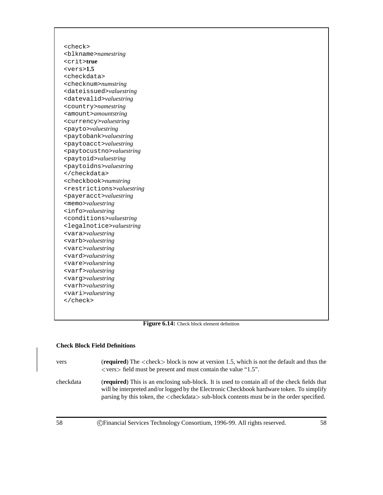<check> <blkname>*namestring* <crit>**true** <vers>**1.5** <checkdata> <checknum>*numstring* <dateissued>*valuestring* <datevalid>*valuestring* <country>*namestring* <amount>*amountstring* <currency>*valuestring* <payto>*valuestring* <paytobank>*valuestring* <paytoacct>*valuestring* <paytocustno>*valuestring* <paytoid>*valuestring* <paytoidns>*valuestring* </checkdata> <checkbook>*numstring* <restrictions>*valuestring* <payeracct>*valuestring* <memo>*valuestring* <info>*valuestring* <conditions>*valuestring* <legalnotice>*valuestring* <vara>*valuestring* <varb>*valuestring* <varc>*valuestring* <vard>*valuestring* <vare>*valuestring* <varf>*valuestring* <varg>*valuestring* <varh>*valuestring* <vari>*valuestring* </check>

**Figure 6.14:** Check block element definition

#### **Check Block Field Definitions**

- vers (**required**) The <sup>&</sup>lt;check<sup>&</sup>gt; block is now at version 1.5, which is not the default and thus the  $\langle \text{vers} \rangle$  field must be present and must contain the value "1.5".
- checkdata (**required**) This is an enclosing sub-block. It is used to contain all of the check fields that will be interpreted and/or logged by the Electronic Checkbook hardware token. To simplify parsing by this token, the <sup>&</sup>lt;checkdata<sup>&</sup>gt; sub-block contents must be in the order specified.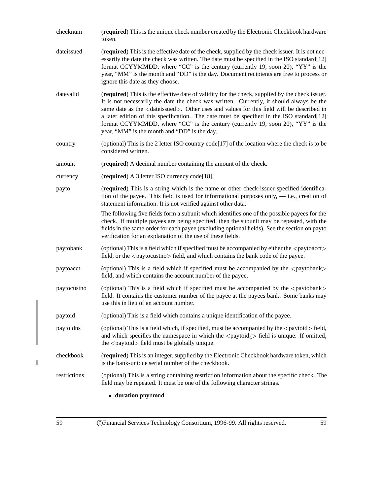| checknum     | (required) This is the unique check number created by the Electronic Checkbook hardware<br>token.                                                                                                                                                                                                                                                                                                                                                                                                                                      |
|--------------|----------------------------------------------------------------------------------------------------------------------------------------------------------------------------------------------------------------------------------------------------------------------------------------------------------------------------------------------------------------------------------------------------------------------------------------------------------------------------------------------------------------------------------------|
| dateissued   | (required) This is the effective date of the check, supplied by the check issuer. It is not nec-<br>essarily the date the check was written. The date must be specified in the ISO standard [12]<br>format CCYYMMDD, where "CC" is the century (currently 19, soon 20), "YY" is the<br>year, "MM" is the month and "DD" is the day. Document recipients are free to process or<br>ignore this date as they choose.                                                                                                                     |
| datevalid    | (required) This is the effective date of validity for the check, supplied by the check issuer.<br>It is not necessarily the date the check was written. Currently, it should always be the<br>same date as the <dateissued>. Other uses and values for this field will be described in<br/>a later edition of this specification. The date must be specified in the ISO standard[12]<br/>format CCYYMMDD, where "CC" is the century (currently 19, soon 20), "YY" is the<br/>year, "MM" is the month and "DD" is the day.</dateissued> |
| country      | (optional) This is the 2 letter ISO country code[17] of the location where the check is to be<br>considered written.                                                                                                                                                                                                                                                                                                                                                                                                                   |
| amount       | (required) A decimal number containing the amount of the check.                                                                                                                                                                                                                                                                                                                                                                                                                                                                        |
| currency     | (required) A 3 letter ISO currency code[18].                                                                                                                                                                                                                                                                                                                                                                                                                                                                                           |
| payto        | (required) This is a string which is the name or other check-issuer specified identifica-<br>tion of the payee. This field is used for informational purposes only, $-$ i.e., creation of<br>statement information. It is not verified against other data.                                                                                                                                                                                                                                                                             |
|              | The following five fields form a subunit which identifies one of the possible payees for the<br>check. If multiple payees are being specified, then the subunit may be repeated, with the<br>fields in the same order for each payee (excluding optional fields). See the section on payto<br>verification for an explanation of the use of these fields.                                                                                                                                                                              |
| paytobank    | (optional) This is a field which if specified must be accompanied by either the <paytoacct><br/>field, or the <paytocustno> field, and which contains the bank code of the payee.</paytocustno></paytoacct>                                                                                                                                                                                                                                                                                                                            |
| paytoacct    | (optional) This is a field which if specified must be accompanied by the <paytobank><br/>field, and which contains the account number of the payee.</paytobank>                                                                                                                                                                                                                                                                                                                                                                        |
| paytocustno  | (optional) This is a field which if specified must be accompanied by the <paytobank><br/>field. It contains the customer number of the payee at the payees bank. Some banks may<br/>use this in lieu of an account number.</paytobank>                                                                                                                                                                                                                                                                                                 |
| paytoid      | (optional) This is a field which contains a unique identification of the payee.                                                                                                                                                                                                                                                                                                                                                                                                                                                        |
| paytoidns    | (optional) This is a field which, if specified, must be accompanied by the $\langle$ paytoid $\rangle$ field,<br>and which specifies the namespace in which the $\langle$ paytoid $\rangle$ field is unique. If omitted,<br>the <paytoid> field must be globally unique.</paytoid>                                                                                                                                                                                                                                                     |
| checkbook    | (required) This is an integer, supplied by the Electronic Checkbook hardware token, which<br>is the bank-unique serial number of the checkbook.                                                                                                                                                                                                                                                                                                                                                                                        |
| restrictions | (optional) This is a string containing restriction information about the specific check. The<br>field may be repeated. It must be one of the following character strings.                                                                                                                                                                                                                                                                                                                                                              |
|              | • duration pnynmnd                                                                                                                                                                                                                                                                                                                                                                                                                                                                                                                     |

59 CFinancial Services Technology Consortium, 1996-99. All rights reserved. 59

 $\bar{\mathbb{I}}$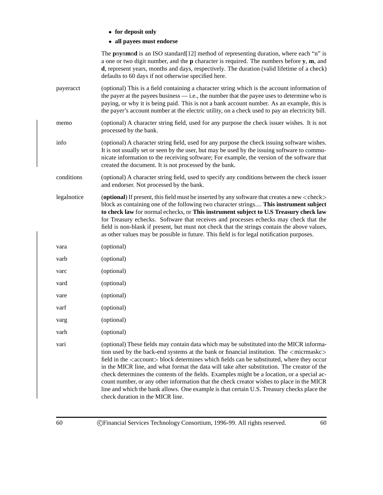|  |  | • for deposit only |  |
|--|--|--------------------|--|
|--|--|--------------------|--|

**all payees must endorse**

The **p**n**y**n**m**n**d** is an ISO standard[12] method of representing duration, where each "n" is a one or two digit number, and the **p** character is required. The numbers before **y**, **m**, and **d**, represent years, months and days, respectively. The duration (valid lifetime of a check) defaults to 60 days if not otherwise specified here. payeracct (optional) This is a field containing a character string which is the account information of the payer at the payees business — i.e., the number that the payee uses to determine who is paying, or why it is being paid. This is not a bank account number. As an example, this is the payer's account number at the electric utility, on a check used to pay an electricity bill. memo (optional) A character string field, used for any purpose the check issuer wishes. It is not processed by the bank. info (optional) A character string field, used for any purpose the check issuing software wishes. It is not usually set or seen by the user, but may be used by the issuing software to communicate information to the receiving software; For example, the version of the software that created the document. It is not processed by the bank. conditions (optional) A character string field, used to specify any conditions between the check issuer and endorser. Not processed by the bank. legalnotice (**optional**) If present, this field must be inserted by any software that creates a new  $\langle$ check $\rangle$ block as containing one of the following two character strings.... **This instrument subject to check law** for normal echecks, or **This instrument subject to U.S Treasury check law** for Treasury echecks. Software that receives and processes echecks may check that the field is non-blank if present, but must not check that the strings contain the above values, as other values may be possible in future. This field is for legal notification purposes. vara (optional) varb (optional) varc (optional) vard (optional) vare (optional) varf (optional) varg (optional) varh (optional) vari (optional) These fields may contain data which may be substituted into the MICR information used by the back-end systems at the bank or financial institution. The  $\langle$  micrmaskc $\rangle$ field in the  $\leq$  account  $\geq$  block determines which fields can be substituted, where they occur in the MICR line, and what format the data will take after substitution. The creator of the check determines the contents of the fields. Examples might be a location, or a special account number, or any other information that the check creator wishes to place in the MICR line and which the bank allows. One example is that certain U.S. Treasury checks place the check duration in the MICR line.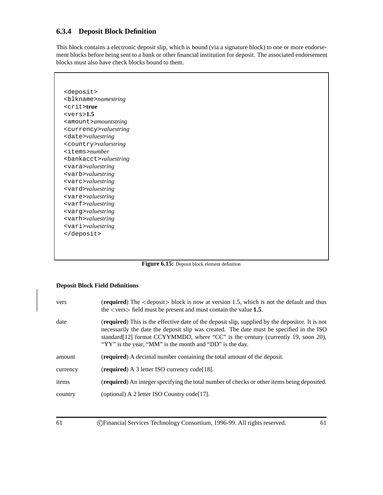## **6.3.4 Deposit Block Definition**

This block contains a electronic deposit slip, which is bound (via a signature block) to one or more endorsement blocks before being sent to a bank or other financial institution for deposit. The associated endorsement blocks must also have check blocks bound to them.

<deposit> <blkname>*namestring* <crit>**true** <vers>**1.5** <amount>*amountstring* <currency>*valuestring* <date>*valuestring* <country>*valuestring* <items>*number* <bankacct>*valuestring* <vara>*valuestring* <varb>*valuestring* <varc>*valuestring* <vard>*valuestring* <vare>*valuestring* <varf>*valuestring* <varg>*valuestring* <varh>*valuestring* <vari>*valuestring* </deposit>

**Figure 6.15:** Deposit block element definition

#### **Deposit Block Field Definitions**

| vers     | (required) The <deposit> block is now at version 1.5, which is not the default and thus<br/>the <math>\langle \text{vers} \rangle</math> field must be present and must contain the value 1.5.</deposit>                                                                                                                                           |
|----------|----------------------------------------------------------------------------------------------------------------------------------------------------------------------------------------------------------------------------------------------------------------------------------------------------------------------------------------------------|
| date     | <b>(required)</b> This is the effective date of the deposit slip, supplied by the depositor. It is not<br>necessarily the date the deposit slip was created. The date must be specified in the ISO<br>standard[12] format CCYYMMDD, where "CC" is the century (currently 19, soon 20),<br>"YY" is the year, "MM" is the month and "DD" is the day. |
| amount   | (required) A decimal number containing the total amount of the deposit.                                                                                                                                                                                                                                                                            |
| currency | (required) A 3 letter ISO currency code [18].                                                                                                                                                                                                                                                                                                      |
| items    | <b>(required)</b> An integer specifying the total number of checks or other items being deposited.                                                                                                                                                                                                                                                 |
| country  | (optional) A 2 letter ISO Country code [17].                                                                                                                                                                                                                                                                                                       |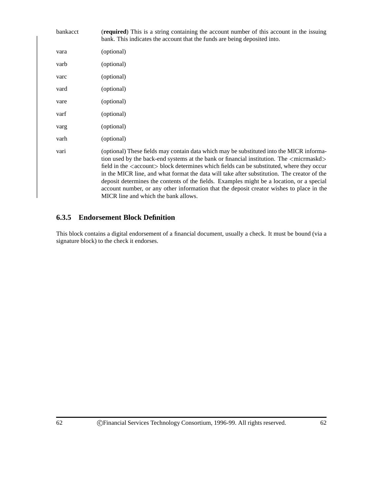| bankacct | (required) This is a string containing the account number of this account in the issuing<br>bank. This indicates the account that the funds are being deposited into.                                                                                                                                                                                                                                                                                                                                                                                                                                                                         |
|----------|-----------------------------------------------------------------------------------------------------------------------------------------------------------------------------------------------------------------------------------------------------------------------------------------------------------------------------------------------------------------------------------------------------------------------------------------------------------------------------------------------------------------------------------------------------------------------------------------------------------------------------------------------|
| vara     | (optional)                                                                                                                                                                                                                                                                                                                                                                                                                                                                                                                                                                                                                                    |
| varb     | (optional)                                                                                                                                                                                                                                                                                                                                                                                                                                                                                                                                                                                                                                    |
| varc     | (optional)                                                                                                                                                                                                                                                                                                                                                                                                                                                                                                                                                                                                                                    |
| vard     | (optional)                                                                                                                                                                                                                                                                                                                                                                                                                                                                                                                                                                                                                                    |
| vare     | (optional)                                                                                                                                                                                                                                                                                                                                                                                                                                                                                                                                                                                                                                    |
| varf     | (optional)                                                                                                                                                                                                                                                                                                                                                                                                                                                                                                                                                                                                                                    |
| varg     | (optional)                                                                                                                                                                                                                                                                                                                                                                                                                                                                                                                                                                                                                                    |
| varh     | (optional)                                                                                                                                                                                                                                                                                                                                                                                                                                                                                                                                                                                                                                    |
| vari     | (optional) These fields may contain data which may be substituted into the MICR informa-<br>tion used by the back-end systems at the bank or financial institution. The <micromaskd><br/>field in the <account> block determines which fields can be substituted, where they occur<br/>in the MICR line, and what format the data will take after substitution. The creator of the<br/>deposit determines the contents of the fields. Examples might be a location, or a special<br/>account number, or any other information that the deposit creator wishes to place in the<br/>MICR line and which the bank allows.</account></micromaskd> |

## **6.3.5 Endorsement Block Definition**

This block contains a digital endorsement of a financial document, usually a check. It must be bound (via a signature block) to the check it endorses.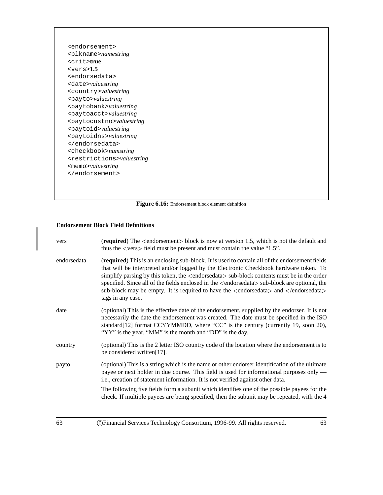<endorsement> <blkname>*namestring* <crit>**true** <vers>**1.5** <endorsedata> <date>*valuestring* <country>*valuestring* <payto>*valuestring* <paytobank>*valuestring* <paytoacct>*valuestring* <paytocustno>*valuestring* <paytoid>*valuestring* <paytoidns>*valuestring* </endorsedata> <checkbook>*numstring* <restrictions>*valuestring* <memo>*valuestring* </endorsement>



#### **Endorsement Block Field Definitions**

| vers        | (required) The <endorsement> block is now at version 1.5, which is not the default and<br/>thus the <math>\langle \text{vers} \rangle</math> field must be present and must contain the value "1.5".</endorsement>                                                                                                                                                                                                                                                                                                              |  |
|-------------|---------------------------------------------------------------------------------------------------------------------------------------------------------------------------------------------------------------------------------------------------------------------------------------------------------------------------------------------------------------------------------------------------------------------------------------------------------------------------------------------------------------------------------|--|
| endorsedata | (required) This is an enclosing sub-block. It is used to contain all of the endorsement fields<br>that will be interpreted and/or logged by the Electronic Checkbook hardware token. To<br>simplify parsing by this token, the <endorsedata> sub-block contents must be in the order<br/>specified. Since all of the fields enclosed in the <endorsedata> sub-block are optional, the<br/>sub-block may be empty. It is required to have the <endorsedata> and </endorsedata><br/>tags in any case.</endorsedata></endorsedata> |  |
| date        | (optional) This is the effective date of the endorsement, supplied by the endorser. It is not<br>necessarily the date the endorsement was created. The date must be specified in the ISO<br>standard[12] format CCYYMMDD, where "CC" is the century (currently 19, soon 20),<br>"YY" is the year, "MM" is the month and "DD" is the day.                                                                                                                                                                                        |  |
| country     | (optional) This is the 2 letter ISO country code of the location where the endorsement is to<br>be considered written[17].                                                                                                                                                                                                                                                                                                                                                                                                      |  |
| payto       | (optional) This is a string which is the name or other endorser identification of the ultimate<br>payee or next holder in due course. This field is used for informational purposes only —<br>i.e., creation of statement information. It is not verified against other data.                                                                                                                                                                                                                                                   |  |
|             | The following five fields form a subunit which identifies one of the possible payees for the<br>check. If multiple payees are being specified, then the subunit may be repeated, with the 4                                                                                                                                                                                                                                                                                                                                     |  |
| 63          | C) Financial Services Technology Consortium, 1996-99. All rights reserved.<br>63                                                                                                                                                                                                                                                                                                                                                                                                                                                |  |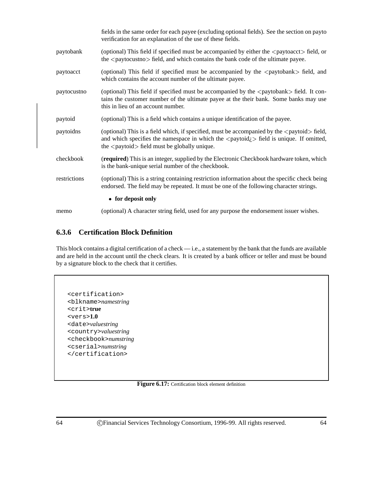|              | fields in the same order for each payee (excluding optional fields). See the section on payto<br>verification for an explanation of the use of these fields.                                                                                                                                                                    |
|--------------|---------------------------------------------------------------------------------------------------------------------------------------------------------------------------------------------------------------------------------------------------------------------------------------------------------------------------------|
| paytobank    | (optional) This field if specified must be accompanied by either the <paytoacct> field, or<br/>the <paytocustno> field, and which contains the bank code of the ultimate payee.</paytocustno></paytoacct>                                                                                                                       |
| paytoacct    | (optional) This field if specified must be accompanied by the <paytobank> field, and<br/>which contains the account number of the ultimate payee.</paytobank>                                                                                                                                                                   |
| paytocustno  | (optional) This field if specified must be accompanied by the <paytobank> field. It con-<br/>tains the customer number of the ultimate payee at the their bank. Some banks may use<br/>this in lieu of an account number.</paytobank>                                                                                           |
| paytoid      | (optional) This is a field which contains a unique identification of the payee.                                                                                                                                                                                                                                                 |
| paytoidns    | (optional) This is a field which, if specified, must be accompanied by the <paytoid> field,<br/>and which specifies the namespace in which the <math>\langle</math> paytoid<math>\rangle</math>. field is unique. If omitted,<br/>the <math>\langle</math> paytoid<math>\rangle</math> field must be globally unique.</paytoid> |
| checkbook    | <b>(required)</b> This is an integer, supplied by the Electronic Checkbook hardware token, which<br>is the bank-unique serial number of the checkbook.                                                                                                                                                                          |
| restrictions | (optional) This is a string containing restriction information about the specific check being<br>endorsed. The field may be repeated. It must be one of the following character strings.                                                                                                                                        |
|              | • for deposit only                                                                                                                                                                                                                                                                                                              |
| memo         | (optional) A character string field, used for any purpose the endorsement issuer wishes.                                                                                                                                                                                                                                        |

## **6.3.6 Certification Block Definition**

This block contains a digital certification of a check — i.e., a statement by the bank that the funds are available and are held in the account until the check clears. It is created by a bank officer or teller and must be bound by a signature block to the check that it certifies.

<certification> <blkname>*namestring* <crit>**true** <vers>**1.0** <date>*valuestring* <country>*valuestring* <checkbook>*numstring* <cserial>*numstring* </certification>

Figure 6.17: Certification block element definition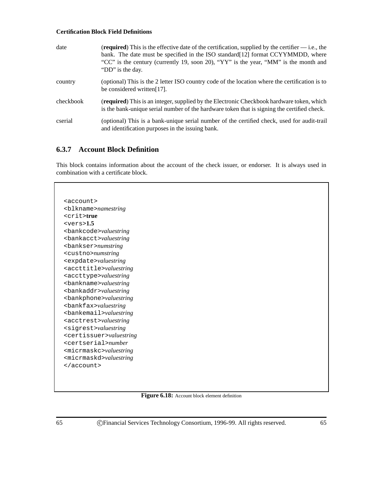#### **Certification Block Field Definitions**

| date      | ( <b>required</b> ) This is the effective date of the certification, supplied by the certifier $\frac{d}{dx}$ i.e., the<br>bank. The date must be specified in the ISO standard [12] format CCYYMMDD, where<br>"CC" is the century (currently 19, soon 20), "YY" is the year, "MM" is the month and<br>"DD" is the day. |
|-----------|-------------------------------------------------------------------------------------------------------------------------------------------------------------------------------------------------------------------------------------------------------------------------------------------------------------------------|
| country   | (optional) This is the 2 letter ISO country code of the location where the certification is to<br>be considered written [17].                                                                                                                                                                                           |
| checkbook | <b>(required)</b> This is an integer, supplied by the Electronic Checkbook hardware token, which<br>is the bank-unique serial number of the hardware token that is signing the certified check.                                                                                                                         |
| cserial   | (optional) This is a bank-unique serial number of the certified check, used for audit-trail<br>and identification purposes in the issuing bank.                                                                                                                                                                         |

## **6.3.7 Account Block Definition**

This block contains information about the account of the check issuer, or endorser. It is always used in combination with a certificate block.

<account> <blkname>*namestring* <crit>**true** <vers>**1.5** <bankcode>*valuestring* <bankacct>*valuestring* <bankser>*numstring* <custno>*numstring* <expdate>*valuestring* <accttitle>*valuestring* <accttype>*valuestring* <bankname>*valuestring* <bankaddr>*valuestring* <bankphone>*valuestring* <bankfax>*valuestring* <bankemail>*valuestring* <acctrest>*valuestring* <sigrest>*valuestring* <certissuer>*valuestring* <certserial>*number* <micrmaskc>*valuestring* <micrmaskd>*valuestring* </account>

#### **Figure 6.18:** Account block element definition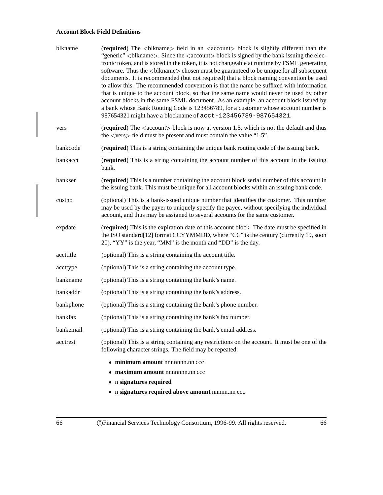### **Account Block Field Definitions**

| blkname   | (required) The<br>blkname> field in an <account> block is slightly different than the<br/>"generic" <br/>blkname&gt;. Since the <account> block is signed by the bank issuing the elec-<br/>tronic token, and is stored in the token, it is not changeable at runtime by FSML generating<br/>software. Thus the <br>blkname&gt; chosen must be guaranteed to be unique for all subsequent<br/>documents. It is recommended (but not required) that a block naming convention be used<br/>to allow this. The recommended convention is that the name be suffixed with information<br>that is unique to the account block, so that the same name would never be used by other<br/>account blocks in the same FSML document. As an example, an account block issued by<br/>a bank whose Bank Routing Code is 123456789, for a customer whose account number is<br/>987654321 might have a blockname of acct-123456789-987654321.</br></br></account></account> |
|-----------|-------------------------------------------------------------------------------------------------------------------------------------------------------------------------------------------------------------------------------------------------------------------------------------------------------------------------------------------------------------------------------------------------------------------------------------------------------------------------------------------------------------------------------------------------------------------------------------------------------------------------------------------------------------------------------------------------------------------------------------------------------------------------------------------------------------------------------------------------------------------------------------------------------------------------------------------------------------|
| vers      | (required) The <account> block is now at version 1.5, which is not the default and thus<br/>the <math>\langle \text{vers} \rangle</math> field must be present and must contain the value "1.5".</account>                                                                                                                                                                                                                                                                                                                                                                                                                                                                                                                                                                                                                                                                                                                                                  |
| bankcode  | (required) This is a string containing the unique bank routing code of the issuing bank.                                                                                                                                                                                                                                                                                                                                                                                                                                                                                                                                                                                                                                                                                                                                                                                                                                                                    |
| bankacct  | (required) This is a string containing the account number of this account in the issuing<br>bank.                                                                                                                                                                                                                                                                                                                                                                                                                                                                                                                                                                                                                                                                                                                                                                                                                                                           |
| bankser   | (required) This is a number containing the account block serial number of this account in<br>the issuing bank. This must be unique for all account blocks within an issuing bank code.                                                                                                                                                                                                                                                                                                                                                                                                                                                                                                                                                                                                                                                                                                                                                                      |
| custno    | (optional) This is a bank-issued unique number that identifies the customer. This number<br>may be used by the payer to uniquely specify the payee, without specifying the individual<br>account, and thus may be assigned to several accounts for the same customer.                                                                                                                                                                                                                                                                                                                                                                                                                                                                                                                                                                                                                                                                                       |
| expdate   | (required) This is the expiration date of this account block. The date must be specified in<br>the ISO standard [12] format CCYYMMDD, where "CC" is the century (currently 19, soon<br>20), "YY" is the year, "MM" is the month and "DD" is the day.                                                                                                                                                                                                                                                                                                                                                                                                                                                                                                                                                                                                                                                                                                        |
| accttitle | (optional) This is a string containing the account title.                                                                                                                                                                                                                                                                                                                                                                                                                                                                                                                                                                                                                                                                                                                                                                                                                                                                                                   |
| accttype  | (optional) This is a string containing the account type.                                                                                                                                                                                                                                                                                                                                                                                                                                                                                                                                                                                                                                                                                                                                                                                                                                                                                                    |
| bankname  | (optional) This is a string containing the bank's name.                                                                                                                                                                                                                                                                                                                                                                                                                                                                                                                                                                                                                                                                                                                                                                                                                                                                                                     |
| bankaddr  | (optional) This is a string containing the bank's address.                                                                                                                                                                                                                                                                                                                                                                                                                                                                                                                                                                                                                                                                                                                                                                                                                                                                                                  |
| bankphone | (optional) This is a string containing the bank's phone number.                                                                                                                                                                                                                                                                                                                                                                                                                                                                                                                                                                                                                                                                                                                                                                                                                                                                                             |
| bankfax   | (optional) This is a string containing the bank's fax number.                                                                                                                                                                                                                                                                                                                                                                                                                                                                                                                                                                                                                                                                                                                                                                                                                                                                                               |
| bankemail | (optional) This is a string containing the bank's email address.                                                                                                                                                                                                                                                                                                                                                                                                                                                                                                                                                                                                                                                                                                                                                                                                                                                                                            |
| acctrest  | (optional) This is a string containing any restrictions on the account. It must be one of the<br>following character strings. The field may be repeated.                                                                                                                                                                                                                                                                                                                                                                                                                                                                                                                                                                                                                                                                                                                                                                                                    |
|           | • minimum amount nnnnnnn.nn ccc                                                                                                                                                                                                                                                                                                                                                                                                                                                                                                                                                                                                                                                                                                                                                                                                                                                                                                                             |
|           | $\bullet$ maximum amount nnnnnnn.nn $ccc$                                                                                                                                                                                                                                                                                                                                                                                                                                                                                                                                                                                                                                                                                                                                                                                                                                                                                                                   |
|           | • n signatures required                                                                                                                                                                                                                                                                                                                                                                                                                                                                                                                                                                                                                                                                                                                                                                                                                                                                                                                                     |
|           | • n signatures required above amount nnnnn.nn ccc                                                                                                                                                                                                                                                                                                                                                                                                                                                                                                                                                                                                                                                                                                                                                                                                                                                                                                           |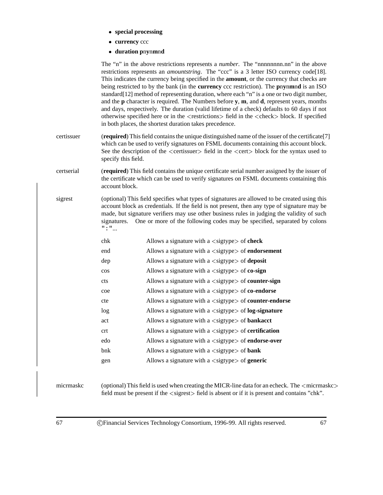- **special processing**
- **currency** ccc
- **duration p**n**y**n**m**n**d**

|            |                              | The "n" in the above restrictions represents a <i>number</i> . The "nnnnnnnn.nn" in the above<br>restrictions represents an <i>amountstring</i> . The "ccc" is a 3 letter ISO currency code[18].<br>This indicates the currency being specified in the <b>amount</b> , or the currency that checks are<br>being restricted to by the bank (in the <b>currency</b> ccc restriction). The <b>pnynmnd</b> is an ISO<br>standard[12] method of representing duration, where each "n" is a one or two digit number,<br>and the <b>p</b> character is required. The Numbers before <b>y</b> , <b>m</b> , and <b>d</b> , represent years, months<br>and days, respectively. The duration (valid lifetime of a check) defaults to 60 days if not<br>otherwise specified here or in the <restrictions> field in the <check> block. If specified<br/>in both places, the shortest duration takes precedence.</check></restrictions> |
|------------|------------------------------|---------------------------------------------------------------------------------------------------------------------------------------------------------------------------------------------------------------------------------------------------------------------------------------------------------------------------------------------------------------------------------------------------------------------------------------------------------------------------------------------------------------------------------------------------------------------------------------------------------------------------------------------------------------------------------------------------------------------------------------------------------------------------------------------------------------------------------------------------------------------------------------------------------------------------|
| certissuer | specify this field.          | (required) This field contains the unique distinguished name of the issuer of the certificate[7]<br>which can be used to verify signatures on FSML documents containing this account block.<br>See the description of the <certissuer> field in the <cert> block for the syntax used to</cert></certissuer>                                                                                                                                                                                                                                                                                                                                                                                                                                                                                                                                                                                                               |
| certserial | account block.               | (required) This field contains the unique certificate serial number assigned by the issuer of<br>the certificate which can be used to verify signatures on FSML documents containing this                                                                                                                                                                                                                                                                                                                                                                                                                                                                                                                                                                                                                                                                                                                                 |
| sigrest    | $\text{``}: \text{''} \dots$ | (optional) This field specifies what types of signatures are allowed to be created using this<br>account block as credentials. If the field is not present, then any type of signature may be<br>made, but signature verifiers may use other business rules in judging the validity of such<br>signatures. One or more of the following codes may be specified, separated by colons                                                                                                                                                                                                                                                                                                                                                                                                                                                                                                                                       |
|            | chk                          | Allows a signature with a $\langle$ sigtype $\rangle$ of check                                                                                                                                                                                                                                                                                                                                                                                                                                                                                                                                                                                                                                                                                                                                                                                                                                                            |
|            | end                          | Allows a signature with $a <$ sigtype $>$ of endorsement                                                                                                                                                                                                                                                                                                                                                                                                                                                                                                                                                                                                                                                                                                                                                                                                                                                                  |
|            | dep                          | Allows a signature with a $\langle$ sigtype $\rangle$ of <b>deposit</b>                                                                                                                                                                                                                                                                                                                                                                                                                                                                                                                                                                                                                                                                                                                                                                                                                                                   |
|            | $\cos$                       | Allows a signature with a $\langle$ sigtype $\rangle$ of <b>co-sign</b>                                                                                                                                                                                                                                                                                                                                                                                                                                                                                                                                                                                                                                                                                                                                                                                                                                                   |
|            | cts                          | Allows a signature with a $\langle$ sigtype $\rangle$ of <b>counter-sign</b>                                                                                                                                                                                                                                                                                                                                                                                                                                                                                                                                                                                                                                                                                                                                                                                                                                              |
|            | coe                          | Allows a signature with a $\langle$ sigtype $\rangle$ of <b>co-endorse</b>                                                                                                                                                                                                                                                                                                                                                                                                                                                                                                                                                                                                                                                                                                                                                                                                                                                |
|            | cte                          | Allows a signature with a $\langle$ sigtype $\rangle$ of <b>counter-endorse</b>                                                                                                                                                                                                                                                                                                                                                                                                                                                                                                                                                                                                                                                                                                                                                                                                                                           |
|            | log                          | Allows a signature with $a <$ sigtype $>$ of log-signature                                                                                                                                                                                                                                                                                                                                                                                                                                                                                                                                                                                                                                                                                                                                                                                                                                                                |
|            | act                          | Allows a signature with a $\langle$ sigtype $\rangle$ of <b>bankacct</b>                                                                                                                                                                                                                                                                                                                                                                                                                                                                                                                                                                                                                                                                                                                                                                                                                                                  |
|            | crt                          | Allows a signature with $a <$ sigtype $>$ of <b>certification</b>                                                                                                                                                                                                                                                                                                                                                                                                                                                                                                                                                                                                                                                                                                                                                                                                                                                         |
|            | edo                          | Allows a signature with a $\langle$ sigtype $\rangle$ of <b>endorse-over</b>                                                                                                                                                                                                                                                                                                                                                                                                                                                                                                                                                                                                                                                                                                                                                                                                                                              |
|            | bnk                          | Allows a signature with a $\langle$ sigtype $\rangle$ of <b>bank</b>                                                                                                                                                                                                                                                                                                                                                                                                                                                                                                                                                                                                                                                                                                                                                                                                                                                      |
|            | gen                          | Allows a signature with a $\langle$ sigtype $\rangle$ of <b>generic</b>                                                                                                                                                                                                                                                                                                                                                                                                                                                                                                                                                                                                                                                                                                                                                                                                                                                   |
| micrmaskc  |                              | (optional) This field is used when creating the MICR-line data for an echeck. The $\langle$ micrmaskc><br>field must be present if the $\langle$ sigrest $\rangle$ field is absent or if it is present and contains "chk".                                                                                                                                                                                                                                                                                                                                                                                                                                                                                                                                                                                                                                                                                                |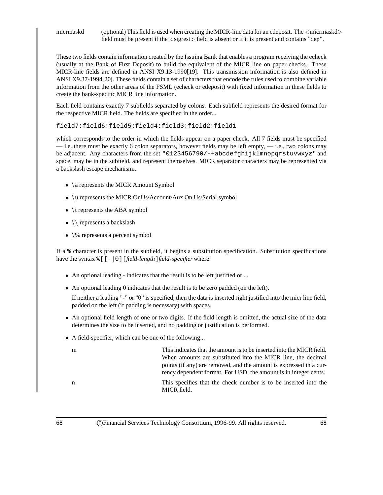micrmaskd (optional) This field is used when creating the MICR-line data for an edeposit. The  $\langle$ micrmaskd $\rangle$ field must be present if the  $\langle$  sigrest $\rangle$  field is absent or if it is present and contains "dep".

These two fields contain information created by the Issuing Bank that enables a program receiving the echeck (usually at the Bank of First Deposit) to build the equivalent of the MICR line on paper checks. These MICR-line fields are defined in ANSI X9.13-1990[19]. This transmission information is also defined in ANSI X9.37-1994[20]. These fields contain a set of characters that encode the rules used to combine variable information from the other areas of the FSML (echeck or edeposit) with fixed information in these fields to create the bank-specific MICR line information.

Each field contains exactly 7 subfields separated by colons. Each subfield represents the desired format for the respective MICR field. The fields are specified in the order...

field7:field6:field5:field4:field3:field2:field1

which corresponds to the order in which the fields appear on a paper check. All 7 fields must be specified — i.e.,there must be exactly 6 colon separators, however fields may be left empty, — i.e., two colons may be adjacent. Any characters from the set "0123456790/-+abcdefghijklmnopqrstuvwxyz" and space, may be in the subfield, and represent themselves. MICR separator characters may be represented via a backslash escape mechanism...

- $\bullet$  \a represents the MICR Amount Symbol
- \u represents the MICR OnUs/Account/Aux On Us/Serial symbol
- $\bullet$  \t represents the ABA symbol
- $\setminus$  represents a backslash
- $\%$  represents a percent symbol

If a % character is present in the subfield, it begins a substitution specification. Substitution specifications have the syntax %[[-|0][*field-length*]*field-specifier* where:

- An optional leading indicates that the result is to be left justified or ...
- An optional leading 0 indicates that the result is to be zero padded (on the left).

If neither a leading "-" or "0" is specified, then the data is inserted right justified into the micr line field, padded on the left (if padding is necessary) with spaces.

- An optional field length of one or two digits. If the field length is omitted, the actual size of the data determines the size to be inserted, and no padding or justification is performed.
- A field-specifier, which can be one of the following...

| m | This indicates that the amount is to be inserted into the MICR field.          |
|---|--------------------------------------------------------------------------------|
|   | When amounts are substituted into the MICR line, the decimal                   |
|   | points (if any) are removed, and the amount is expressed in a cur-             |
|   | rency dependent format. For USD, the amount is in integer cents.               |
| n | This specifies that the check number is to be inserted into the<br>MICR field. |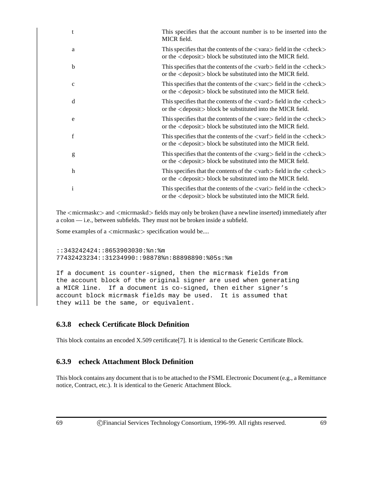|             | This specifies that the account number is to be inserted into the<br>MICR field.                                                                                                                  |
|-------------|---------------------------------------------------------------------------------------------------------------------------------------------------------------------------------------------------|
| a           | This specifies that the contents of the $\langle \text{vara} \rangle$ field in the $\langle \text{check} \rangle$<br>or the <deposit> block be substituted into the MICR field.</deposit>         |
| b           | This specifies that the contents of the $\langle \text{varb} \rangle$ field in the $\langle \text{check} \rangle$<br>or the $\langle$ deposit $\rangle$ block be substituted into the MICR field. |
| $\mathbf c$ | This specifies that the contents of the $\langle \text{var} \rangle$ field in the $\langle \text{check} \rangle$<br>or the $\langle$ deposit $\rangle$ block be substituted into the MICR field.  |
| d           | This specifies that the contents of the $\langle \text{vard}\rangle$ field in the $\langle \text{check}\rangle$<br>or the <deposit> block be substituted into the MICR field.</deposit>           |
| e           | This specifies that the contents of the $\langle$ vare $\rangle$ field in the $\langle$ check $\rangle$<br>or the <deposit> block be substituted into the MICR field.</deposit>                   |
| f           | This specifies that the contents of the $\langle \text{varf} \rangle$ field in the $\langle \text{check} \rangle$<br>or the $\langle$ deposit $\rangle$ block be substituted into the MICR field. |
| g           | This specifies that the contents of the $\langle \text{varg}\rangle$ field in the $\langle \text{check}\rangle$<br>or the <deposit> block be substituted into the MICR field.</deposit>           |
| h           | This specifies that the contents of the $\langle \text{var} \rangle$ field in the $\langle \text{check} \rangle$<br>or the <deposit> block be substituted into the MICR field.</deposit>          |
| 1           | This specifies that the contents of the $\langle \text{vari}\rangle$ field in the $\langle \text{check}\rangle$<br>or the $\langle$ deposit $\rangle$ block be substituted into the MICR field.   |

The  $\leq$ micrmaskc $>$  and  $\leq$ micrmaskd $>$  fields may only be broken (have a newline inserted) immediately after a colon — i.e., between subfields. They must not be broken inside a subfield.

Some examples of a <micrmaskc> specification would be....

```
::343242424::8653903030:%n:%m
77432423234::31234990::98878%n:88898890:%05s:%m
```
If a document is counter-signed, then the micrmask fields from the account block of the original signer are used when generating a MICR line. If a document is co-signed, then either signer's account block micrmask fields may be used. It is assumed that they will be the same, or equivalent.

### **6.3.8 echeck Certificate Block Definition**

This block contains an encoded X.509 certificate[7]. It is identical to the Generic Certificate Block.

### **6.3.9 echeck Attachment Block Definition**

This block contains any document that is to be attached to the FSML Electronic Document (e.g., a Remittance notice, Contract, etc.). It is identical to the Generic Attachment Block.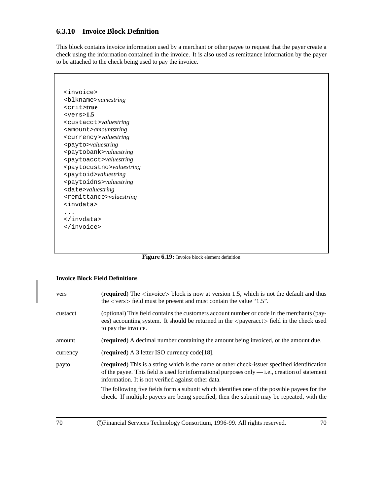## **6.3.10 Invoice Block Definition**

This block contains invoice information used by a merchant or other payee to request that the payer create a check using the information contained in the invoice. It is also used as remittance information by the payer to be attached to the check being used to pay the invoice.

<invoice> <blkname>*namestring* <crit>**true** <vers>**1.5** <custacct>*valuestring* <amount>*amountstring* <currency>*valuestring* <payto>*valuestring* <paytobank>*valuestring* <paytoacct>*valuestring* <paytocustno>*valuestring* <paytoid>*valuestring* <paytoidns>*valuestring* <date>*valuestring* <remittance>*valuestring* <invdata> ... </invdata> </invoice>

Figure 6.19: Invoice block element definition

### **Invoice Block Field Definitions**

| vers     | (required) The $\langle$ invoice $>$ block is now at version 1.5, which is not the default and thus<br>the $\langle \text{vers} \rangle$ field must be present and must contain the value "1.5".                                                      |
|----------|-------------------------------------------------------------------------------------------------------------------------------------------------------------------------------------------------------------------------------------------------------|
| custacct | (optional) This field contains the customers account number or code in the merchants (pay-<br>ees) accounting system. It should be returned in the <payeracct> field in the check used<br/>to pay the invoice.</payeracct>                            |
| amount   | ( <b>required</b> ) A decimal number containing the amount being invoiced, or the amount due.                                                                                                                                                         |
| currency | (required) A 3 letter ISO currency code [18].                                                                                                                                                                                                         |
| payto    | (required) This is a string which is the name or other check-issuer specified identification<br>of the payee. This field is used for informational purposes only — i.e., creation of statement<br>information. It is not verified against other data. |
|          | The following five fields form a subunit which identifies one of the possible payees for the<br>check. If multiple payees are being specified, then the subunit may be repeated, with the                                                             |
| 70       | ©Financial Services Technology Consortium, 1996-99. All rights reserved.<br>70                                                                                                                                                                        |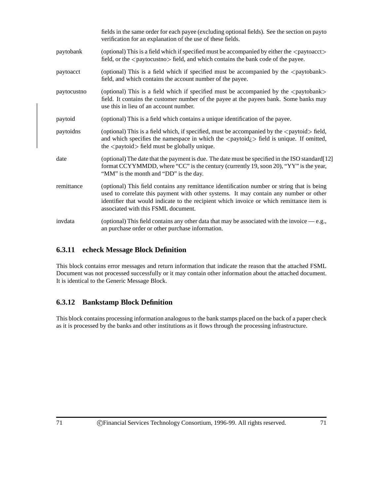|             | fields in the same order for each payee (excluding optional fields). See the section on payto<br>verification for an explanation of the use of these fields.                                                                                                                                                                   |
|-------------|--------------------------------------------------------------------------------------------------------------------------------------------------------------------------------------------------------------------------------------------------------------------------------------------------------------------------------|
| paytobank   | (optional) This is a field which if specified must be accompanied by either the <paytoacct><br/>field, or the <paytocustno> field, and which contains the bank code of the payee.</paytocustno></paytoacct>                                                                                                                    |
| paytoacct   | (optional) This is a field which if specified must be accompanied by the <paytobank><br/>field, and which contains the account number of the payee.</paytobank>                                                                                                                                                                |
| paytocustno | (optional) This is a field which if specified must be accompanied by the <paytobank><br/>field. It contains the customer number of the payee at the payees bank. Some banks may<br/>use this in lieu of an account number.</paytobank>                                                                                         |
| paytoid     | (optional) This is a field which contains a unique identification of the payee.                                                                                                                                                                                                                                                |
| paytoidns   | (optional) This is a field which, if specified, must be accompanied by the <paytoid> field,<br/>and which specifies the namespace in which the <math>\langle</math> paytoid<math>\rangle</math> field is unique. If omitted,<br/>the <math>\langle</math> paytoid<math>\rangle</math> field must be globally unique.</paytoid> |
| date        | (optional) The date that the payment is due. The date must be specified in the ISO standard [12]<br>format CCYYMMDD, where "CC" is the century (currently 19, soon 20), "YY" is the year,<br>"MM" is the month and "DD" is the day.                                                                                            |
| remittance  | (optional) This field contains any remittance identification number or string that is being<br>used to correlate this payment with other systems. It may contain any number or other<br>identifier that would indicate to the recipient which invoice or which remittance item is<br>associated with this FSML document.       |
| invdata     | (optional) This field contains any other data that may be associated with the invoice $-e.g.,$<br>an purchase order or other purchase information.                                                                                                                                                                             |

## **6.3.11 echeck Message Block Definition**

This block contains error messages and return information that indicate the reason that the attached FSML Document was not processed successfully or it may contain other information about the attached document. It is identical to the Generic Message Block.

## **6.3.12 Bankstamp Block Definition**

This block contains processing information analogous to the bank stamps placed on the back of a paper check as it is processed by the banks and other institutions as it flows through the processing infrastructure.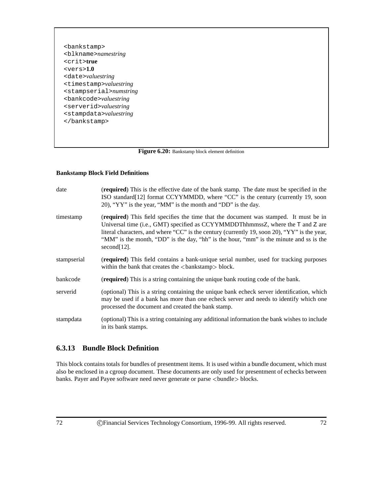<bankstamp> <blkname>*namestring* <crit>**true** <vers>**1.0** <date>*valuestring* <timestamp>*valuestring* <stampserial>*numstring* <bankcode>*valuestring* <serverid>*valuestring* <stampdata>*valuestring* </bankstamp>

Figure 6.20: Bankstamp block element definition

#### **Bankstamp Block Field Definitions**

| date        | ( <b>required</b> ) This is the effective date of the bank stamp. The date must be specified in the<br>ISO standard [12] format CCYYMMDD, where "CC" is the century (currently 19, soon<br>20), "YY" is the year, "MM" is the month and "DD" is the day.                                                                                                                                    |
|-------------|---------------------------------------------------------------------------------------------------------------------------------------------------------------------------------------------------------------------------------------------------------------------------------------------------------------------------------------------------------------------------------------------|
| timestamp   | <b>(required)</b> This field specifies the time that the document was stamped. It must be in<br>Universal time (i.e., GMT) specified as CCYYMMDDThhmmssZ, where the T and Z are<br>literal characters, and where "CC" is the century (currently 19, soon 20), "YY" is the year,<br>"MM" is the month, "DD" is the day, "hh" is the hour, "mm" is the minute and ss is the<br>$second[12]$ . |
| stampserial | (required) This field contains a bank-unique serial number, used for tracking purposes<br>within the bank that creates the $\langle$ bankstamp $\rangle$ block.                                                                                                                                                                                                                             |
| bankcode    | <b>(required)</b> This is a string containing the unique bank routing code of the bank.                                                                                                                                                                                                                                                                                                     |
| serverid    | (optional) This is a string containing the unique bank echeck server identification, which<br>may be used if a bank has more than one echeck server and needs to identify which one<br>processed the document and created the bank stamp.                                                                                                                                                   |
| stampdata   | (optional) This is a string containing any additional information the bank wishes to include<br>in its bank stamps.                                                                                                                                                                                                                                                                         |

### **6.3.13 Bundle Block Definition**

This block contains totals for bundles of presentment items. It is used within a bundle document, which must also be enclosed in a cgroup document. These documents are only used for presentment of echecks between banks. Payer and Payee software need never generate or parse <br/>bundle>blocks.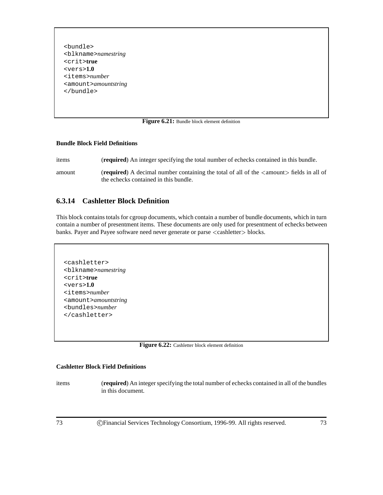<bundle> <blkname>*namestring* <crit>**true** <vers>**1.0** <items>*number* <amount>*amountstring* </bundle>

#### Figure 6.21: Bundle block element definition

#### **Bundle Block Field Definitions**

items (**required**) An integer specifying the total number of echecks contained in this bundle.

amount (**required**) A decimal number containing the total of all of the <sup>&</sup>lt;amount<sup>&</sup>gt; fields in all of the echecks contained in this bundle.

### **6.3.14 Cashletter Block Definition**

This block contains totals for cgroup documents, which contain a number of bundle documents, which in turn contain a number of presentment items. These documents are only used for presentment of echecks between banks. Payer and Payee software need never generate or parse <sup>&</sup>lt;cashletter<sup>&</sup>gt; blocks.

```
<cashletter>
<blkname>namestring
<crit>true
<vers>1.0
<items>number
<amount>amountstring
<bundles>number
</cashletter>
```

| Figure 6.22: Cashletter block element definition |  |  |  |  |
|--------------------------------------------------|--|--|--|--|
|--------------------------------------------------|--|--|--|--|

#### **Cashletter Block Field Definitions**

items (**required**) An integer specifying the total number of echecks contained in all of the bundles in this document.

73 c Financial Services Technology Consortium, 1996-99. All rights reserved. 73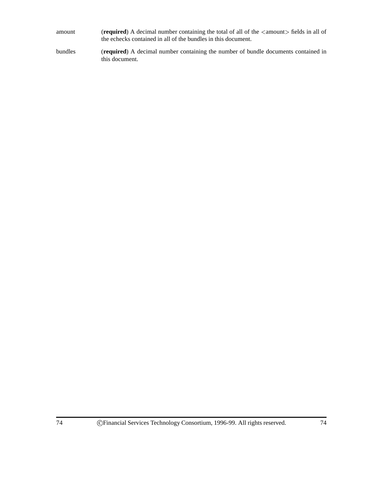| amount | (required) A decimal number containing the total of all of the $\langle$ amount $\rangle$ fields in all of |
|--------|------------------------------------------------------------------------------------------------------------|
|        | the echecks contained in all of the bundles in this document.                                              |

bundles (**required**) A decimal number containing the number of bundle documents contained in this document.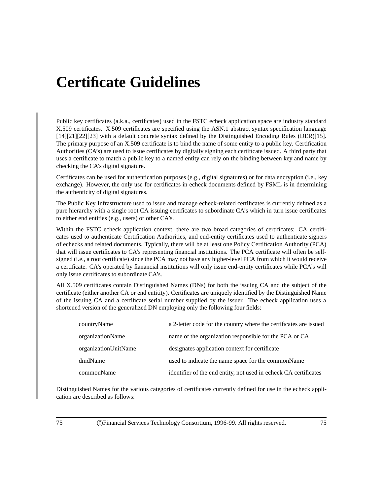# **Certificate Guidelines**

Public key certificates (a.k.a., certificates) used in the FSTC echeck application space are industry standard X.509 certificates. X.509 certificates are specified using the ASN.1 abstract syntax specification language [14][21][22][23] with a default concrete syntax defined by the Distinguished Encoding Rules (DER)[15]. The primary purpose of an X.509 certificate is to bind the name of some entity to a public key. Certification Authorities (CA's) are used to issue certificates by digitally signing each certificate issued. A third party that uses a certificate to match a public key to a named entity can rely on the binding between key and name by checking the CA's digital signature.

Certificates can be used for authentication purposes (e.g., digital signatures) or for data encryption (i.e., key exchange). However, the only use for certificates in echeck documents defined by FSML is in determining the authenticity of digital signatures.

The Public Key Infrastructure used to issue and manage echeck-related certificates is currently defined as a pure hierarchy with a single root CA issuing certificates to subordinate CA's which in turn issue certificates to either end entities (e.g., users) or other CA's.

Within the FSTC echeck application context, there are two broad categories of certificates: CA certificates used to authenticate Certification Authorities, and end-entity certificates used to authenticate signers of echecks and related documents. Typically, there will be at least one Policy Certification Authority (PCA) that will issue certificates to CA's representing financial institutions. The PCA certificate will often be selfsigned (i.e., a root certificate) since the PCA may not have any higher-level PCA from which it would receive a certificate. CA's operated by fianancial institutions will only issue end-entity certificates while PCA's will only issue certificates to subordinate CA's.

All X.509 certificates contain Distinguished Names (DNs) for both the issuing CA and the subject of the certificate (either another CA or end entitity). Certificates are uniquely identified by the Distinguished Name of the issuing CA and a certificate serial number supplied by the issuer. The echeck application uses a shortened version of the generalized DN employing only the following four fields:

| countryName          | a 2-letter code for the country where the certificates are issued |
|----------------------|-------------------------------------------------------------------|
| organizationName     | name of the organization responsible for the PCA or CA            |
| organizationUnitName | designates application context for certificate                    |
| dmdName              | used to indicate the name space for the commonName                |
| commonName           | identifier of the end entity, not used in echeck CA certificates  |

Distinguished Names for the various categories of certificates currently defined for use in the echeck application are described as follows: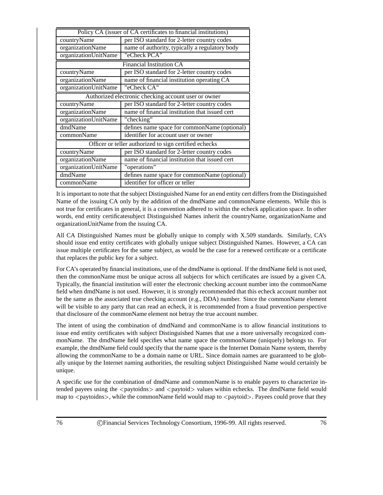| Policy CA (issuer of CA certificates to financial institutions) |                                                        |  |  |  |  |
|-----------------------------------------------------------------|--------------------------------------------------------|--|--|--|--|
| countryName                                                     | per ISO standard for 2-letter country codes            |  |  |  |  |
| organizationName                                                | name of authority, typically a regulatory body         |  |  |  |  |
| organizationUnitName                                            | "eCheck PCA"                                           |  |  |  |  |
|                                                                 | <b>Financial Institution CA</b>                        |  |  |  |  |
| countryName                                                     | per ISO standard for 2-letter country codes            |  |  |  |  |
| organizationName                                                | name of financial institution operating CA             |  |  |  |  |
| organizationUnitName                                            | "eCheck CA"                                            |  |  |  |  |
|                                                                 | Authorized electronic checking account user or owner   |  |  |  |  |
| countryName                                                     | per ISO standard for 2-letter country codes            |  |  |  |  |
| organizationName                                                | name of financial institution that issued cert         |  |  |  |  |
| organizationUnitName                                            | "checking"                                             |  |  |  |  |
| dmdName                                                         | defines name space for commonName (optional)           |  |  |  |  |
| commonName                                                      | identifier for account user or owner                   |  |  |  |  |
|                                                                 | Officer or teller authorized to sign certified echecks |  |  |  |  |
| countryName                                                     | per ISO standard for 2-letter country codes            |  |  |  |  |
| organizationName                                                | name of financial institution that issued cert         |  |  |  |  |
| organizationUnitName                                            | "operations"                                           |  |  |  |  |
| dmdName                                                         | defines name space for commonName (optional)           |  |  |  |  |
| commonName                                                      | identifier for officer or teller                       |  |  |  |  |

It is important to note that the subject Distinguished Name for an end entity cert differs from the Distinguished Name of the issuing CA only by the addition of the dmdName and commonName elements. While this is not true for certificates in general, it is a convention adhered to within the echeck application space. In other words, end entity certificatesubject Distinguished Names inherit the countryName, organizationName and organizationUnitName from the issuing CA.

All CA Distinguished Names must be globally unique to comply with X.509 standards. Similarly, CA's should issue end entity certificates with globally unique subject Distinguished Names. However, a CA can issue multiple certificates for the same subject, as would be the case for a renewed certificate or a certificate that replaces the public key for a subject.

For CA's operated by financial institutions, use of the dmdName is optional. If the dmdName field is not used, then the commonName must be unique across all subjects for which certificates are issued by a given CA. Typically, the financial institution will enter the electronic checking account number into the commonName field when dmdName is not used. However, it is strongly recommended that this echeck account number not be the same as the associated true checking account (e.g., DDA) number. Since the commonName element will be visible to any party that can read an echeck, it is recommended from a fraud prevention perspective that disclosure of the commonName element not betray the true account number.

The intent of using the combination of dmdNamd and commonName is to allow financial institutions to issue end entity certificates with subject Distinguished Names that use a more universally recognized commonName. The dmdName field specifies what name space the commonName (uniquely) belongs to. For example, the dmdName field could specify that the name space is the Internet Domain Name system, thereby allowing the commonName to be a domain name or URL. Since domain names are guaranteed to be globally unique by the Internet naming authorities, the resulting subject Distinguished Name would certainly be unique.

A specific use for the combination of dmdName and commonName is to enable payers to characterize intended payees using the  $\langle$  paytoidns $\rangle$  and  $\langle$  paytoid $\rangle$  values within echecks. The dmdName field would map to  $\langle$  paytoidns $\rangle$ , while the commonName field would map to  $\langle$  paytoid $\rangle$ . Payees could prove that they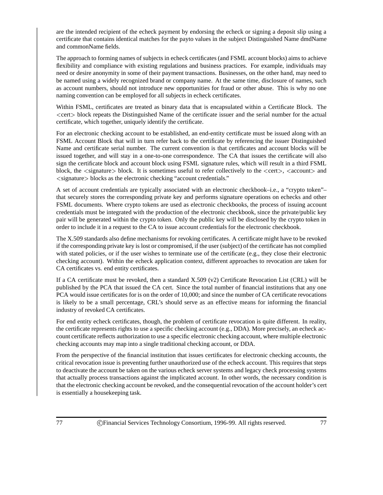are the intended recipient of the echeck payment by endorsing the echeck or signing a deposit slip using a certificate that contains identical matches for the payto values in the subject Distinguished Name dmdName and commonName fields.

The approach to forming names of subjects in echeck certificates (and FSML account blocks) aims to achieve flexibility and compliance with existing regulations and business practices. For example, individuals may need or desire anonymity in some of their payment transactions. Businesses, on the other hand, may need to be named using a widely recognized brand or company name. At the same time, disclosure of names, such as account numbers, should not introduce new opportunities for fraud or other abuse. This is why no one naming convention can be employed for all subjects in echeck certificates.

Within FSML, certificates are treated as binary data that is encapsulated within a Certificate Block. The <sup>&</sup>lt;cert<sup>&</sup>gt; block repeats the Distinguished Name of the certificate issuer and the serial number for the actual certificate, which together, uniquely identify the certificate.

For an electronic checking account to be established, an end-entity certificate must be issued along with an FSML Account Block that will in turn refer back to the certificate by referencing the issuer Distinguished Name and certificate serial number. The current convention is that certificates and account blocks will be issued together, and will stay in a one-to-one correspondence. The CA that issues the certificate will also sign the certificate block and account block using FSML signature rules, which will result in a third FSML block, the  $\le$ signature $\ge$  block. It is sometimes useful to refer collectively to the  $\le$ cert $\ge$ ,  $\le$  account $\ge$  and <sup>&</sup>lt;signature<sup>&</sup>gt; blocks as the electronic checking "account credentials."

A set of account credentials are typically associated with an electronic checkbook–i.e., a "crypto token"– that securely stores the corresponding private key and performs signature operations on echecks and other FSML documents. Where crypto tokens are used as electronic checkbooks, the process of issuing account credentials must be integrated with the production of the electronic checkbook, since the private/public key pair will be generated within the crypto token. Only the public key will be disclosed by the crypto token in order to include it in a request to the CA to issue account credentials for the electronic checkbook.

The X.509 standards also define mechanisms for revoking certificates. A certificate might have to be revoked if the corresponding private key is lost or compromised, if the user (subject) of the certificate has not complied with stated policies, or if the user wishes to terminate use of the certificate (e.g., they close their electronic checking account). Within the echeck application context, different approaches to revocation are taken for CA certificates vs. end entity certificates.

If a CA certificate must be revoked, then a standard X.509 (v2) Certificate Revocation List (CRL) will be published by the PCA that issued the CA cert. Since the total number of financial institutions that any one PCA would issue certificates for is on the order of 10,000; and since the number of CA certificate revocations is likely to be a small percentage, CRL's should serve as an effective means for informing the financial industry of revoked CA certificates.

For end entity echeck certificates, though, the problem of certificate revocation is quite different. In reality, the certificate represents rights to use a specific checking account (e.g., DDA). More precisely, an echeck account certificate reflects authorization to use a specific electronic checking account, where multiple electronic checking accounts may map into a single traditional checking account, or DDA.

From the perspective of the financial institution that issues certificates for electronic checking accounts, the critical revocation issue is preventing further unauthorized use of the echeck account. This requires that steps to deactivate the account be taken on the various echeck server systems and legacy check processing systems that actually process transactions against the implicated account. In other words, the necessary condition is that the electronic checking account be revoked, and the consequential revocation of the account holder's cert is essentially a housekeeping task.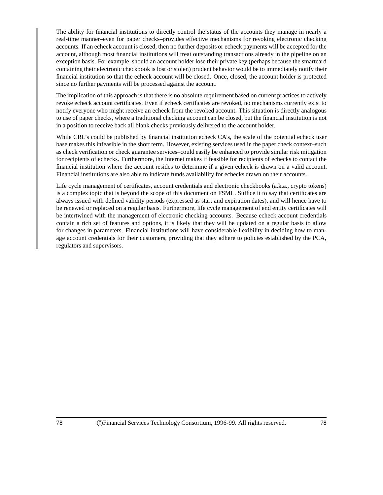The ability for financial institutions to directly control the status of the accounts they manage in nearly a real-time manner–even for paper checks–provides effective mechanisms for revoking electronic checking accounts. If an echeck account is closed, then no further deposits or echeck payments will be accepted for the account, although most financial institutions will treat outstanding transactions already in the pipeline on an exception basis. For example, should an account holder lose their private key (perhaps because the smartcard containing their electronic checkbook is lost or stolen) prudent behavior would be to immediately notify their financial institution so that the echeck account will be closed. Once, closed, the account holder is protected since no further payments will be processed against the account.

The implication of this approach is that there is no absolute requirement based on current practices to actively revoke echeck account certificates. Even if echeck certificates are revoked, no mechanisms currently exist to notify everyone who might receive an echeck from the revoked account. This situation is directly analogous to use of paper checks, where a traditional checking account can be closed, but the financial institution is not in a position to receive back all blank checks previously delivered to the account holder.

While CRL's could be published by financial institution echeck CA's, the scale of the potential echeck user base makes this infeasible in the short term. However, existing services used in the paper check context–such as check verification or check guarantee services–could easily be enhanced to provide similar risk mitigation for recipients of echecks. Furthermore, the Internet makes if feasible for recipients of echecks to contact the financial institution where the account resides to determine if a given echeck is drawn on a valid account. Financial institutions are also able to indicate funds availability for echecks drawn on their accounts.

Life cycle management of certificates, account credentials and electronic checkbooks (a.k.a., crypto tokens) is a complex topic that is beyond the scope of this document on FSML. Suffice it to say that certificates are always issued with defined validity periods (expressed as start and expiration dates), and will hence have to be renewed or replaced on a regular basis. Furthermore, life cycle management of end entity certificates will be intertwined with the management of electronic checking accounts. Because echeck account credentials contain a rich set of features and options, it is likely that they will be updated on a regular basis to allow for changes in parameters. Financial institutions will have considerable flexibility in deciding how to manage account credentials for their customers, providing that they adhere to policies established by the PCA, regulators and supervisors.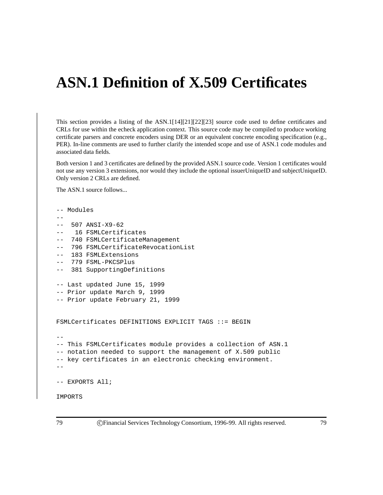# **ASN.1 Definition of X.509 Certificates**

This section provides a listing of the ASN.1[14][21][22][23] source code used to define certificates and CRLs for use within the echeck application context. This source code may be compiled to produce working certificate parsers and concrete encoders using DER or an equivalent concrete encoding specification (e.g., PER). In-line comments are used to further clarify the intended scope and use of ASN.1 code modules and associated data fields.

Both version 1 and 3 certificates are defined by the provided ASN.1 source code. Version 1 certificates would not use any version 3 extensions, nor would they include the optional issuerUniqueID and subjectUniqueID. Only version 2 CRLs are defined.

The ASN.1 source follows...

```
-- Modules
--
-- 507 ANSI-X9-62
-- 16 FSMLCertificates
-- 740 FSMLCertificateManagement
   796 FSMLCertificateRevocationList
-- 183 FSMLExtensions
-- 779 FSML-PKCSPlus
-- 381 SupportingDefinitions
-- Last updated June 15, 1999
-- Prior update March 9, 1999
-- Prior update February 21, 1999
FSMLCertificates DEFINITIONS EXPLICIT TAGS ::= BEGIN
--
-- This FSMLCertificates module provides a collection of ASN.1
-- notation needed to support the management of X.509 public
-- key certificates in an electronic checking environment.
--- EXPORTS All;
IMPORTS
```
79 c Financial Services Technology Consortium, 1996-99. All rights reserved. 79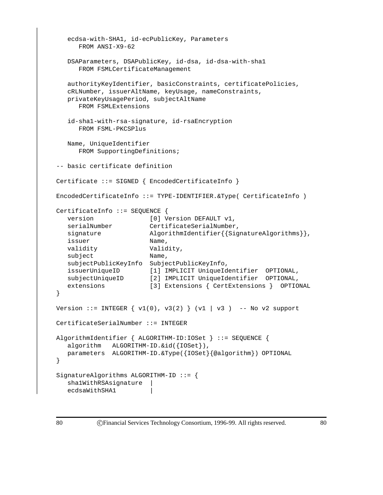```
ecdsa-with-SHA1, id-ecPublicKey, Parameters
     FROM ANSI-X9-62
  DSAParameters, DSAPublicKey, id-dsa, id-dsa-with-sha1
     FROM FSMLCertificateManagement
  authorityKeyIdentifier, basicConstraints, certificatePolicies,
  cRLNumber, issuerAltName, keyUsage, nameConstraints,
  privateKeyUsagePeriod, subjectAltName
     FROM FSMLExtensions
   id-sha1-with-rsa-signature, id-rsaEncryption
     FROM FSML-PKCSPlus
  Name, UniqueIdentifier
     FROM SupportingDefinitions;
-- basic certificate definition
Certificate ::= SIGNED { EncodedCertificateInfo }
EncodedCertificateInfo ::= TYPE-IDENTIFIER.&Type( CertificateInfo )
CertificateInfo ::= SEQUENCE {
  version [0] Version DEFAULT v1,
  serialNumber CertificateSerialNumber,
  signature \text{AlgorithmIdentifier}\{\text{SignatureAlgorithms}\}\,issuer Name,
  validity Validity,
  subject Name,
  subjectPublicKeyInfo SubjectPublicKeyInfo,
  issuerUniqueID [1] IMPLICIT UniqueIdentifier OPTIONAL,
  subjectUniqueID [2] IMPLICIT UniqueIdentifier OPTIONAL,
  extensions [3] Extensions { CertExtensions } OPTIONAL
}
Version ::= INTEGER \{ v1(0), v3(2) \} (vl | v3) -- No v2 support
CertificateSerialNumber ::= INTEGER
AlgorithmIdentifier { ALGORITHM-ID:IOSet } ::= SEQUENCE {
  algorithm ALGORITHM-ID. & id({IOSet}),
  parameters ALGORITHM-ID.&Type({IOSet}{@algorithm}) OPTIONAL
}
SignatureAlgorithms ALGORITHM-ID ::= {
   sha1WithRSAsignature |
  ecdsaWithSHA1 |
```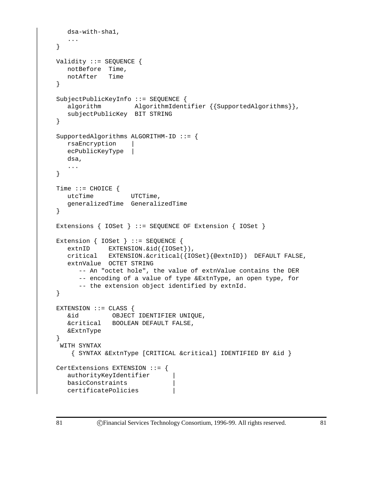```
dsa-with-sha1,
   ...
}
Validity ::= SEQUENCE {
  notBefore Time,
  notAfter Time
}
SubjectPublicKeyInfo ::= SEQUENCE {
  algorithm \qquad \qquad \texttt{AlgorithmIdentifier} \; \{ \texttt{SupportedAlgorithms} \} \, ,subjectPublicKey BIT STRING
}
SupportedAlgorithms ALGORITHM-ID ::= {
  rsaEncryption |
  ecPublicKeyType |
  dsa,
   ...
}
Time ::= CHOICE {
  utcTime UTCTime,
  generalizedTime GeneralizedTime
}
Extensions { IOSet } ::= SEQUENCE OF Extension { IOSet }
Extension { IOSet } ::= SEQUENCE {
   extnID EXTENSION. & id({IOSet}),
  critical EXTENSION.&critical({IOSet}{@extnID}) DEFAULT FALSE,
   extnValue OCTET STRING
      -- An "octet hole", the value of extnValue contains the DER
      -- encoding of a value of type &ExtnType, an open type, for
      -- the extension object identified by extnId.
}
EXTENSION ::= CLASS {
  &id OBJECT IDENTIFIER UNIQUE,
  &critical BOOLEAN DEFAULT FALSE,
  &ExtnType
}
 WITH SYNTAX
    { SYNTAX &ExtnType [CRITICAL &critical] IDENTIFIED BY &id }
CertExtensions EXTENSION ::= {
   authorityKeyIdentifier |
  basicConstraints |
   certificatePolicies |
```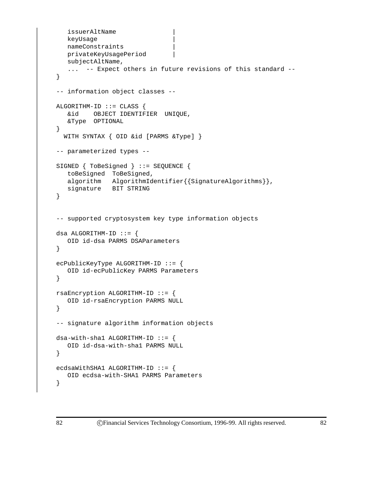```
issuerAltName |
   keyUsage |
   nameConstraints |
   privateKeyUsagePeriod |
   subjectAltName,
   ... -- Expect others in future revisions of this standard --
}
-- information object classes --
ALGORITHM-ID ::= CLASS {
  &id OBJECT IDENTIFIER UNIQUE,
   &Type OPTIONAL
}
  WITH SYNTAX { OID &id [PARMS &Type] }
-- parameterized types --
SIGNED { ToBeSigned } ::= SEQUENCE {
   toBeSigned ToBeSigned,
   algorithm AlgorithmIdentifier{{SignatureAlgorithms}},
  signature BIT STRING
}
-- supported cryptosystem key type information objects
dsa ALGORITHM-ID ::= {
  OID id-dsa PARMS DSAParameters
}
ecPublicKeyType ALGORITHM-ID ::= {
  OID id-ecPublicKey PARMS Parameters
}
rsaEncryption ALGORITHM-ID ::= {
   OID id-rsaEncryption PARMS NULL
}
-- signature algorithm information objects
dsa-with-shell ALGORITHM-ID ::=OID id-dsa-with-sha1 PARMS NULL
}
ecdsaWithSHA1 ALGORITHM-ID ::= {
  OID ecdsa-with-SHA1 PARMS Parameters
}
```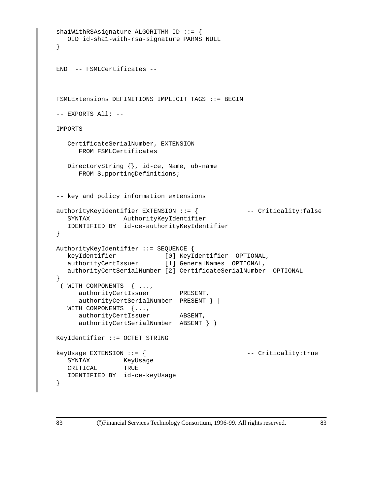```
sha1WithRSAsignature ALGORITHM-ID ::= {
  OID id-sha1-with-rsa-signature PARMS NULL
}
END -- FSMLCertificates --
FSMLExtensions DEFINITIONS IMPLICIT TAGS ::= BEGIN
-- EXPORTS All; --
IMPORTS
  CertificateSerialNumber, EXTENSION
     FROM FSMLCertificates
  DirectoryString {}, id-ce, Name, ub-name
     FROM SupportingDefinitions;
-- key and policy information extensions
authorityKeyIdentifier EXTENSION ::= { -- Criticality:false
  SYNTAX AuthorityKeyIdentifier
  IDENTIFIED BY id-ce-authorityKeyIdentifier
}
AuthorityKeyIdentifier ::= SEQUENCE {
   keyIdentifier [0] KeyIdentifier OPTIONAL,
   authorityCertIssuer [1] GeneralNames OPTIONAL,
  authorityCertSerialNumber [2] CertificateSerialNumber OPTIONAL
}
 ( WITH COMPONENTS { ...,
     authorityCertIssuer PRESENT,
     authorityCertSerialNumber PRESENT } |
  WITH COMPONENTS {...,
     authorityCertIssuer ABSENT,
     authorityCertSerialNumber ABSENT } )
KeyIdentifier ::= OCTET STRING
keyUsage EXTENSION ::= { - criticality:true
  SYNTAX KeyUsage
  CRITICAL TRUE
  IDENTIFIED BY id-ce-keyUsage
}
```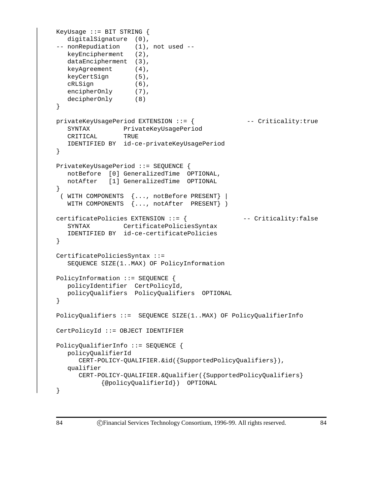```
KeyUsage ::= BIT STRING {
  digitalSignature (0),
-- nonRepudiation (1), not used --
  keyEncipherment (2),
  dataEncipherment (3),
  keyAgreement (4),
  keyCertSign (5),
  cRLSign (6),
  encipherOnly (7),
  decipherOnly (8)
}
privateKeyUsagePeriod EXTENSION ::= { -- Criticality:true
  SYNTAX PrivateKeyUsagePeriod
  CRITICAL TRUE
  IDENTIFIED BY id-ce-privateKeyUsagePeriod
}
PrivateKeyUsagePeriod ::= SEQUENCE {
  notBefore [0] GeneralizedTime OPTIONAL,
  notAfter [1] GeneralizedTime OPTIONAL
}
 ( WITH COMPONENTS {..., notBefore PRESENT} |
  WITH COMPONENTS {..., notAfter PRESENT} )
certificatePolicies EXTENSION ::= { -- Criticality:false
  SYNTAX CertificatePoliciesSyntax
  IDENTIFIED BY id-ce-certificatePolicies
}
CertificatePoliciesSyntax ::=
  SEQUENCE SIZE(1..MAX) OF PolicyInformation
PolicyInformation ::= SEQUENCE {
  policyIdentifier CertPolicyId,
  policyQualifiers PolicyQualifiers OPTIONAL
}
PolicyQualifiers ::= SEQUENCE SIZE(1..MAX) OF PolicyQualifierInfo
CertPolicyId ::= OBJECT IDENTIFIER
PolicyQualifierInfo ::= SEQUENCE {
  policyQualifierId
     CERT-POLICY-QUALIFIER.&id({SupportedPolicyQualifiers}),
  qualifier
     CERT-POLICY-QUALIFIER.&Qualifier({SupportedPolicyQualifiers}
           {@policyQualifierId}) OPTIONAL
}
```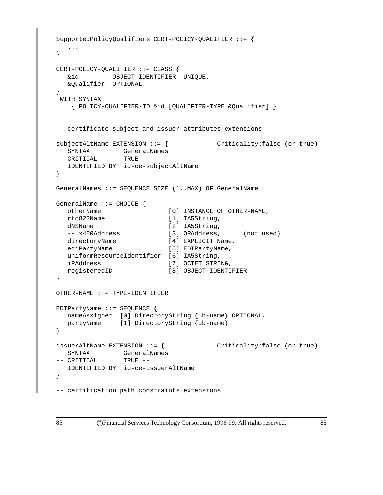```
SupportedPolicyQualifiers CERT-POLICY-QUALIFIER ::= {
  ...
}
CERT-POLICY-QUALIFIER ::= CLASS {
  &id OBJECT IDENTIFIER UNIQUE,
  &Qualifier OPTIONAL
}
WITH SYNTAX
   { POLICY-QUALIFIER-ID &id [QUALIFIER-TYPE &Qualifier] }
-- certificate subject and issuer attributes extensions
subjectAltName EXTENSION ::= { -- Criticality:false (or true)
  SYNTAX GeneralNames
-- CRITICAL TRUE --
  IDENTIFIED BY id-ce-subjectAltName
}
GeneralNames ::= SEQUENCE SIZE (1..MAX) OF GeneralName
GeneralName ::= CHOICE {
  otherName [0] INSTANCE OF OTHER-NAME,
  rfc822Name [1] IA5String,
  dNSName [2] IA5String,
  -- x400Address [3] ORAddress, (not used)
  directoryName [4] EXPLICIT Name,
  ediPartyName [5] EDIPartyName,
  uniformResourceIdentifier [6] IA5String,
  iPAddress [7] OCTET STRING,
  registeredID [8] OBJECT IDENTIFIER
}
OTHER-NAME ::= TYPE-IDENTIFIER
EDIPartyName ::= SEQUENCE {
  nameAssigner [0] DirectoryString {ub-name} OPTIONAL,
  partyName [1] DirectoryString {ub-name}
}
issuerAltName EXTENSION ::= { \qquad \qquad -- \text{ Critically:false} (or true)
  SYNTAX GeneralNames
-- CRITICAL TRUE --
  IDENTIFIED BY id-ce-issuerAltName
}
-- certification path constraints extensions
```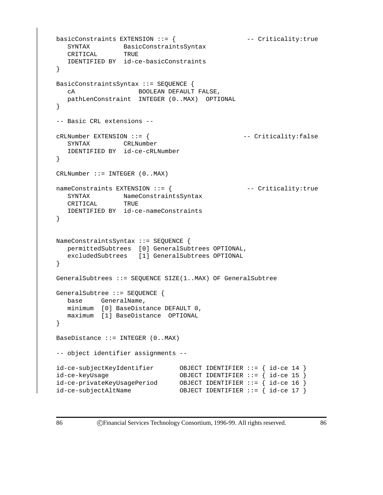```
basicConstraints EXTENSION ::= { --- Criticality:true
  SYNTAX BasicConstraintsSyntax
  CRITICAL TRUE
  IDENTIFIED BY id-ce-basicConstraints
}
BasicConstraintsSyntax ::= SEQUENCE {
  cA BOOLEAN DEFAULT FALSE,
  pathLenConstraint INTEGER (0..MAX) OPTIONAL
}
-- Basic CRL extensions --
cRLNumber EXTENSION ::= { -- Criticality:false
  SYNTAX CRLNumber
  IDENTIFIED BY id-ce-cRLNumber
}
CRLNumber ::= INTER (0..MAX)nameConstraints EXTENSION ::= { --- Criticality:true
  SYNTAX NameConstraintsSyntax
  CRITICAL TRUE
  IDENTIFIED BY id-ce-nameConstraints
}
NameConstraintsSyntax ::= SEQUENCE {
  permittedSubtrees [0] GeneralSubtrees OPTIONAL,
  excludedSubtrees [1] GeneralSubtrees OPTIONAL
}
GeneralSubtrees ::= SEQUENCE SIZE(1..MAX) OF GeneralSubtree
GeneralSubtree ::= SEQUENCE {
  base GeneralName,
  minimum [0] BaseDistance DEFAULT 0,
  maximum [1] BaseDistance OPTIONAL
}
BaseDistance ::= INTEGER (0..MAX)
-- object identifier assignments --
id-ce-subjectKeyIdentifier OBJECT IDENTIFIER ::= { id-ce 14 }
id-ce-keyUsage OBJECT IDENTIFIER ::= { id-ce 15 }
id-ce-privateKeyUsagePeriod OBJECT IDENTIFIER ::= { id-ce 16 }
id-ce-subjectAltName OBJECT IDENTIFIER ::= { id-ce 17 }
```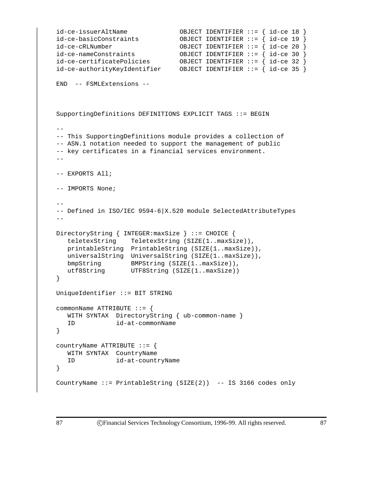```
id-ce-issuerAltName OBJECT IDENTIFIER ::= { id-ce 18 }
id-ce-basicConstraints OBJECT IDENTIFIER ::= { id-ce 19 }
id-ce-cRLNumber OBJECT IDENTIFIER ::= { id-ce 20 }
id-ce-nameConstraints OBJECT IDENTIFIER ::= { id-ce 30 }
id-ce-certificatePolicies OBJECT IDENTIFIER ::= { id-ce 32 }
id-ce-authorityKeyIdentifier OBJECT IDENTIFIER ::= { id-ce 35 }
END -- FSMLExtensions --
SupportingDefinitions DEFINITIONS EXPLICIT TAGS ::= BEGIN
--
-- This SupportingDefinitions module provides a collection of
-- ASN.1 notation needed to support the management of public
-- key certificates in a financial services environment.
- --- EXPORTS All;
-- IMPORTS None;
--
-- Defined in ISO/IEC 9594-6|X.520 module SelectedAttributeTypes
- -DirectoryString { INTEGER:maxSize } ::= CHOICE {
  teletexString TeletexString (SIZE(1..maxSize)),
  printableString PrintableString (SIZE(1..maxSize)),
  universalString UniversalString (SIZE(1..maxSize)),
  bmpString BMPString (SIZE(1..maxSize)),
  utf8String UTF8String (SIZE(1..maxSize))
}
UniqueIdentifier ::= BIT STRING
commonName ATTRIBUTE ::= {
  WITH SYNTAX DirectoryString { ub-common-name }
  ID id-at-commonName
}
countryName ATTRIBUTE ::= {
  WITH SYNTAX CountryName
  ID id-at-countryName
}
CountryName ::= PrintableString (SIZE(2)) -- IS 3166 codes only
```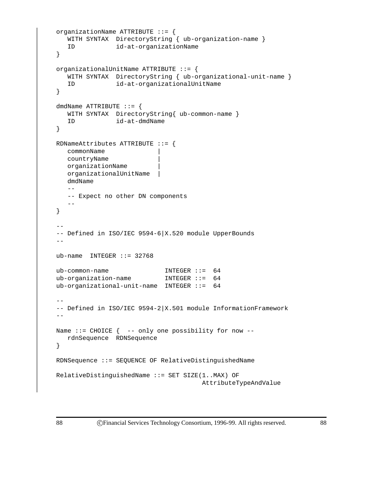```
organizationName ATTRIBUTE ::= {
  WITH SYNTAX DirectoryString { ub-organization-name }
   ID id-at-organizationName
}
organizationalUnitName ATTRIBUTE ::= {
  WITH SYNTAX DirectoryString { ub-organizational-unit-name }
   ID id-at-organizationalUnitName
}
dmdName ATTRIBUTE ::= {
  WITH SYNTAX DirectoryString{ ub-common-name }
  ID id-at-dmdName
}
RDNameAttributes ATTRIBUTE ::= {
  commonName |
  countryName |
  organizationName |
  organizationalUnitName |
  dmdName
   --- Expect no other DN components
   - -}
--
-- Defined in ISO/IEC 9594-6|X.520 module UpperBounds
--
ub-name INTEGER ::= 32768ub-common-name INTEGER ::= 64
ub-organization-name INTEGER ::= 64
ub-organizational-unit-name INTEGER ::= 64
--
-- Defined in ISO/IEC 9594-2 |X.501 module InformationFramework
-Name ::= CHOICE \{ -- only one possibility for now --
  rdnSequence RDNSequence
}
RDNSequence ::= SEQUENCE OF RelativeDistinguishedName
RelativeDistinguishedName ::= SET SIZE(1..MAX) OF
                                     AttributeTypeAndValue
```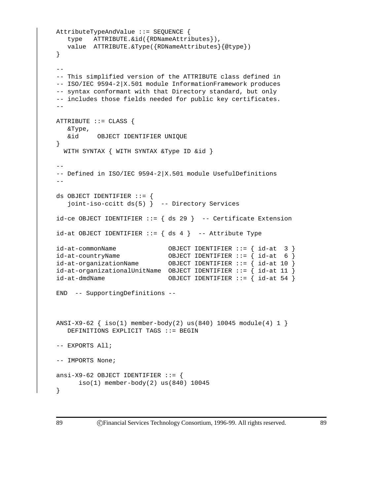```
AttributeTypeAndValue ::= SEQUENCE {
  type ATTRIBUTE.&id({RDNameAttributes}),
  value ATTRIBUTE.&Type({RDNameAttributes}{@type})
}
--
-- This simplified version of the ATTRIBUTE class defined in
-- ISO/IEC 9594-2|X.501 module InformationFramework produces
-- syntax conformant with that Directory standard, but only
-- includes those fields needed for public key certificates.
-ATTRIBUTE ::= CLASS {
  &Type,
  &id OBJECT IDENTIFIER UNIQUE
}
  WITH SYNTAX { WITH SYNTAX &Type ID &id }
--
-- Defined in ISO/IEC 9594-2|X.501 module UsefulDefinitions
--
ds OBJECT IDENTIFIER ::= {
   joint-iso-ccitt ds(5) } -- Directory Services
id-ce OBJECT IDENTIFIER := \{ ds 29 \} -- Certificate Extension
id-at OBJECT IDENTIFIER := \{ ds 4 \} -- Attribute Type
id-at-commonName OBJECT IDENTIFIER ::= { id-at 3 }
id-at-countryName OBJECT IDENTIFIER ::=\{ id-at 6 }
id-at-organizationName OBJECT IDENTIFIER ::= { id-at 10 }
id-at-organizationalUnitName OBJECT IDENTIFIER ::= { id-at 11 }
id-at-dmdName OBJECT IDENTIFIER ::= { id-at 54 }
END -- SupportingDefinitions --
ANSI-X9-62 { iso(1) member-body(2) us(840) 10045 module(4) 1 }
  DEFINITIONS EXPLICIT TAGS ::= BEGIN
-- EXPORTS All;
-- IMPORTS None;
ansi-X9-62 OBJECT IDENTIFIER ::= {
     iso(1) member-body(2) us(840) 10045
}
```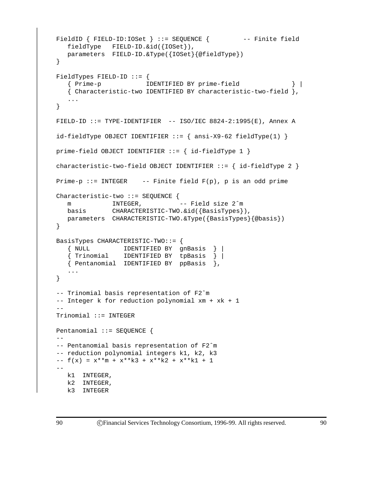```
FieldID { FIELD-ID:IOSet } ::= SEQUENCE { -- Finite field
  fieldType FIELD-ID.&id({IOSet}),
  parameters FIELD-ID.&Type({IOSet}{@fieldType})
}
FieldTypes FIELD-ID ::= \{{ Prime-p IDENTIFIED BY prime-field } |
   { Characteristic-two IDENTIFIED BY characteristic-two-field },
   ...
}
FIELD-ID ::= TYPE-IDENTIFIER -- ISO/IEC 8824-2:1995(E), Annex A
id-fieldType OBJECT IDENTIFYIER ::=\{ ansi-X9-62 fieldType(1)\}prime-field OBJECT IDENTIFIER ::= { id-fieldType 1 }
characteristic-two-field OBJECT IDENTIFIER ::= { id-fieldType 2 }
Prime-p ::= INTEGER -- Finite field F(p), p is an odd prime
Characteristic-two ::= SEQUENCE {
  m INTEGER, -- Field size 2^m
  basis CHARACTERISTIC-TWO.&id({BasisTypes}),
  parameters CHARACTERISTIC-TWO.&Type({BasisTypes}{@basis})
}
BasisTypes CHARACTERISTIC-TWO::= {
   { NULL IDENTIFIED BY gnBasis } |
   { Trinomial IDENTIFIED BY tpBasis } |
  { Pentanomial IDENTIFIED BY ppBasis },
   ...
}
-- Trinomial basis representation of F2ˆm
-- Integer k for reduction polynomial xm + xk + 1
-Trinomial ::= INTEGER
Pentanomial ::= SEQUENCE {
- --- Pentanomial basis representation of F2ˆm
-- reduction polynomial integers k1, k2, k3
- f(x) = x**m + x**k3 + x**k2 + x**k1 + 1--
  k1 INTEGER,
  k2 INTEGER,
  k3 INTEGER
```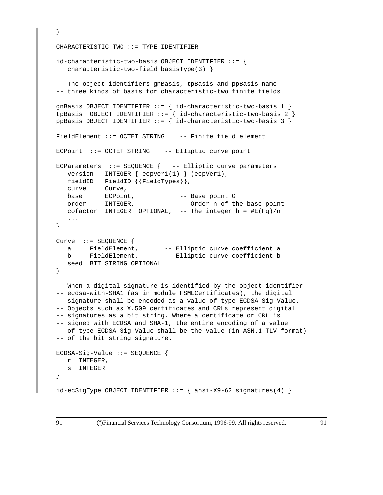```
}
CHARACTERISTIC-TWO ::= TYPE-IDENTIFIER
id-characteristic-two-basis OBJECT IDENTIFIER ::= {
   characteristic-two-field basisType(3) }
-- The object identifiers gnBasis, tpBasis and ppBasis name
-- three kinds of basis for characteristic-two finite fields
gnBasis OBJECT IDENTIFIER ::= { id-characteristic-two-basis 1 }
tpBasis OBJECT IDENTIFIER ::= { id-characteristic-two-basis 2 }
ppBasis OBJECT IDENTIFIER ::= { id-characteristic-two-basis 3 }
FieldElement ::= OCTET STRING -- Finite field element
ECPoint ::= OCTET STRING -- Elliptic curve point
ECParameters ::= SEQUENCE { -- Elliptic curve parameters
  version INTEGER { ecpVer1(1) } (ecpVer1),
  fieldID FieldID {{FieldTypes}},
  curve Curve,
   base ECPoint, -- Base point G
   order INTEGER, -- Order n of the base point
  cofactor INTEGER OPTIONAL, -- The integer h = \#E(Fq)/n...
}
Curve ::= SEQUENCE {
   a FieldElement, -- Elliptic curve coefficient a
   b FieldElement, -- Elliptic curve coefficient b
  seed BIT STRING OPTIONAL
}
-- When a digital signature is identified by the object identifier
-- ecdsa-with-SHA1 (as in module FSMLCertificates), the digital
-- signature shall be encoded as a value of type ECDSA-Sig-Value.
-- Objects such as X.509 certificates and CRLs represent digital
-- signatures as a bit string. Where a certificate or CRL is
-- signed with ECDSA and SHA-1, the entire encoding of a value
-- of type ECDSA-Sig-Value shall be the value (in ASN.1 TLV format)
-- of the bit string signature.
ECDSA-Sig-Value ::= SEQUENCE {
 r INTEGER,
  s INTEGER
}
id\text{-}ecSigType OBJECT IDENTIFIER ::= { ansi-X9-62 signatures(4)}
```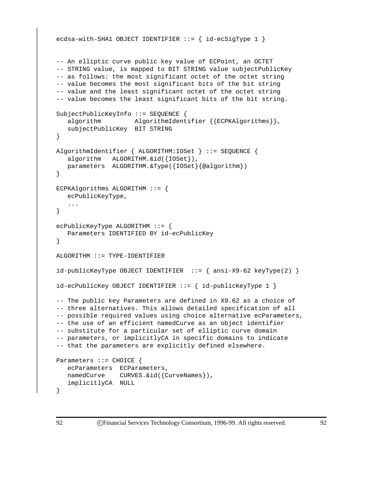```
ecdsa-with-SHA1 OBJECT IDENTIFIER ::= { id-ecSigType 1 }
-- An elliptic curve public key value of ECPoint, an OCTET
-- STRING value, is mapped to BIT STRING value subjectPublicKey
-- as follows: the most significant octet of the octet string
-- value becomes the most significant bits of the bit string
-- value and the least significant octet of the octet string
-- value becomes the least significant bits of the bit string.
SubjectPublicKeyInfo ::= SEQUENCE {
   algorithm AlgorithmIdentifier {{ECPKAlgorithms}},
   subjectPublicKey BIT STRING
}
AlgorithmIdentifier { ALGORITHM:IOSet } ::= SEQUENCE {
   algorithm ALGORITHM.&id({IOSet}),
  parameters ALGORITHM.&Type({IOSet}{@algorithm})
}
ECPKAlgorithms ALGORITHM ::= {
  ecPublicKeyType,
   ...
}
ecPublicKeyType ALGORITHM ::= {
   Parameters IDENTIFIED BY id-ecPublicKey
}
ALGORITHM ::= TYPE-IDENTIFIER
id-pubbleKeyType OBJECT IDENTIFIER ::= { ansi-X9-62 keyType(2) }id-ecPublicKey OBJECT IDENTIFIER ::= { id-publicKeyType 1 }
-- The public key Parameters are defined in X9.62 as a choice of
-- three alternatives. This allows detailed specification of all
-- possible required values using choice alternative ecParameters,
-- the use of an efficient namedCurve as an object identifier
-- substitute for a particular set of elliptic curve domain
-- parameters, or implicitlyCA in specific domains to indicate
-- that the parameters are explicitly defined elsewhere.
Parameters ::= CHOICE {
   ecParameters ECParameters,
  namedCurve CURVES.&id({CurveNames}),
   implicitlyCA NULL
}
```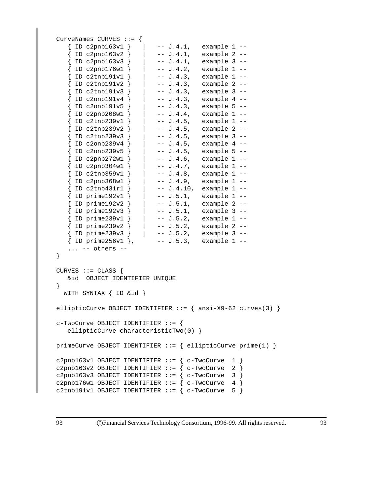```
CurveNames CURVES ::= {
  { ID c2pnb163v1 } | -- J.4.1, example 1 --
   \{ ID c2pnb163v2 \} | -- J.4.1, example 2 --
   { ID c2pnb163v3 } | -- J.4.1, example 3 --
   { ID c2pnb176w1 } | -- J.4.2, example 1 --
   { ID c2tnb191v1 } | -- J.4.3, example 1 --
   { ID c2tnb191v2 } | -- J.4.3, example 2 --
   { ID c2tnb191v3 } | -- J.4.3, example 3 --
   { ID c2onb191v4 } | -- J.4.3, example 4 --
   \{ ID \text{ c2onb191v5 } \} | -- J.4.3, example 5 --
   { ID c2pnb208w1 } | -- J.4.4, example 1 --
   \{ ID \text{ c2tnb239v1 } \} | -- J.4.5, example 1 --
   { ID c2tnb239v2 } | -- J.4.5, example 2 --
   { ID c2tnb239v3 } | -- J.4.5, example 3 --
   { ID c2onb239v4 } | -- J.4.5, example 4 --
   \{ ID \text{c2onb239v5 } \} | -- J.4.5, example 5 --
   { ID c2pnb272w1 } | -- J.4.6, example 1 --
   \{ ID c2pnb304w1 \} | -- J.4.7, example 1 --
   { ID c2tnb359v1 } | -- J.4.8, example 1 --
   { ID c2pnb368w1 } | -- J.4.9, example 1 --
   { ID c2tnb431r1 } | -- J.4.10, example 1 --
   { ID prime192v1 } | -- J.5.1, example 1 --
   { ID prime192v2 } | -- J.5.1, example 2 --
   { ID prime192v3 } | -- J.5.1, example 3 --
   { ID prime239v1 } | -- J.5.2, example 1 --
   { ID prime239v2 } | -- J.5.2, example 2 --
   { ID prime239v3 } | -- J.5.2, example 3 --
   { ID prime256v1 }, -- J.5.3, example 1 --
   ... -- others --
}
CURVES ::= CLASS \{&id OBJECT IDENTIFIER UNIQUE
}
 WITH SYNTAX { ID &id }
ellipticCurve OBJECT IDENTIFIER ::= { ansi-X9-62 curves(3) }
c-TwoCurve OBJECT IDENTIFIER ::= {
  ellipticCurve characteristicTwo(0) }
primeCurve OBJECT IDENTIFIER ::= { ellipticCurve prime(1) }
c2pnb163v1 OBJECT IDENTIFIER ::= { c-TwoCurve 1 }
c2pnb163v2 OBJECT IDENTIFIER ::= { c-TwoCurve 2 }
c2pnb163v3 OBJECT IDENTIFIER ::= { c-TwoCurve 3 }
c2pnb176w1 OBJECT IDENTIFIER ::= { c-TwoCurve 4 }
c2tnb191v1 OBJECT IDENTIFIER ::= { c-TwoCurve 5 }
```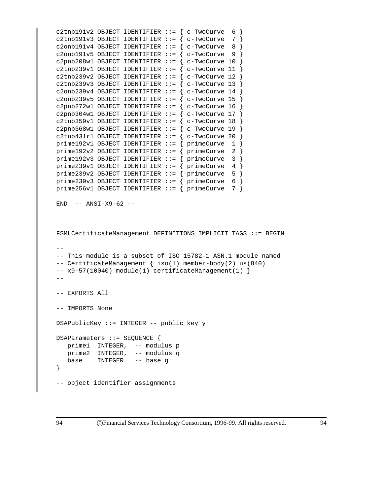```
c2tnb191v2 OBJECT IDENTIFIER ::= { c-TwoCurve 6 }
c2tnb191v3 OBJECT IDENTIFIER ::= { c-TwoCurve 7 }
c2onb191v4 OBJECT IDENTIFIER ::= { c-TwoCurve 8 }
c2onb191v5 OBJECT IDENTIFIER ::= { c-TwoCurve 9 }
c2pnb208w1 OBJECT IDENTIFIER ::= { c-TwoCurve 10 }
c2tnb239v1 OBJECT IDENTIFIER ::= { c-TwoCurve 11 }
c2tnb239v2 OBJECT IDENTIFIER ::= { c-TwoCurve 12 }
c2tnb239v3 OBJECT IDENTIFIER ::= { c-TwoCurve 13 }
c2onb239v4 OBJECT IDENTIFIER ::= { c-TwoCurve 14 }
c2onb239v5 OBJECT IDENTIFIER ::= { c-TwoCurve 15
c2pnb272w1 OBJECT IDENTIFIER ::= { c-TwoCurve 16 }
c2pnb304w1 OBJECT IDENTIFIER ::= { c-TwoCurve 17 }
c2tnb359v1 OBJECT IDENTIFIER ::= { c-TwoCurve 18 }
c2pnb368w1 OBJECT IDENTIFIER ::= { c-TwoCurve 19 }
c2tnb431r1 OBJECT IDENTIFIER ::= { c-TwoCurve 20 }
prime192v1 OBJECT IDENTIFIER ::= { primeCurve 1 }
prime192v2 OBJECT IDENTIFIER ::= { primeCurve 2 }
prime192v3 OBJECT IDENTIFIER ::= { primeCurve 3 }
prime239v1 OBJECT IDENTIFIER ::= { primeCurve 4 }
prime239v2 OBJECT IDENTIFIER  ::= \{ primeCurve 5 \}prime239v3 OBJECT IDENTIFIER  ::= \{ primeCurve 6 \}prime256v1 OBJECT IDENTIFIER ::= { primeCurve 7 }
END -- ANSI-X9-62 --
FSMLCertificateManagement DEFINITIONS IMPLICIT TAGS ::= BEGIN
--
-- This module is a subset of ISO 15782-1 ASN.1 module named
-- CertificateManagement { iso(1) member-body(2) us(840)
-- x9-57(10040) module(1) certificateManagement(1) }
--- EXPORTS All
-- IMPORTS None
DSAPublicKey ::= INTEGER -- public key y
DSAParameters ::= SEQUENCE {
   prime1 INTEGER, -- modulus p
   prime2 INTEGER, -- modulus q
   base INTEGER -- base g
}
-- object identifier assignments
```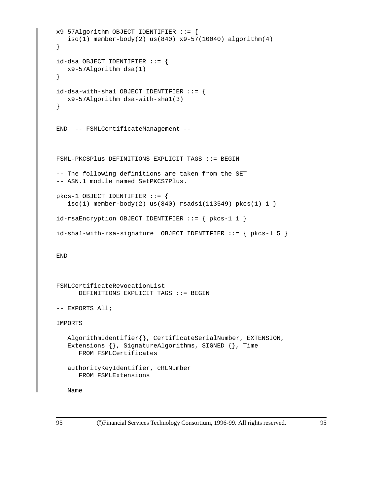```
x9-57Algorithm OBJECT IDENTIFIER ::= {
   iso(1) member-body(2) us(840) x9-57(10040) algorithm(4)
}
id-dsa OBJECT IDENTIFIER ::= {
   x9-57Algorithm dsa(1)
}
id-dsa-with-shell OBJECT IDENTIFYER ::= {
  x9-57Algorithm dsa-with-sha1(3)
}
END -- FSMLCertificateManagement --
FSML-PKCSPlus DEFINITIONS EXPLICIT TAGS ::= BEGIN
-- The following definitions are taken from the SET
-- ASN.1 module named SetPKCS7Plus.
pkcs-1 OBJECT IDENTIFIER ::= {
   iso(1) member-body(2) us(840) rsadsi(113549) pkcs(1) 1 }
id-rsaEncryption OBJECT IDENTIFIER ::= { pkcs-1 1 }
id-sha1-with-rsa-signature OBJECT IDENTIFIER ::= { pkcs-1 5 }
END
FSMLCertificateRevocationList
      DEFINITIONS EXPLICIT TAGS ::= BEGIN
-- EXPORTS All;
IMPORTS
   AlgorithmIdentifier{}, CertificateSerialNumber, EXTENSION,
   Extensions \{\}, SignatureAlgorithms, SIGNED \{\}, Time
      FROM FSMLCertificates
   authorityKeyIdentifier, cRLNumber
      FROM FSMLExtensions
   Name
```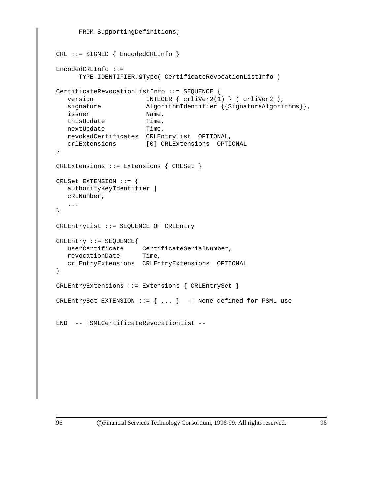```
FROM SupportingDefinitions;
CRL ::= SIGNED { EncodedCRLInfo }
EncodedCRLInfo ::=
     TYPE-IDENTIFIER.&Type( CertificateRevocationListInfo )
CertificateRevocationListInfo ::= SEQUENCE {
  version INTEGER { crliVer2(1) } ( crliVer2 ),
  signature \qquad \qquad \text{AlgorithmIdentifier } \left\{ \text{SignatureAlgorithms} \right\},issuer Name,
  thisUpdate Time,
  nextUpdate Time,
  revokedCertificates CRLEntryList OPTIONAL,
  crlExtensions [0] CRLExtensions OPTIONAL
}
CRLExtensions ::= Extensions { CRLSet }
CRLSet EXTENSION ::= {
  authorityKeyIdentifier |
  cRLNumber,
   ...
}
CRLEntryList ::= SEQUENCE OF CRLEntry
CRLEntry ::= SEQUENCE{
  userCertificate CertificateSerialNumber,
  revocationDate Time,
  crlEntryExtensions CRLEntryExtensions OPTIONAL
}
CRLEntryExtensions ::= Extensions { CRLEntrySet }
CRLEntrySet EXTENSION ::= \{ \ldots \} -- None defined for FSML use
END -- FSMLCertificateRevocationList --
```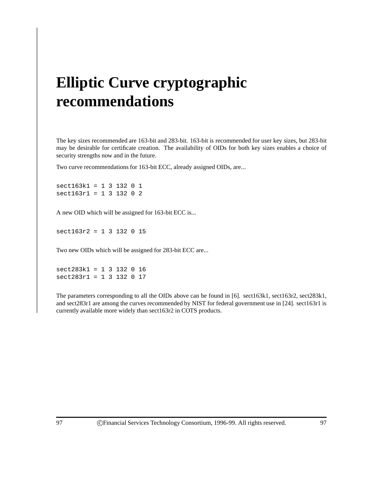# **Elliptic Curve cryptographic recommendations**

The key sizes recommended are 163-bit and 283-bit. 163-bit is recommended for user key sizes, but 283-bit may be desirable for certificate creation. The availability of OIDs for both key sizes enables a choice of security strengths now and in the future.

Two curve recommendations for 163-bit ECC, already assigned OIDs, are...

sect163k1 = 1 3 132 0 1 sect163r1 = 1 3 132 0 2

A new OID which will be assigned for 163-bit ECC is...

sect163r2 = 1 3 132 0 15

Two new OIDs which will be assigned for 283-bit ECC are...

sect283k1 = 1 3 132 0 16 sect283r1 = 1 3 132 0 17

The parameters corresponding to all the OIDs above can be found in [6]. sect163k1, sect163r2, sect283k1, and sect283r1 are among the curves recommended by NIST for federal government use in [24]. sect163r1 is currently available more widely than sect163r2 in COTS products.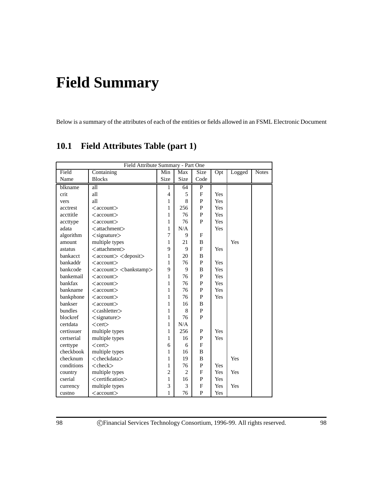# **Field Summary**

Below is a summary of the attributes of each of the entities or fields allowed in an FSML Electronic Document

| Field Attribute Summary - Part One |                                                       |                |                |             |     |        |              |
|------------------------------------|-------------------------------------------------------|----------------|----------------|-------------|-----|--------|--------------|
| Field                              | Containing                                            | Min            | Max            | Size        | Opt | Logged | <b>Notes</b> |
| Name                               | <b>Blocks</b>                                         | <b>Size</b>    | Size           | Code        |     |        |              |
| blkname                            | all                                                   | 1              | 64             | P           |     |        |              |
| crit                               | all                                                   | $\overline{4}$ | 5              | $\mathbf F$ | Yes |        |              |
| vers                               | all                                                   | $\mathbf{1}$   | $\mathbf{8}$   | P           | Yes |        |              |
| acctrest                           | $\langle$ account $\rangle$                           | 1              | 256            | P           | Yes |        |              |
| accttitle                          | $\langle$ account $\rangle$                           | 1              | 76             | P           | Yes |        |              |
| accttype                           | $\alpha$ ccount $>$                                   | 1              | 76             | P           | Yes |        |              |
| adata                              | <attachment></attachment>                             | 1              | N/A            |             | Yes |        |              |
| algorithm                          | $\langle$ signature $\rangle$                         | 7              | 9              | F           |     |        |              |
| amount                             | multiple types                                        | $\mathbf{1}$   | 21             | B           |     | Yes    |              |
| astatus                            | <attachment></attachment>                             | 9              | 9              | F           | Yes |        |              |
| bankacct                           | <account> <deposit></deposit></account>               | 1              | 20             | B           |     |        |              |
| bankaddr                           | $\langle$ account $\rangle$                           | 1              | 76             | P           | Yes |        |              |
| bankcode                           | $\langle account \rangle$ $\langle bankstamp \rangle$ | 9              | 9              | B           | Yes |        |              |
| bankemail                          | $\langle$ account $\rangle$                           | 1              | 76             | P           | Yes |        |              |
| bankfax                            | $<$ account $>$                                       | 1              | 76             | P           | Yes |        |              |
| bankname                           | $<$ account $>$                                       | 1              | 76             | P           | Yes |        |              |
| bankphone                          | $<$ account $>$                                       | 1              | 76             | P           | Yes |        |              |
| bankser                            | $<$ account $>$                                       | 1              | 16             | B           |     |        |              |
| bundles                            | <cashletter></cashletter>                             | 1              | 8              | P           |     |        |              |
| blockref                           | $\langle$ signature $\rangle$                         | 1              | 76             | P           |     |        |              |
| certdata                           | $<$ cert $>$                                          | 1              | N/A            |             |     |        |              |
| certissuer                         | multiple types                                        | 1              | 256            | P           | Yes |        |              |
| certserial                         | multiple types                                        | 1              | 16             | P           | Yes |        |              |
| certtype                           | $<$ cert $>$                                          | 6              | 6              | F           |     |        |              |
| checkbook                          | multiple types                                        | 1              | 16             | B           |     |        |              |
| checknum                           | <checkdata></checkdata>                               | 1              | 19             | B           |     | Yes    |              |
| conditions                         | $<$ check $>$                                         | 1              | 76             | P           | Yes |        |              |
| country                            | multiple types                                        | $\overline{c}$ | $\mathfrak{D}$ | F           | Yes | Yes    |              |
| cserial                            | <certification></certification>                       | 1              | 16             | P           | Yes |        |              |
| currency                           | multiple types                                        | 3              | 3              | F           | Yes | Yes    |              |
| custno                             | $\langle$ account $\rangle$                           | 1              | 76             | P           | Yes |        |              |

## **10.1 Field Attributes Table (part 1)**

98 CFinancial Services Technology Consortium, 1996-99. All rights reserved. 98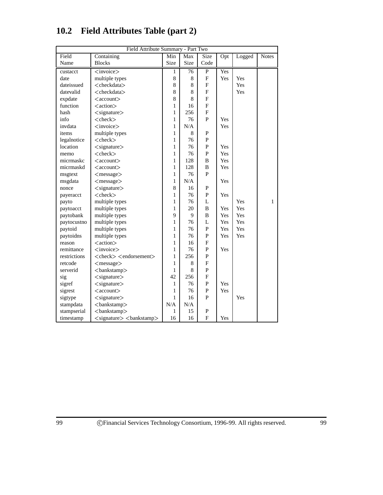| Field Attribute Summary - Part Two |                                                             |              |      |                           |     |        |              |
|------------------------------------|-------------------------------------------------------------|--------------|------|---------------------------|-----|--------|--------------|
| Field                              | Containing                                                  | Min          | Max  | Size                      | Opt | Logged | <b>Notes</b> |
| Name                               | <b>Blocks</b>                                               | Size         | Size | Code                      |     |        |              |
| custacct                           | $\langle$ invoice $\rangle$                                 | 1            | 76   | P                         | Yes |        |              |
| date                               | multiple types                                              | $\,$ 8 $\,$  | 8    | $\boldsymbol{\mathrm{F}}$ | Yes | Yes    |              |
| dateissued                         | <checkdata></checkdata>                                     | 8            | 8    | F                         |     | Yes    |              |
| datevalid                          | <checkdata></checkdata>                                     | 8            | 8    | F                         |     | Yes    |              |
| expdate                            | $\langle$ account $\rangle$                                 | 8            | 8    | F                         |     |        |              |
| function                           | <action></action>                                           | 1            | 16   | F                         |     |        |              |
| hash                               | $<$ signature $>$                                           | 1            | 256  | F                         |     |        |              |
| info                               | $<$ check $>$                                               | 1            | 76   | P                         | Yes |        |              |
| invdata                            | $<$ invoice $>$                                             | $\mathbf{1}$ | N/A  |                           | Yes |        |              |
| items                              | multiple types                                              | 1            | 8    | ${\bf P}$                 |     |        |              |
| legalnotice                        | $<$ check $>$                                               | 1            | 76   | P                         |     |        |              |
| location                           | $\langle$ signature $\rangle$                               | 1            | 76   | P                         | Yes |        |              |
| memo                               | $<$ check $>$                                               | 1            | 76   | $\mathbf P$               | Yes |        |              |
| micrmaskc                          | $\langle$ account $\rangle$                                 | $\mathbf{1}$ | 128  | $\, {\bf B}$              | Yes |        |              |
| micrmaskd                          | $\langle$ account $\rangle$                                 | 1            | 128  | B                         | Yes |        |              |
| msgtext                            | $<$ message $>$                                             | 1            | 76   | P                         |     |        |              |
| msgdata                            | <message></message>                                         | 1            | N/A  |                           | Yes |        |              |
| nonce                              | $<$ signature $>$                                           | 8            | 16   | P                         |     |        |              |
| payeracct                          | $<$ check $>$                                               | 1            | 76   | P                         | Yes |        |              |
| payto                              | multiple types                                              | 1            | 76   | L                         |     | Yes    | 1            |
| paytoacct                          | multiple types                                              | 1            | 20   | $\, {\bf B}$              | Yes | Yes    |              |
| paytobank                          | multiple types                                              | 9            | 9    | B                         | Yes | Yes    |              |
| paytocustno                        | multiple types                                              | 1            | 76   | L                         | Yes | Yes    |              |
| paytoid                            | multiple types                                              | 1            | 76   | $\mathbf{P}$              | Yes | Yes    |              |
| paytoidns                          | multiple types                                              | 1            | 76   | P                         | Yes | Yes    |              |
| reason                             | <action></action>                                           | 1            | 16   | F                         |     |        |              |
| remittance                         | $<$ invoice $>$                                             | 1            | 76   | P                         | Yes |        |              |
| restrictions                       | <check> <endorsement></endorsement></check>                 | 1            | 256  | ${\bf P}$                 |     |        |              |
| retcode                            | <message></message>                                         | 1            | 8    | $\mathbf F$               |     |        |              |
| serverid                           | <bankstamp></bankstamp>                                     | 1            | 8    | P                         |     |        |              |
| sig                                | $<$ signature $>$                                           | 42           | 256  | $\overline{F}$            |     |        |              |
| sigref                             | $\langle$ signature $\rangle$                               | 1            | 76   | $\mathbf P$               | Yes |        |              |
| sigrest                            | $\langle$ account $\rangle$                                 | 1            | 76   | $\mathbf{P}$              | Yes |        |              |
| sigtype                            | $\langle$ signature $\rangle$                               | 1            | 16   | P                         |     | Yes    |              |
| stampdata                          | <bankstamp></bankstamp>                                     | N/A          | N/A  |                           |     |        |              |
| stampserial                        | <bankstamp></bankstamp>                                     | 1            | 15   | P                         |     |        |              |
| timestamp                          | $\langle$ signature $\rangle$ $\langle$ bankstamp $\rangle$ | 16           | 16   | $\boldsymbol{\mathrm{F}}$ | Yes |        |              |

# **10.2 Field Attributes Table (part 2)**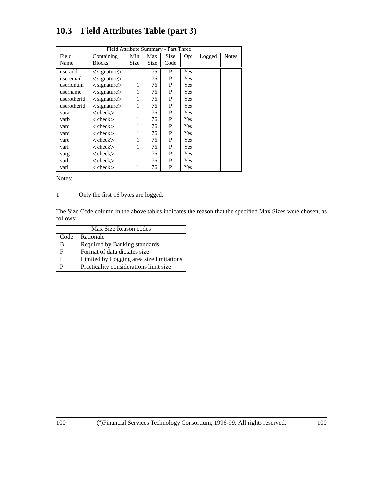| Field Attribute Summary - Part Three |                               |      |      |      |            |        |              |  |
|--------------------------------------|-------------------------------|------|------|------|------------|--------|--------------|--|
| Field                                | Containing                    | Min  | Max  | Size | Opt        | Logged | <b>Notes</b> |  |
| Name                                 | <b>Blocks</b>                 | Size | Size | Code |            |        |              |  |
| useraddr                             | $\langle$ signature $\rangle$ |      | 76   | P    | Yes        |        |              |  |
| useremail                            | $\langle$ signature $\rangle$ | 1    | 76   | P    | <b>Yes</b> |        |              |  |
| useridnum                            | $\langle$ signature $\rangle$ | 1    | 76   | P    | <b>Yes</b> |        |              |  |
| username                             | $\langle$ signature $\rangle$ | 1    | 76   | P    | <b>Yes</b> |        |              |  |
| userotherid                          | $\langle$ signature $\rangle$ | 1    | 76   | P    | <b>Yes</b> |        |              |  |
| userotherid                          | $\langle$ signature $\rangle$ | 1    | 76   | P    | <b>Yes</b> |        |              |  |
| vara                                 | $<$ check $>$                 |      | 76   | P    | <b>Yes</b> |        |              |  |
| varb                                 | $<$ check $>$                 | 1    | 76   | P    | <b>Yes</b> |        |              |  |
| varc                                 | $<$ check $>$                 | 1    | 76   | P    | Yes        |        |              |  |
| vard                                 | $<$ check $>$                 | 1    | 76   | P    | Yes        |        |              |  |
| vare                                 | $<$ check $>$                 | 1    | 76   | P    | Yes        |        |              |  |
| varf                                 | $<$ check $>$                 | 1    | 76   | P    | Yes        |        |              |  |
| varg                                 | $<$ check $>$                 | 1    | 76   | P    | Yes        |        |              |  |
| varh                                 | $<$ check $>$                 |      | 76   | P    | Yes        |        |              |  |
| vari                                 | $<$ check $>$                 |      | 76   | P    | Yes        |        |              |  |

# **10.3 Field Attributes Table (part 3)**

Notes:

1 Only the first 16 bytes are logged.

The Size Code column in the above tables indicates the reason that the specified Max Sizes were chosen, as follows:

| Max Size Reason codes |                                          |  |  |  |  |
|-----------------------|------------------------------------------|--|--|--|--|
| Code                  | Rationale                                |  |  |  |  |
| в                     | Required by Banking standards            |  |  |  |  |
| F                     | Format of data dictates size             |  |  |  |  |
|                       | Limited by Logging area size limitations |  |  |  |  |
|                       | Practicality considerations limit size   |  |  |  |  |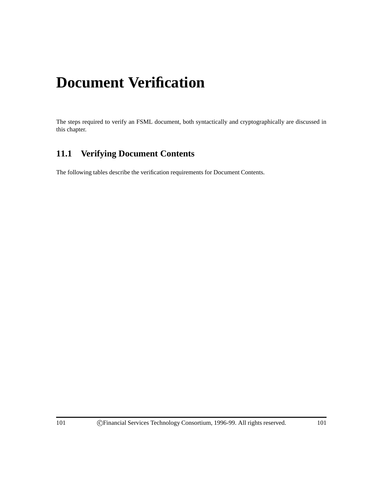# **Document Verification**

The steps required to verify an FSML document, both syntactically and cryptographically are discussed in this chapter.

# **11.1 Verifying Document Contents**

The following tables describe the verification requirements for Document Contents.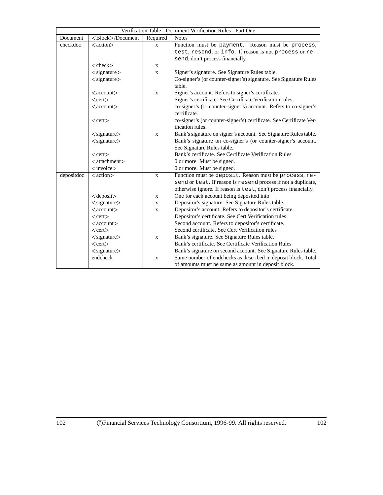| Verification Table - Document Verification Rules - Part One |                               |              |                                                                                  |  |  |  |
|-------------------------------------------------------------|-------------------------------|--------------|----------------------------------------------------------------------------------|--|--|--|
| Document                                                    | <block>/Document</block>      | Required     | <b>Notes</b>                                                                     |  |  |  |
| checkdoc                                                    | $<$ action $>$                | $\mathbf{X}$ | Function must be payment. Reason must be process,                                |  |  |  |
|                                                             |                               |              | test, resend, or info. If reason is not process or re-                           |  |  |  |
|                                                             |                               |              | send, don't process financially.                                                 |  |  |  |
|                                                             | $<$ check $>$                 | X            |                                                                                  |  |  |  |
|                                                             | $<$ signature $>$             | X            | Signer's signature. See Signature Rules table.                                   |  |  |  |
|                                                             | $\langle$ signature $\rangle$ |              | Co-signer's (or counter-signer's) signature. See Signature Rules                 |  |  |  |
|                                                             |                               |              | table.                                                                           |  |  |  |
|                                                             | $\langle$ account $\rangle$   | X            | Signer's account. Refers to signer's certificate.                                |  |  |  |
|                                                             | $<$ cert $>$                  |              | Signer's certificate. See Certificate Verification rules.                        |  |  |  |
|                                                             | $\langle$ account $\rangle$   |              | co-signer's (or counter-signer's) account. Refers to co-signer's<br>certificate. |  |  |  |
|                                                             | $<$ cert $>$                  |              | co-signer's (or counter-signer's) certificate. See Certificate Ver-              |  |  |  |
|                                                             |                               |              | ification rules.                                                                 |  |  |  |
|                                                             | $\langle$ signature $\rangle$ | $\mathbf{X}$ | Bank's signature on signer's account. See Signature Rules table.                 |  |  |  |
|                                                             | $<$ signature $>$             |              | Bank's signature on co-signer's (or counter-signer's account.                    |  |  |  |
|                                                             |                               |              | See Signature Rules table.                                                       |  |  |  |
|                                                             | $<$ cert $>$                  |              | Bank's certificate. See Certificate Verification Rules                           |  |  |  |
|                                                             | $<$ attachment $>$            |              | 0 or more. Must be signed.                                                       |  |  |  |
|                                                             | $\langle$ invoice $\rangle$   |              | 0 or more. Must be signed.                                                       |  |  |  |
| depositdoc                                                  | <action></action>             | $\mathbf{x}$ | Function must be deposit. Reason must be process, re-                            |  |  |  |
|                                                             |                               |              | send or test. If reason is resend process if not a duplicate,                    |  |  |  |
|                                                             |                               |              | otherwise ignore. If reason is test, don't process financially.                  |  |  |  |
|                                                             | $<$ deposit $>$               | X            | One for each account being deposited into                                        |  |  |  |
|                                                             | $\langle$ signature $\rangle$ | X            | Depositor's signature. See Signature Rules table.                                |  |  |  |
|                                                             | $\langle$ account $\rangle$   | X            | Depositor's account. Refers to depositor's certificate.                          |  |  |  |
|                                                             | $<$ cert $>$                  |              | Depositor's certificate. See Cert Verification rules                             |  |  |  |
|                                                             | $\langle$ account $\rangle$   |              | Second account. Refers to depositor's certificate.                               |  |  |  |
|                                                             | $<$ cert $>$                  |              | Second certificate. See Cert Verification rules                                  |  |  |  |
|                                                             | $\langle$ signature $\rangle$ | X            | Bank's signature. See Signature Rules table.                                     |  |  |  |
|                                                             | $<$ cert $>$                  |              | Bank's certificate. See Certificate Verification Rules                           |  |  |  |
|                                                             | $<$ signature $>$             |              | Bank's signature on second account. See Signature Rules table.                   |  |  |  |
|                                                             | endcheck                      | X            | Same number of endchecks as described in deposit block. Total                    |  |  |  |
|                                                             |                               |              | of amounts must be same as amount in deposit block.                              |  |  |  |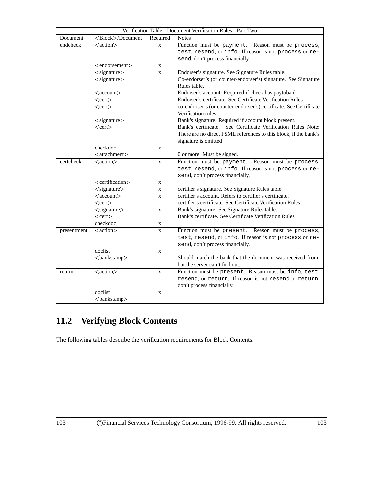|             |                                 |              | Verification Table - Document Verification Rules - Part Two        |
|-------------|---------------------------------|--------------|--------------------------------------------------------------------|
| Document    | <block>/Document</block>        | Required     | <b>Notes</b>                                                       |
| endcheck    | <action></action>               | $\mathbf x$  | Function must be payment. Reason must be process,                  |
|             |                                 |              | test, resend, or info. If reason is not process or re-             |
|             |                                 |              | send, don't process financially.                                   |
|             | $\leq$ endorsement $>$          | $\mathbf X$  |                                                                    |
|             | $<$ signature $>$               | $\mathbf x$  | Endorser's signature. See Signature Rules table.                   |
|             | $<$ signature $>$               |              | Co-endorser's (or counter-endorser's) signature. See Signature     |
|             |                                 |              | Rules table.                                                       |
|             | $\langle$ account $\rangle$     |              | Endorser's account. Required if check has paytobank                |
|             | $<$ cert $>$                    |              | Endorser's certificate. See Certificate Verification Rules         |
|             | $<$ cert $>$                    |              | co-endorser's (or counter-endorser's) certificate. See Certificate |
|             |                                 |              | Verification rules.                                                |
|             | $\langle$ signature $\rangle$   |              | Bank's signature. Required if account block present.               |
|             | $<$ cert $>$                    |              | Bank's certificate. See Certificate Verification Rules Note:       |
|             |                                 |              | There are no direct FSML references to this block, if the bank's   |
|             |                                 |              | signature is omitted                                               |
|             | checkdoc                        | $\mathbf X$  |                                                                    |
|             | $<$ attachment $>$              |              | 0 or more. Must be signed.                                         |
| certcheck   | <action></action>               | $\mathbf{X}$ | Function must be payment. Reason must be process,                  |
|             |                                 |              | test, resend, or info. If reason is not process or re-             |
|             |                                 |              | send, don't process financially.                                   |
|             | <certification></certification> | X            |                                                                    |
|             | $\langle$ signature $\rangle$   | $\mathbf{x}$ | certifier's signature. See Signature Rules table.                  |
|             | $\langle$ account $\rangle$     | $\mathbf X$  | certifier's account. Refers to certifier's certificate.            |
|             | $<$ cert $>$                    |              | certifier's certificate. See Certificate Verification Rules        |
|             | $<$ signature $>$               | $\mathbf{X}$ | Bank's signature. See Signature Rules table.                       |
|             | $<$ cert $>$                    |              | Bank's certificate. See Certificate Verification Rules             |
|             | checkdoc                        | X            |                                                                    |
| presentment | $\langle action \rangle$        | X            | Function must be present. Reason must be process,                  |
|             |                                 |              | test, resend, or info. If reason is not process or re-             |
|             |                                 |              | send, don't process financially.                                   |
|             | doclist                         | $\mathbf X$  |                                                                    |
|             | <br>bankstamp>                  |              | Should match the bank that the document was received from,         |
|             |                                 |              | but the server can't find out.                                     |
| return      | <action></action>               | $\mathbf{X}$ | Function must be present. Reason must be info, test,               |
|             |                                 |              | resend, or return. If reason is not resend or return,              |
|             |                                 |              | don't process financially.                                         |
|             | doclist                         | $\mathbf x$  |                                                                    |
|             | <bankstamp></bankstamp>         |              |                                                                    |

# **11.2 Verifying Block Contents**

The following tables describe the verification requirements for Block Contents.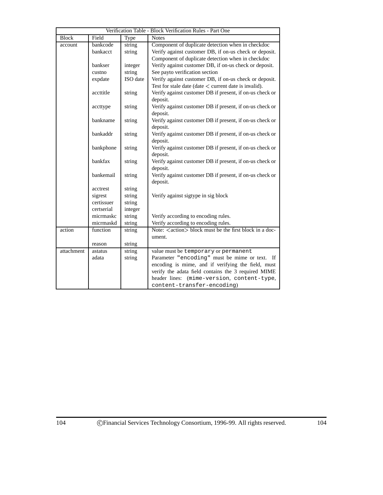|              |            |          | Verification Table - Block Verification Rules - Part One             |
|--------------|------------|----------|----------------------------------------------------------------------|
| <b>Block</b> | Field      | Type     | <b>Notes</b>                                                         |
| account      | bankcode   | string   | Component of duplicate detection when in checkdoc                    |
|              | bankacct   | string   | Verify against customer DB, if on-us check or deposit.               |
|              |            |          | Component of duplicate detection when in checkdoc                    |
|              | bankser    | integer  | Verify against customer DB, if on-us check or deposit.               |
|              | custno     | string   | See payto verification section                                       |
|              | expdate    | ISO date | Verify against customer DB, if on-us check or deposit.               |
|              |            |          | Test for stale date (date $\lt$ current date is invalid).            |
|              | accttitle  | string   | Verify against customer DB if present, if on-us check or             |
|              |            |          | deposit.                                                             |
|              | accttype   | string   | Verify against customer DB if present, if on-us check or             |
|              |            |          | deposit.                                                             |
|              | bankname   | string   | Verify against customer DB if present, if on-us check or             |
|              |            |          | deposit.                                                             |
|              | bankaddr   | string   | Verify against customer DB if present, if on-us check or             |
|              |            |          | deposit.<br>Verify against customer DB if present, if on-us check or |
|              | bankphone  | string   | deposit.                                                             |
|              | bankfax    | string   | Verify against customer DB if present, if on-us check or             |
|              |            |          | deposit.                                                             |
|              | bankemail  | string   | Verify against customer DB if present, if on-us check or             |
|              |            |          | deposit.                                                             |
|              | acctrest   | string   |                                                                      |
|              | sigrest    | string   | Verify against sigtype in sig block                                  |
|              | certissuer | string   |                                                                      |
|              | certserial | integer  |                                                                      |
|              | micrmaskc  | string   | Verify according to encoding rules.                                  |
|              | micrmaskd  | string   | Verify according to encoding rules.                                  |
| action       | function   | string   | Note: <action> block must be the first block in a doc-</action>      |
|              |            |          | ument.                                                               |
|              | reason     | string   |                                                                      |
| attachment   | astatus    | string   | value must be temporary or permanent                                 |
|              | adata      | string   | Parameter "encoding" must be mime or text. If                        |
|              |            |          | encoding is mime, and if verifying the field, must                   |
|              |            |          | verify the adata field contains the 3 required MIME                  |
|              |            |          | (mime-version, content-type,<br>header lines:                        |
|              |            |          | content-transfer-encoding)                                           |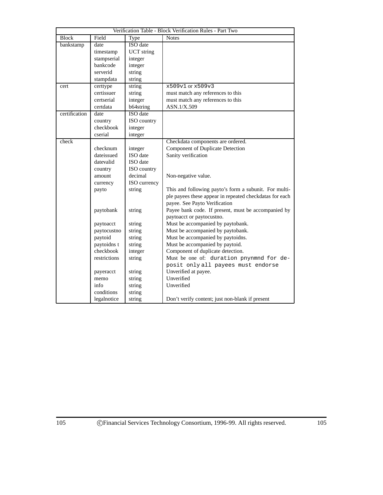| Verification Table - Block Verification Rules - Part Two |              |                   |                                                         |  |
|----------------------------------------------------------|--------------|-------------------|---------------------------------------------------------|--|
| <b>Block</b>                                             | Field        | Type              | <b>Notes</b>                                            |  |
| bankstamp                                                | date         | ISO date          |                                                         |  |
|                                                          | timestamp    | <b>UCT</b> string |                                                         |  |
|                                                          | stampserial  | integer           |                                                         |  |
|                                                          | bankcode     | integer           |                                                         |  |
|                                                          | serverid     | string            |                                                         |  |
|                                                          | stampdata    | string            |                                                         |  |
| cert                                                     | certtype     | string            | x509v1 or x509v3                                        |  |
|                                                          | certissuer   | string            | must match any references to this                       |  |
|                                                          | certserial   | integer           | must match any references to this                       |  |
|                                                          | certdata     | b64string         | ASN.1/X.509                                             |  |
| certification                                            | date         | <b>ISO</b> date   |                                                         |  |
|                                                          | country      | ISO country       |                                                         |  |
|                                                          | checkbook    | integer           |                                                         |  |
|                                                          | cserial      | integer           |                                                         |  |
| check                                                    |              |                   | Checkdata components are ordered.                       |  |
|                                                          | checknum     | integer           | Component of Duplicate Detection                        |  |
|                                                          | dateissued   | ISO date          | Sanity verification                                     |  |
|                                                          | datevalid    | ISO date          |                                                         |  |
|                                                          | country      | ISO country       |                                                         |  |
|                                                          | amount       | decimal           | Non-negative value.                                     |  |
|                                                          | currency     | ISO currency      |                                                         |  |
|                                                          | payto        | string            | This and following payto's form a subunit. For multi-   |  |
|                                                          |              |                   | ple payees these appear in repeated checkdatas for each |  |
|                                                          |              |                   | payee. See Payto Verification                           |  |
|                                                          | paytobank    | string            | Payee bank code. If present, must be accompanied by     |  |
|                                                          |              |                   | paytoacct or paytocustno.                               |  |
|                                                          | paytoacct    | string            | Must be accompanied by paytobank.                       |  |
|                                                          | paytocustno  | string            | Must be accompanied by paytobank.                       |  |
|                                                          | paytoid      | string            | Must be accompanied by paytoidns.                       |  |
|                                                          | paytoidns t  | string            | Must be accompanied by paytoid.                         |  |
|                                                          | checkbook    | integer           | Component of duplicate detection.                       |  |
|                                                          | restrictions | string            | Must be one of: duration pnynmnd for de-                |  |
|                                                          |              |                   | posit only all payees must endorse                      |  |
|                                                          | payeracct    | string            | Unverified at payee.                                    |  |
|                                                          | memo         | string            | Unverified                                              |  |
|                                                          | info         | string            | Unverified                                              |  |
|                                                          | conditions   | string            |                                                         |  |
|                                                          | legalnotice  | string            | Don't verify content; just non-blank if present         |  |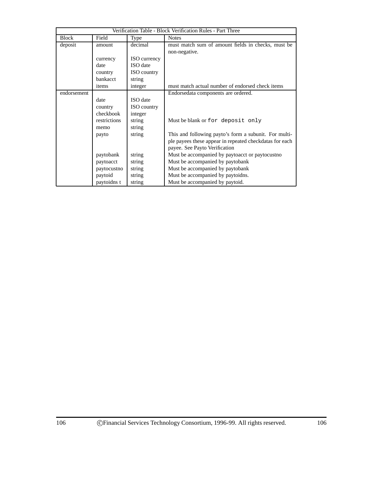| Verification Table - Block Verification Rules - Part Three |              |                     |                                                         |  |
|------------------------------------------------------------|--------------|---------------------|---------------------------------------------------------|--|
| <b>Block</b>                                               | Field        | Type                | <b>Notes</b>                                            |  |
| deposit                                                    | amount       | decimal             | must match sum of amount fields in checks, must be      |  |
|                                                            |              |                     | non-negative.                                           |  |
|                                                            | currency     | <b>ISO</b> currency |                                                         |  |
|                                                            | date         | <b>ISO</b> date     |                                                         |  |
|                                                            | country      | <b>ISO</b> country  |                                                         |  |
|                                                            | bankacct     | string              |                                                         |  |
|                                                            | items        | integer             | must match actual number of endorsed check items        |  |
| endorsement                                                |              |                     | Endorsedata components are ordered.                     |  |
|                                                            | date         | ISO date            |                                                         |  |
|                                                            | country      | <b>ISO</b> country  |                                                         |  |
|                                                            | checkbook    | integer             |                                                         |  |
|                                                            | restrictions | string              | Must be blank or for deposit only                       |  |
|                                                            | memo         | string              |                                                         |  |
|                                                            | payto        | string              | This and following payto's form a subunit. For multi-   |  |
|                                                            |              |                     | ple payees these appear in repeated checkdatas for each |  |
|                                                            |              |                     | payee. See Payto Verification                           |  |
|                                                            | paytobank    | string              | Must be accompanied by paytoacct or paytocustno         |  |
|                                                            | paytoacct    | string              | Must be accompanied by paytobank                        |  |
|                                                            | paytocustno  | string              | Must be accompanied by paytobank                        |  |
|                                                            | paytoid      | string              | Must be accompanied by paytoidns.                       |  |
|                                                            | paytoidns t  | string              | Must be accompanied by paytoid.                         |  |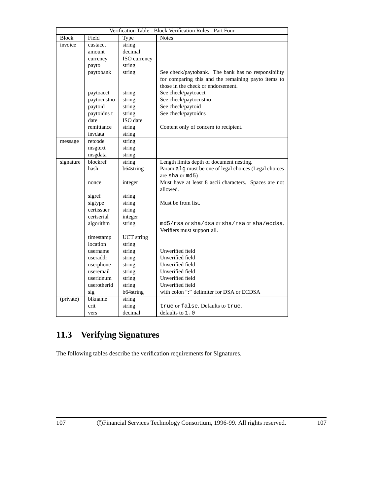| Verification Table - Block Verification Rules - Part Four |             |                   |                                                       |  |
|-----------------------------------------------------------|-------------|-------------------|-------------------------------------------------------|--|
| <b>Block</b>                                              | Field       | Type              | <b>Notes</b>                                          |  |
| invoice                                                   | custacct    | string            |                                                       |  |
|                                                           | amount      | decimal           |                                                       |  |
|                                                           | currency    | ISO currency      |                                                       |  |
|                                                           | payto       | string            |                                                       |  |
|                                                           | paytobank   | string            | See check/paytobank. The bank has no responsibility   |  |
|                                                           |             |                   | for comparing this and the remaining payto items to   |  |
|                                                           |             |                   | those in the check or endorsement.                    |  |
|                                                           | paytoacct   | string            | See check/paytoacct                                   |  |
|                                                           | paytocustno | string            | See check/paytocustno                                 |  |
|                                                           | paytoid     | string            | See check/paytoid                                     |  |
|                                                           | paytoidns t | string            | See check/paytoidns                                   |  |
|                                                           | date        | ISO date          |                                                       |  |
|                                                           | remittance  | string            | Content only of concern to recipient.                 |  |
|                                                           | invdata     | string            |                                                       |  |
| message                                                   | retcode     | string            |                                                       |  |
|                                                           | msgtext     | string            |                                                       |  |
|                                                           | msgdata     | string            |                                                       |  |
| signature                                                 | blockref    | string            | Length limits depth of document nesting.              |  |
|                                                           | hash        | b64string         | Param alg must be one of legal choices (Legal choices |  |
|                                                           |             |                   | are sha or md5)                                       |  |
|                                                           | nonce       | integer           | Must have at least 8 ascii characters. Spaces are not |  |
|                                                           |             |                   | allowed.                                              |  |
|                                                           | sigref      | string            |                                                       |  |
|                                                           | sigtype     | string            | Must be from list.                                    |  |
|                                                           | certissuer  | string            |                                                       |  |
|                                                           | certserial  | integer           |                                                       |  |
|                                                           | algorithm   | string            | md5/rsa or sha/dsa or sha/rsa or sha/ecdsa.           |  |
|                                                           |             |                   | Verifiers must support all.                           |  |
|                                                           | timestamp   | <b>UCT</b> string |                                                       |  |
|                                                           | location    | string            |                                                       |  |
|                                                           | username    | string            | Unverified field                                      |  |
|                                                           | useraddr    | string            | Unverified field                                      |  |
|                                                           | userphone   | string            | Unverified field                                      |  |
|                                                           | useremail   | string            | Unverified field                                      |  |
|                                                           | useridnum   | string            | Unverified field                                      |  |
|                                                           | userotherid | string            | Unverified field                                      |  |
|                                                           | sig         | b64string         | with colon ":" delimiter for DSA or ECDSA             |  |
| (private)                                                 | blkname     | string            |                                                       |  |
|                                                           | crit        | string            | true or false. Defaults to true.                      |  |
|                                                           | vers        | decimal           | defaults to 1.0                                       |  |

# **11.3 Verifying Signatures**

The following tables describe the verification requirements for Signatures.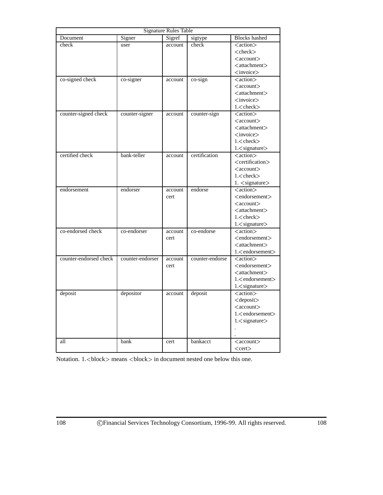| <b>Signature Rules Table</b> |                  |         |                 |                                                       |
|------------------------------|------------------|---------|-----------------|-------------------------------------------------------|
| Document                     | Signer           | Sigref  | sigtype         | <b>Blocks</b> hashed                                  |
| check                        | user             | account | check           | <action></action>                                     |
|                              |                  |         |                 | $<$ check $>$                                         |
|                              |                  |         |                 | $\langle account \rangle$                             |
|                              |                  |         |                 | $<$ attachment $>$                                    |
|                              |                  |         |                 | $\langle$ invoice $\rangle$                           |
| co-signed check              | co-signer        | account | co-sign         | <action></action>                                     |
|                              |                  |         |                 | $\langle$ account $\rangle$                           |
|                              |                  |         |                 | $<$ attachment $>$                                    |
|                              |                  |         |                 | $<$ invoice $>$                                       |
|                              |                  |         |                 | $1$ . $check$                                         |
| counter-signed check         | counter-signer   | account | counter-sign    | <action></action>                                     |
|                              |                  |         |                 | $\langle$ account $\rangle$                           |
|                              |                  |         |                 | $<$ attachment $>$                                    |
|                              |                  |         |                 | $<$ invoice $>$<br>$1$ . $check$                      |
|                              |                  |         |                 |                                                       |
|                              |                  |         |                 | 1. <signature></signature>                            |
| certified check              | bank-teller      | account | certification   | <action><br/><certification></certification></action> |
|                              |                  |         |                 | $\langle$ account $\rangle$                           |
|                              |                  |         |                 | $1$ < check >                                         |
|                              |                  |         |                 | 1. <signature></signature>                            |
| endorsement                  | endorser         | account | endorse         | <action></action>                                     |
|                              |                  | cert    |                 | <endorsement></endorsement>                           |
|                              |                  |         |                 | $\langle account \rangle$                             |
|                              |                  |         |                 | $\lt$ attachment $>$                                  |
|                              |                  |         |                 | $1$ < check >                                         |
|                              |                  |         |                 | $1$ . $\langle$ signature $\rangle$                   |
| co-endorsed check            | co-endorser      | account | co-endorse      | <action></action>                                     |
|                              |                  | cert    |                 | <endorsement></endorsement>                           |
|                              |                  |         |                 | $<$ attachment $>$                                    |
|                              |                  |         |                 | 1. <endorsement></endorsement>                        |
| counter-endorsed check       | counter-endorser | account | counter-endorse | <action></action>                                     |
|                              |                  | cert    |                 | <endorsement></endorsement>                           |
|                              |                  |         |                 | $<$ attachment $>$                                    |
|                              |                  |         |                 | $1$ . $\leq$ endorsement $>$                          |
|                              |                  |         |                 | $1$ . $\langle$ signature $\rangle$                   |
| deposit                      | depositor        | account | deposit         | <action></action>                                     |
|                              |                  |         |                 | <deposit></deposit>                                   |
|                              |                  |         |                 | $\langle account \rangle$                             |
|                              |                  |         |                 | 1. <endorsement></endorsement>                        |
|                              |                  |         |                 | 1. <signature></signature>                            |
|                              |                  |         |                 |                                                       |
|                              |                  |         |                 |                                                       |
| all                          | bank             | cert    | bankacct        | $\langle account \rangle$                             |
|                              |                  |         |                 | $<$ cert $>$                                          |
|                              |                  |         |                 |                                                       |

Notation.  $1$ .<br/> $\lt$ block> means  $\lt$ block> in document nested one below this one.

í.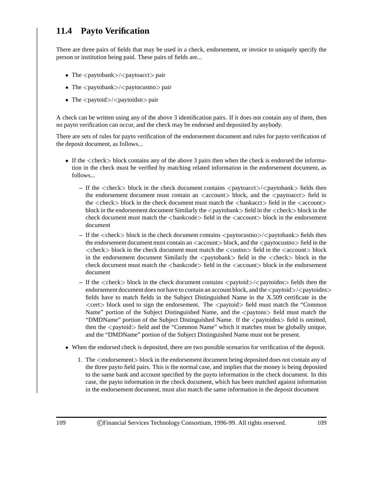# **11.4 Payto Verification**

There are three pairs of fields that may be used in a check, endorsement, or invoice to uniquely specify the person or institution being paid. These pairs of fields are...

- The <paytobank>/<paytoacct> pair
- The  $\langle$  paytobank $\rangle$  $\langle$  paytocustno $\rangle$  pair
- The <paytoid>/<paytoidsn> pair

A check can be written using any of the above 3 identification pairs. If it does not contain any of them, then no payto verification can occur, and the check may be endorsed and deposited by anybody.

There are sets of rules for payto verification of the endorsement document and rules for payto verification of the deposit document, as follows...

- If the <sup>&</sup>lt;check<sup>&</sup>gt; block contains any of the above 3 pairs then when the check is endorsed the information in the check must be verified by matching related information in the endorsement document, as follows...
	- If the  $\langle$ check block in the check document contains  $\langle$ paytoacct  $\rangle$  $\langle$ paytobank  $\rangle$  fields then the endorsement document must contain an  $\langle$  account $\rangle$  block, and the  $\langle$  paytoacct $\rangle$  field in the  $\langle$ check $\rangle$  block in the check document must match the  $\langle$ bankacct $\rangle$  field in the  $\langle$ account $\rangle$ block in the endorsement document Similarly the  $\langle$  paytobank $\rangle$  field in the  $\langle$  check $\rangle$  block in the check document must match the  $\langle$ bankcode $\rangle$  field in the  $\langle$ account $\rangle$  block in the endorsement document
	- If the <check> block in the check document contains <paytocustno>/<paytobank> fields then the endorsement document must contain an  $\langle$  account $\rangle$  block, and the  $\langle$  paytocustno $\rangle$  field in the  $\langle$  <check > block in the check document must match the  $\langle$  custno > field in the  $\langle$  account > block in the endorsement document Similarly the  $\langle$  paytobank $\rangle$  field in the  $\langle$  check $\rangle$  block in the check document must match the <br/>bankcode> field in the <account> block in the endorsement document
	- If the <check> block in the check document contains <paytoid>/<paytoidns> fields then the endorsement document does not have to contain an account block, and the  $\langle$  paytoid $\rangle$  $\langle$  paytoidns $\rangle$ fields have to match fields in the Subject Distinguished Name in the X.509 certificate in the  $\leq$ cert $\geq$  block used to sign the endorsement. The  $\leq$ paytoid $\geq$  field must match the "Common" Name" portion of the Subject Distinguished Name, and the <paytons> field must match the "DMDName" portion of the Subject Distinguished Name. If the <paytoidns> field is omitted, then the <sup>&</sup>lt;paytoid<sup>&</sup>gt; field and the "Common Name" which it matches must be globally unique, and the "DMDName" portion of the Subject Distinguished Name must not be present.
- When the endorsed check is deposited, there are two possible scenarios for verification of the deposit.
	- 1. The <sup>&</sup>lt;endorsement<sup>&</sup>gt; block in the endorsement document being deposited does not contain any of the three payto field pairs. This is the normal case, and implies that the money is being deposited to the same bank and account specified by the payto information in the check document. In this case, the payto information in the check document, which has been matched against information in the endorsement document, must also match the same information in the deposit document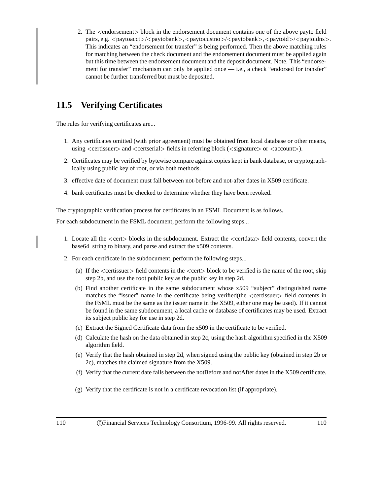2. The <sup>&</sup>lt;endorsement<sup>&</sup>gt; block in the endorsement document contains one of the above payto field pairs, e.g.  $\langle$  paytoacct $\rangle$ / $\langle$  paytobank $\rangle$ ,  $\langle$  paytocustno $\rangle$ / $\langle$  paytobank $\rangle$ ,  $\langle$  paytoidnes $\rangle$ . This indicates an "endorsement for transfer" is being performed. Then the above matching rules for matching between the check document and the endorsement document must be applied again but this time between the endorsement document and the deposit document. Note. This "endorsement for transfer" mechanism can only be applied once — i.e., a check "endorsed for transfer" cannot be further transferred but must be deposited.

# **11.5 Verifying Certificates**

The rules for verifying certificates are...

- 1. Any certificates omitted (with prior agreement) must be obtained from local database or other means, using  $\langle$  certissuer $\rangle$  and  $\langle$  certserial $\rangle$  fields in referring block  $(\langle$  signature $\rangle$  or  $\langle$  account $\rangle$ ).
- 2. Certificates may be verified by bytewise compare against copies kept in bank database, or cryptographically using public key of root, or via both methods.
- 3. effective date of document must fall between not-before and not-after dates in X509 certificate.
- 4. bank certificates must be checked to determine whether they have been revoked.

The cryptographic verification process for certificates in an FSML Document is as follows.

For each subdocument in the FSML document, perform the following steps...

- 1. Locate all the <sup>&</sup>lt;cert<sup>&</sup>gt; blocks in the subdocument. Extract the <sup>&</sup>lt;certdata<sup>&</sup>gt; field contents, convert the base64 string to binary, and parse and extract the x509 contents.
- 2. For each certificate in the subdocument, perform the following steps...
	- (a) If the  $\le$  certissuer $>$  field contents in the  $\le$  cert $>$  block to be verified is the name of the root, skip step 2b, and use the root public key as the public key in step 2d.
	- (b) Find another certificate in the same subdocument whose x509 "subject" distinguished name matches the "issuer" name in the certificate being verified(the <sup>&</sup>lt;certissuer<sup>&</sup>gt; field contents in the FSML must be the same as the issuer name in the X509, either one may be used). If it cannot be found in the same subdocument, a local cache or database of certificates may be used. Extract its subject public key for use in step 2d.
	- (c) Extract the Signed Certificate data from the x509 in the certificate to be verified.
	- (d) Calculate the hash on the data obtained in step 2c, using the hash algorithm specified in the X509 algorithm field.
	- (e) Verify that the hash obtained in step 2d, when signed using the public key (obtained in step 2b or 2c), matches the claimed signature from the X509.
	- (f) Verify that the current date falls between the notBefore and notAfter dates in the X509 certificate.
	- (g) Verify that the certificate is not in a certificate revocation list (if appropriate).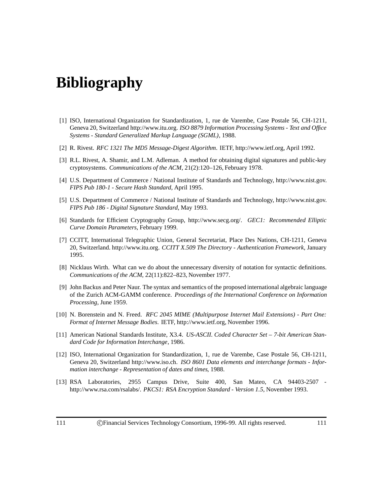# **Bibliography**

- [1] ISO, International Organization for Standardization, 1, rue de Varembe, Case Postale 56, CH-1211, Geneva 20, Switzerland http://www.itu.org. *ISO 8879 Information Processing Systems - Text and Office Systems - Standard Generalized Markup Language (SGML)*, 1988.
- [2] R. Rivest. *RFC 1321 The MD5 Message-Digest Algorithm*. IETF, http://www.ietf.org, April 1992.
- [3] R.L. Rivest, A. Shamir, and L.M. Adleman. A method for obtaining digital signatures and public-key cryptosystems. *Communications of the ACM*, 21(2):120–126, February 1978.
- [4] U.S. Department of Commerce / National Institute of Standards and Technology, http://www.nist.gov. *FIPS Pub 180-1 - Secure Hash Standard*, April 1995.
- [5] U.S. Department of Commerce / National Institute of Standards and Technology, http://www.nist.gov. *FIPS Pub 186 - Digital Signature Standard*, May 1993.
- [6] Standards for Efficient Cryptography Group, http://www.secg.org/. *GEC1: Recommended Elliptic Curve Domain Parameters*, February 1999.
- [7] CCITT, International Telegraphic Union, General Secretariat, Place Des Nations, CH-1211, Geneva 20, Switzerland. http://www.itu.org. *CCITT X.509 The Directory - Authentication Framework*, January 1995.
- [8] Nicklaus Wirth. What can we do about the unnecessary diversity of notation for syntactic definitions. *Communications of the ACM*, 22(11):822–823, November 1977.
- [9] John Backus and Peter Naur. The syntax and semantics of the proposed international algebraic language of the Zurich ACM-GAMM conference. *Proceedings of the International Conference on Information Processing*, June 1959.
- [10] N. Borenstein and N. Freed. *RFC 2045 MIME (Multipurpose Internet Mail Extensions) Part One: Format of Internet Message Bodies*. IETF, http://www.ietf.org, November 1996.
- [11] American National Standards Institute, X3.4. *US-ASCII. Coded Character Set 7-bit American Standard Code for Information Interchange*, 1986.
- [12] ISO, International Organization for Standardization, 1, rue de Varembe, Case Postale 56, CH-1211, Geneva 20, Switzerland http://www.iso.ch. *ISO 8601 Data elements and interchange formats - Information interchange - Representation of dates and times*, 1988.
- [13] RSA Laboratories, 2955 Campus Drive, Suite 400, San Mateo, CA 94403-2507 http://www.rsa.com/rsalabs/. *PKCS1: RSA Encryption Standard - Version 1.5*, November 1993.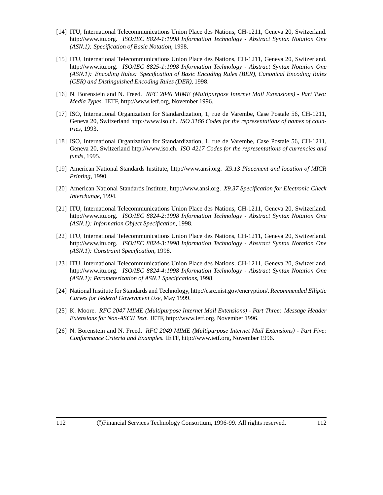- [14] ITU, International Telecommunications Union Place des Nations, CH-1211, Geneva 20, Switzerland. http://www.itu.org. *ISO/IEC 8824-1:1998 Information Technology - Abstract Syntax Notation One (ASN.1): Specification of Basic Notation*, 1998.
- [15] ITU, International Telecommunications Union Place des Nations, CH-1211, Geneva 20, Switzerland. http://www.itu.org. *ISO/IEC 8825-1:1998 Information Technology - Abstract Syntax Notation One (ASN.1): Encoding Rules: Specification of Basic Encoding Rules (BER), Canonical Encoding Rules (CER) and Distinguished Encoding Rules (DER)*, 1998.
- [16] N. Borenstein and N. Freed. *RFC 2046 MIME (Multipurpose Internet Mail Extensions) Part Two: Media Types*. IETF, http://www.ietf.org, November 1996.
- [17] ISO, International Organization for Standardization, 1, rue de Varembe, Case Postale 56, CH-1211, Geneva 20, Switzerland http://www.iso.ch. *ISO 3166 Codes for the representations of names of countries*, 1993.
- [18] ISO, International Organization for Standardization, 1, rue de Varembe, Case Postale 56, CH-1211, Geneva 20, Switzerland http://www.iso.ch. *ISO 4217 Codes for the representations of currencies and funds*, 1995.
- [19] American National Standards Institute, http://www.ansi.org. *X9.13 Placement and location of MICR Printing*, 1990.
- [20] American National Standards Institute, http://www.ansi.org. *X9.37 Specification for Electronic Check Interchange*, 1994.
- [21] ITU, International Telecommunications Union Place des Nations, CH-1211, Geneva 20, Switzerland. http://www.itu.org. *ISO/IEC 8824-2:1998 Information Technology - Abstract Syntax Notation One (ASN.1): Information Object Specification*, 1998.
- [22] ITU, International Telecommunications Union Place des Nations, CH-1211, Geneva 20, Switzerland. http://www.itu.org. *ISO/IEC 8824-3:1998 Information Technology - Abstract Syntax Notation One (ASN.1): Constraint Specification*, 1998.
- [23] ITU, International Telecommunications Union Place des Nations, CH-1211, Geneva 20, Switzerland. http://www.itu.org. *ISO/IEC 8824-4:1998 Information Technology - Abstract Syntax Notation One (ASN.1): Parameterization of ASN.1 Specifications*, 1998.
- [24] National Institute for Standards and Technology, http://csrc.nist.gov/encryption/. *Recommended Elliptic Curves for Federal Government Use*, May 1999.
- [25] K. Moore. *RFC 2047 MIME (Multipurpose Internet Mail Extensions) Part Three: Message Header Extensions for Non-ASCII Text*. IETF, http://www.ietf.org, November 1996.
- [26] N. Borenstein and N. Freed. *RFC 2049 MIME (Multipurpose Internet Mail Extensions) Part Five: Conformance Criteria and Examples*. IETF, http://www.ietf.org, November 1996.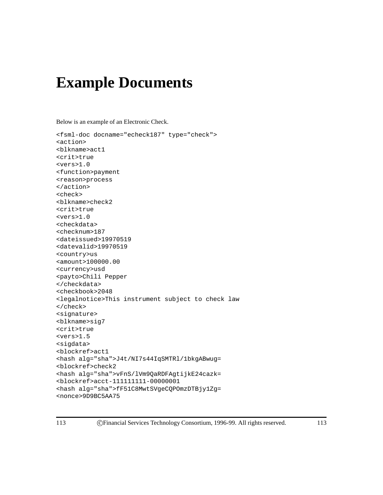# **Example Documents**

Below is an example of an Electronic Check.

```
<fsml-doc docname="echeck187" type="check">
<action>
<blkname>act1
<crit>true
<vers>1.0
<function>payment
<reason>process
</action>
<check>
<blkname>check2
<crit>true
<vers>1.0
<checkdata>
<checknum>187
<dateissued>19970519
<datevalid>19970519
<country>us
<amount>100000.00
<currency>usd
<payto>Chili Pepper
</checkdata>
<checkbook>2048
<legalnotice>This instrument subject to check law
</check>
<signature>
<blkname>sig7
<crit>true
<vers>1.5
<sigdata>
<blockref>act1
<hash alg="sha">J4t/NI7s44IqSMTRl/1bkgABwug=
<blockref>check2
<hash alg="sha">vFnS/lVm9QaRDFAgtijkE24cazk=
<blockref>acct-111111111-00000001
<hash alg="sha">fF51C8MwtSVgeCQPOmzDTBjy1Zg=
<nonce>9D9BC5AA75
```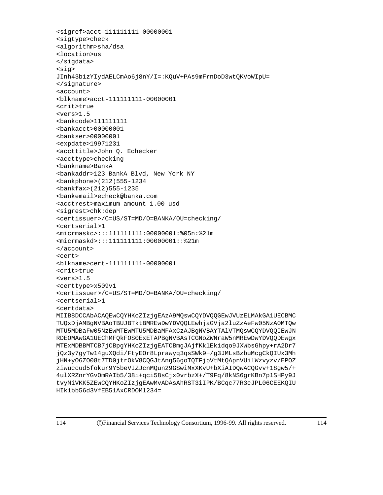```
<sigref>acct-111111111-00000001
<sigtype>check
<algorithm>sha/dsa
<location>us
</sigdata>
<sig>
JInh43b1zYIydAELCmAo6j8nY/I=:KQuV+PAs9mFrnDoD3wtQKVoWIpU=
</signature>
<account>
<blkname>acct-111111111-00000001
<crit>true
<vers>1.5
<bankcode>111111111
<bankacct>00000001
<bankser>00000001
<expdate>19971231
<accttitle>John Q. Echecker
<accttype>checking
<bankname>BankA
<bankaddr>123 BankA Blvd, New York NY
<bankphone>(212)555-1234
<bankfax>(212)555-1235
<bankemail>echeck@banka.com
<acctrest>maximum amount 1.00 usd
<sigrest>chk:dep
<certissuer>/C=US/ST=MD/O=BANKA/OU=checking/
<certserial>1
<micrmaskc>:::111111111:00000001:%05n:%21m
<micrmaskd>:::111111111:00000001::%21m
</account>
<cert>
<blkname>cert-111111111-00000001
<crit>true
<vers>1.5
<certtype>x509v1
<certissuer>/C=US/ST=MD/O=BANKA/OU=checking/
<certserial>1
<certdata>
MIIB8DCCAbACAQEwCQYHKoZIzjgEAzA9MQswCQYDVQQGEwJVUzELMAkGA1UECBMC
TUQxDjAMBgNVBAoTBUJBTktBMREwDwYDVQQLEwhjaGVja2luZzAeFw05NzA0MTQw
MTU5MDBaFw05NzEwMTEwMTU5MDBaMFAxCzAJBgNVBAYTAlVTMQswCQYDVQQIEwJN
RDEOMAwGA1UEChMFQkFOS0ExETAPBgNVBAsTCGNoZWNraW5nMREwDwYDVQQDEwgx
MTExMDBBMTCB7jCBpgYHKoZIzjgEATCBmgJAjfKklEkidqo9JXWbsGhpy+rA2Dr7
jQz3y7gyTw14guXQdi/FtyEOr8Lprawyq3qsSWk9+/g3JMLsBzbuMcgCkQIUx3Mh
jHN+yO6ZO08t7TD0jtrOkV8CQGJtAng56goTQTFjpVtMtQApnVUilWzvyzv/EPOZ
ziwuccud5fokur9Y5beVIZJcnMQun29GSwiMxXKvU+bXiAIDQwACQGvv+18gw5/+
4ulXRZnrYGvOmRAIb5/38i+qci58sCjx0vrbzX+/T9Fq/8kNS6grKBn7p1SHPy9J
tvyMiVKK5ZEwCQYHKoZIzjgEAwMvADAsAhRST3iIPK/BCqc77R3cJPL06CEEKQIU
HIk1bb56d3VfEB51AxCRDOMl234=
```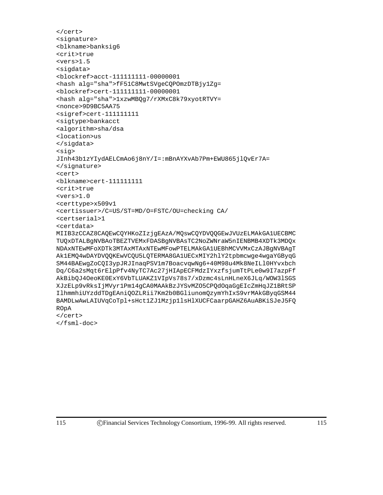```
</cert>
<signature>
<blkname>banksig6
<crit>true
<vers>1.5
<sigdata>
<blockref>acct-111111111-00000001
<hash alg="sha">fF51C8MwtSVgeCQPOmzDTBjy1Zg=
<blockref>cert-111111111-00000001
<hash alg="sha">1xzwMBQg7/rXMxC8k79xyotRTVY=
<nonce>9D9BC5AA75
<sigref>cert-111111111
<sigtype>bankacct
<algorithm>sha/dsa
<location>us
</sigdata>
<sig>
JInh43b1zYIydAELCmAo6j8nY/I=:mBnAYXvAb7Pm+EWU865jlQvEr7A=
</signature>
<cert>
<blkname>cert-111111111
<crit>true
<vers>1.0
<certtype>x509v1
<certissuer>/C=US/ST=MD/O=FSTC/OU=checking CA/
<certserial>1
<certdata>
MIIB3zCCAZ8CAQEwCQYHKoZIzjgEAzA/MQswCQYDVQQGEwJVUzELMAkGA1UECBMC
TUQxDTALBgNVBAoTBEZTVEMxFDASBgNVBAsTC2NoZWNraW5nIENBMB4XDTk3MDQx
NDAxNTEwMFoXDTk3MTAxMTAxNTEwMFowPTELMAkGA1UEBhMCVVMxCzAJBgNVBAgT
Ak1EMQ4wDAYDVQQKEwVCQU5LQTERMA8GA1UECxMIY2hlY2tpbmcwge4wgaYGByqG
SM44BAEwgZoCQI3ypJRJInaqPSV1m7BoacvqwNg6+40M98u4Mk8NeILl0HYvxbch
Dq/C6a2sMqt6rElpPfv4NyTC7Ac27jHIApECFMdzIYxzfsjumTtPLe0w9I7azpFf
AkBibQJ4OeoKE0ExY6VbTLUAKZ1VIpVs78s7/xDzmc4sLnHLneX6JLq/WOW3lSGS
XJzELp9vRksIjMVyr1Pm14gCA0MAAkBzJYSvMZO5CPQdOqaGgEIcZmHqJZ1BRtSP
IlhmmhiUYzddTDgEAniQOZLRii7Km2b0BGliunomQzymYhIxS9vrMAkGByqGSM44
BAMDLwAwLAIUVqCoTpl+sHct1ZJ1Mzjp1lsHlXUCFCaarpGAHZ6AuABKiSJeJ5FQ
ROpA
</cert>
```
</fsml-doc>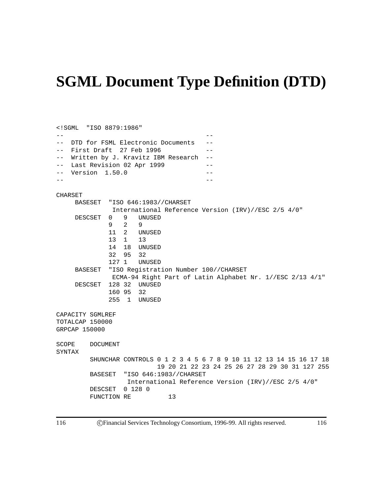# **SGML Document Type Definition (DTD)**

```
<!SGML "ISO 8879:1986"
-- --
-- DTD for FSML Electronic Documents --
-- First Draft 27 Feb 1996 --
-- Written by J. Kravitz IBM Research --
-- Last Revision 02 Apr 1999 --
-- Version 1.50.0 --
-- --
CHARSET
    BASESET "ISO 646:1983//CHARSET
           International Reference Version (IRV)//ESC 2/5 4/0"
    DESCSET 0 9 UNUSED
           929
           11 2 UNUSED
           13 1 13
           14 18 UNUSED
           32 95 32
           127 1 UNUSED
    BASESET "ISO Registration Number 100//CHARSET
            ECMA-94 Right Part of Latin Alphabet Nr. 1//ESC 2/13 4/1"
    DESCSET 128 32 UNUSED
           160 95 32
           255 1 UNUSED
CAPACITY SGMLREF
TOTALCAP 150000
GRPCAP 150000
SCOPE DOCUMENT
SYNTAX
       SHUNCHAR CONTROLS 0 1 2 3 4 5 6 7 8 9 10 11 12 13 14 15 16 17 18
                      19 20 21 22 23 24 25 26 27 28 29 30 31 127 255
       BASESET "ISO 646:1983//CHARSET
               International Reference Version (IRV)//ESC 2/5 4/0"
       DESCSET 0 128 0
       FUNCTION RE 13
```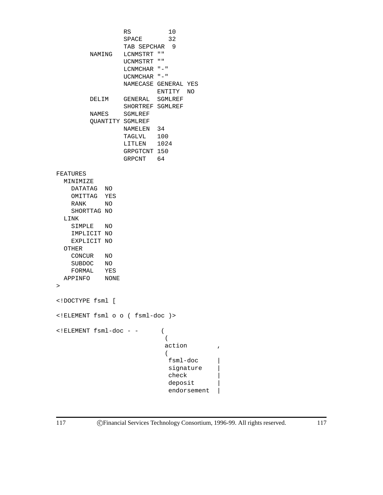```
RS 10
                SPACE 32
                TAB SEPCHAR 9
        NAMING LCNMSTRT ""
                UCNMSTRT ""
                LCNMCHAR "-"
                UCNMCHAR "-"
                NAMECASE GENERAL YES
                         ENTITY NO
        DELIM GENERAL SGMLREF
                SHORTREF SGMLREF
        NAMES SGMLREF
        QUANTITY SGMLREF
                NAMELEN 34
                TAGLVL 100
                LITLEN 1024
                 GRPGTCNT 150
                GRPCNT 64
FEATURES
 MINIMIZE
   DATATAG NO
   OMITTAG YES
   RANK NO
   SHORTTAG NO
 LINK
   SIMPLE NO
   IMPLICIT NO
   EXPLICIT NO
 OTHER
   CONCUR NO
   SUBDOC NO
   FORMAL YES
 APPINFO NONE
>
<!DOCTYPE fsml [
<!ELEMENT fsml o o ( fsml-doc )>
\leq!ELEMENT fsml-doc - - ((
                           action ,
                           \left(fsml-doc |
                            signature |
                            check |
                            deposit |
                            endorsement |
```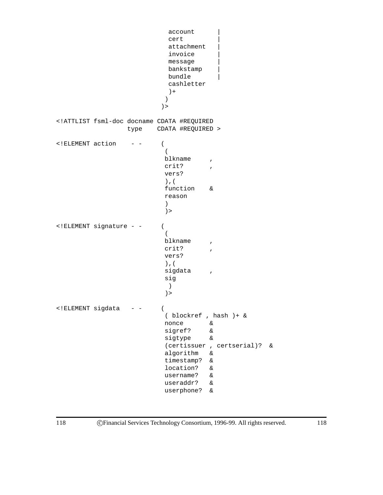```
account
                           cert |
                           attachment
                           invoice |
                           message |
                           bankstamp |
                           bundle |
                           cashletter
                           ) +)
                         )>
<!ATTLIST fsml-doc docname CDATA #REQUIRED
                 type CDATA #REQUIRED >
<!ELEMENT action - - (
                          (
                          blkname ,
                          crit? ,
                          vers?
                          ),(
                          function &
                          reason
                          )
                          )>
<!ELEMENT signature - - (
                          \left(blkname ,
                          crit?
                          vers?
                          ),(
                          sigdata ,
                          sig
                          )
                          )>
<!ELEMENT sigdata - - (
                          ( blockref , hash )+ &
                          nonce &
                          sigref? &
                          sigtype &
                          (certissuer , certserial)? &
                          algorithm &
                          timestamp? &
                          location? &
                          username? &
                          useraddr? &
                          userphone? &
```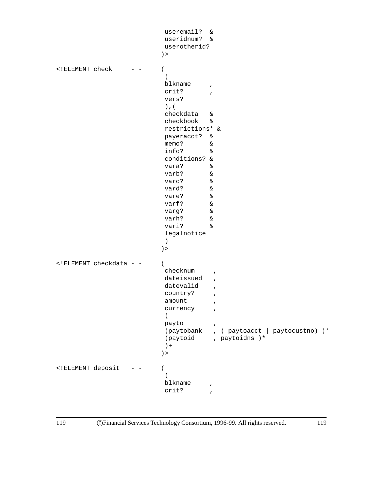```
useremail? &
                       useridnum? &
                       userotherid?
                      ) >
<!ELEMENT check - - (
                       \left(blkname ,
                       crit? ,
                       vers?
                       ),(
                       checkdata &
                       checkbook &
                       restrictions* &
                       payeracct? &
                       memo? &
                       info? &
                       conditions? &
                       vara? &
                       varb? &
                       varc? &
                       vard? &
                       vare? &
                       varf? &
                       varg? &
                       varh? &
                       vari? &
                       legalnotice
                       )
                      )>
<!ELEMENT checkdata - - (
                       checknum ,
                       dateissued,
                       datevalid ,
                       country?,
                       amount,
                       currency ,
                       \left(payto
                       (paytobank , ( paytoacct | paytocustno) )*
                       (paytoid , paytoidns )*
                       )+
                      )>
<!ELEMENT deposit - - (
                       \left(blkname
                       crit? ,
```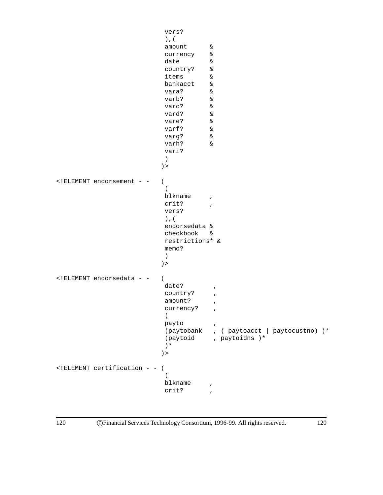```
vers?
                        ),(
                        amount &
                        currency &
                        date &
                        country? &
                        items &
                        bankacct &
                        vara? &
                        varb? &
                        varc? &
                        vard? &<br>vare? &
                        vare? &<br>varf? &
                        varf?
                        varg? &
                        varh? &
                        vari?
                        )
                       )>
<!ELEMENT endorsement - - (
                        \left(blkname ,
                        crit? ,
                        vers?
                        ),(
                        endorsedata &
                        checkbook &
                        restrictions* &
                        memo?
                        )
                       )>
<!ELEMENT endorsedata - - (
                        date?,
                        country?,
                        amount?,
                        currency?,
                        \left(payto
                        (paytobank , ( paytoacct | paytocustno) )*
                        (paytoid , paytoidns )*
                        )*
                       )>
<!ELEMENT certification - - (
                        (
                        blkname ,
                        crit?
```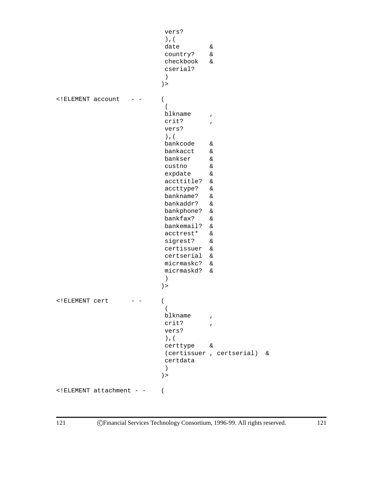```
vers?
                        ),(
                        date &
                        country? &
                        checkbook &
                        cserial?
                        )
                       )>
<!ELEMENT account - - (
                        \left(blkname ,
                        crit? ,
                        vers?
                        ),(
                        bankcode &
                        bankacct &
                        bankser &
                        custno &
                        expdate &
                        accttitle? &
                        accttype? &
                        bankname? &
                        bankaddr? &
                        bankphone? &
                        bankfax? &
                        bankemail? &
                        acctrest* &
                        sigrest? &
                        certissuer &
                        certserial &
                        micrmaskc? &
                        micrmaskd? &
                        )
                       )>
<!ELEMENT cert - - (
                        (
                        blkname ,
                        crit? ,
                        vers?
                        ),(
                        certtype &
                        (certissuer , certserial) &
                        certdata
                        )
                       )>
<!ELEMENT attachment - - (
```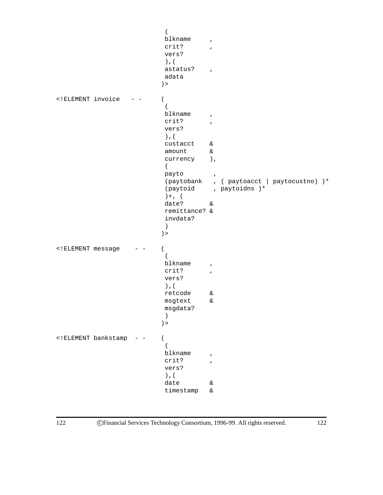```
(
                       blkname ,
                       crit? ,
                       vers?
                       ),(
                       astatus?,
                       adata
                       )>
<!ELEMENT invoice - - (
                       \left(blkname ,
                       crit? ,
                       vers?
                       ),(
                       custacct &
                       amount &
                       currency ),
                       (payto ,
                       (paytobank , ( paytoacct | paytocustno) )*
                       (paytoid , paytoidns )*
                       )+, (
                       date? &
                       remittance? &
                       invdata?
                       )
                       )>
<!ELEMENT message - - (
                       \left(blkname ,
                       crit? ,
                       vers?
                       ),(
                       retcode &
                       msgtext &
                       msgdata?
                       )
                       )>
<!ELEMENT bankstamp - - (
                       \left(blkname ,
                       crit? ,
                       vers?
                       ),(
                       date &
                        timestamp &
```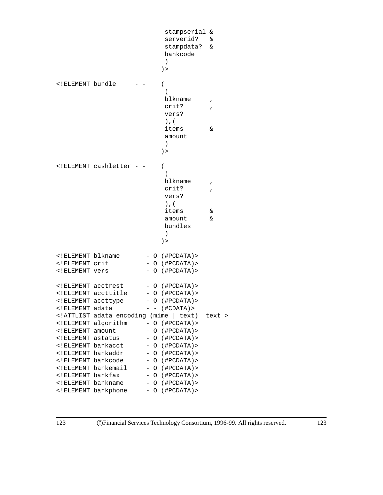```
stampserial &
                          serverid? &
                          stampdata? &
                         bankcode
                          )
                         ) >
<!ELEMENT bundle - - (
                          (
                         blkname ,
                          crit? ,
                          vers?
                          ),(
                          items &
                          amount
                          )
                         ) >
<!ELEMENT cashletter - - (
                          (
                          blkname ,
                          crit?
                          vers?
                          ),(
                          items &
                          amount &
                         bundles
                          )
                         ) >
<!ELEMENT blkname - O (#PCDATA)>
<!ELEMENT crit - O (#PCDATA)>
<!ELEMENT vers - O (#PCDATA)>
<!ELEMENT acctrest - O (#PCDATA)>
<!ELEMENT accttitle - O (#PCDATA)>
<:ELEMENT accttype - O (#PCDATA)>
\leq!ELEMENT adata - - ( \#CDATA) >
<!ATTLIST adata encoding (mime | text) text >
<!ELEMENT algorithm - O (#PCDATA)>
<!ELEMENT amount - O (#PCDATA)>
<!ELEMENT astatus - O (#PCDATA)>
<!ELEMENT bankacct - O (#PCDATA)>
<!ELEMENT bankaddr - O (#PCDATA)>
<!ELEMENT bankcode - O (#PCDATA)>
<!ELEMENT bankemail - O (#PCDATA)>
<!ELEMENT bankfax - O (#PCDATA)>
<!ELEMENT bankname  - O (#PCDATA)>
<!ELEMENT bankphone - O (#PCDATA)>
```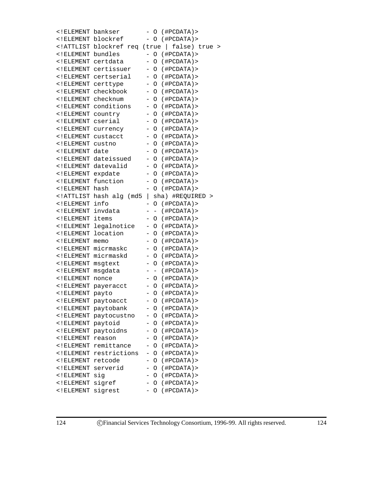| ELEMENT bankser</th <th></th> <th></th> <th>O</th> <th></th> <th>(HPCDATA)</th> <th></th>                                                         |                                                                                                        |                          | O                        |   | (HPCDATA)         |   |
|---------------------------------------------------------------------------------------------------------------------------------------------------|--------------------------------------------------------------------------------------------------------|--------------------------|--------------------------|---|-------------------|---|
| ELEMENT blockref</td <td></td> <td></td> <td>O</td> <td></td> <td>(HPCDATA)</td> <td></td>                                                        |                                                                                                        |                          | O                        |   | (HPCDATA)         |   |
| ATTLIST blockref</td <td>req (true</td> <td></td> <td></td> <td>L</td> <td>false) true</td> <td>&gt;</td>                                         | req (true                                                                                              |                          |                          | L | false) true       | > |
| $\lt$ ! ELEMENT                                                                                                                                   | bundles                                                                                                |                          | O                        |   | (HPCDATA)         |   |
| $\overline{<}$ ! ELEMENT                                                                                                                          | certdata                                                                                               |                          | O                        |   | (HPCDATA)         |   |
| $\lt$ ! ELEMENT                                                                                                                                   | certissuer                                                                                             | $\qquad \qquad -$        | O                        |   | (HPCDATA)         |   |
| ELEMENT</td <td>certserial</td> <td>-</td> <td>O</td> <td></td> <td>(#PCDATA)&gt;</td> <td></td>                                                  | certserial                                                                                             | -                        | O                        |   | (#PCDATA)>        |   |
| $\lt$ ! ELEMENT                                                                                                                                   | certtype                                                                                               | $\overline{\phantom{0}}$ | O                        |   | (#PCDATA)>        |   |
| $\lt$ ! ELEMENT                                                                                                                                   | checkbook                                                                                              | $\overline{\phantom{0}}$ | O                        |   | (HPCDATA)         |   |
| $\overline{<}$ ! ELEMENT                                                                                                                          | checknum                                                                                               | $\overline{\phantom{0}}$ | O                        |   | (HPCDATA)         |   |
| $\overline{<}$ ! ELEMENT                                                                                                                          | conditions                                                                                             | $\overline{\phantom{0}}$ | O                        |   | (HPCDATA)         |   |
| $\lt$ ! ELEMENT                                                                                                                                   | country                                                                                                | -                        | O                        |   | (HPCDATA)         |   |
| $\lt$ ! ELEMENT                                                                                                                                   | cserial                                                                                                | $\overline{\phantom{0}}$ | O                        |   | (HPCDATA)         |   |
| $\lt$ ! ELEMENT                                                                                                                                   | currency                                                                                               | $\overline{\phantom{0}}$ | O                        |   | (HPCDATA)         |   |
| ELEMENT</td <td>custacct</td> <td><math>\overline{\phantom{0}}</math></td> <td>O</td> <td></td> <td>(#PCDATA)&gt;</td> <td></td>                  | custacct                                                                                               | $\overline{\phantom{0}}$ | O                        |   | (#PCDATA)>        |   |
| ELEMENT</td <td>custno</td> <td><math>\overline{\phantom{0}}</math></td> <td>O</td> <td></td> <td>(HPCDATA)</td> <td></td>                        | custno                                                                                                 | $\overline{\phantom{0}}$ | O                        |   | (HPCDATA)         |   |
| $\overline{<}$ ! ELEMENT                                                                                                                          | date                                                                                                   | $\overline{\phantom{0}}$ | O                        |   | (HPCDATA)         |   |
| $\lt$ ! ELEMENT                                                                                                                                   | dateissued                                                                                             | $\overline{\phantom{0}}$ | O                        |   | (HPCDATA)         |   |
| $\lt$ ! ELEMENT                                                                                                                                   | datevalid                                                                                              | $\overline{\phantom{0}}$ | O                        |   | (HPCDATA)         |   |
| $\overline{<}$ ! ELEMENT                                                                                                                          | expdate                                                                                                | $\overline{\phantom{0}}$ | O                        |   | (HPCDATA)         |   |
| $\lt$ ! ELEMENT                                                                                                                                   | function                                                                                               | $\overline{\phantom{0}}$ | O                        |   | (HPCDATA)         |   |
| $\lt$ ! ELEMENT                                                                                                                                   | hash                                                                                                   | $\overline{\phantom{0}}$ | O                        |   | (HPCDATA)         |   |
| ATTLIST</td <td>hash alg<br/>(md5)</td> <td><math>\overline{\phantom{a}}</math></td> <td>sha)</td> <td></td> <td>#REQUIRED &gt;</td> <td></td>    | hash alg<br>(md5)                                                                                      | $\overline{\phantom{a}}$ | sha)                     |   | #REQUIRED >       |   |
| $\lt$ ! ELEMENT                                                                                                                                   | info                                                                                                   | -                        | O                        |   | (HPCDATA)         |   |
| $\lt$ ! ELEMENT                                                                                                                                   | invdata                                                                                                |                          | $\overline{\phantom{0}}$ |   | (HPCDATA)         |   |
| $\lt$ ! ELEMENT                                                                                                                                   | items                                                                                                  | $\overline{\phantom{0}}$ | O                        |   | (HPCDATA)         |   |
| $\lt$ ! ELEMENT                                                                                                                                   | legalnotice                                                                                            | $\overline{\phantom{0}}$ | O                        |   | (HPCDATA)         |   |
| $\lt$ ! ELEMENT                                                                                                                                   | location                                                                                               | $\overline{\phantom{0}}$ | O                        |   | (HPCDATA)         |   |
| $\lt$ ! ELEMENT                                                                                                                                   | memo                                                                                                   | -                        | O                        |   | (HPCDATA)         |   |
| $\lt$ ! ELEMENT                                                                                                                                   | micrmaskc                                                                                              | -                        | O                        |   | (HPCDATA)         |   |
| $\lt$ ! ELEMENT                                                                                                                                   | micrmaskd                                                                                              | -                        | O                        |   | (#PCDATA)>        |   |
| $\lt$ ! ELEMENT                                                                                                                                   | msgtext                                                                                                | -                        | Ο                        |   | (#PCDATA)>        |   |
| $\lt$ ! ELEMENT                                                                                                                                   | msgdata                                                                                                | -                        | $\qquad \qquad -$        |   | (HPCDATA)         |   |
| $<$ ! ELEMENT                                                                                                                                     | nonce                                                                                                  | -                        | Ο                        |   | (HPCDATA)         |   |
| $\lt$ ! ELEMENT                                                                                                                                   | payeracct                                                                                              | -                        | O                        |   | (HPCDATA)         |   |
| $\lt$ ! ELEMENT                                                                                                                                   | payto                                                                                                  | -                        | O                        |   | (#PCDATA)>        |   |
| $\lt$ ! ELEMENT                                                                                                                                   | paytoacct                                                                                              | -                        | O                        |   | (HPCDATA)         |   |
|                                                                                                                                                   | ELEMENT paytobank</td <td></td> <td></td> <td></td> <td><math>-</math> O (#PCDATA) &gt;</td> <td></td> |                          |                          |   | $-$ O (#PCDATA) > |   |
| ELEMENT</td <td>paytocustno</td> <td></td> <td>O</td> <td></td> <td>(HPCDATA)</td> <td></td>                                                      | paytocustno                                                                                            |                          | O                        |   | (HPCDATA)         |   |
| ELEMENT</td <td>paytoid</td> <td></td> <td>O</td> <td></td> <td>(HPCDATA)</td> <td></td>                                                          | paytoid                                                                                                |                          | O                        |   | (HPCDATA)         |   |
|                                                                                                                                                   | ELEMENT paytoidns</td <td></td> <td>O</td> <td></td> <td>(HPCDATA)</td> <td></td>                      |                          | O                        |   | (HPCDATA)         |   |
| ELEMENT</td <td>reason</td> <td></td> <td><math>\circ</math></td> <td></td> <td>(HPCDATA)</td> <td></td>                                          | reason                                                                                                 |                          | $\circ$                  |   | (HPCDATA)         |   |
| ELEMENT</td <td>remittance</td> <td><math>\overline{\phantom{0}}</math></td> <td>0</td> <td></td> <td>(HPCDATA)</td> <td></td>                    | remittance                                                                                             | $\overline{\phantom{0}}$ | 0                        |   | (HPCDATA)         |   |
| ELEMENT</td <td>restrictions</td> <td><math>\overline{\phantom{0}}</math></td> <td><math>\circ</math></td> <td></td> <td>(HPCDATA)</td> <td></td> | restrictions                                                                                           | $\overline{\phantom{0}}$ | $\circ$                  |   | (HPCDATA)         |   |
| $\lt$ ! ELEMENT                                                                                                                                   | retcode                                                                                                | $\overline{\phantom{0}}$ | $\circ$                  |   | (HPCDATA)         |   |
| $\lt$ ! ELEMENT                                                                                                                                   | serverid                                                                                               | -                        | $\circ$                  |   | (HPCDATA)         |   |
| ELEMENT</td <td>sig</td> <td>-</td> <td><math>\circ</math></td> <td></td> <td>(HPCDATA)</td> <td></td>                                            | sig                                                                                                    | -                        | $\circ$                  |   | (HPCDATA)         |   |
| ELEMENT</td <td>sigref</td> <td>-</td> <td>0</td> <td></td> <td>(HPCDATA)</td> <td></td>                                                          | sigref                                                                                                 | -                        | 0                        |   | (HPCDATA)         |   |
| ELEMENT</td <td>sigrest</td> <td>-</td> <td>O</td> <td></td> <td>(#PCDATA)&gt;</td> <td></td>                                                     | sigrest                                                                                                | -                        | O                        |   | (#PCDATA)>        |   |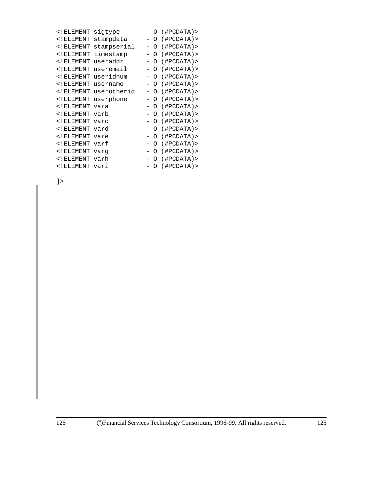| $\overline{<}$ ! ELEMENT                                                  | siqtype     | Ω        | (#PCDATA)> |
|---------------------------------------------------------------------------|-------------|----------|------------|
| $<$ ! ELEMENT                                                             | stampdata   | Ω        | (HPCDATA)  |
| $<$ ! ELEMENT                                                             | stampserial | Ω        | (HPCDATA)  |
| $<$ ! ELEMENT                                                             | timestamp   | Ω        | (HPCDATA)  |
| $<$ ! ELEMENT                                                             | useraddr    | Ω        | (HPCDATA)  |
| $\overline{<}$ ! ELEMENT                                                  | useremail   | Ω        | (HPCDATA)  |
| $\overline{<}$ ! ELEMENT                                                  | useridnum   | $\Omega$ | (#PCDATA)> |
| $\overline{<}$ ! ELEMENT                                                  | username    | Ω        | (HPCDATA)  |
| $\overline{<}$ ! ELEMENT                                                  | userotherid | Ω        | (HPCDATA)  |
| $\lt$ ! ELEMENT                                                           | userphone   | Ω        | (HPCDATA)  |
| $\overline{<}$ ! ELEMENT                                                  | vara        | Ω        | (HPCDATA)  |
| $\overline{<}$ ! ELEMENT                                                  | varb        | Ω        | (HPCDATA)  |
| $\lt$ ! ELEMENT                                                           | varc        | ∩        | (HPCDATA)  |
| $\overline{<}$ ! ELEMENT                                                  | vard        | $\Omega$ | (HPCDATA)  |
| $\overline{<}$ ! ELEMENT                                                  | vare        | $\Omega$ | (HPCDATA)  |
| $\overline{<}$ ! ELEMENT                                                  | varf        | $\Omega$ | (HPCDATA)  |
| ELEMENT</td <td>varg</td> <td><math>\Omega</math></td> <td>(HPCDATA)</td> | varg        | $\Omega$ | (HPCDATA)  |
| $\overline{<}$ ! ELEMENT                                                  | varh        | $\Omega$ | (HPCDATA)  |
| ELEMENT vari</td <td></td> <td>Ω</td> <td>(HPCDATA)</td>                  |             | Ω        | (HPCDATA)  |
|                                                                           |             |          |            |

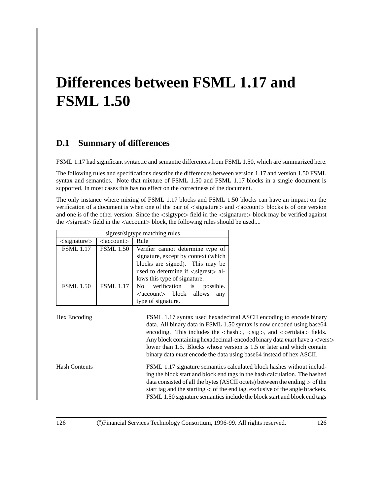# **Differences between FSML 1.17 and FSML 1.50**

## **D.1 Summary of differences**

FSML 1.17 had significant syntactic and semantic differences from FSML 1.50, which are summarized here.

The following rules and specifications describe the differences between version 1.17 and version 1.50 FSML syntax and semantics. Note that mixture of FSML 1.50 and FSML 1.17 blocks in a single document is supported. In most cases this has no effect on the correctness of the document.

The only instance where mixing of FSML 1.17 blocks and FSML 1.50 blocks can have an impact on the verification of a document is when one of the pair of  $\langle$ signature $\rangle$  and  $\langle$ account $\rangle$  blocks is of one version and one is of the other version. Since the  $\langle$  sigtype $\rangle$  field in the  $\langle$  signature $\rangle$  block may be verified against the  $\langle$  sigrest $\rangle$  field in the  $\langle$  account $\rangle$  block, the following rules should be used....

|                                      | sigrest/sigtype matching rules |                                                      |                                                                                                                                                                                                                                                                                                                                                                                                                                                                                                                                                                                                                                                                                                                                                                                                                                                                                                                                                                                  |
|--------------------------------------|--------------------------------|------------------------------------------------------|----------------------------------------------------------------------------------------------------------------------------------------------------------------------------------------------------------------------------------------------------------------------------------------------------------------------------------------------------------------------------------------------------------------------------------------------------------------------------------------------------------------------------------------------------------------------------------------------------------------------------------------------------------------------------------------------------------------------------------------------------------------------------------------------------------------------------------------------------------------------------------------------------------------------------------------------------------------------------------|
| $\langle$ signature $\rangle$        | $\langle$ account $\rangle$    | Rule                                                 |                                                                                                                                                                                                                                                                                                                                                                                                                                                                                                                                                                                                                                                                                                                                                                                                                                                                                                                                                                                  |
| <b>FSML</b> 1.17                     | <b>FSML 1.50</b>               | Verifier cannot determine type of                    |                                                                                                                                                                                                                                                                                                                                                                                                                                                                                                                                                                                                                                                                                                                                                                                                                                                                                                                                                                                  |
|                                      |                                | signature, except by context (which                  |                                                                                                                                                                                                                                                                                                                                                                                                                                                                                                                                                                                                                                                                                                                                                                                                                                                                                                                                                                                  |
|                                      |                                | blocks are signed). This may be                      |                                                                                                                                                                                                                                                                                                                                                                                                                                                                                                                                                                                                                                                                                                                                                                                                                                                                                                                                                                                  |
|                                      |                                | used to determine if $\langle$ sigrest $\rangle$ al- |                                                                                                                                                                                                                                                                                                                                                                                                                                                                                                                                                                                                                                                                                                                                                                                                                                                                                                                                                                                  |
|                                      |                                | lows this type of signature.                         |                                                                                                                                                                                                                                                                                                                                                                                                                                                                                                                                                                                                                                                                                                                                                                                                                                                                                                                                                                                  |
| <b>FSML</b> 1.50                     | <b>FSML</b> 1.17               | verification is<br>possible.<br>No.                  |                                                                                                                                                                                                                                                                                                                                                                                                                                                                                                                                                                                                                                                                                                                                                                                                                                                                                                                                                                                  |
|                                      |                                | <account> block allows<br/>any</account>             |                                                                                                                                                                                                                                                                                                                                                                                                                                                                                                                                                                                                                                                                                                                                                                                                                                                                                                                                                                                  |
|                                      |                                | type of signature.                                   |                                                                                                                                                                                                                                                                                                                                                                                                                                                                                                                                                                                                                                                                                                                                                                                                                                                                                                                                                                                  |
| Hex Encoding<br><b>Hash Contents</b> |                                |                                                      | FSML 1.17 syntax used hexadecimal ASCII encoding to encode binary<br>data. All binary data in FSML 1.50 syntax is now encoded using base64<br>encoding. This includes the $\langle \text{hash} \rangle$ , $\langle \text{sig} \rangle$ , and $\langle \text{certdata} \rangle$ fields.<br>Any block containing hexadecimal-encoded binary data <i>must</i> have a <vers><br/>lower than 1.5. Blocks whose version is 1.5 or later and which contain<br/>binary data <i>must</i> encode the data using base 64 instead of hex ASCII.<br/>FSML 1.17 signature semantics calculated block hashes without includ-<br/>ing the block start and block end tags in the hash calculation. The hashed<br/>data consisted of all the bytes (ASCII octets) between the ending <math>&gt;</math> of the<br/>start tag and the starting <math>\lt</math> of the end tag, exclusive of the angle brackets.<br/>FSML 1.50 signature semantics include the block start and block end tags</vers> |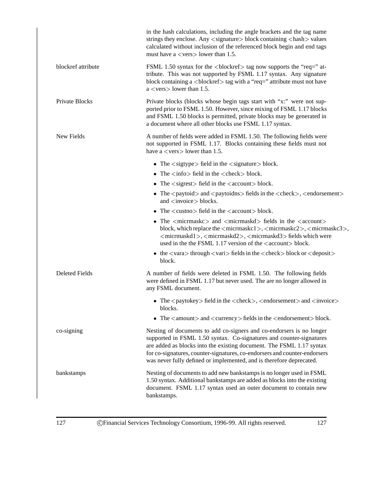|                    | in the hash calculations, including the angle brackets and the tag name<br>strings they enclose. Any <signature> block containing <hash> values<br/>calculated without inclusion of the referenced block begin and end tags<br/>must have a <math>\langle</math> vers<math>\rangle</math> lower than 1.5.</hash></signature>                                                                                         |
|--------------------|----------------------------------------------------------------------------------------------------------------------------------------------------------------------------------------------------------------------------------------------------------------------------------------------------------------------------------------------------------------------------------------------------------------------|
| blockref attribute | FSML 1.50 syntax for the<br>blockref> tag now supports the "req=" at-<br>tribute. This was not supported by FSML 1.17 syntax. Any signature<br>block containing a<br>                                                                                                                                                                                                                                                |
| Private Blocks     | Private blocks (blocks whose begin tags start with "x:" were not sup-<br>ported prior to FSML 1.50. However, since mixing of FSML 1.17 blocks<br>and FSML 1.50 blocks is permitted, private blocks may be generated in<br>a document where all other blocks use FSML 1.17 syntax.                                                                                                                                    |
| New Fields         | A number of fields were added in FSML 1.50. The following fields were<br>not supported in FSML 1.17. Blocks containing these fields must not<br>have a $\langle \text{vers} \rangle$ lower than 1.5.                                                                                                                                                                                                                 |
|                    | • The $\langle$ sigtype $\rangle$ field in the $\langle$ signature $\rangle$ block.                                                                                                                                                                                                                                                                                                                                  |
|                    | • The $\langle \text{info} \rangle$ field in the $\langle \text{check} \rangle$ block.                                                                                                                                                                                                                                                                                                                               |
|                    | • The $\langle$ sigrest $\rangle$ field in the $\langle$ account $\rangle$ block.                                                                                                                                                                                                                                                                                                                                    |
|                    | • The $\langle$ paytoid $\rangle$ and $\langle$ paytoidns $\rangle$ fields in the $\langle$ check $\rangle$ , $\langle$ endorsement $\rangle$<br>and $\langle$ invoice $>$ blocks.                                                                                                                                                                                                                                   |
|                    | • The $\langle \text{custno} \rangle$ field in the $\langle \text{account} \rangle$ block.                                                                                                                                                                                                                                                                                                                           |
|                    | • The <micrmaskc> and <micrmaskd> fields in the <account><br/>block, which replace the <micrmaskc1>, <micrmaskc2>, <micrmaskc3>,<br/><micrmaskd1>, <micrmaskd2>, <micrmaskd3> fields which were<br/>used in the the FSML 1.17 version of the <math>\langle</math> account<math>\rangle</math> block.</micrmaskd3></micrmaskd2></micrmaskd1></micrmaskc3></micrmaskc2></micrmaskc1></account></micrmaskd></micrmaskc> |
|                    | • the $\langle \text{vara}\rangle$ through $\langle \text{vari}\rangle$ fields in the $\langle \text{check}\rangle$ block or $\langle \text{deposit}\rangle$<br>block.                                                                                                                                                                                                                                               |
| Deleted Fields     | A number of fields were deleted in FSML 1.50. The following fields<br>were defined in FSML 1.17 but never used. The are no longer allowed in<br>any FSML document.                                                                                                                                                                                                                                                   |
|                    | • The $\langle$ paytokey $>$ field in the $\langle$ check $>$ , $\langle$ endorsement $>$ and $\langle$ invoice $>$<br>blocks.                                                                                                                                                                                                                                                                                       |
|                    | • The $\langle$ amount $\rangle$ and $\langle$ currency $\rangle$ fields in the $\langle$ endorsement $\rangle$ block.                                                                                                                                                                                                                                                                                               |
| co-signing         | Nesting of documents to add co-signers and co-endorsers is no longer<br>supported in FSML 1.50 syntax. Co-signatures and counter-signatures<br>are added as blocks into the existing document. The FSML 1.17 syntax<br>for co-signatures, counter-signatures, co-endorsers and counter-endorsers<br>was never fully defined or implemented, and is therefore deprecated.                                             |
| bankstamps         | Nesting of documents to add new bankstamps is no longer used in FSML<br>1.50 syntax. Additional bankstamps are added as blocks into the existing<br>document. FSML 1.17 syntax used an outer document to contain new<br>bankstamps.                                                                                                                                                                                  |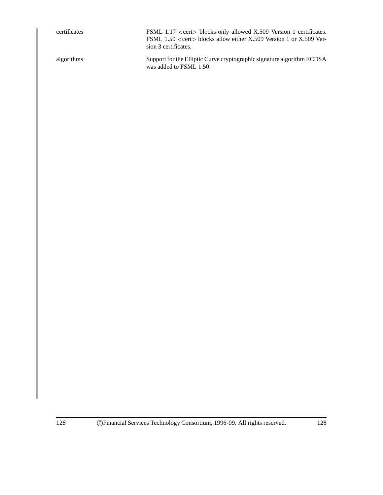certificates FSML 1.17 <cert> blocks only allowed X.509 Version 1 certificates. FSML 1.50 <cert> blocks allow either X.509 Version 1 or X.509 Version 3 certificates.

algorithms Support for the Elliptic Curve cryptographic signature algorithm ECDSA was added to FSML 1.50.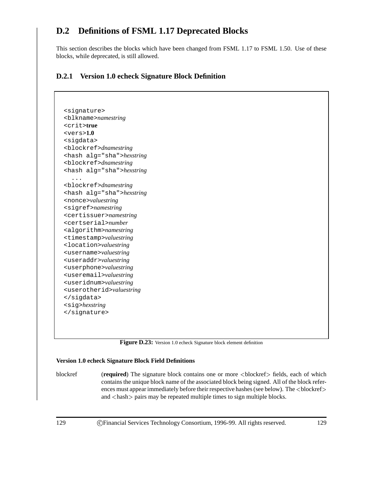# **D.2 Definitions of FSML 1.17 Deprecated Blocks**

This section describes the blocks which have been changed from FSML 1.17 to FSML 1.50. Use of these blocks, while deprecated, is still allowed.

### **D.2.1 Version 1.0 echeck Signature Block Definition**

```
<signature>
<blkname>namestring
<crit>true
<vers>1.0
<sigdata>
<blockref>dnamestring
<hash alg="sha">hexstring
<blockref>dnamestring
<hash alg="sha">hexstring
  ...
<blockref>dnamestring
<hash alg="sha">hexstring
<nonce>valuestring
<sigref>namestring
<certissuer>namestring
<certserial>number
<algorithm>namestring
<timestamp>valuestring
<location>valuestring
<username>valuestring
<useraddr>valuestring
<userphone>valuestring
<useremail>valuestring
<useridnum>valuestring
<userotherid>valuestring
</sigdata>
<sig>hexstring
</signature>
```
**Figure D.23:** Version 1.0 echeck Signature block element definition

#### **Version 1.0 echeck Signature Block Field Definitions**

blockref (**required**) The signature block contains one or more <sup>&</sup>lt;blockref<sup>&</sup>gt; fields, each of which contains the unique block name of the associated block being signed. All of the block references must appear immediately before their respective hashes (see below). The <br/>blockref> and <hash> pairs may be repeated multiple times to sign multiple blocks.

129 CFinancial Services Technology Consortium, 1996-99. All rights reserved. 129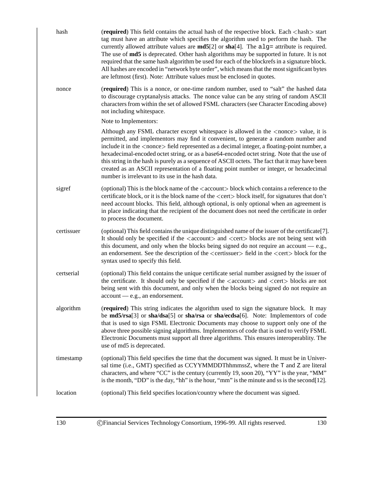| hash       | (required) This field contains the actual hash of the respective block. Each <hash> start<br/>tag must have an attribute which specifies the algorithm used to perform the hash. The<br/>currently allowed attribute values are <math>md5[2]</math> or <math>sha[4]</math>. The alg= attribute is required.<br/>The use of <b>md5</b> is deprecated. Other hash algorithms may be supported in future. It is not<br/>required that the same hash algorithm be used for each of the blockrefs in a signature block.<br/>All hashes are encoded in "network byte order", which means that the most significant bytes<br/>are leftmost (first). Note: Attribute values must be enclosed in quotes.</hash> |
|------------|--------------------------------------------------------------------------------------------------------------------------------------------------------------------------------------------------------------------------------------------------------------------------------------------------------------------------------------------------------------------------------------------------------------------------------------------------------------------------------------------------------------------------------------------------------------------------------------------------------------------------------------------------------------------------------------------------------|
| nonce      | (required) This is a nonce, or one-time random number, used to "salt" the hashed data<br>to discourage cryptanalysis attacks. The nonce value can be any string of random ASCII<br>characters from within the set of allowed FSML characters (see Character Encoding above)<br>not including whitespace.                                                                                                                                                                                                                                                                                                                                                                                               |
|            | Note to Implementors:                                                                                                                                                                                                                                                                                                                                                                                                                                                                                                                                                                                                                                                                                  |
|            | Although any FSML character except whitespace is allowed in the <nonce> value, it is<br/>permitted, and implementors may find it convenient, to generate a random number and<br/>include it in the <nonce> field represented as a decimal integer, a floating-point number, a<br/>hexadecimal-encoded octet string, or as a base64-encoded octet string. Note that the use of<br/>this string in the hash is purely as a sequence of ASCII octets. The fact that it may have been<br/>created as an ASCII representation of a floating point number or integer, or hexadecimal<br/>number is irrelevant to its use in the hash data.</nonce></nonce>                                                   |
| sigref     | (optional) This is the block name of the <account>block which contains a reference to the<br/>certificate block, or it is the block name of the <cert> block itself, for signatures that don't<br/>need account blocks. This field, although optional, is only optional when an agreement is<br/>in place indicating that the recipient of the document does not need the certificate in order<br/>to process the document.</cert></account>                                                                                                                                                                                                                                                           |
| certissuer | (optional) This field contains the unique distinguished name of the issuer of the certificate[7].<br>It should only be specified if the <account> and <cert>bolocks are not being sent with<br/>this document, and only when the blocks being signed do not require an account <math>-e.g.,</math><br/>an endorsement. See the description of the <certissuer> field in the <cert> block for the<br/>syntax used to specify this field.</cert></certissuer></cert></account>                                                                                                                                                                                                                           |
| certserial | (optional) This field contains the unique certificate serial number assigned by the issuer of<br>the certificate. It should only be specified if the <account> and <cert> blocks are not<br/>being sent with this document, and only when the blocks being signed do not require an<br/><math>account - e.g., an endorsement.</math></cert></account>                                                                                                                                                                                                                                                                                                                                                  |
| algorithm  | (required) This string indicates the algorithm used to sign the signature block. It may<br>be md5/rsa[3] or sha/dsa[5] or sha/rsa or sha/ecdsa[6]. Note: Implementors of code<br>that is used to sign FSML Electronic Documents may choose to support only one of the<br>above three possible signing algorithms. Implementors of code that is used to verify FSML<br>Electronic Documents must support all three algorithms. This ensures interoperablity. The<br>use of md5 is deprecated.                                                                                                                                                                                                           |
| timestamp  | (optional) This field specifies the time that the document was signed. It must be in Univer-<br>sal time (i.e., GMT) specified as CCYYMMDDThhmmssZ, where the T and Z are literal<br>characters, and where "CC" is the century (currently 19, soon 20), "YY" is the year, "MM"<br>is the month, "DD" is the day, "hh" is the hour, "mm" is the minute and ss is the second [12].                                                                                                                                                                                                                                                                                                                       |
| location   | (optional) This field specifies location/country where the document was signed.                                                                                                                                                                                                                                                                                                                                                                                                                                                                                                                                                                                                                        |
|            |                                                                                                                                                                                                                                                                                                                                                                                                                                                                                                                                                                                                                                                                                                        |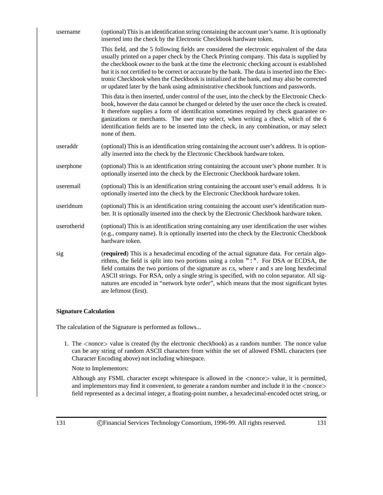| username    | (optional) This is an identification string containing the account user's name. It is optionally<br>inserted into the check by the Electronic Checkbook hardware token.                                                                                                                                                                                                                                                                                                                                                                                                          |
|-------------|----------------------------------------------------------------------------------------------------------------------------------------------------------------------------------------------------------------------------------------------------------------------------------------------------------------------------------------------------------------------------------------------------------------------------------------------------------------------------------------------------------------------------------------------------------------------------------|
|             | This field, and the 5 following fields are considered the electronic equivalent of the data<br>usually printed on a paper check by the Check Printing company. This data is supplied by<br>the checkbook owner to the bank at the time the electronic checking account is established<br>but it is not certified to be correct or accurate by the bank. The data is inserted into the Elec-<br>tronic Checkbook when the Checkbook is initialized at the bank, and may also be corrected<br>or updated later by the bank using administrative checkbook functions and passwords. |
|             | This data is then inserted, under control of the user, into the check by the Electronic Check-<br>book, however the data cannot be changed or deleted by the user once the check is created.<br>It therefore supplies a form of identification sometimes required by check guarantee or-<br>ganizations or merchants. The user may select, when writing a check, which of the 6<br>identification fields are to be inserted into the check, in any combination, or may select<br>none of them.                                                                                   |
| useraddr    | (optional) This is an identification string containing the account user's address. It is option-<br>ally inserted into the check by the Electronic Checkbook hardware token.                                                                                                                                                                                                                                                                                                                                                                                                     |
| userphone   | (optional) This is an identification string containing the account user's phone number. It is<br>optionally inserted into the check by the Electronic Checkbook hardware token.                                                                                                                                                                                                                                                                                                                                                                                                  |
| useremail   | (optional) This is an identification string containing the account user's email address. It is<br>optionally inserted into the check by the Electronic Checkbook hardware token.                                                                                                                                                                                                                                                                                                                                                                                                 |
| useridnum   | (optional) This is an identification string containing the account user's identification num-<br>ber. It is optionally inserted into the check by the Electronic Checkbook hardware token.                                                                                                                                                                                                                                                                                                                                                                                       |
| userotherid | (optional) This is an identification string containing any user identification the user wishes<br>(e.g., company name). It is optionally inserted into the check by the Electronic Checkbook<br>hardware token.                                                                                                                                                                                                                                                                                                                                                                  |
| sig         | (required) This is a hexadecimal encoding of the actual signature data. For certain algo-<br>rithms, the field is split into two portions using a colon ": ". For DSA or ECDSA, the<br>field contains the two portions of the signature as r:s, where r and s are long hexdecimal<br>ASCII strings. For RSA, only a single string is specified, with no colon separator. All sig-<br>natures are encoded in "network byte order", which means that the most significant bytes<br>are leftmost (first).                                                                           |

#### **Signature Calculation**

The calculation of the Signature is performed as follows...

1. The <sup>&</sup>lt;nonce<sup>&</sup>gt; value is created (by the electronic checkbook) as a random number. The nonce value can be any string of random ASCII characters from within the set of allowed FSML characters (see Character Encoding above) not including whitespace.

Note to Implementors:

Although any FSML character except whitespace is allowed in the <sup>&</sup>lt;nonce<sup>&</sup>gt; value, it is permitted, and implementors may find it convenient, to generate a random number and include it in the <nonce> field represented as a decimal integer, a floating-point number, a hexadecimal-encoded octet string, or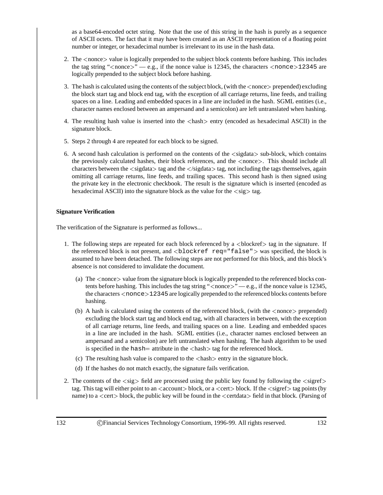as a base64-encoded octet string. Note that the use of this string in the hash is purely as a sequence of ASCII octets. The fact that it may have been created as an ASCII representation of a floating point number or integer, or hexadecimal number is irrelevant to its use in the hash data.

- 2. The <sup>&</sup>lt;nonce<sup>&</sup>gt; value is logically prepended to the subject block contents before hashing. This includes the tag string " $\langle$ nonce $\rangle$ " — e.g., if the nonce value is 12345, the characters  $\langle$ nonce $\rangle$ 12345 are logically prepended to the subject block before hashing.
- 3. The hash is calculated using the contents of the subject block, (with the <sup>&</sup>lt;nonce<sup>&</sup>gt; prepended) excluding the block start tag and block end tag, with the exception of all carriage returns, line feeds, and trailing spaces on a line. Leading and embedded spaces in a line are included in the hash. SGML entities (i.e., character names enclosed between an ampersand and a semicolon) are left untranslated when hashing.
- 4. The resulting hash value is inserted into the <sup>&</sup>lt;hash<sup>&</sup>gt; entry (encoded as hexadecimal ASCII) in the signature block.
- 5. Steps 2 through 4 are repeated for each block to be signed.
- 6. A second hash calculation is performed on the contents of the <sup>&</sup>lt;sigdata<sup>&</sup>gt; sub-block, which contains the previously calculated hashes, their block references, and the <sup>&</sup>lt;nonce>. This should include all characters between the <sup>&</sup>lt;sigdata<sup>&</sup>gt; tag and the <sup>&</sup>lt;/sigdata<sup>&</sup>gt; tag, not including the tags themselves, again omitting all carriage returns, line feeds, and trailing spaces. This second hash is then signed using the private key in the electronic checkbook. The result is the signature which is inserted (encoded as hexadecimal ASCII) into the signature block as the value for the  $\langle sig \rangle$  tag.

#### **Signature Verification**

The verification of the Signature is performed as follows...

- 1. The following steps are repeated for each block referenced by a  $\lt$ blockref> tag in the signature. If the referenced block is not present, and <sup>&</sup>lt;blockref req="false"<sup>&</sup>gt; was specified, the block is assumed to have been detached. The following steps are not performed for this block, and this block's absence is not considered to invalidate the document.
	- (a) The <sup>&</sup>lt;nonce<sup>&</sup>gt; value from the signature block is logically prepended to the referenced blocks contents before hashing. This includes the tag string " $\langle$  nonce $\rangle$ " — e.g., if the nonce value is 12345, the characters <nonce>12345 are logically prepended to the referenced blocks contents before hashing.
	- (b) A hash is calculated using the contents of the referenced block, (with the  $\langle$  nonce $\rangle$  prepended) excluding the block start tag and block end tag, with all characters in between, with the exception of all carriage returns, line feeds, and trailing spaces on a line. Leading and embedded spaces in a line are included in the hash. SGML entities (i.e., character names enclosed between an ampersand and a semicolon) are left untranslated when hashing. The hash algorithm to be used is specified in the hash= attribute in the  $\langle$ hash $\rangle$  tag for the referenced block.
	- (c) The resulting hash value is compared to the <sup>&</sup>lt;hash<sup>&</sup>gt; entry in the signature block.
	- (d) If the hashes do not match exactly, the signature fails verification.
- 2. The contents of the  $\langle sig \rangle$  field are processed using the public key found by following the  $\langle sigref \rangle$ tag. This tag will either point to an  $\alpha$  count  $\beta$  block, or a  $\alpha$  block. If the  $\alpha$  sigref $\beta$  tag points (by name) to a  $\le$ cert $>$  block, the public key will be found in the  $\le$ certdata $>$  field in that block. (Parsing of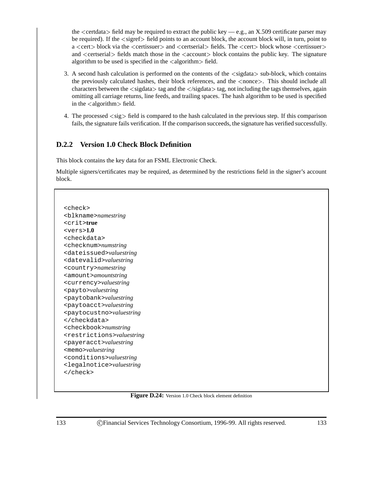the  $\le$ certdata $>$  field may be required to extract the public key — e.g., an X.509 certificate parser may be required). If the <sup>&</sup>lt;sigref<sup>&</sup>gt; field points to an account block, the account block will, in turn, point to a <sup>&</sup>lt;cert<sup>&</sup>gt; block via the <sup>&</sup>lt;certissuer<sup>&</sup>gt; and <sup>&</sup>lt;certserial<sup>&</sup>gt; fields. The <sup>&</sup>lt;cert<sup>&</sup>gt; block whose <sup>&</sup>lt;certissuer<sup>&</sup>gt; and <certserial> fields match those in the <account> block contains the public key. The signature algorithm to be used is specified in the  $\langle$  algorithm $\rangle$  field.

- 3. A second hash calculation is performed on the contents of the <sup>&</sup>lt;sigdata<sup>&</sup>gt; sub-block, which contains the previously calculated hashes, their block references, and the <sup>&</sup>lt;nonce>. This should include all characters between the <sigdata> tag and the </sigdata> tag, not including the tags themselves, again omitting all carriage returns, line feeds, and trailing spaces. The hash algorithm to be used is specified in the  $\langle$  algorithm $>$  field.
- 4. The processed <sup>&</sup>lt;sig<sup>&</sup>gt; field is compared to the hash calculated in the previous step. If this comparison fails, the signature fails verification. If the comparison succeeds, the signature has verified successfully.

### **D.2.2 Version 1.0 Check Block Definition**

This block contains the key data for an FSML Electronic Check.

Multiple signers/certificates may be required, as determined by the restrictions field in the signer's account block.

<check> <blkname>*namestring* <crit>**true** <vers>**1.0** <checkdata> <checknum>*numstring* <dateissued>*valuestring* <datevalid>*valuestring* <country>*namestring* <amount>*amountstring* <currency>*valuestring* <payto>*valuestring* <paytobank>*valuestring* <paytoacct>*valuestring* <paytocustno>*valuestring* </checkdata> <checkbook>*numstring* <restrictions>*valuestring* <payeracct>*valuestring* <memo>*valuestring* <conditions>*valuestring* <legalnotice>*valuestring* </check>

#### **Figure D.24:** Version 1.0 Check block element definition

133 CFinancial Services Technology Consortium, 1996-99. All rights reserved. 133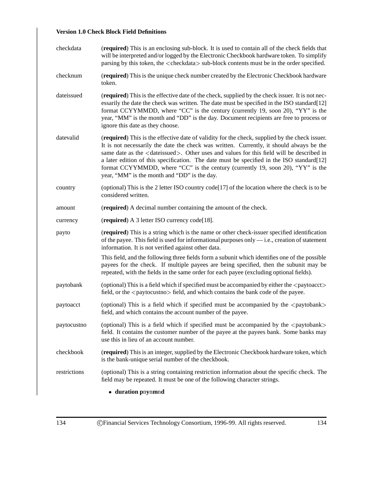### **Version 1.0 Check Block Field Definitions**

| checkdata    | (required) This is an enclosing sub-block. It is used to contain all of the check fields that<br>will be interpreted and/or logged by the Electronic Checkbook hardware token. To simplify<br>parsing by this token, the <checkdata> sub-block contents must be in the order specified.</checkdata>                                                                                                                                                                                                                                     |
|--------------|-----------------------------------------------------------------------------------------------------------------------------------------------------------------------------------------------------------------------------------------------------------------------------------------------------------------------------------------------------------------------------------------------------------------------------------------------------------------------------------------------------------------------------------------|
| checknum     | (required) This is the unique check number created by the Electronic Checkbook hardware<br>token.                                                                                                                                                                                                                                                                                                                                                                                                                                       |
| dateissued   | (required) This is the effective date of the check, supplied by the check issuer. It is not nec-<br>essarily the date the check was written. The date must be specified in the ISO standard[12]<br>format CCYYMMDD, where "CC" is the century (currently 19, soon 20), "YY" is the<br>year, "MM" is the month and "DD" is the day. Document recipients are free to process or<br>ignore this date as they choose.                                                                                                                       |
| datevalid    | (required) This is the effective date of validity for the check, supplied by the check issuer.<br>It is not necessarily the date the check was written. Currently, it should always be the<br>same date as the <dateissued>. Other uses and values for this field will be described in<br/>a later edition of this specification. The date must be specified in the ISO standard [12]<br/>format CCYYMMDD, where "CC" is the century (currently 19, soon 20), "YY" is the<br/>year, "MM" is the month and "DD" is the day.</dateissued> |
| country      | (optional) This is the 2 letter ISO country code[17] of the location where the check is to be<br>considered written.                                                                                                                                                                                                                                                                                                                                                                                                                    |
| amount       | (required) A decimal number containing the amount of the check.                                                                                                                                                                                                                                                                                                                                                                                                                                                                         |
| currency     | (required) A 3 letter ISO currency code[18].                                                                                                                                                                                                                                                                                                                                                                                                                                                                                            |
| payto        | (required) This is a string which is the name or other check-issuer specified identification<br>of the payee. This field is used for informational purposes only $-$ i.e., creation of statement<br>information. It is not verified against other data.                                                                                                                                                                                                                                                                                 |
|              | This field, and the following three fields form a subunit which identifies one of the possible<br>payees for the check. If multiple payees are being specified, then the subunit may be<br>repeated, with the fields in the same order for each payee (excluding optional fields).                                                                                                                                                                                                                                                      |
| paytobank    | (optional) This is a field which if specified must be accompanied by either the <paytoacct><br/>field, or the <paytocustno> field, and which contains the bank code of the payee.</paytocustno></paytoacct>                                                                                                                                                                                                                                                                                                                             |
| paytoacct    | (optional) This is a field which if specified must be accompanied by the <paytobank><br/>field, and which contains the account number of the payee.</paytobank>                                                                                                                                                                                                                                                                                                                                                                         |
| paytocustno  | (optional) This is a field which if specified must be accompanied by the <paytobank><br/>field. It contains the customer number of the payee at the payees bank. Some banks may<br/>use this in lieu of an account number.</paytobank>                                                                                                                                                                                                                                                                                                  |
| checkbook    | (required) This is an integer, supplied by the Electronic Checkbook hardware token, which<br>is the bank-unique serial number of the checkbook.                                                                                                                                                                                                                                                                                                                                                                                         |
| restrictions | (optional) This is a string containing restriction information about the specific check. The<br>field may be repeated. It must be one of the following character strings.                                                                                                                                                                                                                                                                                                                                                               |
|              | • duration pnynmnd                                                                                                                                                                                                                                                                                                                                                                                                                                                                                                                      |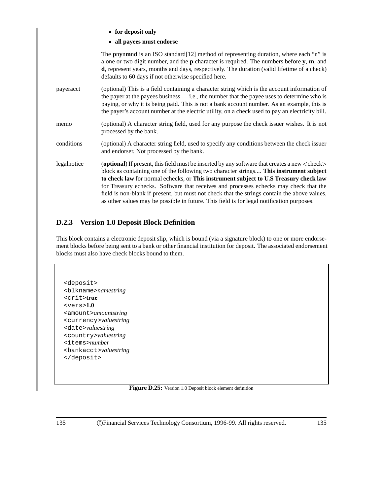**for deposit only**

**all payees must endorse**

The **p**n**y**n**m**n**d** is an ISO standard[12] method of representing duration, where each "n" is a one or two digit number, and the **p** character is required. The numbers before **y**, **m**, and **d**, represent years, months and days, respectively. The duration (valid lifetime of a check) defaults to 60 days if not otherwise specified here. payeracct (optional) This is a field containing a character string which is the account information of the payer at the payees business — i.e., the number that the payee uses to determine who is paying, or why it is being paid. This is not a bank account number. As an example, this is the payer's account number at the electric utility, on a check used to pay an electricity bill. memo (optional) A character string field, used for any purpose the check issuer wishes. It is not processed by the bank. conditions (optional) A character string field, used to specify any conditions between the check issuer and endorser. Not processed by the bank. legalnotice (optional) If present, this field must be inserted by any software that creates a new <check> block as containing one of the following two character strings.... **This instrument subject to check law** for normal echecks, or **This instrument subject to U.S Treasury check law** for Treasury echecks. Software that receives and processes echecks may check that the field is non-blank if present, but must not check that the strings contain the above values, as other values may be possible in future. This field is for legal notification purposes.

## **D.2.3 Version 1.0 Deposit Block Definition**

This block contains a electronic deposit slip, which is bound (via a signature block) to one or more endorsement blocks before being sent to a bank or other financial institution for deposit. The associated endorsement blocks must also have check blocks bound to them.

<deposit> <blkname>*namestring* <crit>**true** <vers>**1.0** <amount>*amountstring* <currency>*valuestring* <date>*valuestring* <country>*valuestring* <items>*number* <bankacct>*valuestring* </deposit>

**Figure D.25:** Version 1.0 Deposit block element definition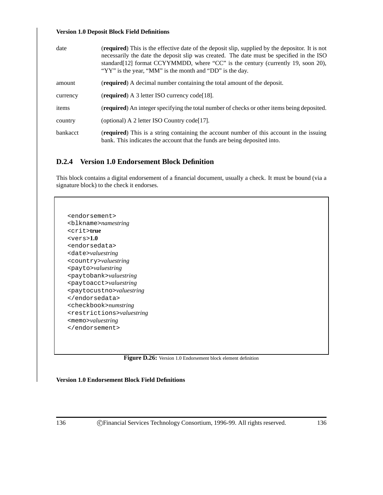#### **Version 1.0 Deposit Block Field Definitions**

| date     | <b>(required)</b> This is the effective date of the deposit slip, supplied by the depositor. It is not<br>necessarily the date the deposit slip was created. The date must be specified in the ISO<br>standard[12] format CCYYMMDD, where "CC" is the century (currently 19, soon 20),<br>"YY" is the year, "MM" is the month and "DD" is the day. |
|----------|----------------------------------------------------------------------------------------------------------------------------------------------------------------------------------------------------------------------------------------------------------------------------------------------------------------------------------------------------|
| amount   | ( <b>required</b> ) A decimal number containing the total amount of the deposit.                                                                                                                                                                                                                                                                   |
| currency | (required) A 3 letter ISO currency code[18].                                                                                                                                                                                                                                                                                                       |
| items    | <b>(required)</b> An integer specifying the total number of checks or other items being deposited.                                                                                                                                                                                                                                                 |
| country  | (optional) A 2 letter ISO Country code [17].                                                                                                                                                                                                                                                                                                       |
| bankacct | ( <b>required</b> ) This is a string containing the account number of this account in the issuing<br>bank. This indicates the account that the funds are being deposited into.                                                                                                                                                                     |

### **D.2.4 Version 1.0 Endorsement Block Definition**

This block contains a digital endorsement of a financial document, usually a check. It must be bound (via a signature block) to the check it endorses.

<endorsement> <blkname>*namestring* <crit>**true** <vers>**1.0** <endorsedata> <date>*valuestring* <country>*valuestring* <payto>*valuestring* <paytobank>*valuestring* <paytoacct>*valuestring* <paytocustno>*valuestring* </endorsedata> <checkbook>*numstring* <restrictions>*valuestring* <memo>*valuestring* </endorsement>



**Version 1.0 Endorsement Block Field Definitions**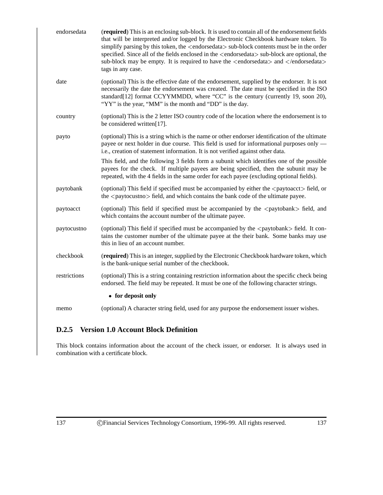| endorsedata  | (required) This is an enclosing sub-block. It is used to contain all of the endorsement fields<br>that will be interpreted and/or logged by the Electronic Checkbook hardware token. To<br>simplify parsing by this token, the <endorsedata> sub-block contents must be in the order<br/>specified. Since all of the fields enclosed in the <endorsedata> sub-block are optional, the<br/>sub-block may be empty. It is required to have the <math>\leq</math>endorsedata<math>\geq</math> and <math>\leq</math>/endorsedata<math>\geq</math><br/>tags in any case.</endorsedata></endorsedata> |
|--------------|-------------------------------------------------------------------------------------------------------------------------------------------------------------------------------------------------------------------------------------------------------------------------------------------------------------------------------------------------------------------------------------------------------------------------------------------------------------------------------------------------------------------------------------------------------------------------------------------------|
| date         | (optional) This is the effective date of the endorsement, supplied by the endorser. It is not<br>necessarily the date the endorsement was created. The date must be specified in the ISO<br>standard[12] format CCYYMMDD, where "CC" is the century (currently 19, soon 20),<br>"YY" is the year, "MM" is the month and "DD" is the day.                                                                                                                                                                                                                                                        |
| country      | (optional) This is the 2 letter ISO country code of the location where the endorsement is to<br>be considered written[17].                                                                                                                                                                                                                                                                                                                                                                                                                                                                      |
| payto        | (optional) This is a string which is the name or other endorser identification of the ultimate<br>payee or next holder in due course. This field is used for informational purposes only —<br>i.e., creation of statement information. It is not verified against other data.                                                                                                                                                                                                                                                                                                                   |
|              | This field, and the following 3 fields form a subunit which identifies one of the possible<br>payees for the check. If multiple payees are being specified, then the subunit may be<br>repeated, with the 4 fields in the same order for each payee (excluding optional fields).                                                                                                                                                                                                                                                                                                                |
| paytobank    | (optional) This field if specified must be accompanied by either the <paytoacct> field, or<br/>the <paytocustno> field, and which contains the bank code of the ultimate payee.</paytocustno></paytoacct>                                                                                                                                                                                                                                                                                                                                                                                       |
| paytoacct    | (optional) This field if specified must be accompanied by the <paytobank> field, and<br/>which contains the account number of the ultimate payee.</paytobank>                                                                                                                                                                                                                                                                                                                                                                                                                                   |
| paytocustno  | (optional) This field if specified must be accompanied by the <paytobank> field. It con-<br/>tains the customer number of the ultimate payee at the their bank. Some banks may use<br/>this in lieu of an account number.</paytobank>                                                                                                                                                                                                                                                                                                                                                           |
| checkbook    | (required) This is an integer, supplied by the Electronic Checkbook hardware token, which<br>is the bank-unique serial number of the checkbook.                                                                                                                                                                                                                                                                                                                                                                                                                                                 |
| restrictions | (optional) This is a string containing restriction information about the specific check being<br>endorsed. The field may be repeated. It must be one of the following character strings.                                                                                                                                                                                                                                                                                                                                                                                                        |
|              | • for deposit only                                                                                                                                                                                                                                                                                                                                                                                                                                                                                                                                                                              |
| memo         | (optional) A character string field, used for any purpose the endorsement issuer wishes.                                                                                                                                                                                                                                                                                                                                                                                                                                                                                                        |

## **D.2.5 Version 1.0 Account Block Definition**

This block contains information about the account of the check issuer, or endorser. It is always used in combination with a certificate block.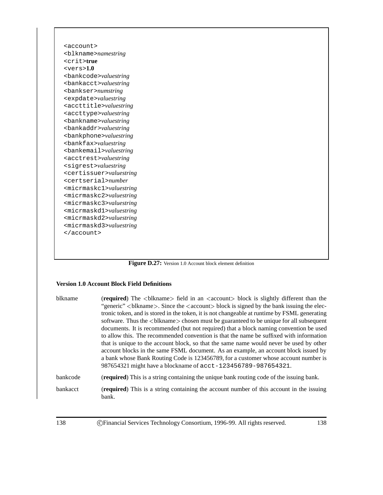<account> <blkname>*namestring* <crit>**true** <vers>**1.0** <bankcode>*valuestring* <bankacct>*valuestring* <bankser>*numstring* <expdate>*valuestring* <accttitle>*valuestring* <accttype>*valuestring* <bankname>*valuestring* <bankaddr>*valuestring* <bankphone>*valuestring* <bankfax>*valuestring* <bankemail>*valuestring* <acctrest>*valuestring* <sigrest>*valuestring* <certissuer>*valuestring* <certserial>*number* <micrmaskc1>*valuestring* <micrmaskc2>*valuestring* <micrmaskc3>*valuestring* <micrmaskd1>*valuestring* <micrmaskd2>*valuestring* <micrmaskd3>*valuestring* </account>

Figure D.27: Version 1.0 Account block element definition

#### **Version 1.0 Account Block Field Definitions**

| blkname  | ( <b>required</b> ) The $\langle$ blkname> field in an $\langle$ account> block is slightly different than the<br>"generic"<br>blkname>. Since the <account> block is signed by the bank issuing the elec-<br/>tronic token, and is stored in the token, it is not changeable at runtime by FSML generating<br/>software. Thus the <math>\langle</math>blkname<math>\rangle</math> chosen must be guaranteed to be unique for all subsequent<br>documents. It is recommended (but not required) that a block naming convention be used<br/>to allow this. The recommended convention is that the name be suffixed with information<br/>that is unique to the account block, so that the same name would never be used by other<br/>account blocks in the same FSML document. As an example, an account block issued by<br/>a bank whose Bank Routing Code is 123456789, for a customer whose account number is<br/>987654321 might have a blockname of acct-123456789-987654321.</br></account> |
|----------|-------------------------------------------------------------------------------------------------------------------------------------------------------------------------------------------------------------------------------------------------------------------------------------------------------------------------------------------------------------------------------------------------------------------------------------------------------------------------------------------------------------------------------------------------------------------------------------------------------------------------------------------------------------------------------------------------------------------------------------------------------------------------------------------------------------------------------------------------------------------------------------------------------------------------------------------------------------------------------------------------|
| bankcode | <b>(required)</b> This is a string containing the unique bank routing code of the issuing bank.                                                                                                                                                                                                                                                                                                                                                                                                                                                                                                                                                                                                                                                                                                                                                                                                                                                                                                 |
| bankacct | (required) This is a string containing the account number of this account in the issuing<br>bank.                                                                                                                                                                                                                                                                                                                                                                                                                                                                                                                                                                                                                                                                                                                                                                                                                                                                                               |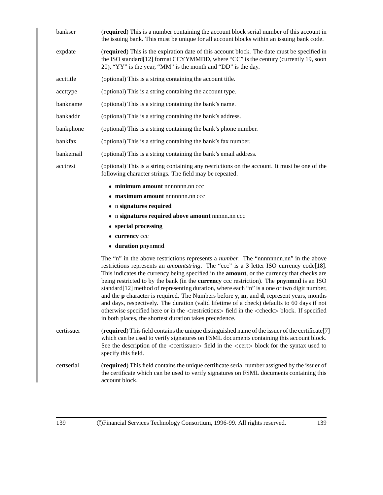| bankser    | (required) This is a number containing the account block serial number of this account in<br>the issuing bank. This must be unique for all account blocks within an issuing bank code.                                                                                                                                                                                                                                                                                                                                                                                                                                                                                                                                                                                                                                                                                                                |
|------------|-------------------------------------------------------------------------------------------------------------------------------------------------------------------------------------------------------------------------------------------------------------------------------------------------------------------------------------------------------------------------------------------------------------------------------------------------------------------------------------------------------------------------------------------------------------------------------------------------------------------------------------------------------------------------------------------------------------------------------------------------------------------------------------------------------------------------------------------------------------------------------------------------------|
| expdate    | (required) This is the expiration date of this account block. The date must be specified in<br>the ISO standard [12] format CCYYMMDD, where "CC" is the century (currently 19, soon<br>20), "YY" is the year, "MM" is the month and "DD" is the day.                                                                                                                                                                                                                                                                                                                                                                                                                                                                                                                                                                                                                                                  |
| accttitle  | (optional) This is a string containing the account title.                                                                                                                                                                                                                                                                                                                                                                                                                                                                                                                                                                                                                                                                                                                                                                                                                                             |
| accttype   | (optional) This is a string containing the account type.                                                                                                                                                                                                                                                                                                                                                                                                                                                                                                                                                                                                                                                                                                                                                                                                                                              |
| bankname   | (optional) This is a string containing the bank's name.                                                                                                                                                                                                                                                                                                                                                                                                                                                                                                                                                                                                                                                                                                                                                                                                                                               |
| bankaddr   | (optional) This is a string containing the bank's address.                                                                                                                                                                                                                                                                                                                                                                                                                                                                                                                                                                                                                                                                                                                                                                                                                                            |
| bankphone  | (optional) This is a string containing the bank's phone number.                                                                                                                                                                                                                                                                                                                                                                                                                                                                                                                                                                                                                                                                                                                                                                                                                                       |
| bankfax    | (optional) This is a string containing the bank's fax number.                                                                                                                                                                                                                                                                                                                                                                                                                                                                                                                                                                                                                                                                                                                                                                                                                                         |
| bankemail  | (optional) This is a string containing the bank's email address.                                                                                                                                                                                                                                                                                                                                                                                                                                                                                                                                                                                                                                                                                                                                                                                                                                      |
| acctrest   | (optional) This is a string containing any restrictions on the account. It must be one of the<br>following character strings. The field may be repeated.                                                                                                                                                                                                                                                                                                                                                                                                                                                                                                                                                                                                                                                                                                                                              |
|            | $\bullet$ minimum amount nnnnnnn.nn $ccc$                                                                                                                                                                                                                                                                                                                                                                                                                                                                                                                                                                                                                                                                                                                                                                                                                                                             |
|            | • maximum amount nnnnnnn.nn ccc                                                                                                                                                                                                                                                                                                                                                                                                                                                                                                                                                                                                                                                                                                                                                                                                                                                                       |
|            | • n signatures required                                                                                                                                                                                                                                                                                                                                                                                                                                                                                                                                                                                                                                                                                                                                                                                                                                                                               |
|            | • n signatures required above amount nnnnn.nn ccc                                                                                                                                                                                                                                                                                                                                                                                                                                                                                                                                                                                                                                                                                                                                                                                                                                                     |
|            | • special processing<br>• currency ccc                                                                                                                                                                                                                                                                                                                                                                                                                                                                                                                                                                                                                                                                                                                                                                                                                                                                |
|            | • duration pnynmnd                                                                                                                                                                                                                                                                                                                                                                                                                                                                                                                                                                                                                                                                                                                                                                                                                                                                                    |
|            | The "n" in the above restrictions represents a <i>number</i> . The "nnnnnnnn.nn" in the above<br>restrictions represents an <i>amountstring</i> . The "ccc" is a 3 letter ISO currency code[18].<br>This indicates the currency being specified in the <b>amount</b> , or the currency that checks are<br>being restricted to by the bank (in the <b>currency</b> ccc restriction). The <b>pnynmnd</b> is an ISO<br>standard[12] method of representing duration, where each "n" is a one or two digit number,<br>and the $p$ character is required. The Numbers before $y$ , $m$ , and $d$ , represent years, months<br>and days, respectively. The duration (valid lifetime of a check) defaults to 60 days if not<br>otherwise specified here or in the <restrictions> field in the <check> block. If specified<br/>in both places, the shortest duration takes precedence.</check></restrictions> |
| certissuer | (required) This field contains the unique distinguished name of the issuer of the certificate[7]<br>which can be used to verify signatures on FSML documents containing this account block.<br>See the description of the <certissuer> field in the <cert> block for the syntax used to<br/>specify this field.</cert></certissuer>                                                                                                                                                                                                                                                                                                                                                                                                                                                                                                                                                                   |
| certserial | (required) This field contains the unique certificate serial number assigned by the issuer of<br>the certificate which can be used to verify signatures on FSML documents containing this<br>account block.                                                                                                                                                                                                                                                                                                                                                                                                                                                                                                                                                                                                                                                                                           |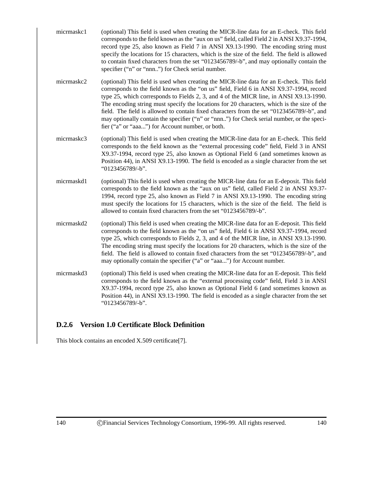- micrmaskc1 (optional) This field is used when creating the MICR-line data for an E-check. This field corresponds to the field known as the "aux on us" field, called Field 2 in ANSI X9.37-1994, record type 25, also known as Field 7 in ANSI X9.13-1990. The encoding string must specify the locations for 15 characters, which is the size of the field. The field is allowed to contain fixed characters from the set "0123456789/-b", and may optionally contain the specifier ("n" or "nnn..") for Check serial number.
- micrmaskc2 (optional) This field is used when creating the MICR-line data for an E-check. This field corresponds to the field known as the "on us" field, Field 6 in ANSI X9.37-1994, record type 25, which corresponds to Fields 2, 3, and 4 of the MICR line, in ANSI X9.13-1990. The encoding string must specify the locations for 20 characters, which is the size of the field. The field is allowed to contain fixed characters from the set "0123456789/-b", and may optionally contain the specifier ("n" or "nnn..") for Check serial number, or the specifier ("a" or "aaa...") for Account number, or both.
- micrmaskc3 (optional) This field is used when creating the MICR-line data for an E-check. This field corresponds to the field known as the "external processing code" field, Field 3 in ANSI X9.37-1994, record type 25, also known as Optional Field 6 (and sometimes known as Position 44), in ANSI X9.13-1990. The field is encoded as a single character from the set "0123456789/-b".
- micrmaskd1 (optional) This field is used when creating the MICR-line data for an E-deposit. This field corresponds to the field known as the "aux on us" field, called Field 2 in ANSI X9.37- 1994, record type 25, also known as Field 7 in ANSI X9.13-1990. The encoding string must specify the locations for 15 characters, which is the size of the field. The field is allowed to contain fixed characters from the set "0123456789/-b".
- micrmaskd2 (optional) This field is used when creating the MICR-line data for an E-deposit. This field corresponds to the field known as the "on us" field, Field 6 in ANSI X9.37-1994, record type 25, which corresponds to Fields 2, 3, and 4 of the MICR line, in ANSI X9.13-1990. The encoding string must specify the locations for 20 characters, which is the size of the field. The field is allowed to contain fixed characters from the set "0123456789/-b", and may optionally contain the specifier ("a" or "aaa...") for Account number.
- micrmaskd3 (optional) This field is used when creating the MICR-line data for an E-deposit. This field corresponds to the field known as the "external processing code" field, Field 3 in ANSI X9.37-1994, record type 25, also known as Optional Field 6 (and sometimes known as Position 44), in ANSI X9.13-1990. The field is encoded as a single character from the set "0123456789/-b".

#### **D.2.6 Version 1.0 Certificate Block Definition**

This block contains an encoded X.509 certificate[7].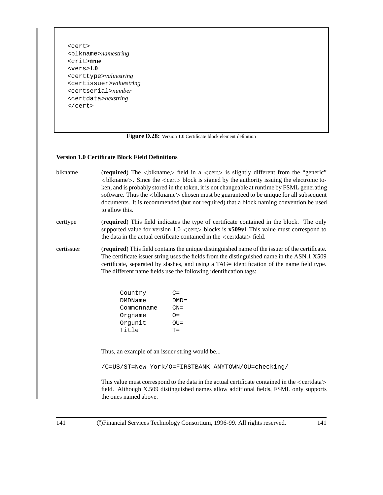<cert> <blkname>*namestring* <crit>**true** <vers>**1.0** <certtype>*valuestring* <certissuer>*valuestring* <certserial>*number* <certdata>*hexstring* </cert>

Figure D.28: Version 1.0 Certificate block element definition

#### **Version 1.0 Certificate Block Field Definitions**

- blkname (**required**) The <br/>blkname> field in a <cert> is slightly different from the "generic"  $\leq$ blkname $\geq$ . Since the  $\leq$  cert $\geq$  block is signed by the authority issuing the electronic token, and is probably stored in the token, it is not changeable at runtime by FSML generating software. Thus the <br/>blkname> chosen must be guaranteed to be unique for all subsequent documents. It is recommended (but not required) that a block naming convention be used to allow this.
- certtype (**required**) This field indicates the type of certificate contained in the block. The only supported value for version  $1.0 \le$  cert $>$  blocks is  $x509v1$  This value must correspond to the data in the actual certificate contained in the  $\leq$  certdata $>$  field.
- certissuer (**required**) This field contains the unique distinguished name of the issuer of the certificate. The certificate issuer string uses the fields from the distinguished name in the ASN.1 X509 certificate, separated by slashes, and using a TAG= identification of the name field type. The different name fields use the following identification tags:

| Country    | $C =$     |
|------------|-----------|
| DMDName    | $DMD =$   |
| Commonname | $CN =$    |
| Orqname    | $\bigcap$ |
| Orqunit    | $OU =$    |
| Title      | $T =$     |

Thus, an example of an issuer string would be...

/C=US/ST=New York/O=FIRSTBANK\_ANYTOWN/OU=checking/

This value must correspond to the data in the actual certificate contained in the  $\leq$ certdata $>$ field. Although X.509 distinguished names allow additional fields, FSML only supports the ones named above.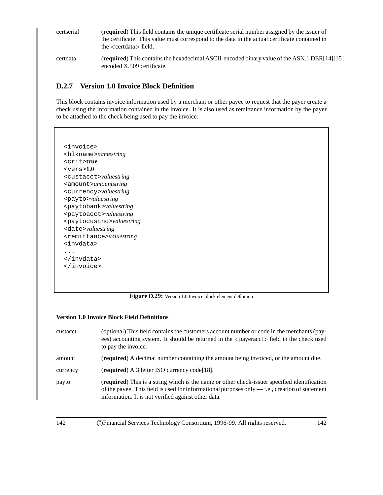| certserial | <b>(required)</b> This field contains the unique certificate serial number assigned by the issuer of<br>the certificate. This value must correspond to the data in the actual certificate contained in<br>the $\le$ certdata $>$ field. |
|------------|-----------------------------------------------------------------------------------------------------------------------------------------------------------------------------------------------------------------------------------------|
| certdata   | <b>(required)</b> This contains the hexadecimal ASCII-encoded binary value of the ASN.1 DER[14][15]<br>encoded X.509 certificate.                                                                                                       |

#### **D.2.7 Version 1.0 Invoice Block Definition**

This block contains invoice information used by a merchant or other payee to request that the payer create a check using the information contained in the invoice. It is also used as remittance information by the payer to be attached to the check being used to pay the invoice.

<invoice> <blkname>*namestring* <crit>**true** <vers>**1.0** <custacct>*valuestring* <amount>*amountstring* <currency>*valuestring* <payto>*valuestring* <paytobank>*valuestring* <paytoacct>*valuestring* <paytocustno>*valuestring* <date>*valuestring* <remittance>*valuestring* <invdata> ... </invdata> </invoice>

**Figure D.29:** Version 1.0 Invoice block element definition

| <b>Version 1.0 Invoice Block Field Definitions</b> |                                                                                                                                                                                                                                                                |  |  |  |  |
|----------------------------------------------------|----------------------------------------------------------------------------------------------------------------------------------------------------------------------------------------------------------------------------------------------------------------|--|--|--|--|
| custacct                                           | (optional) This field contains the customers account number or code in the merchants (pay-<br>ees) accounting system. It should be returned in the <payeracct> field in the check used<br/>to pay the invoice.</payeracct>                                     |  |  |  |  |
| amount                                             | (required) A decimal number containing the amount being invoiced, or the amount due.                                                                                                                                                                           |  |  |  |  |
| currency                                           | (required) A 3 letter ISO currency code [18].                                                                                                                                                                                                                  |  |  |  |  |
| payto                                              | <b>(required)</b> This is a string which is the name or other check-issuer specified identification<br>of the payee. This field is used for informational purposes only $-$ i.e., creation of statement<br>information. It is not verified against other data. |  |  |  |  |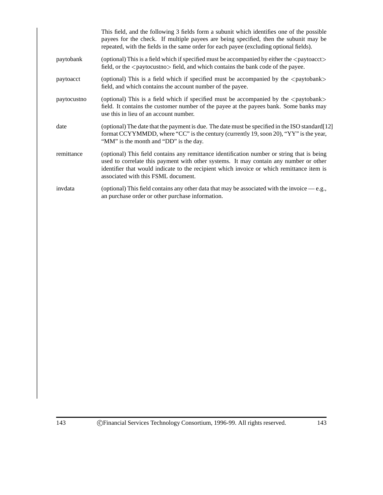|             | This field, and the following 3 fields form a subunit which identifies one of the possible<br>payees for the check. If multiple payees are being specified, then the subunit may be<br>repeated, with the fields in the same order for each payee (excluding optional fields).                                           |
|-------------|--------------------------------------------------------------------------------------------------------------------------------------------------------------------------------------------------------------------------------------------------------------------------------------------------------------------------|
| paytobank   | (optional) This is a field which if specified must be accompanied by either the <paytoacct><br/>field, or the <math>\langle</math> paytocustno<math>\rangle</math> field, and which contains the bank code of the payee.</paytoacct>                                                                                     |
| paytoacct   | (optional) This is a field which if specified must be accompanied by the <paytobank><br/>field, and which contains the account number of the payee.</paytobank>                                                                                                                                                          |
| paytocustno | (optional) This is a field which if specified must be accompanied by the <paytobank><br/>field. It contains the customer number of the payee at the payees bank. Some banks may<br/>use this in lieu of an account number.</paytobank>                                                                                   |
| date        | (optional) The date that the payment is due. The date must be specified in the ISO standard [12]<br>format CCYYMMDD, where "CC" is the century (currently 19, soon 20), "YY" is the year,<br>"MM" is the month and "DD" is the day.                                                                                      |
| remittance  | (optional) This field contains any remittance identification number or string that is being<br>used to correlate this payment with other systems. It may contain any number or other<br>identifier that would indicate to the recipient which invoice or which remittance item is<br>associated with this FSML document. |
| invdata     | (optional) This field contains any other data that may be associated with the invoice $-e.g.,$<br>an purchase order or other purchase information.                                                                                                                                                                       |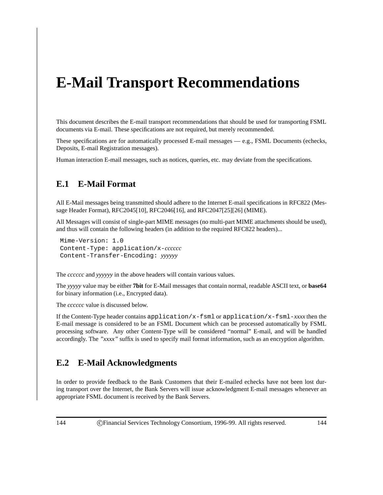# **E-Mail Transport Recommendations**

This document describes the E-mail transport recommendations that should be used for transporting FSML documents via E-mail. These specifications are not required, but merely recommended.

These specifications are for automatically processed E-mail messages — e.g., FSML Documents (echecks, Deposits, E-mail Registration messages).

Human interaction E-mail messages, such as notices, queries, etc. may deviate from the specifications.

#### **E.1 E-Mail Format**

All E-Mail messages being transmitted should adhere to the Internet E-mail specifications in RFC822 (Message Header Format), RFC2045[10], RFC2046[16], and RFC2047[25][26] (MIME).

All Messages will consist of single-part MIME messages (no multi-part MIME attachments should be used), and thus will contain the following headers (in addition to the required RFC822 headers)...

```
Mime-Version: 1.0
Content-Type: application/x-cccccc
Content-Transfer-Encoding: yyyyyy
```
The *cccccc* and *yyyyyy* in the above headers will contain various values.

The *yyyyy* value may be either **7bit** for E-Mail messages that contain normal, readable ASCII text, or **base64** for binary information (i.e., Encrypted data).

The *cccccc* value is discussed below.

If the Content-Type header contains application/x-fsml or application/x-fsml-*xxxx* then the E-mail message is considered to be an FSML Document which can be processed automatically by FSML processing software. Any other Content-Type will be considered "normal" E-mail, and will be handled accordingly. The *"xxxx"* suffix is used to specify mail format information, such as an encryption algorithm.

#### **E.2 E-Mail Acknowledgments**

In order to provide feedback to the Bank Customers that their E-mailed echecks have not been lost during transport over the Internet, the Bank Servers will issue acknowledgment E-mail messages whenever an appropriate FSML document is received by the Bank Servers.

144 c Financial Services Technology Consortium, 1996-99. All rights reserved. 144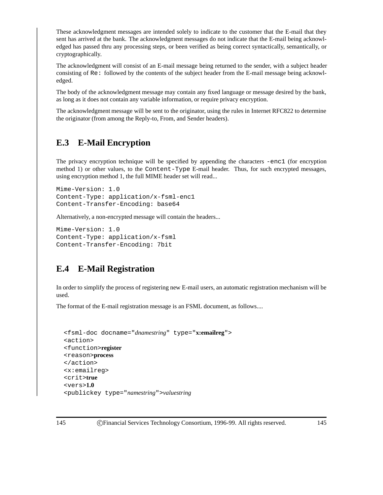These acknowledgment messages are intended solely to indicate to the customer that the E-mail that they sent has arrived at the bank. The acknowledgment messages do not indicate that the E-mail being acknowledged has passed thru any processing steps, or been verified as being correct syntactically, semantically, or cryptographically.

The acknowledgment will consist of an E-mail message being returned to the sender, with a subject header consisting of Re: followed by the contents of the subject header from the E-mail message being acknowledged.

The body of the acknowledgment message may contain any fixed language or message desired by the bank, as long as it does not contain any variable information, or require privacy encryption.

The acknowledgment message will be sent to the originator, using the rules in Internet RFC822 to determine the originator (from among the Reply-to, From, and Sender headers).

### **E.3 E-Mail Encryption**

The privacy encryption technique will be specified by appending the characters -enc1 (for encryption method 1) or other values, to the Content-Type E-mail header. Thus, for such encrypted messages, using encryption method 1, the full MIME header set will read...

```
Mime-Version: 1.0
Content-Type: application/x-fsml-enc1
Content-Transfer-Encoding: base64
```
Alternatively, a non-encrypted message will contain the headers...

```
Mime-Version: 1.0
Content-Type: application/x-fsml
Content-Transfer-Encoding: 7bit
```
### **E.4 E-Mail Registration**

In order to simplify the process of registering new E-mail users, an automatic registration mechanism will be used.

The format of the E-mail registration message is an FSML document, as follows....

```
<fsml-doc docname="dnamestring" type="x:emailreg">
<action>
<function>register
<reason>process
</action>
<x:emailreg>
<crit>true
<vers>1.0
<publickey type="namestring">valuestring
```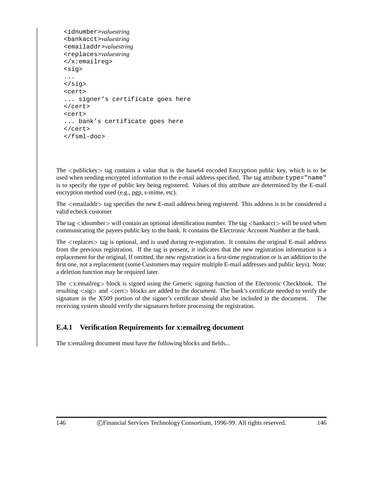```
<idnumber>valuestring
<bankacct>valuestring
<emailaddr>valuestring
<replaces>valuestring
</x:emailreg>
<sig>
...
</sig>
<cert>
... signer's certificate goes here
</cert>
<cert>
... bank's certificate goes here
</cert>
</fsml-doc>
```
The  $\lt$ publickey  $\gt$  tag contains a value that is the base64 encoded Encryption public key, which is to be used when sending encrypted information to the e-mail address specified. The tag attribute type="name" is to specify the type of public key being registered. Values of this attribute are determined by the E-mail encryption method used (e.g., pgp, s-mime, etc).

The  $\le$ emailaddr $>$  tag specifies the new E-mail address being registered. This address is to be considered a valid echeck customer

The tag <idnumber > will contain an optional identification number. The tag <br/>bankacct > will be used when communicating the payees public key to the bank. It contains the Electronic Account Number at the bank.

The  $\leq$ replaces $\geq$  tag is optional, and is used during re-registration. It contains the original E-mail address from the previous registration. If the tag is present, it indicates that the new registration information is a replacement for the original, If omitted, the new registration is a first-time registration or is an addition to the first one, not a replacement (some Customers may require multiple E-mail addresses and public keys). Note: a deletion function may be required later.

The <sup>&</sup>lt;x:emailreg<sup>&</sup>gt; block is signed using the Generic signing function of the Electronic Checkbook. The resulting  $\langle sig \rangle$  and  $\langle cert \rangle$  blocks are added to the document. The bank's certificate needed to verify the signature in the X509 portion of the signer's certificate should also be included in the document. The receiving system should verify the signatures before processing the registration.

#### **E.4.1 Verification Requirements for x:emailreg document**

The x:emailreg document must have the following blocks and fields...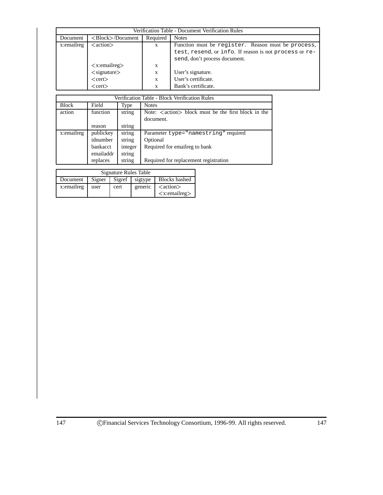| Verification Table - Document Verification Rules |                                 |          |                                                        |  |  |  |
|--------------------------------------------------|---------------------------------|----------|--------------------------------------------------------|--|--|--|
| Document                                         | $\langle Block\rangle$ Document | Required | <b>Notes</b>                                           |  |  |  |
| x:emailreg                                       | $\langle action \rangle$        | X        | Function must be register. Reason must be process,     |  |  |  |
|                                                  |                                 |          | test, resend, or info. If reason is not process or re- |  |  |  |
|                                                  |                                 |          | send, don't process document.                          |  |  |  |
|                                                  | $\langle x:$ emailreg $\rangle$ | X        |                                                        |  |  |  |
|                                                  | $\langle$ signature $\rangle$   | X        | User's signature.                                      |  |  |  |
|                                                  | $<$ cert $>$                    | X        | User's certificate.                                    |  |  |  |
|                                                  | $<$ cert $>$                    | X        | Bank's certificate.                                    |  |  |  |

| Verification Table - Block Verification Rules |                 |         |                                                                            |  |  |
|-----------------------------------------------|-----------------|---------|----------------------------------------------------------------------------|--|--|
| <b>Block</b>                                  | Field           | Type    | <b>Notes</b>                                                               |  |  |
| action                                        | function        | string  | Note: $\langle \text{action} \rangle$ block must be the first block in the |  |  |
|                                               |                 |         | document.                                                                  |  |  |
|                                               | reason          | string  |                                                                            |  |  |
| x:emailreg                                    | publickey       | string  | Parameter type="namestring" required                                       |  |  |
|                                               | idnumber        | string  | Optional                                                                   |  |  |
|                                               | <b>bankacct</b> | integer | Required for emailreg to bank                                              |  |  |
|                                               | emailaddr       | string  |                                                                            |  |  |
|                                               | replaces        | string  | Required for replacement registration                                      |  |  |

| Signature Rules Table |                                                     |         |                          |                                 |  |  |  |
|-----------------------|-----------------------------------------------------|---------|--------------------------|---------------------------------|--|--|--|
| Document              | <b>Blocks</b> hashed<br>Sigref<br>Signer<br>sigtype |         |                          |                                 |  |  |  |
| x:emailreg            | user                                                | generic | $\langle action \rangle$ |                                 |  |  |  |
|                       |                                                     |         |                          | $\langle x$ :emailreg $\rangle$ |  |  |  |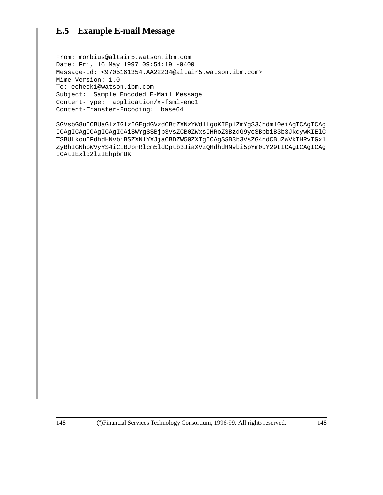### **E.5 Example E-mail Message**

From: morbius@altair5.watson.ibm.com Date: Fri, 16 May 1997 09:54:19 -0400 Message-Id: <9705161354.AA22234@altair5.watson.ibm.com> Mime-Version: 1.0 To: echeck1@watson.ibm.com Subject: Sample Encoded E-Mail Message Content-Type: application/x-fsml-enc1 Content-Transfer-Encoding: base64

SGVsbG8uICBUaGlzIGlzIGEgdGVzdCBtZXNzYWdlLgoKIEplZmYgS3Jhdml0eiAgICAgICAg ICAgICAgICAgICAgICAiSWYgSSBjb3VsZCB0ZWxsIHRoZSBzdG9yeSBpbiB3b3JkcywKIElC TSBULkouIFdhdHNvbiBSZXNlYXJjaCBDZW50ZXIgICAgSSB3b3VsZG4ndCBuZWVkIHRvIGx1 ZyBhIGNhbWVyYS4iCiBJbnRlcm5ldDptb3JiaXVzQHdhdHNvbi5pYm0uY29tICAgICAgICAg ICAtIExld2lzIEhpbmUK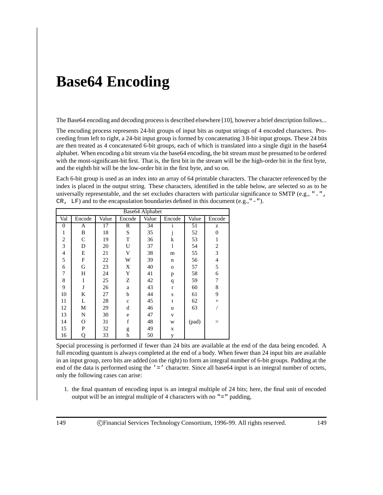## **Base64 Encoding**

The Base64 encoding and decoding process is described elsewhere [10], however a brief description follows...

The encoding process represents 24-bit groups of input bits as output strings of 4 encoded characters. Proceeding from left to right, a 24-bit input group is formed by concatenating 3 8-bit input groups. These 24 bits are then treated as 4 concatenated 6-bit groups, each of which is translated into a single digit in the base64 alphabet. When encoding a bit stream via the base64 encoding, the bit stream must be presumed to be ordered with the most-significant-bit first. That is, the first bit in the stream will be the high-order bit in the first byte, and the eighth bit will be the low-order bit in the first byte, and so on.

Each 6-bit group is used as an index into an array of 64 printable characters. The character referenced by the index is placed in the output string. These characters, identified in the table below, are selected so as to be universally representable, and the set excludes characters with particular significance to SMTP (e.g., ".", CR,  $LF$ ) and to the encapsulation boundaries defined in this document (e.g., "-").

| Base64 Alphabet |              |       |             |       |              |       |                |  |
|-----------------|--------------|-------|-------------|-------|--------------|-------|----------------|--|
| Val             | Encode       | Value | Encode      | Value | Encode       | Value | Encode         |  |
| $\overline{0}$  | A            | 17    | R           | 34    | $\mathbf{1}$ | 51    | z              |  |
| 1               | B            | 18    | S           | 35    | J            | 52    | $\Omega$       |  |
| $\overline{2}$  | $\mathsf{C}$ | 19    | T           | 36    | k            | 53    | 1              |  |
| 3               | D            | 20    | U           | 37    | l            | 54    | $\overline{2}$ |  |
| $\overline{4}$  | E            | 21    | V           | 38    | m            | 55    | 3              |  |
| 5               | F            | 22    | W           | 39    | n            | 56    | 4              |  |
| 6               | G            | 23    | X           | 40    | $\mathbf{o}$ | 57    | 5              |  |
| 7               | Н            | 24    | Y           | 41    | p            | 58    | 6              |  |
| 8               | I            | 25    | Ζ           | 42    | q            | 59    | 7              |  |
| 9               | J            | 26    | a           | 43    | $\mathbf r$  | 60    | 8              |  |
| 10              | K            | 27    | b           | 44    | ${\bf S}$    | 61    | 9              |  |
| 11              | L            | 28    | $\mathbf c$ | 45    | t            | 62    | $^{+}$         |  |
| 12              | М            | 29    | d           | 46    | u            | 63    |                |  |
| 13              | N            | 30    | e           | 47    | $\mathbf{V}$ |       |                |  |
| 14              | О            | 31    | f           | 48    | W            | (pad) |                |  |
| 15              | P            | 32    | g           | 49    | X            |       |                |  |
| 16              | Q            | 33    | h           | 50    | у            |       |                |  |

Special processing is performed if fewer than 24 bits are available at the end of the data being encoded. A full encoding quantum is always completed at the end of a body. When fewer than 24 input bits are available in an input group, zero bits are added (on the right) to form an integral number of 6-bit groups. Padding at the end of the data is performed using the '=' character. Since all base64 input is an integral number of octets, only the following cases can arise:

1. the final quantum of encoding input is an integral multiple of 24 bits; here, the final unit of encoded output will be an integral multiple of 4 characters with no "=" padding,

149 c Financial Services Technology Consortium, 1996-99. All rights reserved. 149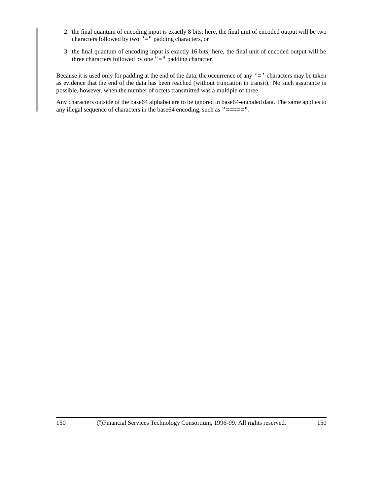- 2. the final quantum of encoding input is exactly 8 bits; here, the final unit of encoded output will be two characters followed by two "=" padding characters, or
- 3. the final quantum of encoding input is exactly 16 bits; here, the final unit of encoded output will be three characters followed by one "=" padding character.

Because it is used only for padding at the end of the data, the occurrence of any ' = ' characters may be taken as evidence that the end of the data has been reached (without truncation in transit). No such assurance is possible, however, when the number of octets transmitted was a multiple of three.

Any characters outside of the base64 alphabet are to be ignored in base64-encoded data. The same applies to any illegal sequence of characters in the base64 encoding, such as "=====".